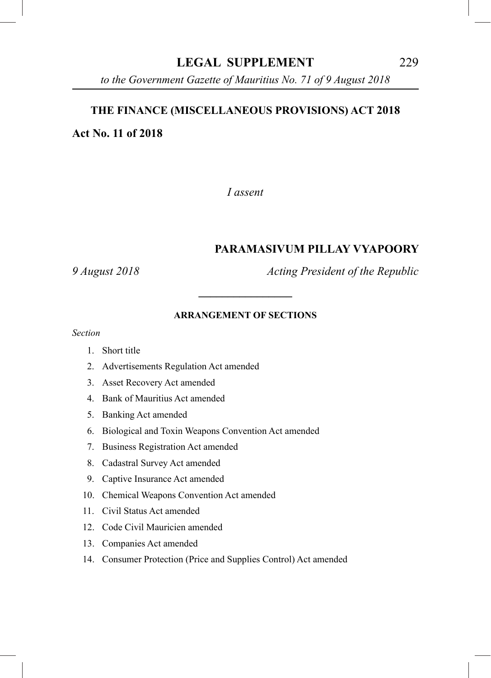# **LEGAL SUPPLEMENT** 229

*Acts 2018* 229 *to the Government Gazette of Mauritius No. 71 of 9 August 2018*

#### **THE FINANCE (MISCELLANEOUS PROVISIONS) ACT 2018**

**Act No. 11 of 2018**

*I assent*

#### **PARAMASIVUM PILLAY VYAPOORY**

*9 August 2018 Acting President of the Republic*

#### **ARRANGEMENT OF SECTIONS**

**\_\_\_\_\_\_\_\_\_\_\_\_\_\_\_\_**

*Section*

- 1. Short title
- 2. Advertisements Regulation Act amended
- 3. Asset Recovery Act amended
- 4. Bank of Mauritius Act amended
- 5. Banking Act amended
- 6. Biological and Toxin Weapons Convention Act amended
- 7. Business Registration Act amended
- 8. Cadastral Survey Act amended
- 9. Captive Insurance Act amended
- 10. Chemical Weapons Convention Act amended
- 11. Civil Status Act amended
- 12. Code Civil Mauricien amended
- 13. Companies Act amended
- 14. Consumer Protection (Price and Supplies Control) Act amended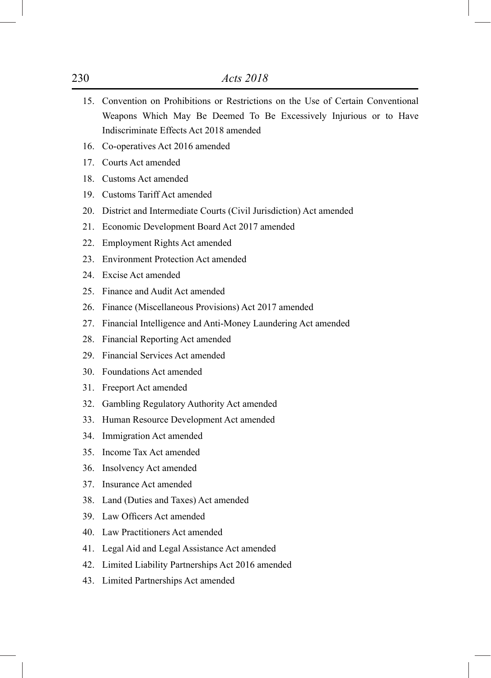- 15. Convention on Prohibitions or Restrictions on the Use of Certain Conventional Weapons Which May Be Deemed To Be Excessively Injurious or to Have Indiscriminate Effects Act 2018 amended
- 16. Co-operatives Act 2016 amended
- 17. Courts Act amended
- 18. Customs Act amended
- 19. Customs Tariff Act amended
- 20. District and Intermediate Courts (Civil Jurisdiction) Act amended
- 21. Economic Development Board Act 2017 amended
- 22. Employment Rights Act amended
- 23. Environment Protection Act amended
- 24. Excise Act amended
- 25. Finance and Audit Act amended
- 26. Finance (Miscellaneous Provisions) Act 2017 amended
- 27. Financial Intelligence and Anti-Money Laundering Act amended
- 28. Financial Reporting Act amended
- 29. Financial Services Act amended
- 30. Foundations Act amended
- 31. Freeport Act amended
- 32. Gambling Regulatory Authority Act amended
- 33. Human Resource Development Act amended
- 34. Immigration Act amended
- 35. Income Tax Act amended
- 36. Insolvency Act amended
- 37. Insurance Act amended
- 38. Land (Duties and Taxes) Act amended
- 39. Law Officers Act amended
- 40. Law Practitioners Act amended
- 41. Legal Aid and Legal Assistance Act amended
- 42. Limited Liability Partnerships Act 2016 amended
- 43. Limited Partnerships Act amended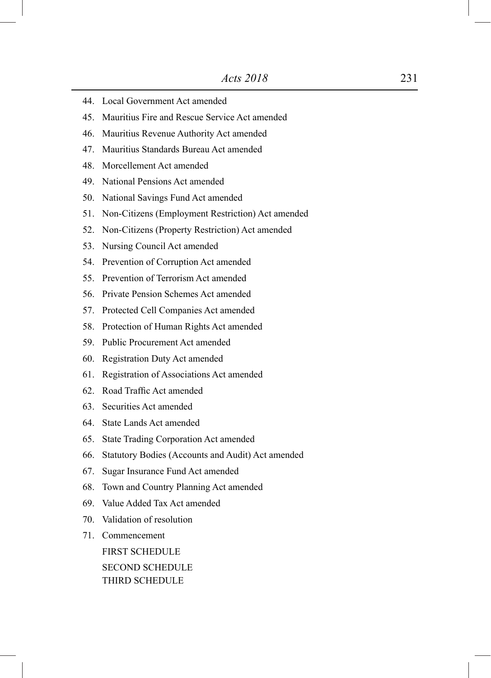- 44. Local Government Act amended
- 45. Mauritius Fire and Rescue Service Act amended
- 46. Mauritius Revenue Authority Act amended
- 47. Mauritius Standards Bureau Act amended
- 48. Morcellement Act amended
- 49. National Pensions Act amended
- 50. National Savings Fund Act amended
- 51. Non-Citizens (Employment Restriction) Act amended
- 52. Non-Citizens (Property Restriction) Act amended
- 53. Nursing Council Act amended
- 54. Prevention of Corruption Act amended
- 55. Prevention of Terrorism Act amended
- 56. Private Pension Schemes Act amended
- 57. Protected Cell Companies Act amended
- 58. Protection of Human Rights Act amended
- 59. Public Procurement Act amended
- 60. Registration Duty Act amended
- 61. Registration of Associations Act amended
- 62. Road Traffic Act amended
- 63. Securities Act amended
- 64. State Lands Act amended
- 65. State Trading Corporation Act amended
- 66. Statutory Bodies (Accounts and Audit) Act amended
- 67. Sugar Insurance Fund Act amended
- 68. Town and Country Planning Act amended
- 69. Value Added Tax Act amended
- 70. Validation of resolution
- 71. Commencement FIRST SCHEDULE

SECOND SCHEDULE THIRD SCHEDULE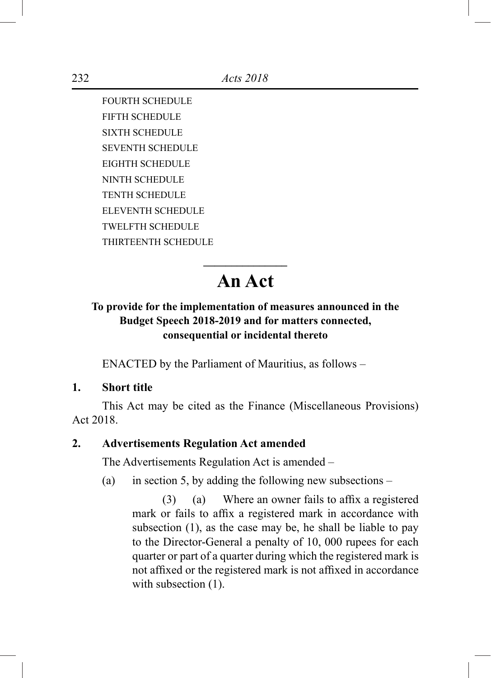FOURTH SCHEDULE FIFTH SCHEDULE SIXTH SCHEDULE SEVENTH SCHEDULE EIGHTH SCHEDULE NINTH SCHEDULE TENTH SCHEDULE ELEVENTH SCHEDULE TWELFTH SCHEDULE THIRTEENTH SCHEDULE

# **\_\_\_\_\_\_\_\_\_\_\_\_\_\_\_ An Act**

# **To provide for the implementation of measures announced in the Budget Speech 2018-2019 and for matters connected, consequential or incidental thereto**

ENACTED by the Parliament of Mauritius, as follows –

# **1. Short title**

This Act may be cited as the Finance (Miscellaneous Provisions) Act 2018.

# **2. Advertisements Regulation Act amended**

The Advertisements Regulation Act is amended –

(a) in section 5, by adding the following new subsections –

 $(3)$  (a) Where an owner fails to affix a registered mark or fails to affix a registered mark in accordance with subsection (1), as the case may be, he shall be liable to pay to the Director-General a penalty of 10, 000 rupees for each quarter or part of a quarter during which the registered mark is not affixed or the registered mark is not affixed in accordance with subsection  $(1)$ .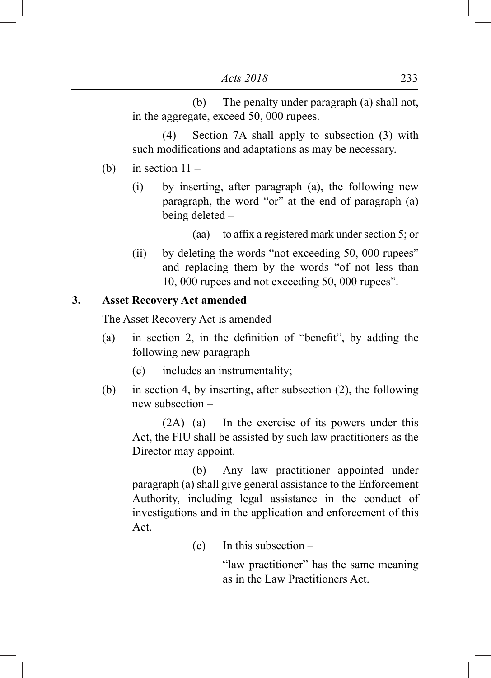(b) The penalty under paragraph (a) shall not, in the aggregate, exceed 50, 000 rupees.

 (4) Section 7A shall apply to subsection (3) with such modifications and adaptations as may be necessary.

- (b) in section  $11 -$ 
	- (i) by inserting, after paragraph (a), the following new paragraph, the word "or" at the end of paragraph (a) being deleted –
		- (aa) to affix a registered mark under section 5; or
	- (ii) by deleting the words "not exceeding 50, 000 rupees" and replacing them by the words "of not less than 10, 000 rupees and not exceeding 50, 000 rupees".

#### **3. Asset Recovery Act amended**

The Asset Recovery Act is amended –

- (a) in section 2, in the definition of "benefit", by adding the following new paragraph –
	- (c) includes an instrumentality;
- (b) in section 4, by inserting, after subsection (2), the following new subsection –

 (2A) (a) In the exercise of its powers under this Act, the FIU shall be assisted by such law practitioners as the Director may appoint.

 (b) Any law practitioner appointed under paragraph (a) shall give general assistance to the Enforcement Authority, including legal assistance in the conduct of investigations and in the application and enforcement of this Act.

(c) In this subsection –

"law practitioner" has the same meaning as in the Law Practitioners Act.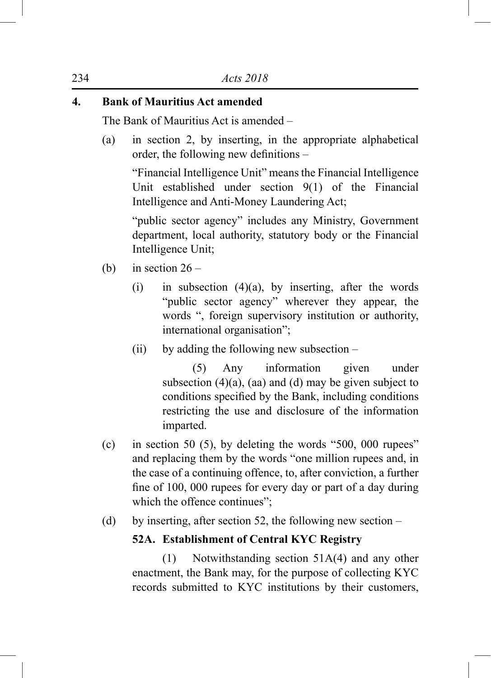# **4. Bank of Mauritius Act amended**

The Bank of Mauritius Act is amended –

(a) in section 2, by inserting, in the appropriate alphabetical order, the following new definitions –

"Financial Intelligence Unit" means the Financial Intelligence Unit established under section 9(1) of the Financial Intelligence and Anti-Money Laundering Act;

"public sector agency" includes any Ministry, Government department, local authority, statutory body or the Financial Intelligence Unit;

- (b) in section  $26 -$ 
	- (i) in subsection  $(4)(a)$ , by inserting, after the words "public sector agency" wherever they appear, the words ", foreign supervisory institution or authority, international organisation";
	- (ii) by adding the following new subsection –

 (5) Any information given under subsection  $(4)(a)$ ,  $(aa)$  and  $(d)$  may be given subject to conditions specified by the Bank, including conditions restricting the use and disclosure of the information imparted.

- (c) in section 50 (5), by deleting the words "500, 000 rupees" and replacing them by the words "one million rupees and, in the case of a continuing offence, to, after conviction, a further fine of 100, 000 rupees for every day or part of a day during which the offence continues";
- (d) by inserting, after section 52, the following new section –

#### **52A. Establishment of Central KYC Registry**

 (1) Notwithstanding section 51A(4) and any other enactment, the Bank may, for the purpose of collecting KYC records submitted to KYC institutions by their customers,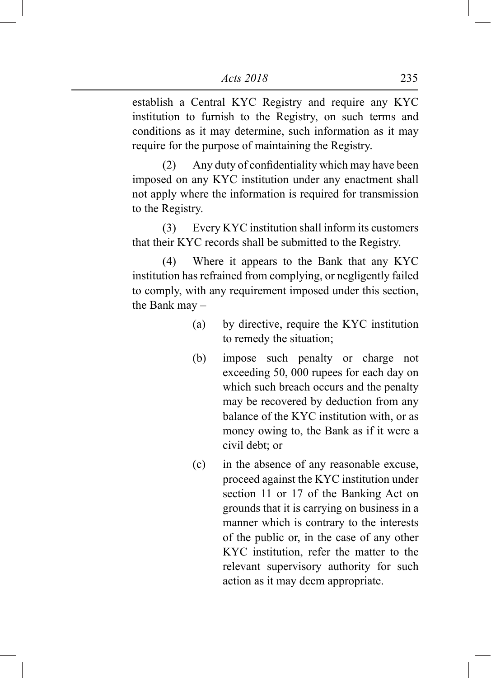establish a Central KYC Registry and require any KYC institution to furnish to the Registry, on such terms and conditions as it may determine, such information as it may require for the purpose of maintaining the Registry.

 (2) Any duty of confidentiality which may have been imposed on any KYC institution under any enactment shall not apply where the information is required for transmission to the Registry.

 (3) Every KYC institution shall inform its customers that their KYC records shall be submitted to the Registry.

 (4) Where it appears to the Bank that any KYC institution has refrained from complying, or negligently failed to comply, with any requirement imposed under this section, the Bank may –

- (a) by directive, require the KYC institution to remedy the situation;
- (b) impose such penalty or charge not exceeding 50, 000 rupees for each day on which such breach occurs and the penalty may be recovered by deduction from any balance of the KYC institution with, or as money owing to, the Bank as if it were a civil debt; or
- (c) in the absence of any reasonable excuse, proceed against the KYC institution under section 11 or 17 of the Banking Act on grounds that it is carrying on business in a manner which is contrary to the interests of the public or, in the case of any other KYC institution, refer the matter to the relevant supervisory authority for such action as it may deem appropriate.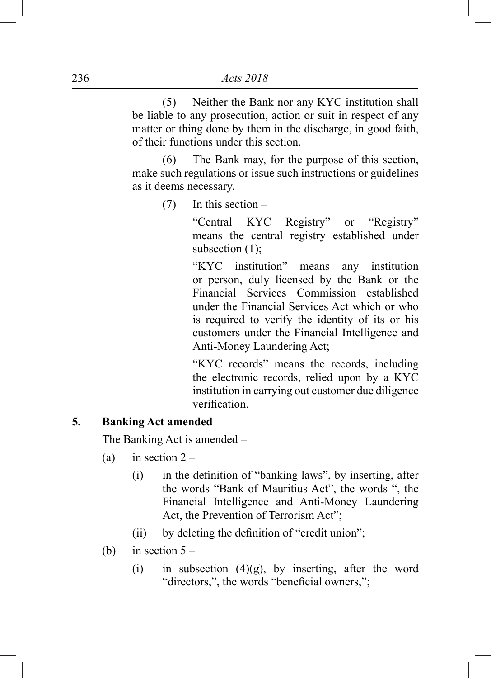(5) Neither the Bank nor any KYC institution shall be liable to any prosecution, action or suit in respect of any matter or thing done by them in the discharge, in good faith, of their functions under this section.

 (6) The Bank may, for the purpose of this section, make such regulations or issue such instructions or guidelines as it deems necessary.

(7) In this section –

"Central KYC Registry" or "Registry" means the central registry established under subsection  $(1)$ ;

"KYC institution" means any institution or person, duly licensed by the Bank or the Financial Services Commission established under the Financial Services Act which or who is required to verify the identity of its or his customers under the Financial Intelligence and Anti-Money Laundering Act;

"KYC records" means the records, including the electronic records, relied upon by a KYC institution in carrying out customer due diligence verification.

#### **5. Banking Act amended**

The Banking Act is amended –

- (a) in section  $2 -$ 
	- (i) in the definition of "banking laws", by inserting, after the words "Bank of Mauritius Act", the words ", the Financial Intelligence and Anti-Money Laundering Act, the Prevention of Terrorism Act";
	- (ii) by deleting the definition of "credit union";
- (b) in section  $5 -$ 
	- (i) in subsection  $(4)(g)$ , by inserting, after the word "directors,", the words "beneficial owners,";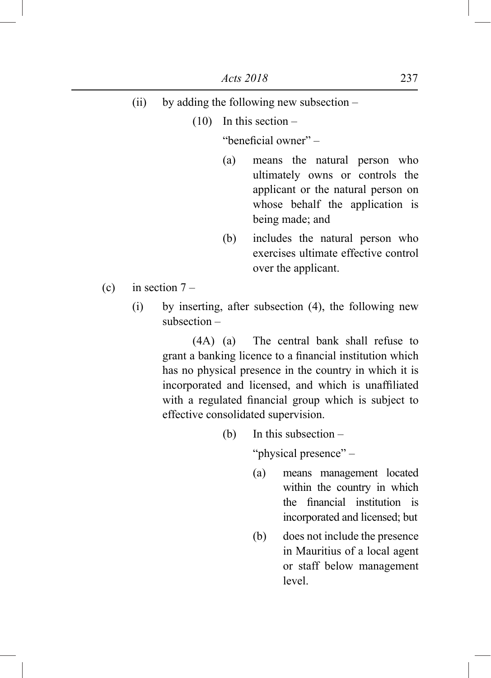- (ii) by adding the following new subsection
	- $(10)$  In this section –

"beneficial owner" –

- (a) means the natural person who ultimately owns or controls the applicant or the natural person on whose behalf the application is being made; and
- (b) includes the natural person who exercises ultimate effective control over the applicant.
- (c) in section  $7 -$ 
	- (i) by inserting, after subsection (4), the following new subsection –

 (4A) (a) The central bank shall refuse to grant a banking licence to a financial institution which has no physical presence in the country in which it is incorporated and licensed, and which is unaffiliated with a regulated financial group which is subject to effective consolidated supervision.

(b) In this subsection –

"physical presence" –

- (a) means management located within the country in which the financial institution is incorporated and licensed; but
- (b) does not include the presence in Mauritius of a local agent or staff below management level.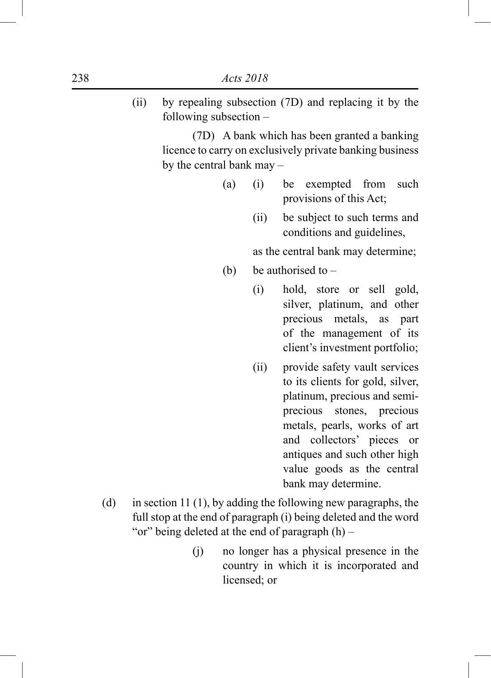(ii) by repealing subsection (7D) and replacing it by the following subsection –

> (7D) A bank which has been granted a banking licence to carry on exclusively private banking business by the central bank may –

- (a) (i) be exempted from such provisions of this Act;
	- (ii) be subject to such terms and conditions and guidelines,

as the central bank may determine;

- (b) be authorised to  $-$ 
	- (i) hold, store or sell gold, silver, platinum, and other precious metals, as part of the management of its client's investment portfolio;
	- (ii) provide safety vault services to its clients for gold, silver, platinum, precious and semiprecious stones, precious metals, pearls, works of art and collectors' pieces or antiques and such other high value goods as the central bank may determine.
- (d) in section 11 (1), by adding the following new paragraphs, the full stop at the end of paragraph (i) being deleted and the word "or" being deleted at the end of paragraph  $(h)$  –
	- (j) no longer has a physical presence in the country in which it is incorporated and licensed; or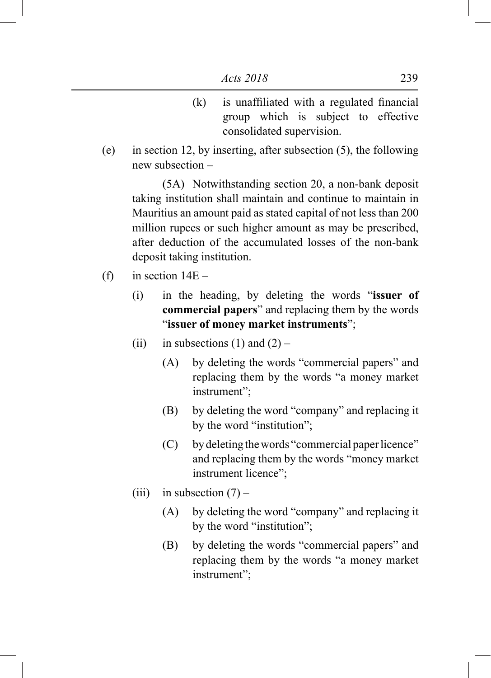- (k) is unaffiliated with a regulated financial group which is subject to effective consolidated supervision.
- (e) in section 12, by inserting, after subsection (5), the following new subsection –

 (5A) Notwithstanding section 20, a non-bank deposit taking institution shall maintain and continue to maintain in Mauritius an amount paid as stated capital of not less than 200 million rupees or such higher amount as may be prescribed, after deduction of the accumulated losses of the non-bank deposit taking institution.

- (f) in section  $14E -$ 
	- (i) in the heading, by deleting the words "**issuer of commercial papers**" and replacing them by the words "**issuer of money market instruments**";
	- (ii) in subsections (1) and  $(2)$ 
		- (A) by deleting the words "commercial papers" and replacing them by the words "a money market instrument";
		- (B) by deleting the word "company" and replacing it by the word "institution";
		- (C) by deleting the words "commercial paper licence" and replacing them by the words "money market instrument licence";
	- (iii) in subsection  $(7)$ 
		- (A) by deleting the word "company" and replacing it by the word "institution";
		- (B) by deleting the words "commercial papers" and replacing them by the words "a money market instrument";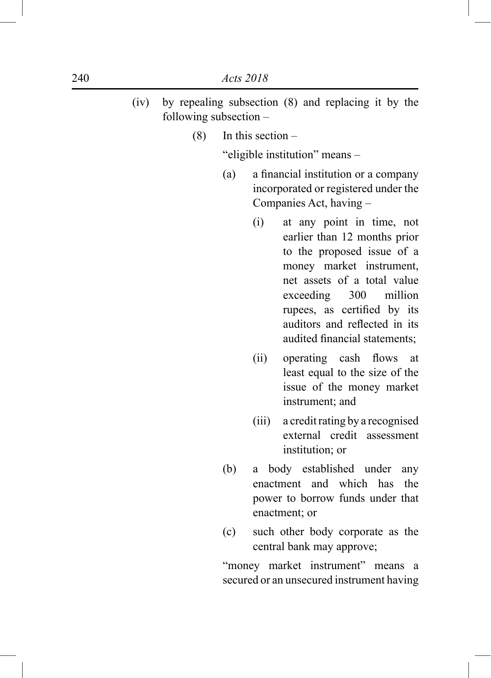- (iv) by repealing subsection (8) and replacing it by the following subsection –
	- $(8)$  In this section –

"eligible institution" means –

- (a) a financial institution or a company incorporated or registered under the Companies Act, having –
	- (i) at any point in time, not earlier than 12 months prior to the proposed issue of a money market instrument, net assets of a total value exceeding 300 million rupees, as certified by its auditors and reflected in its audited financial statements;
	- (ii) operating cash flows at least equal to the size of the issue of the money market instrument; and
	- (iii) a credit rating by a recognised external credit assessment institution; or
- (b) a body established under any enactment and which has the power to borrow funds under that enactment; or
- (c) such other body corporate as the central bank may approve;

"money market instrument" means a secured or an unsecured instrument having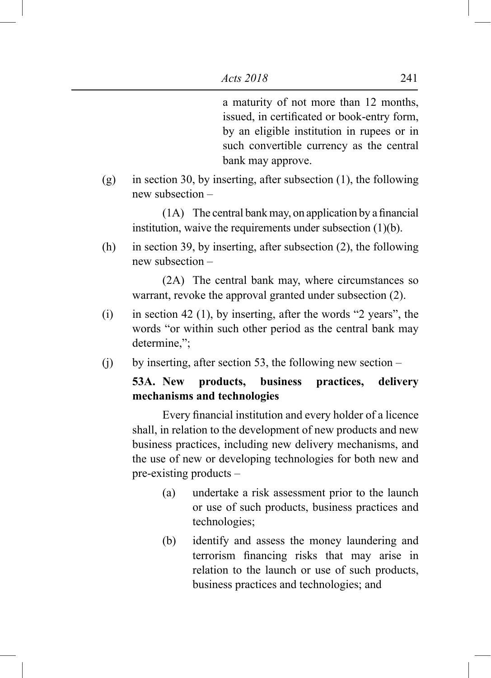a maturity of not more than 12 months, issued, in certificated or book-entry form, by an eligible institution in rupees or in such convertible currency as the central bank may approve.

(g) in section 30, by inserting, after subsection (1), the following new subsection –

 $(1A)$  The central bank may, on application by a financial institution, waive the requirements under subsection (1)(b).

(h) in section 39, by inserting, after subsection (2), the following new subsection –

 (2A) The central bank may, where circumstances so warrant, revoke the approval granted under subsection (2).

- (i) in section 42 (1), by inserting, after the words "2 years", the words "or within such other period as the central bank may determine,";
- (j) by inserting, after section 53, the following new section –

# **53A. New products, business practices, delivery mechanisms and technologies**

 Every financial institution and every holder of a licence shall, in relation to the development of new products and new business practices, including new delivery mechanisms, and the use of new or developing technologies for both new and pre-existing products –

- (a) undertake a risk assessment prior to the launch or use of such products, business practices and technologies;
- (b) identify and assess the money laundering and terrorism financing risks that may arise in relation to the launch or use of such products, business practices and technologies; and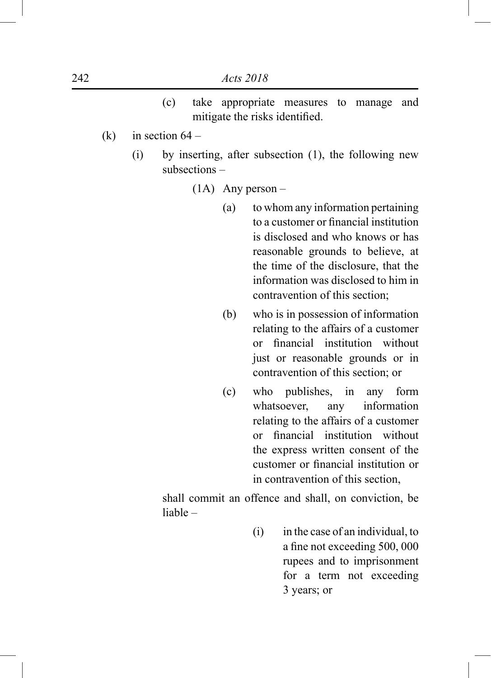- (c) take appropriate measures to manage and mitigate the risks identified.
- (k) in section  $64 -$ 
	- (i) by inserting, after subsection (1), the following new subsections –
		- (1A) Any person
			- (a) to whom any information pertaining to a customer or financial institution is disclosed and who knows or has reasonable grounds to believe, at the time of the disclosure, that the information was disclosed to him in contravention of this section;
			- (b) who is in possession of information relating to the affairs of a customer or financial institution without just or reasonable grounds or in contravention of this section; or
			- (c) who publishes, in any form whatsoever, any information relating to the affairs of a customer or financial institution without the express written consent of the customer or financial institution or in contravention of this section,

shall commit an offence and shall, on conviction, be liable –

> (i) in the case of an individual, to a fine not exceeding 500, 000 rupees and to imprisonment for a term not exceeding 3 years; or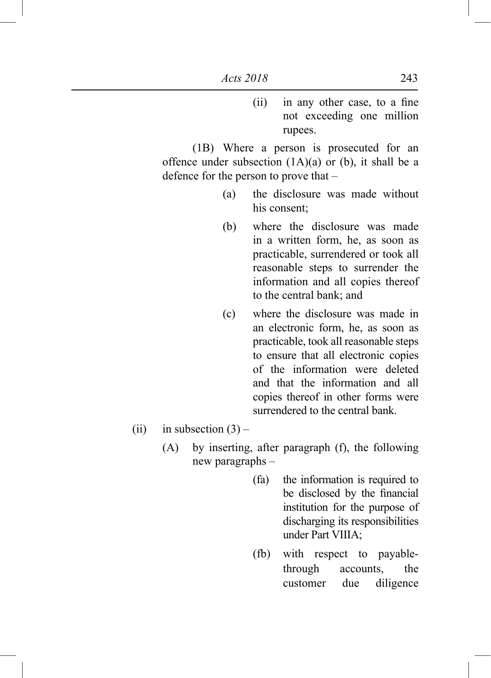(ii) in any other case, to a fine not exceeding one million rupees.

 (1B) Where a person is prosecuted for an offence under subsection  $(1A)(a)$  or  $(b)$ , it shall be a defence for the person to prove that –

- (a) the disclosure was made without his consent;
- (b) where the disclosure was made in a written form, he, as soon as practicable, surrendered or took all reasonable steps to surrender the information and all copies thereof to the central bank; and
- (c) where the disclosure was made in an electronic form, he, as soon as practicable, took all reasonable steps to ensure that all electronic copies of the information were deleted and that the information and all copies thereof in other forms were surrendered to the central bank.
- (ii) in subsection  $(3)$ 
	- (A) by inserting, after paragraph (f), the following new paragraphs –
		- (fa) the information is required to be disclosed by the financial institution for the purpose of discharging its responsibilities under Part VIIIA;
		- (fb) with respect to payablethrough accounts, the customer due diligence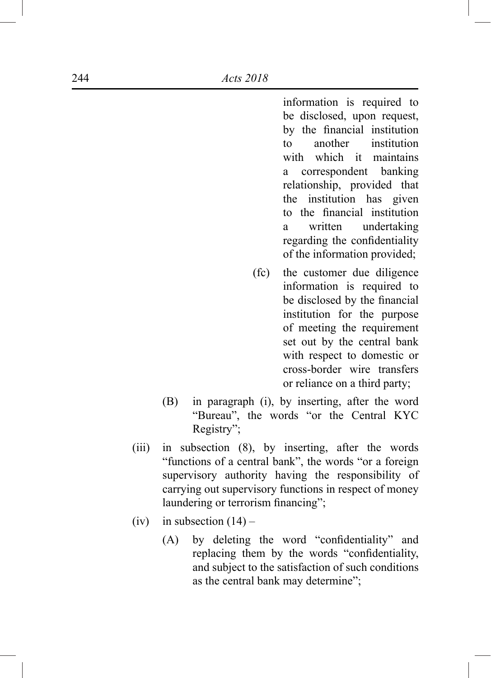information is required to be disclosed, upon request, by the financial institution to another institution with which it maintains a correspondent banking relationship, provided that the institution has given to the financial institution a written undertaking regarding the confidentiality of the information provided;

- (fc) the customer due diligence information is required to be disclosed by the financial institution for the purpose of meeting the requirement set out by the central bank with respect to domestic or cross-border wire transfers or reliance on a third party;
- (B) in paragraph (i), by inserting, after the word "Bureau", the words "or the Central KYC Registry";
- (iii) in subsection (8), by inserting, after the words "functions of a central bank", the words "or a foreign supervisory authority having the responsibility of carrying out supervisory functions in respect of money laundering or terrorism financing";
- (iv) in subsection  $(14)$ 
	- (A) by deleting the word "confidentiality" and replacing them by the words "confidentiality, and subject to the satisfaction of such conditions as the central bank may determine";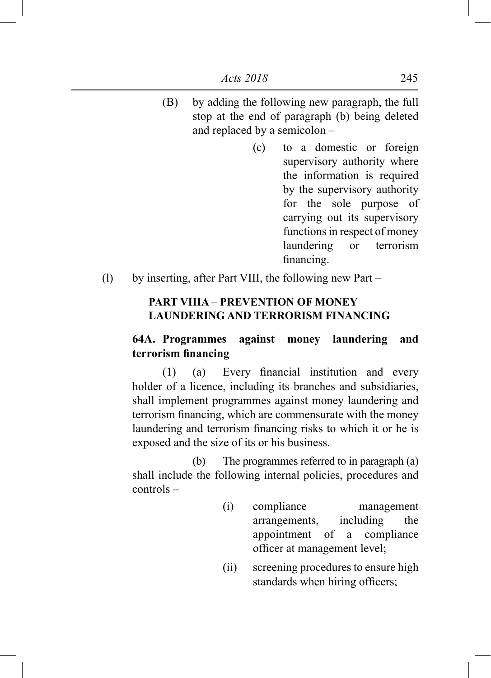- (B) by adding the following new paragraph, the full stop at the end of paragraph (b) being deleted and replaced by a semicolon –
	- (c) to a domestic or foreign supervisory authority where the information is required by the supervisory authority for the sole purpose of carrying out its supervisory functions in respect of money laundering or terrorism financing.
- (l) by inserting, after Part VIII, the following new Part –

### **PART VIIIA – PREVENTION OF MONEY LAUNDERING AND TERRORISM FINANCING**

# **64A. Programmes against money laundering and terrorism financing**

 (1) (a) Every financial institution and every holder of a licence, including its branches and subsidiaries, shall implement programmes against money laundering and terrorism financing, which are commensurate with the money laundering and terrorism financing risks to which it or he is exposed and the size of its or his business.

 (b) The programmes referred to in paragraph (a) shall include the following internal policies, procedures and controls –

- (i) compliance management arrangements, including the appointment of a compliance officer at management level;
- (ii) screening procedures to ensure high standards when hiring officers;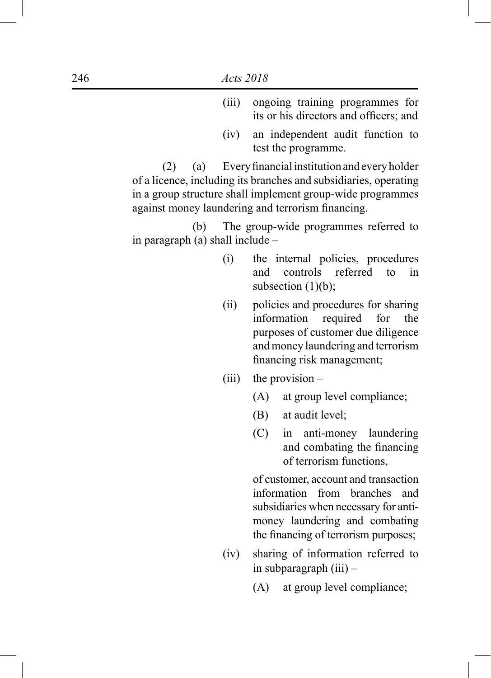- (iii) ongoing training programmes for its or his directors and officers; and
- (iv) an independent audit function to test the programme.

 $(2)$  (a) Every financial institution and every holder of a licence, including its branches and subsidiaries, operating in a group structure shall implement group-wide programmes against money laundering and terrorism financing.

 (b) The group-wide programmes referred to in paragraph (a) shall include –

- (i) the internal policies, procedures and controls referred to in subsection  $(1)(b)$ ;
- (ii) policies and procedures for sharing information required for the purposes of customer due diligence and money laundering and terrorism financing risk management;
- (iii) the provision  $-$ 
	- (A) at group level compliance;
	- (B) at audit level;
	- (C) in anti-money laundering and combating the financing of terrorism functions,

of customer, account and transaction information from branches and subsidiaries when necessary for antimoney laundering and combating the financing of terrorism purposes;

- (iv) sharing of information referred to in subparagraph (iii) –
	- (A) at group level compliance;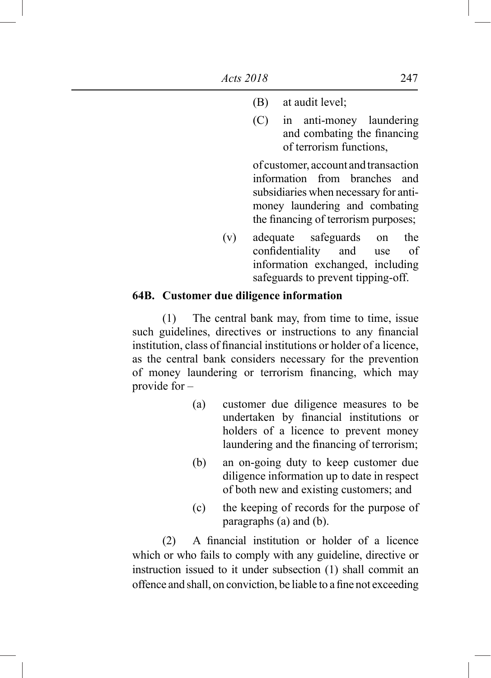- (B) at audit level;
- (C) in anti-money laundering and combating the financing of terrorism functions,

of customer, account and transaction information from branches and subsidiaries when necessary for antimoney laundering and combating the financing of terrorism purposes;

(v) adequate safeguards on the confidentiality and use of information exchanged, including safeguards to prevent tipping-off.

#### **64B. Customer due diligence information**

 (1) The central bank may, from time to time, issue such guidelines, directives or instructions to any financial institution, class of financial institutions or holder of a licence, as the central bank considers necessary for the prevention of money laundering or terrorism financing, which may provide for –

- (a) customer due diligence measures to be undertaken by financial institutions or holders of a licence to prevent money laundering and the financing of terrorism;
- (b) an on-going duty to keep customer due diligence information up to date in respect of both new and existing customers; and
- (c) the keeping of records for the purpose of paragraphs (a) and (b).

 (2) A financial institution or holder of a licence which or who fails to comply with any guideline, directive or instruction issued to it under subsection (1) shall commit an offence and shall, on conviction, be liable to a fine not exceeding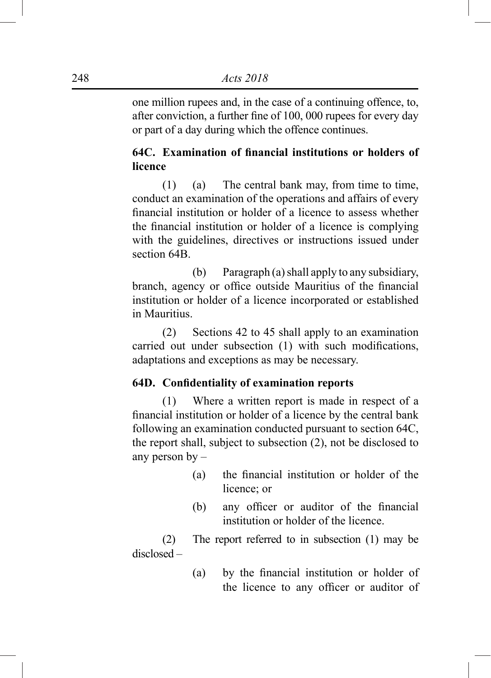one million rupees and, in the case of a continuing offence, to, after conviction, a further fine of 100, 000 rupees for every day or part of a day during which the offence continues.

# **64C. Examination of financial institutions or holders of licence**

 (1) (a) The central bank may, from time to time, conduct an examination of the operations and affairs of every financial institution or holder of a licence to assess whether the financial institution or holder of a licence is complying with the guidelines, directives or instructions issued under section 64B.

 (b) Paragraph (a) shall apply to any subsidiary, branch, agency or office outside Mauritius of the financial institution or holder of a licence incorporated or established in Mauritius.

 (2) Sections 42 to 45 shall apply to an examination carried out under subsection (1) with such modifications, adaptations and exceptions as may be necessary.

### **64D. Confidentiality of examination reports**

 (1) Where a written report is made in respect of a financial institution or holder of a licence by the central bank following an examination conducted pursuant to section 64C, the report shall, subject to subsection (2), not be disclosed to any person by –

- (a) the financial institution or holder of the licence; or
- (b) any officer or auditor of the financial institution or holder of the licence.

 (2) The report referred to in subsection (1) may be disclosed –

> (a) by the financial institution or holder of the licence to any officer or auditor of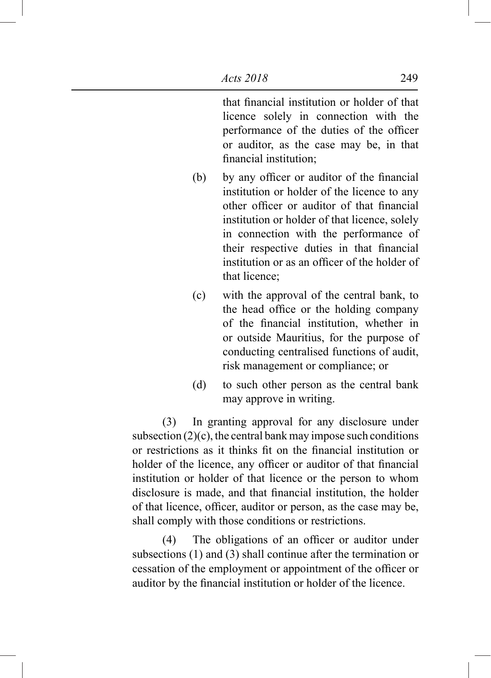that financial institution or holder of that licence solely in connection with the performance of the duties of the officer or auditor, as the case may be, in that financial institution;

- (b) by any officer or auditor of the financial institution or holder of the licence to any other officer or auditor of that financial institution or holder of that licence, solely in connection with the performance of their respective duties in that financial institution or as an officer of the holder of that licence;
- (c) with the approval of the central bank, to the head office or the holding company of the financial institution, whether in or outside Mauritius, for the purpose of conducting centralised functions of audit, risk management or compliance; or
- (d) to such other person as the central bank may approve in writing.

 (3) In granting approval for any disclosure under subsection  $(2)(c)$ , the central bank may impose such conditions or restrictions as it thinks fit on the financial institution or holder of the licence, any officer or auditor of that financial institution or holder of that licence or the person to whom disclosure is made, and that financial institution, the holder of that licence, officer, auditor or person, as the case may be, shall comply with those conditions or restrictions.

 (4) The obligations of an officer or auditor under subsections (1) and (3) shall continue after the termination or cessation of the employment or appointment of the officer or auditor by the financial institution or holder of the licence.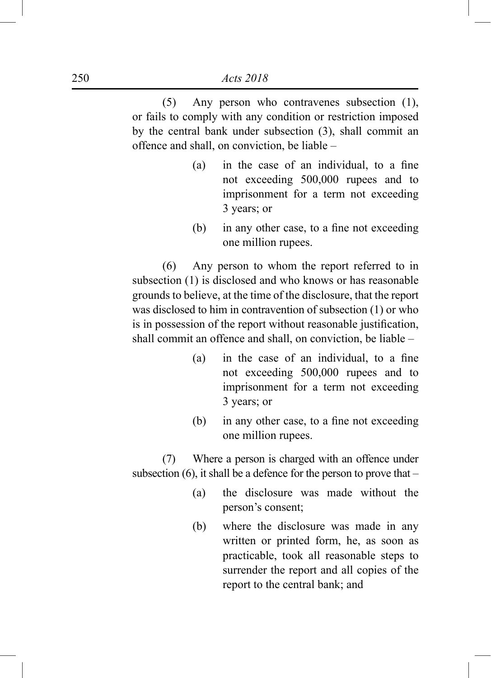(5) Any person who contravenes subsection (1), or fails to comply with any condition or restriction imposed by the central bank under subsection (3), shall commit an offence and shall, on conviction, be liable –

- (a) in the case of an individual, to a fine not exceeding 500,000 rupees and to imprisonment for a term not exceeding 3 years; or
- (b) in any other case, to a fine not exceeding one million rupees.

 (6) Any person to whom the report referred to in subsection (1) is disclosed and who knows or has reasonable grounds to believe, at the time of the disclosure, that the report was disclosed to him in contravention of subsection (1) or who is in possession of the report without reasonable justification, shall commit an offence and shall, on conviction, be liable –

- (a) in the case of an individual, to a fine not exceeding 500,000 rupees and to imprisonment for a term not exceeding 3 years; or
- (b) in any other case, to a fine not exceeding one million rupees.

 (7) Where a person is charged with an offence under subsection  $(6)$ , it shall be a defence for the person to prove that –

- (a) the disclosure was made without the person's consent;
- (b) where the disclosure was made in any written or printed form, he, as soon as practicable, took all reasonable steps to surrender the report and all copies of the report to the central bank; and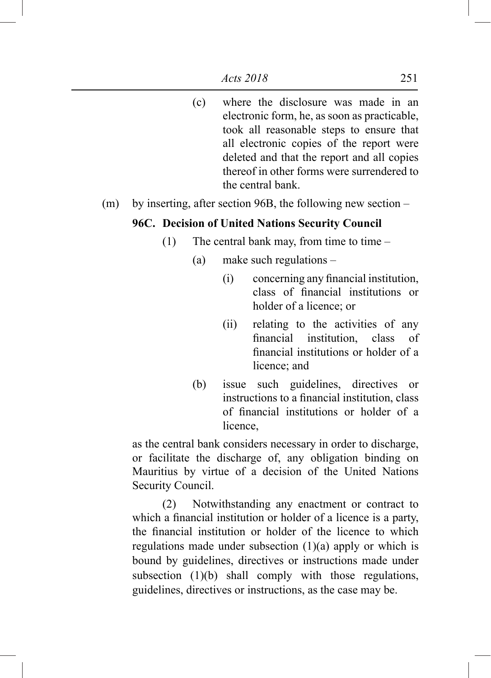- (c) where the disclosure was made in an electronic form, he, as soon as practicable, took all reasonable steps to ensure that all electronic copies of the report were deleted and that the report and all copies thereof in other forms were surrendered to the central bank.
- (m) by inserting, after section 96B, the following new section –

#### **96C. Decision of United Nations Security Council**

- (1) The central bank may, from time to time  $-$ 
	- (a) make such regulations
		- (i) concerning any financial institution, class of financial institutions or holder of a licence; or
		- (ii) relating to the activities of any financial institution, class of financial institutions or holder of a licence; and
	- (b) issue such guidelines, directives or instructions to a financial institution, class of financial institutions or holder of a licence,

as the central bank considers necessary in order to discharge, or facilitate the discharge of, any obligation binding on Mauritius by virtue of a decision of the United Nations Security Council.

 (2) Notwithstanding any enactment or contract to which a financial institution or holder of a licence is a party, the financial institution or holder of the licence to which regulations made under subsection (1)(a) apply or which is bound by guidelines, directives or instructions made under subsection (1)(b) shall comply with those regulations, guidelines, directives or instructions, as the case may be.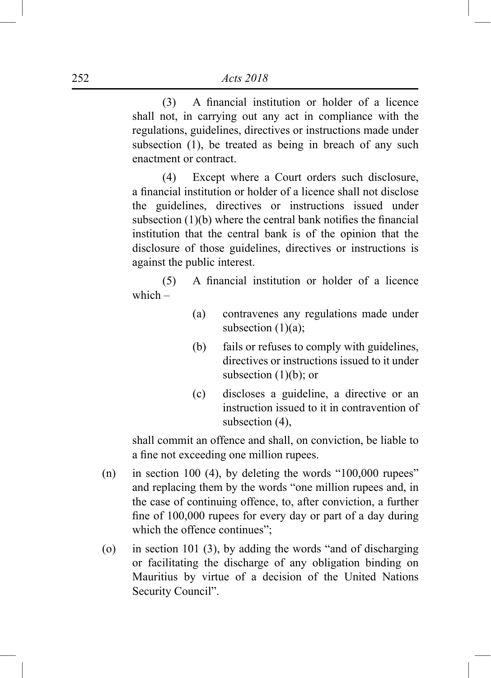(3) A financial institution or holder of a licence shall not, in carrying out any act in compliance with the regulations, guidelines, directives or instructions made under subsection (1), be treated as being in breach of any such enactment or contract.

 (4) Except where a Court orders such disclosure, a financial institution or holder of a licence shall not disclose the guidelines, directives or instructions issued under subsection (1)(b) where the central bank notifies the financial institution that the central bank is of the opinion that the disclosure of those guidelines, directives or instructions is against the public interest.

 (5) A financial institution or holder of a licence which  $-$ 

- (a) contravenes any regulations made under subsection  $(1)(a)$ ;
- (b) fails or refuses to comply with guidelines, directives or instructions issued to it under subsection  $(1)(b)$ ; or
- (c) discloses a guideline, a directive or an instruction issued to it in contravention of subsection (4),

shall commit an offence and shall, on conviction, be liable to a fine not exceeding one million rupees.

- (n) in section 100 (4), by deleting the words " $100,000$  rupees" and replacing them by the words "one million rupees and, in the case of continuing offence, to, after conviction, a further fine of 100,000 rupees for every day or part of a day during which the offence continues";
- (o) in section 101 (3), by adding the words "and of discharging or facilitating the discharge of any obligation binding on Mauritius by virtue of a decision of the United Nations Security Council".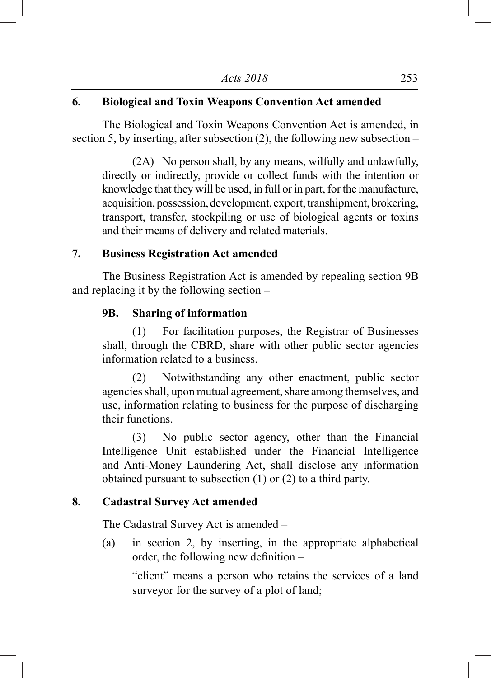# **6. Biological and Toxin Weapons Convention Act amended**

The Biological and Toxin Weapons Convention Act is amended, in section 5, by inserting, after subsection (2), the following new subsection –

(2A) No person shall, by any means, wilfully and unlawfully, directly or indirectly, provide or collect funds with the intention or knowledge that they will be used, in full or in part, for the manufacture, acquisition, possession, development, export, transhipment, brokering, transport, transfer, stockpiling or use of biological agents or toxins and their means of delivery and related materials.

#### **7. Business Registration Act amended**

The Business Registration Act is amended by repealing section 9B and replacing it by the following section –

#### **9B. Sharing of information**

(1) For facilitation purposes, the Registrar of Businesses shall, through the CBRD, share with other public sector agencies information related to a business.

 (2) Notwithstanding any other enactment, public sector agencies shall, upon mutual agreement, share among themselves, and use, information relating to business for the purpose of discharging their functions.

 (3) No public sector agency, other than the Financial Intelligence Unit established under the Financial Intelligence and Anti-Money Laundering Act, shall disclose any information obtained pursuant to subsection (1) or (2) to a third party.

#### **8. Cadastral Survey Act amended**

The Cadastral Survey Act is amended –

(a) in section 2, by inserting, in the appropriate alphabetical order, the following new definition –

"client" means a person who retains the services of a land surveyor for the survey of a plot of land;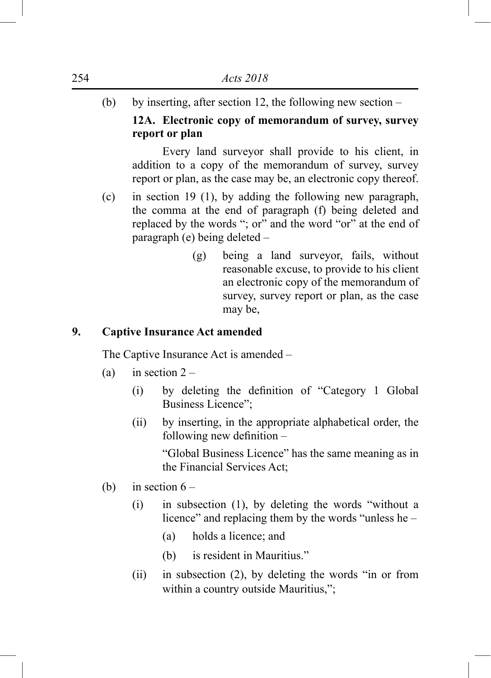(b) by inserting, after section 12, the following new section – **12A. Electronic copy of memorandum of survey, survey** 

# **report or plan**

 Every land surveyor shall provide to his client, in addition to a copy of the memorandum of survey, survey report or plan, as the case may be, an electronic copy thereof.

- (c) in section 19 (1), by adding the following new paragraph, the comma at the end of paragraph (f) being deleted and replaced by the words "; or" and the word "or" at the end of paragraph (e) being deleted –
	- (g) being a land surveyor, fails, without reasonable excuse, to provide to his client an electronic copy of the memorandum of survey, survey report or plan, as the case may be,

# **9. Captive Insurance Act amended**

The Captive Insurance Act is amended –

- (a) in section  $2 -$ 
	- (i) by deleting the definition of "Category 1 Global Business Licence";
	- (ii) by inserting, in the appropriate alphabetical order, the following new definition –

"Global Business Licence" has the same meaning as in the Financial Services Act;

- (b) in section  $6 -$ 
	- (i) in subsection (1), by deleting the words "without a licence" and replacing them by the words "unless he –
		- (a) holds a licence; and
		- (b) is resident in Mauritius."
	- (ii) in subsection (2), by deleting the words "in or from within a country outside Mauritius,";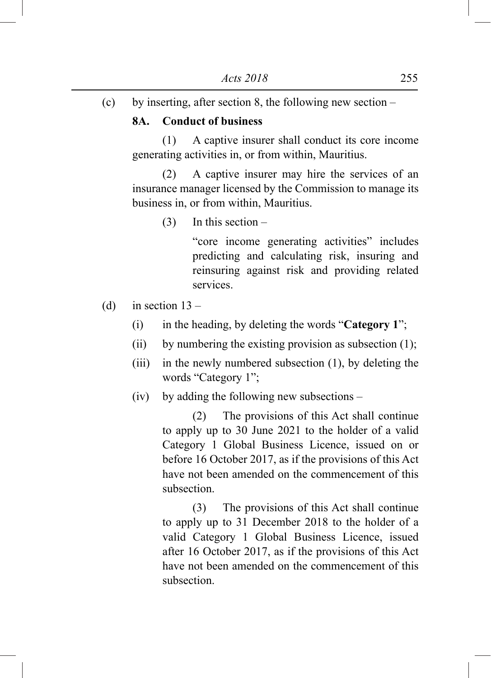(c) by inserting, after section 8, the following new section –

#### **8A. Conduct of business**

 (1) A captive insurer shall conduct its core income generating activities in, or from within, Mauritius.

 (2) A captive insurer may hire the services of an insurance manager licensed by the Commission to manage its business in, or from within, Mauritius.

(3) In this section –

"core income generating activities" includes predicting and calculating risk, insuring and reinsuring against risk and providing related services.

- (d) in section  $13 -$ 
	- (i) in the heading, by deleting the words "**Category 1**";
	- (ii) by numbering the existing provision as subsection  $(1)$ ;
	- (iii) in the newly numbered subsection (1), by deleting the words "Category 1";
	- (iv) by adding the following new subsections –

 (2) The provisions of this Act shall continue to apply up to 30 June 2021 to the holder of a valid Category 1 Global Business Licence, issued on or before 16 October 2017, as if the provisions of this Act have not been amended on the commencement of this subsection.

 (3) The provisions of this Act shall continue to apply up to 31 December 2018 to the holder of a valid Category 1 Global Business Licence, issued after 16 October 2017, as if the provisions of this Act have not been amended on the commencement of this subsection.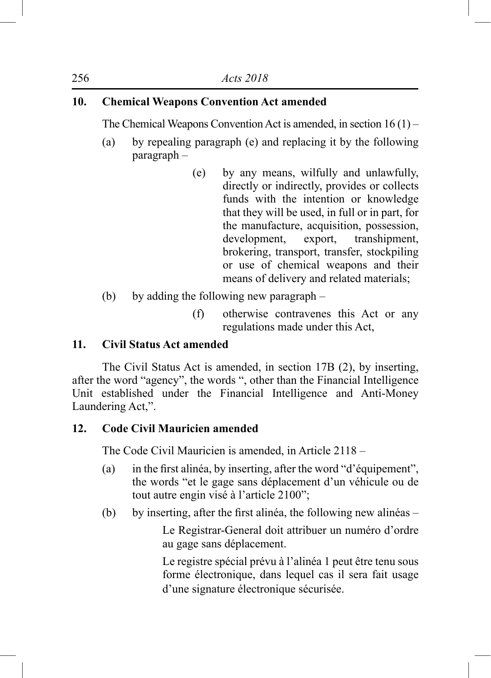# **10. Chemical Weapons Convention Act amended**

The Chemical Weapons Convention Act is amended, in section 16 (1) –

- (a) by repealing paragraph (e) and replacing it by the following paragraph –
	- (e) by any means, wilfully and unlawfully, directly or indirectly, provides or collects funds with the intention or knowledge that they will be used, in full or in part, for the manufacture, acquisition, possession, development, export, transhipment, brokering, transport, transfer, stockpiling or use of chemical weapons and their means of delivery and related materials;
- (b) by adding the following new paragraph
	- (f) otherwise contravenes this Act or any regulations made under this Act,

# **11. Civil Status Act amended**

The Civil Status Act is amended, in section 17B (2), by inserting, after the word "agency", the words ", other than the Financial Intelligence Unit established under the Financial Intelligence and Anti-Money Laundering Act,".

# **12. Code Civil Mauricien amended**

The Code Civil Mauricien is amended, in Article 2118 –

- (a) in the first alinéa, by inserting, after the word "d'équipement", the words "et le gage sans déplacement d'un véhicule ou de tout autre engin visé à l'article 2100";
- (b) by inserting, after the first alinéa, the following new alinéas –

 Le Registrar-General doit attribuer un numéro d'ordre au gage sans déplacement.

 Le registre spécial prévu à l'alinéa 1 peut être tenu sous forme électronique, dans lequel cas il sera fait usage d'une signature électronique sécurisée.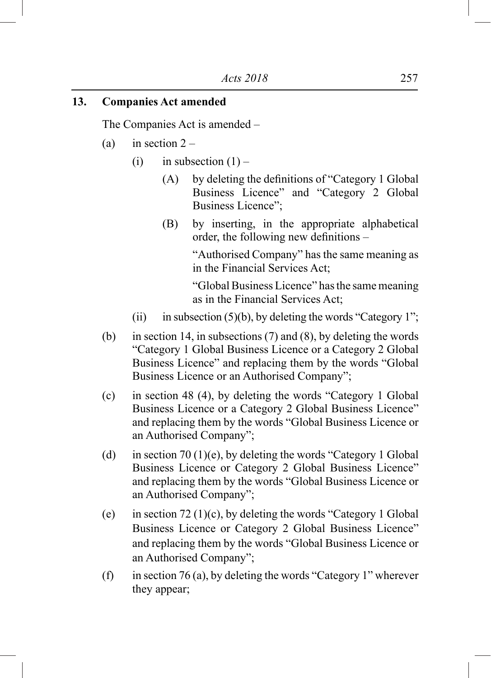#### **13. Companies Act amended**

The Companies Act is amended –

- (a) in section  $2 -$ 
	- (i) in subsection  $(1)$ 
		- (A) by deleting the definitions of "Category 1 Global Business Licence" and "Category 2 Global Business Licence";
		- (B) by inserting, in the appropriate alphabetical order, the following new definitions –

"Authorised Company" has the same meaning as in the Financial Services Act;

"Global Business Licence" has the same meaning as in the Financial Services Act;

- (ii) in subsection (5)(b), by deleting the words "Category 1";
- (b) in section 14, in subsections (7) and (8), by deleting the words "Category 1 Global Business Licence or a Category 2 Global Business Licence" and replacing them by the words "Global Business Licence or an Authorised Company";
- (c) in section 48 (4), by deleting the words "Category 1 Global Business Licence or a Category 2 Global Business Licence" and replacing them by the words "Global Business Licence or an Authorised Company";
- (d) in section 70 (1)(e), by deleting the words "Category 1 Global" Business Licence or Category 2 Global Business Licence" and replacing them by the words "Global Business Licence or an Authorised Company";
- (e) in section  $72 (1)(c)$ , by deleting the words "Category 1 Global" Business Licence or Category 2 Global Business Licence" and replacing them by the words "Global Business Licence or an Authorised Company";
- (f) in section 76 (a), by deleting the words "Category 1" wherever they appear;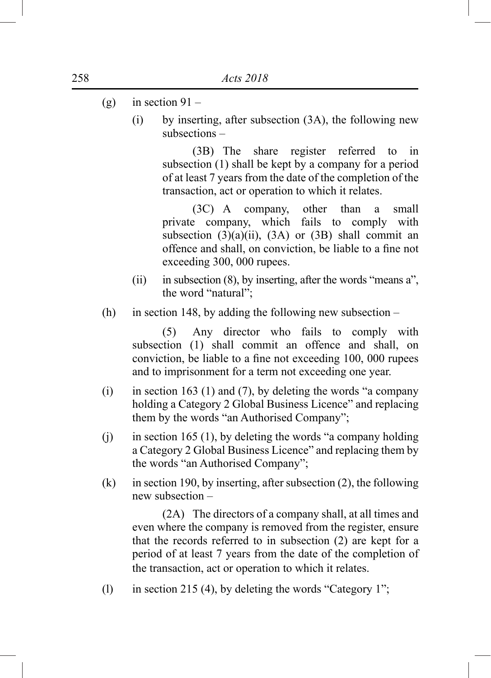- (g) in section  $91 -$ 
	- (i) by inserting, after subsection (3A), the following new subsections –

 (3B) The share register referred to in subsection (1) shall be kept by a company for a period of at least 7 years from the date of the completion of the transaction, act or operation to which it relates.

 (3C) A company, other than a small private company, which fails to comply with subsection  $(3)(a)(ii)$ ,  $(3A)$  or  $(3B)$  shall commit an offence and shall, on conviction, be liable to a fine not exceeding 300, 000 rupees.

- (ii) in subsection (8), by inserting, after the words "means a", the word "natural";
- (h) in section 148, by adding the following new subsection –

 (5) Any director who fails to comply with subsection (1) shall commit an offence and shall, on conviction, be liable to a fine not exceeding 100, 000 rupees and to imprisonment for a term not exceeding one year.

- (i) in section 163 (1) and (7), by deleting the words "a company holding a Category 2 Global Business Licence" and replacing them by the words "an Authorised Company";
- (i) in section 165 (1), by deleting the words "a company holding a Category 2 Global Business Licence" and replacing them by the words "an Authorised Company";
- (k) in section 190, by inserting, after subsection  $(2)$ , the following new subsection –

 (2A) The directors of a company shall, at all times and even where the company is removed from the register, ensure that the records referred to in subsection (2) are kept for a period of at least 7 years from the date of the completion of the transaction, act or operation to which it relates.

(l) in section 215 (4), by deleting the words "Category 1";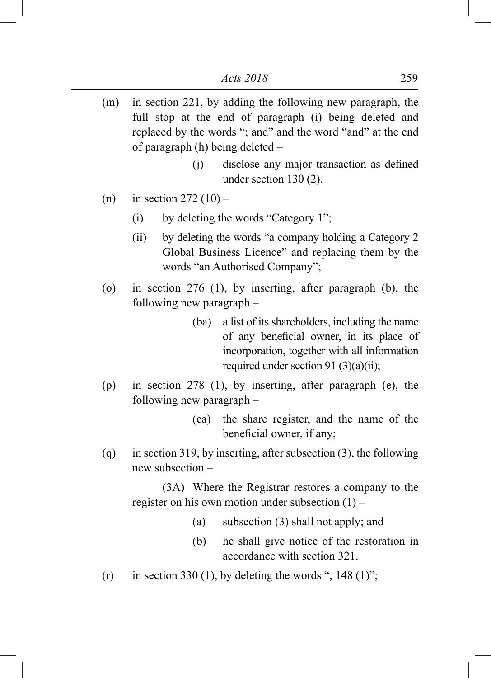- (m) in section 221, by adding the following new paragraph, the full stop at the end of paragraph (i) being deleted and replaced by the words "; and" and the word "and" at the end of paragraph (h) being deleted –
	- (j) disclose any major transaction as defined under section 130 (2).
- (n) in section  $272(10)$ 
	- (i) by deleting the words "Category 1";
	- (ii) by deleting the words "a company holding a Category 2 Global Business Licence" and replacing them by the words "an Authorised Company";
- (o) in section 276 (1), by inserting, after paragraph (b), the following new paragraph –
	- (ba) a list of its shareholders, including the name of any beneficial owner, in its place of incorporation, together with all information required under section 91 (3)(a)(ii);
- (p) in section 278 (1), by inserting, after paragraph (e), the following new paragraph –
	- (ea) the share register, and the name of the beneficial owner, if any;
- (q) in section 319, by inserting, after subsection (3), the following new subsection –

 (3A) Where the Registrar restores a company to the register on his own motion under subsection  $(1)$  –

- (a) subsection (3) shall not apply; and
- (b) he shall give notice of the restoration in accordance with section 321.
- (r) in section 330 (1), by deleting the words ", 148 (1)";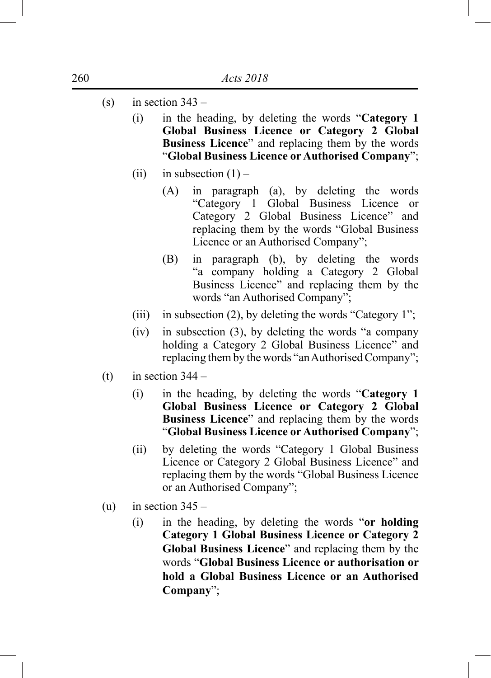- (s) in section  $343 -$ 
	- (i) in the heading, by deleting the words "**Category 1 Global Business Licence or Category 2 Global Business Licence**" and replacing them by the words "**Global Business Licence or Authorised Company**";
	- (ii) in subsection  $(1)$ 
		- (A) in paragraph (a), by deleting the words "Category 1 Global Business Licence or Category 2 Global Business Licence" and replacing them by the words "Global Business Licence or an Authorised Company";
		- (B) in paragraph (b), by deleting the words "a company holding a Category 2 Global Business Licence" and replacing them by the words "an Authorised Company";
	- (iii) in subsection (2), by deleting the words "Category 1";
	- (iv) in subsection (3), by deleting the words "a company holding a Category 2 Global Business Licence" and replacing them by the words "an Authorised Company";
- (t) in section  $344 -$ 
	- (i) in the heading, by deleting the words "**Category 1 Global Business Licence or Category 2 Global Business Licence**" and replacing them by the words "**Global Business Licence or Authorised Company**";
	- (ii) by deleting the words "Category 1 Global Business Licence or Category 2 Global Business Licence" and replacing them by the words "Global Business Licence or an Authorised Company";
- (u) in section  $345 -$ 
	- (i) in the heading, by deleting the words "**or holding Category 1 Global Business Licence or Category 2 Global Business Licence**" and replacing them by the words "**Global Business Licence or authorisation or hold a Global Business Licence or an Authorised Company**";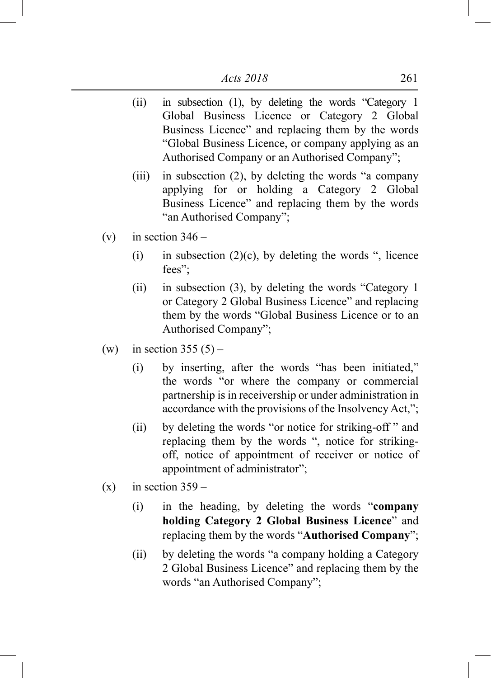- (ii) in subsection (1), by deleting the words "Category 1 Global Business Licence or Category 2 Global Business Licence" and replacing them by the words "Global Business Licence, or company applying as an Authorised Company or an Authorised Company";
- (iii) in subsection (2), by deleting the words "a company applying for or holding a Category 2 Global Business Licence" and replacing them by the words "an Authorised Company";
- (v) in section  $346 -$ 
	- (i) in subsection  $(2)(c)$ , by deleting the words ", licence fees";
	- (ii) in subsection (3), by deleting the words "Category 1 or Category 2 Global Business Licence" and replacing them by the words "Global Business Licence or to an Authorised Company";
- (w) in section  $355(5)$ 
	- (i) by inserting, after the words "has been initiated," the words "or where the company or commercial partnership is in receivership or under administration in accordance with the provisions of the Insolvency Act,";
	- (ii) by deleting the words "or notice for striking-off " and replacing them by the words ", notice for strikingoff, notice of appointment of receiver or notice of appointment of administrator";
- $(x)$  in section 359
	- (i) in the heading, by deleting the words "**company holding Category 2 Global Business Licence**" and replacing them by the words "**Authorised Company**";
	- (ii) by deleting the words "a company holding a Category 2 Global Business Licence" and replacing them by the words "an Authorised Company";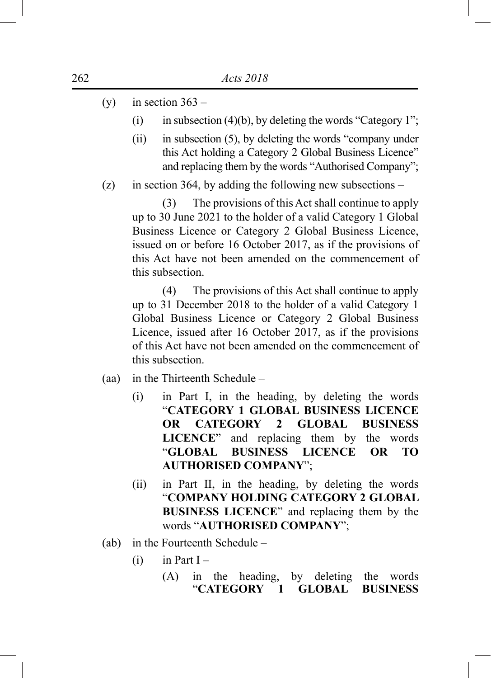- (y) in section  $363 -$ 
	- (i) in subsection (4)(b), by deleting the words "Category 1";
	- (ii) in subsection (5), by deleting the words "company under this Act holding a Category 2 Global Business Licence" and replacing them by the words "Authorised Company";
- (z) in section 364, by adding the following new subsections –

 (3) The provisions of this Act shall continue to apply up to 30 June 2021 to the holder of a valid Category 1 Global Business Licence or Category 2 Global Business Licence, issued on or before 16 October 2017, as if the provisions of this Act have not been amended on the commencement of this subsection.

 (4) The provisions of this Act shall continue to apply up to 31 December 2018 to the holder of a valid Category 1 Global Business Licence or Category 2 Global Business Licence, issued after 16 October 2017, as if the provisions of this Act have not been amended on the commencement of this subsection.

- (aa) in the Thirteenth Schedule
	- (i) in Part I, in the heading, by deleting the words "**CATEGORY 1 GLOBAL BUSINESS LICENCE OR CATEGORY 2 GLOBAL BUSINESS LICENCE**" and replacing them by the words "**GLOBAL BUSINESS LICENCE OR TO AUTHORISED COMPANY**";
	- (ii) in Part II, in the heading, by deleting the words "**COMPANY HOLDING CATEGORY 2 GLOBAL BUSINESS LICENCE**" and replacing them by the words "**AUTHORISED COMPANY**";
- (ab) in the Fourteenth Schedule
	- $(i)$  in Part I
		- (A) in the heading, by deleting the words "**CATEGORY 1 GLOBAL BUSINESS**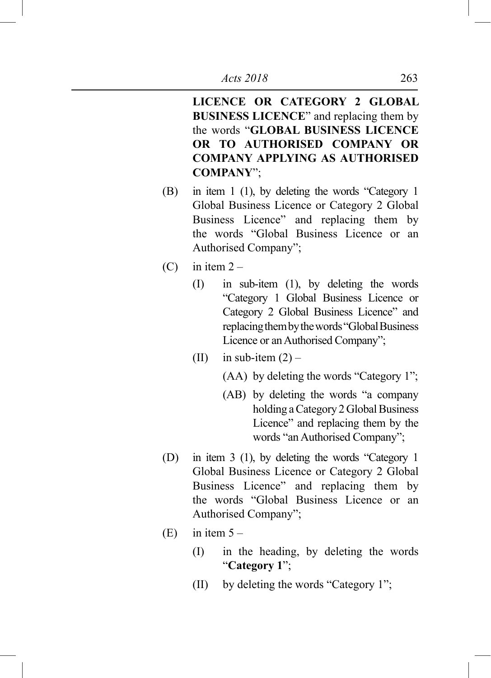**LICENCE OR CATEGORY 2 GLOBAL BUSINESS LICENCE**" and replacing them by the words "**GLOBAL BUSINESS LICENCE OR TO AUTHORISED COMPANY OR COMPANY APPLYING AS AUTHORISED COMPANY**";

- (B) in item 1 (1), by deleting the words "Category 1 Global Business Licence or Category 2 Global Business Licence" and replacing them by the words "Global Business Licence or an Authorised Company";
- $(C)$  in item  $2 -$ 
	- (I) in sub-item (1), by deleting the words "Category 1 Global Business Licence or Category 2 Global Business Licence" and replacing them by the words "Global Business Licence or an Authorised Company";
	- (II) in sub-item  $(2)$ 
		- $(AA)$  by deleting the words "Category 1";
		- (AB) by deleting the words "a company holding a Category 2 Global Business Licence" and replacing them by the words "an Authorised Company";
- (D) in item 3 (1), by deleting the words "Category 1 Global Business Licence or Category 2 Global Business Licence" and replacing them by the words "Global Business Licence or an Authorised Company";
- $(E)$  in item  $5 -$ 
	- (I) in the heading, by deleting the words "**Category 1**";
	- (II) by deleting the words "Category 1";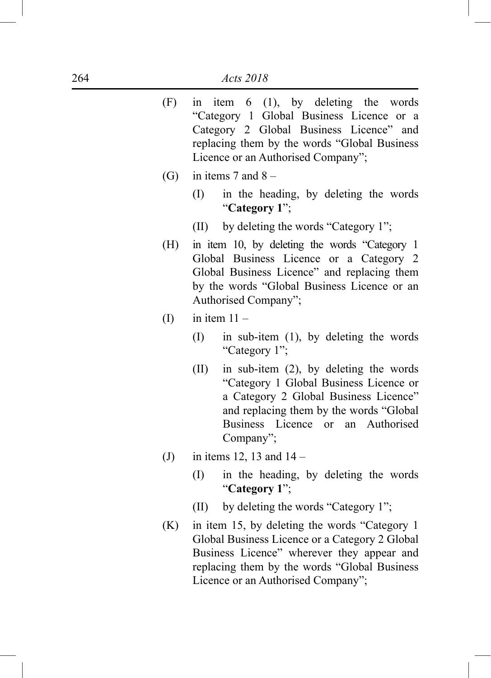- (F) in item 6 (1), by deleting the words "Category 1 Global Business Licence or a Category 2 Global Business Licence" and replacing them by the words "Global Business Licence or an Authorised Company";
- (G) in items 7 and  $8 -$ 
	- (I) in the heading, by deleting the words "**Category 1**";
	- (II) by deleting the words "Category 1";
- (H) in item 10, by deleting the words "Category 1 Global Business Licence or a Category 2 Global Business Licence" and replacing them by the words "Global Business Licence or an Authorised Company";
- $(I)$  in item  $11 -$ 
	- (I) in sub-item (1), by deleting the words "Category 1";
	- (II) in sub-item (2), by deleting the words "Category 1 Global Business Licence or a Category 2 Global Business Licence" and replacing them by the words "Global Business Licence or an Authorised Company";
- (J) in items 12, 13 and  $14 -$ 
	- (I) in the heading, by deleting the words "**Category 1**";
	- (II) by deleting the words "Category 1";
- (K) in item 15, by deleting the words "Category 1 Global Business Licence or a Category 2 Global Business Licence" wherever they appear and replacing them by the words "Global Business Licence or an Authorised Company";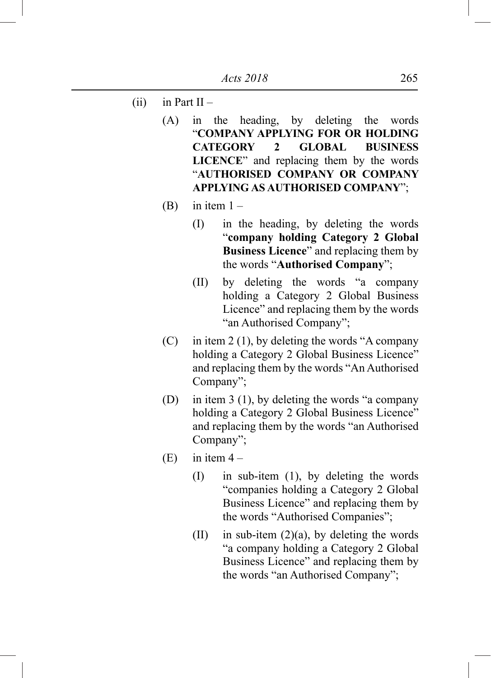- (ii) in Part II
	- (A) in the heading, by deleting the words "**COMPANY APPLYING FOR OR HOLDING CATEGORY 2 GLOBAL BUSINESS LICENCE**" and replacing them by the words "**AUTHORISED COMPANY OR COMPANY APPLYING AS AUTHORISED COMPANY**";
	- (B) in item  $1 -$ 
		- (I) in the heading, by deleting the words "**company holding Category 2 Global Business Licence**" and replacing them by the words "**Authorised Company**";
		- (II) by deleting the words "a company holding a Category 2 Global Business Licence" and replacing them by the words "an Authorised Company";
	- $(C)$  in item 2 (1), by deleting the words "A company holding a Category 2 Global Business Licence" and replacing them by the words "An Authorised Company";
	- (D) in item 3 (1), by deleting the words "a company holding a Category 2 Global Business Licence" and replacing them by the words "an Authorised Company";
	- (E) in item  $4 -$ 
		- (I) in sub-item (1), by deleting the words "companies holding a Category 2 Global Business Licence" and replacing them by the words "Authorised Companies";
		- (II) in sub-item  $(2)(a)$ , by deleting the words "a company holding a Category 2 Global Business Licence" and replacing them by the words "an Authorised Company";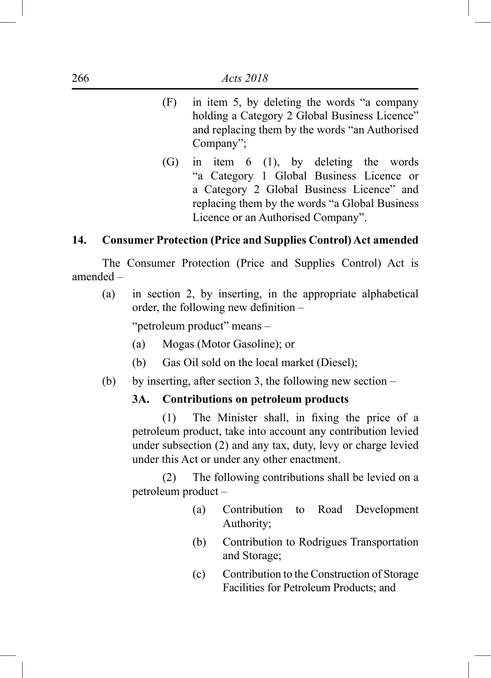- (F) in item 5, by deleting the words "a company holding a Category 2 Global Business Licence" and replacing them by the words "an Authorised Company";
- (G) in item 6 (1), by deleting the words "a Category 1 Global Business Licence or a Category 2 Global Business Licence" and replacing them by the words "a Global Business Licence or an Authorised Company".

## **14. Consumer Protection (Price and Supplies Control) Act amended**

The Consumer Protection (Price and Supplies Control) Act is amended –

(a) in section 2, by inserting, in the appropriate alphabetical order, the following new definition –

"petroleum product" means –

- (a) Mogas (Motor Gasoline); or
- (b) Gas Oil sold on the local market (Diesel):
- (b) by inserting, after section 3, the following new section –

#### **3A. Contributions on petroleum products**

 (1) The Minister shall, in fixing the price of a petroleum product, take into account any contribution levied under subsection (2) and any tax, duty, levy or charge levied under this Act or under any other enactment.

 (2) The following contributions shall be levied on a petroleum product –

- (a) Contribution to Road Development Authority;
- (b) Contribution to Rodrigues Transportation and Storage;
- (c) Contribution to the Construction of Storage Facilities for Petroleum Products; and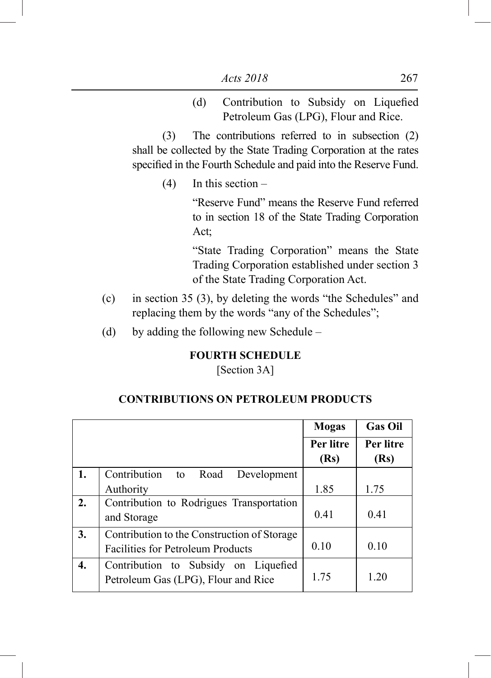(d) Contribution to Subsidy on Liquefied Petroleum Gas (LPG), Flour and Rice.

 (3) The contributions referred to in subsection (2) shall be collected by the State Trading Corporation at the rates specified in the Fourth Schedule and paid into the Reserve Fund.

 $(4)$  In this section –

"Reserve Fund" means the Reserve Fund referred to in section 18 of the State Trading Corporation Act;

"State Trading Corporation" means the State Trading Corporation established under section 3 of the State Trading Corporation Act.

- (c) in section 35 (3), by deleting the words "the Schedules" and replacing them by the words "any of the Schedules";
- (d) by adding the following new Schedule –

## **FOURTH SCHEDULE**

[Section 3A]

## **CONTRIBUTIONS ON PETROLEUM PRODUCTS**

|    |                                             | <b>Mogas</b> | <b>Gas Oil</b> |
|----|---------------------------------------------|--------------|----------------|
|    |                                             | Per litre    | Per litre      |
|    |                                             | (Rs)         | (Rs)           |
| 1. | Contribution<br>to Road<br>Development      |              |                |
|    | Authority                                   | 1.85         | 1.75           |
| 2. | Contribution to Rodrigues Transportation    |              |                |
|    | and Storage                                 | 0.41         | 0.41           |
| 3. | Contribution to the Construction of Storage |              |                |
|    | <b>Facilities for Petroleum Products</b>    | 0.10         | 0.10           |
| 4. | Contribution to Subsidy on Liquefied        |              |                |
|    | Petroleum Gas (LPG), Flour and Rice         | 1.75         | 1.20           |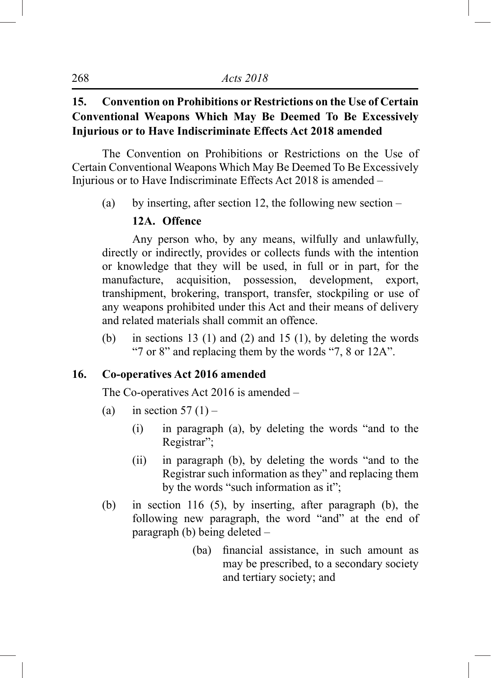# **15. Convention on Prohibitions or Restrictions on the Use of Certain Conventional Weapons Which May Be Deemed To Be Excessively Injurious or to Have Indiscriminate Effects Act 2018 amended**

The Convention on Prohibitions or Restrictions on the Use of Certain Conventional Weapons Which May Be Deemed To Be Excessively Injurious or to Have Indiscriminate Effects Act 2018 is amended –

(a) by inserting, after section 12, the following new section –

# **12A. Offence**

Any person who, by any means, wilfully and unlawfully, directly or indirectly, provides or collects funds with the intention or knowledge that they will be used, in full or in part, for the manufacture, acquisition, possession, development, export, transhipment, brokering, transport, transfer, stockpiling or use of any weapons prohibited under this Act and their means of delivery and related materials shall commit an offence.

(b) in sections 13 (1) and (2) and 15 (1), by deleting the words "7 or 8" and replacing them by the words "7, 8 or 12A".

## **16. Co-operatives Act 2016 amended**

The Co-operatives Act 2016 is amended –

- (a) in section  $57(1)$ 
	- (i) in paragraph (a), by deleting the words "and to the Registrar";
	- (ii) in paragraph (b), by deleting the words "and to the Registrar such information as they" and replacing them by the words "such information as it";
- (b) in section 116 (5), by inserting, after paragraph (b), the following new paragraph, the word "and" at the end of paragraph (b) being deleted –
	- (ba) financial assistance, in such amount as may be prescribed, to a secondary society and tertiary society; and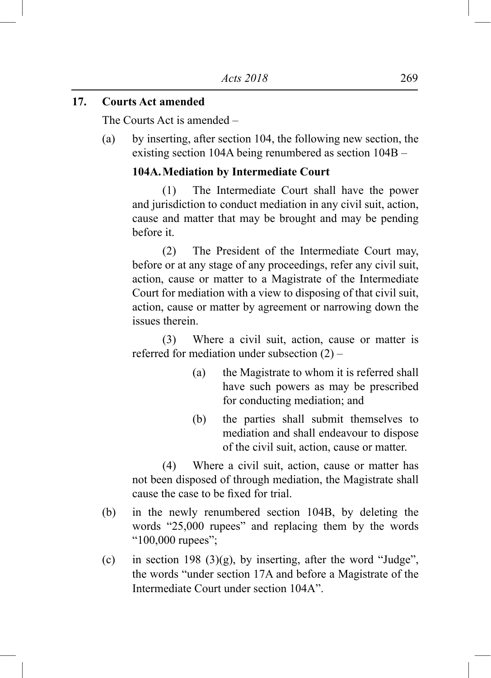#### **17. Courts Act amended**

The Courts Act is amended –

(a) by inserting, after section 104, the following new section, the existing section 104A being renumbered as section 104B –

## **104A.Mediation by Intermediate Court**

 (1) The Intermediate Court shall have the power and jurisdiction to conduct mediation in any civil suit, action, cause and matter that may be brought and may be pending before it.

 (2) The President of the Intermediate Court may, before or at any stage of any proceedings, refer any civil suit, action, cause or matter to a Magistrate of the Intermediate Court for mediation with a view to disposing of that civil suit, action, cause or matter by agreement or narrowing down the issues therein.

 (3) Where a civil suit, action, cause or matter is referred for mediation under subsection (2) –

- (a) the Magistrate to whom it is referred shall have such powers as may be prescribed for conducting mediation; and
- (b) the parties shall submit themselves to mediation and shall endeavour to dispose of the civil suit, action, cause or matter.

 (4) Where a civil suit, action, cause or matter has not been disposed of through mediation, the Magistrate shall cause the case to be fixed for trial.

- (b) in the newly renumbered section 104B, by deleting the words "25,000 rupees" and replacing them by the words "100,000 rupees";
- (c) in section 198 (3)(g), by inserting, after the word "Judge", the words "under section 17A and before a Magistrate of the Intermediate Court under section 104A".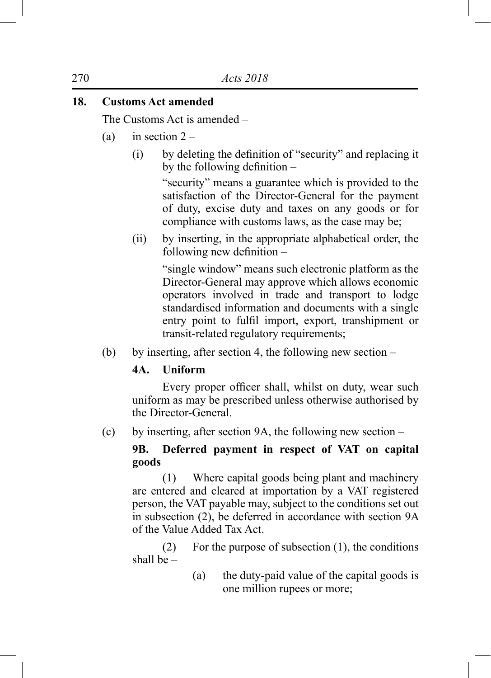# **18. Customs Act amended**

The Customs Act is amended –

- (a) in section  $2 -$ 
	- (i) by deleting the definition of "security" and replacing it by the following definition –

"security" means a guarantee which is provided to the satisfaction of the Director-General for the payment of duty, excise duty and taxes on any goods or for compliance with customs laws, as the case may be;

(ii) by inserting, in the appropriate alphabetical order, the following new definition –

> "single window" means such electronic platform as the Director-General may approve which allows economic operators involved in trade and transport to lodge standardised information and documents with a single entry point to fulfil import, export, transhipment or transit-related regulatory requirements;

(b) by inserting, after section 4, the following new section –

## **4A. Uniform**

 Every proper officer shall, whilst on duty, wear such uniform as may be prescribed unless otherwise authorised by the Director-General.

(c) by inserting, after section 9A, the following new section –

# **9B. Deferred payment in respect of VAT on capital goods**

 (1) Where capital goods being plant and machinery are entered and cleared at importation by a VAT registered person, the VAT payable may, subject to the conditions set out in subsection (2), be deferred in accordance with section 9A of the Value Added Tax Act.

 (2) For the purpose of subsection (1), the conditions shall be –

> (a) the duty-paid value of the capital goods is one million rupees or more;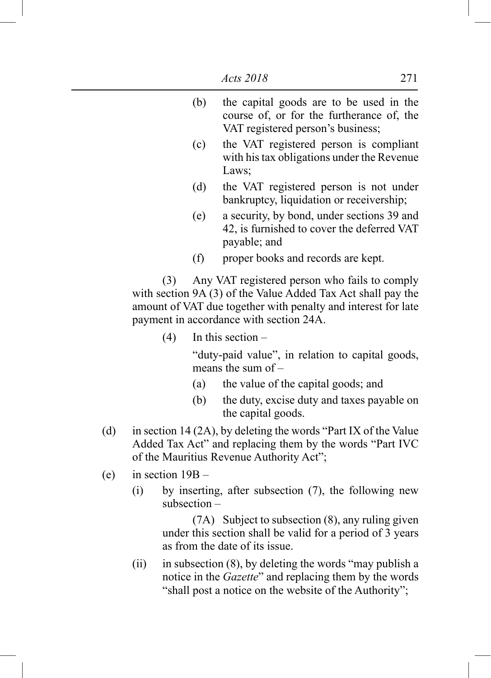| (b) | the capital goods are to be used in the<br>course of, or for the furtherance of, the<br>VAT registered person's business;                                                                                                        |
|-----|----------------------------------------------------------------------------------------------------------------------------------------------------------------------------------------------------------------------------------|
| (c) | the VAT registered person is compliant<br>with his tax obligations under the Revenue<br>Laws;                                                                                                                                    |
| (d) | the VAT registered person is not under<br>bankruptcy, liquidation or receivership;                                                                                                                                               |
|     | $\mathbf{r}$ , and the set of the set of the set of the set of the set of the set of the set of the set of the set of the set of the set of the set of the set of the set of the set of the set of the set of the set of the set |

- (e) a security, by bond, under sections 39 and 42, is furnished to cover the deferred VAT payable; and
- (f) proper books and records are kept.

 (3) Any VAT registered person who fails to comply with section 9A (3) of the Value Added Tax Act shall pay the amount of VAT due together with penalty and interest for late payment in accordance with section 24A.

 $(4)$  In this section –

"duty-paid value", in relation to capital goods, means the sum of –

- (a) the value of the capital goods; and
- (b) the duty, excise duty and taxes payable on the capital goods.
- (d) in section 14 (2A), by deleting the words "Part IX of the Value Added Tax Act" and replacing them by the words "Part IVC of the Mauritius Revenue Authority Act";
- (e) in section 19B
	- (i) by inserting, after subsection (7), the following new subsection –

 (7A) Subject to subsection (8), any ruling given under this section shall be valid for a period of 3 years as from the date of its issue.

(ii) in subsection (8), by deleting the words "may publish a notice in the *Gazette*" and replacing them by the words "shall post a notice on the website of the Authority";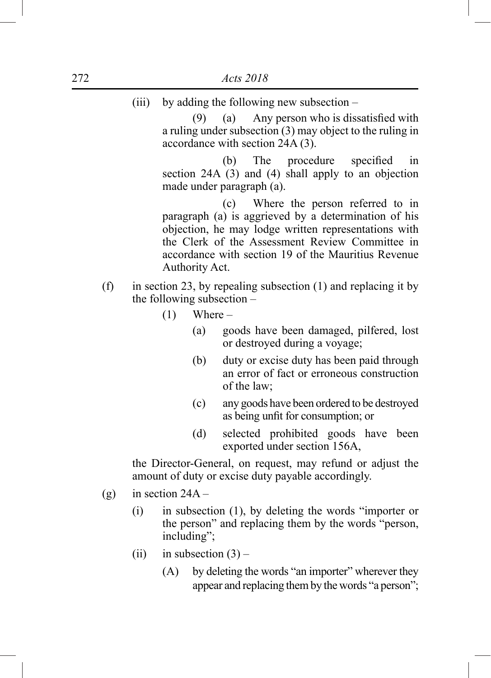(iii) by adding the following new subsection –

 $(9)$  (a) Any person who is dissatisfied with a ruling under subsection (3) may object to the ruling in accordance with section 24A (3).

 (b) The procedure specified in section 24A (3) and (4) shall apply to an objection made under paragraph (a).

 (c) Where the person referred to in paragraph (a) is aggrieved by a determination of his objection, he may lodge written representations with the Clerk of the Assessment Review Committee in accordance with section 19 of the Mauritius Revenue Authority Act.

- (f) in section 23, by repealing subsection  $(1)$  and replacing it by the following subsection –
	- $(1)$  Where
		- (a) goods have been damaged, pilfered, lost or destroyed during a voyage;
		- (b) duty or excise duty has been paid through an error of fact or erroneous construction of the law;
		- (c) any goods have been ordered to be destroyed as being unfit for consumption; or
		- (d) selected prohibited goods have been exported under section 156A,

the Director-General, on request, may refund or adjust the amount of duty or excise duty payable accordingly.

- (g) in section  $24A -$ 
	- (i) in subsection (1), by deleting the words "importer or the person" and replacing them by the words "person, including";
	- (ii) in subsection  $(3)$ 
		- (A) by deleting the words "an importer" wherever they appear and replacing them by the words "a person";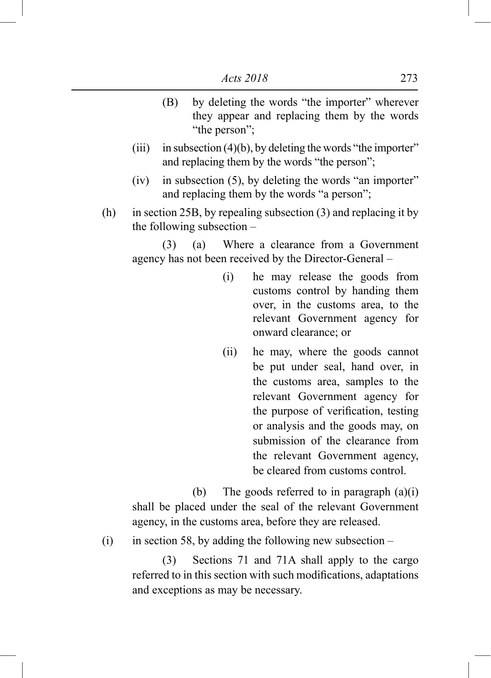- (B) by deleting the words "the importer" wherever they appear and replacing them by the words "the person":
- (iii) in subsection  $(4)(b)$ , by deleting the words "the importer" and replacing them by the words "the person";
- (iv) in subsection (5), by deleting the words "an importer" and replacing them by the words "a person";
- (h) in section 25B, by repealing subsection (3) and replacing it by the following subsection –

 (3) (a) Where a clearance from a Government agency has not been received by the Director-General –

- (i) he may release the goods from customs control by handing them over, in the customs area, to the relevant Government agency for onward clearance; or
- (ii) he may, where the goods cannot be put under seal, hand over, in the customs area, samples to the relevant Government agency for the purpose of verification, testing or analysis and the goods may, on submission of the clearance from the relevant Government agency, be cleared from customs control.

(b) The goods referred to in paragraph  $(a)(i)$ shall be placed under the seal of the relevant Government agency, in the customs area, before they are released.

(i) in section 58, by adding the following new subsection  $-$ 

 (3) Sections 71 and 71A shall apply to the cargo referred to in this section with such modifications, adaptations and exceptions as may be necessary.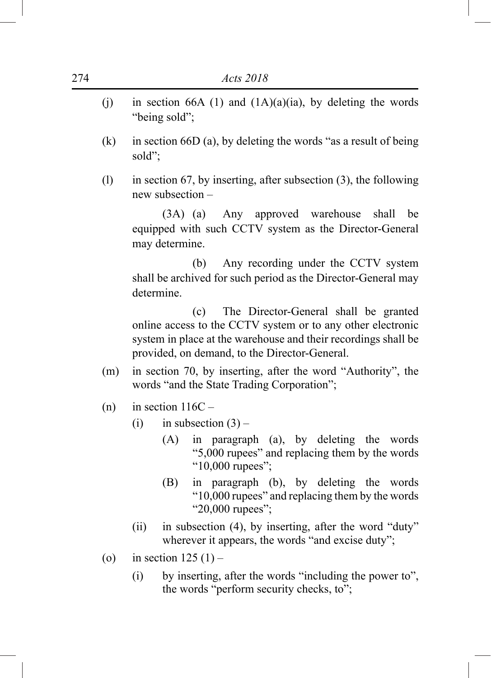- (i) in section 66A (1) and  $(1A)(a)(ia)$ , by deleting the words "being sold";
- (k) in section 66D (a), by deleting the words "as a result of being sold";
- (l) in section 67, by inserting, after subsection (3), the following new subsection –

 (3A) (a) Any approved warehouse shall be equipped with such CCTV system as the Director-General may determine.

 (b) Any recording under the CCTV system shall be archived for such period as the Director-General may determine.

 (c) The Director-General shall be granted online access to the CCTV system or to any other electronic system in place at the warehouse and their recordings shall be provided, on demand, to the Director-General.

- (m) in section 70, by inserting, after the word "Authority", the words "and the State Trading Corporation";
- (n) in section  $116C -$ 
	- (i) in subsection  $(3)$ 
		- (A) in paragraph (a), by deleting the words "5,000 rupees" and replacing them by the words "10,000 rupees";
		- (B) in paragraph (b), by deleting the words "10,000 rupees" and replacing them by the words "20,000 rupees";
	- (ii) in subsection (4), by inserting, after the word "duty" wherever it appears, the words "and excise duty";
- (o) in section  $125(1)$ 
	- (i) by inserting, after the words "including the power to", the words "perform security checks, to";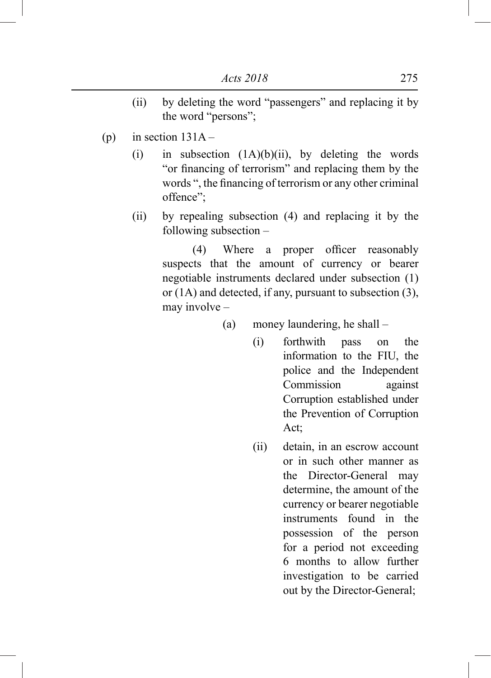- (ii) by deleting the word "passengers" and replacing it by the word "persons";
- (p) in section  $131A -$ 
	- (i) in subsection  $(1A)(b)(ii)$ , by deleting the words "or financing of terrorism" and replacing them by the words ", the financing of terrorism or any other criminal offence";
	- (ii) by repealing subsection (4) and replacing it by the following subsection –

 (4) Where a proper officer reasonably suspects that the amount of currency or bearer negotiable instruments declared under subsection (1) or (1A) and detected, if any, pursuant to subsection (3), may involve –

(a) money laundering, he shall –

- (i) forthwith pass on the information to the FIU, the police and the Independent Commission against Corruption established under the Prevention of Corruption Act;
- (ii) detain, in an escrow account or in such other manner as the Director-General may determine, the amount of the currency or bearer negotiable instruments found in the possession of the person for a period not exceeding 6 months to allow further investigation to be carried out by the Director-General;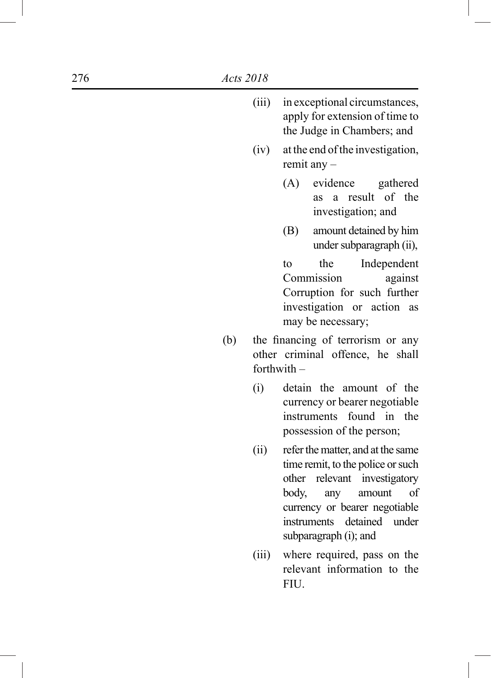- (iii) in exceptional circumstances, apply for extension of time to the Judge in Chambers; and
- (iv) at the end of the investigation, remit any –
	- (A) evidence gathered as a result of the investigation; and
	- (B) amount detained by him under subparagraph (ii),

to the Independent Commission against Corruption for such further investigation or action as may be necessary;

- (b) the financing of terrorism or any other criminal offence, he shall forthwith –
	- (i) detain the amount of the currency or bearer negotiable instruments found in the possession of the person;
	- (ii) refer the matter, and at the same time remit, to the police or such other relevant investigatory body, any amount of currency or bearer negotiable instruments detained under subparagraph (i); and
	- (iii) where required, pass on the relevant information to the FIU.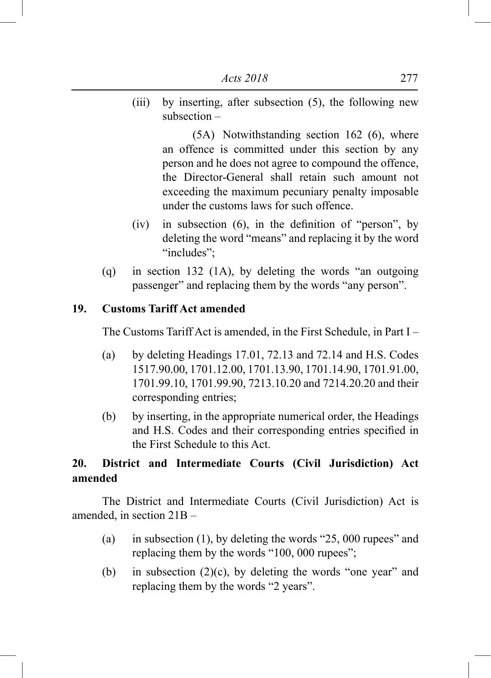(iii) by inserting, after subsection (5), the following new subsection –

> (5A) Notwithstanding section 162 (6), where an offence is committed under this section by any person and he does not agree to compound the offence, the Director-General shall retain such amount not exceeding the maximum pecuniary penalty imposable under the customs laws for such offence.

- (iv) in subsection  $(6)$ , in the definition of "person", by deleting the word "means" and replacing it by the word "includes":
- (q) in section 132 (1A), by deleting the words "an outgoing passenger" and replacing them by the words "any person".

# **19. Customs Tariff Act amended**

The Customs Tariff Act is amended, in the First Schedule, in Part I –

- (a) by deleting Headings 17.01, 72.13 and 72.14 and H.S. Codes 1517.90.00, 1701.12.00, 1701.13.90, 1701.14.90, 1701.91.00, 1701.99.10, 1701.99.90, 7213.10.20 and 7214.20.20 and their corresponding entries;
- (b) by inserting, in the appropriate numerical order, the Headings and H.S. Codes and their corresponding entries specified in the First Schedule to this Act.

# **20. District and Intermediate Courts (Civil Jurisdiction) Act amended**

The District and Intermediate Courts (Civil Jurisdiction) Act is amended, in section 21B –

- (a) in subsection (1), by deleting the words "25, 000 rupees" and replacing them by the words "100, 000 rupees";
- (b) in subsection  $(2)(c)$ , by deleting the words "one year" and replacing them by the words "2 years".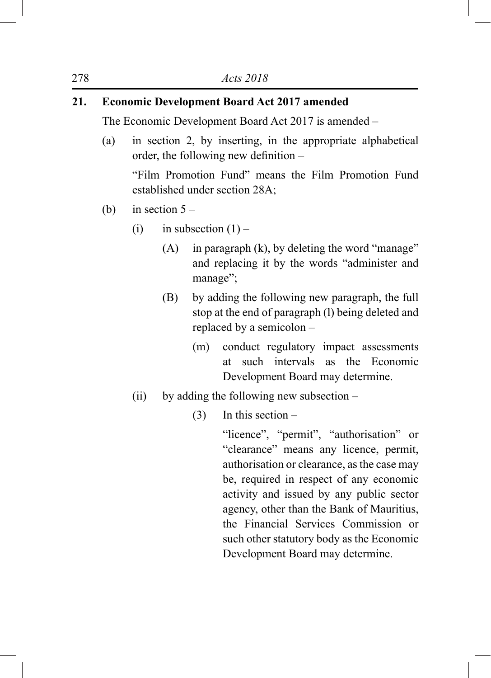# **21. Economic Development Board Act 2017 amended**

The Economic Development Board Act 2017 is amended –

(a) in section 2, by inserting, in the appropriate alphabetical order, the following new definition –

"Film Promotion Fund" means the Film Promotion Fund established under section 28A;

- (b) in section  $5 -$ 
	- (i) in subsection  $(1)$ 
		- (A) in paragraph (k), by deleting the word "manage" and replacing it by the words "administer and manage";
		- (B) by adding the following new paragraph, the full stop at the end of paragraph (l) being deleted and replaced by a semicolon –
			- (m) conduct regulatory impact assessments at such intervals as the Economic Development Board may determine.
	- (ii) by adding the following new subsection
		- $(3)$  In this section –

"licence", "permit", "authorisation" or "clearance" means any licence, permit, authorisation or clearance, as the case may be, required in respect of any economic activity and issued by any public sector agency, other than the Bank of Mauritius, the Financial Services Commission or such other statutory body as the Economic Development Board may determine.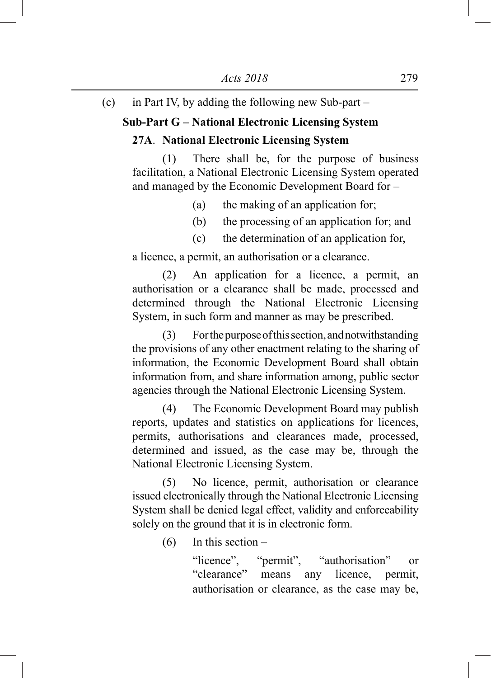(c) in Part IV, by adding the following new Sub-part –

## **Sub-Part G – National Electronic Licensing System**

## **27A**. **National Electronic Licensing System**

 (1) There shall be, for the purpose of business facilitation, a National Electronic Licensing System operated and managed by the Economic Development Board for –

- (a) the making of an application for;
- (b) the processing of an application for; and
- (c) the determination of an application for,

a licence, a permit, an authorisation or a clearance.

 (2) An application for a licence, a permit, an authorisation or a clearance shall be made, processed and determined through the National Electronic Licensing System, in such form and manner as may be prescribed.

 (3) For the purpose of this section, and notwithstanding the provisions of any other enactment relating to the sharing of information, the Economic Development Board shall obtain information from, and share information among, public sector agencies through the National Electronic Licensing System.

 (4) The Economic Development Board may publish reports, updates and statistics on applications for licences, permits, authorisations and clearances made, processed, determined and issued, as the case may be, through the National Electronic Licensing System.

 (5) No licence, permit, authorisation or clearance issued electronically through the National Electronic Licensing System shall be denied legal effect, validity and enforceability solely on the ground that it is in electronic form.

(6) In this section –

"licence", "permit", "authorisation" or "clearance" means any licence, permit, authorisation or clearance, as the case may be,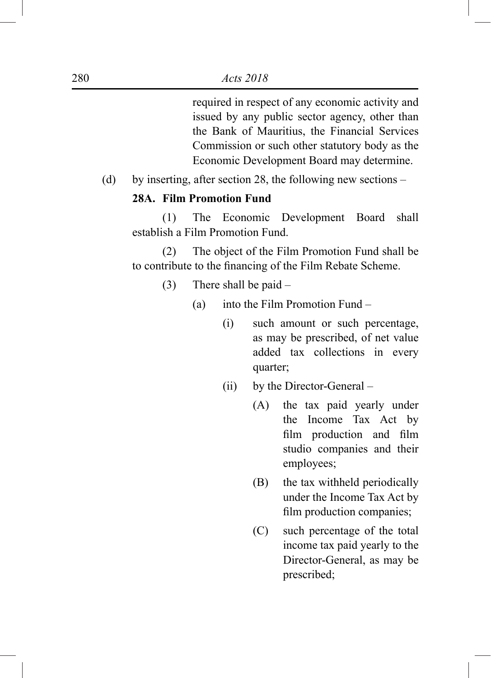required in respect of any economic activity and issued by any public sector agency, other than the Bank of Mauritius, the Financial Services Commission or such other statutory body as the Economic Development Board may determine.

(d) by inserting, after section 28, the following new sections –

## **28A. Film Promotion Fund**

 (1) The Economic Development Board shall establish a Film Promotion Fund.

 (2) The object of the Film Promotion Fund shall be to contribute to the financing of the Film Rebate Scheme.

- (3) There shall be paid
	- (a) into the Film Promotion Fund
		- (i) such amount or such percentage, as may be prescribed, of net value added tax collections in every quarter;
		- (ii) by the Director-General
			- (A) the tax paid yearly under the Income Tax Act by film production and film studio companies and their employees;
			- (B) the tax withheld periodically under the Income Tax Act by film production companies;
			- (C) such percentage of the total income tax paid yearly to the Director-General, as may be prescribed;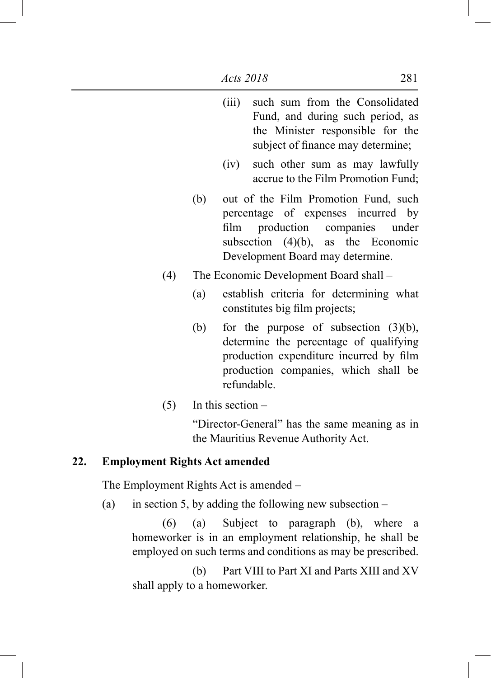|     |     | , , , , ,<br>$\frac{1}{2}$<br>Fund, and during such period, as<br>the Minister responsible for the<br>subject of finance may determine;                                                       |
|-----|-----|-----------------------------------------------------------------------------------------------------------------------------------------------------------------------------------------------|
|     |     | such other sum as may lawfully<br>(iv)<br>accrue to the Film Promotion Fund;                                                                                                                  |
|     | (b) | out of the Film Promotion Fund, such<br>percentage of expenses incurred by<br>production companies under<br>film<br>subsection $(4)(b)$ , as the Economic<br>Development Board may determine. |
| (4) |     | The Economic Development Board shall –                                                                                                                                                        |
|     | (a) | establish criteria for determining what<br>constitutes big film projects;                                                                                                                     |
|     | (b) | for the purpose of subsection $(3)(b)$ ,<br>determine the percentage of qualifying<br>production expenditure incurred by film<br>production companies, which shall be<br>refundable.          |
|     |     |                                                                                                                                                                                               |

(iii) such sum from the Consolidated

 $(5)$  In this section –

"Director-General" has the same meaning as in the Mauritius Revenue Authority Act.

# **22. Employment Rights Act amended**

The Employment Rights Act is amended –

(a) in section 5, by adding the following new subsection  $-$ 

 (6) (a) Subject to paragraph (b), where a homeworker is in an employment relationship, he shall be employed on such terms and conditions as may be prescribed.

 (b) Part VIII to Part XI and Parts XIII and XV shall apply to a homeworker.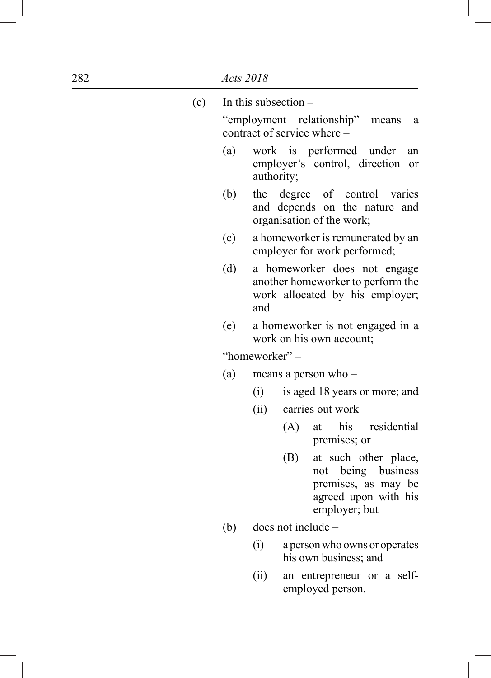| (c) |     | In this subsection $-$                                                                                            |
|-----|-----|-------------------------------------------------------------------------------------------------------------------|
|     |     | "employment relationship"<br>means<br>a<br>contract of service where –                                            |
|     | (a) | work is performed under<br>an<br>employer's control, direction<br>or<br>authority;                                |
|     | (b) | degree of control varies<br>the<br>and depends on the nature and<br>organisation of the work;                     |
|     | (c) | a homeworker is remunerated by an<br>employer for work performed;                                                 |
|     | (d) | a homeworker does not engage<br>another homeworker to perform the<br>work allocated by his employer;<br>and       |
|     | (e) | a homeworker is not engaged in a<br>work on his own account;                                                      |
|     |     | "homeworker" –                                                                                                    |
|     | (a) | means a person who –                                                                                              |
|     |     | (i)<br>is aged 18 years or more; and                                                                              |
|     |     | (ii)<br>carries out work -                                                                                        |
|     |     | his residential<br>(A)<br>at<br>premises; or                                                                      |
|     |     | (B)<br>at such other place,<br>not being business<br>premises, as may be<br>agreed upon with his<br>employer; but |
|     | (b) | $does not include -$                                                                                              |
|     |     | a person who owns or operates<br>(i)<br>his own business; and                                                     |
|     |     | (ii)<br>an entrepreneur or a self-                                                                                |

employed person.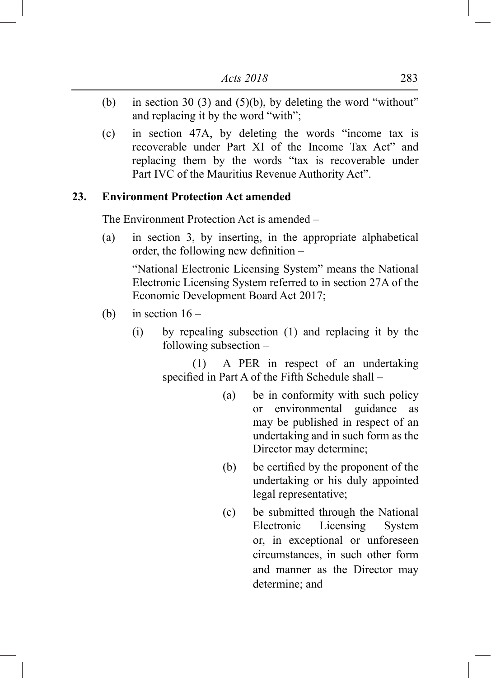- (b) in section 30 (3) and (5)(b), by deleting the word "without" and replacing it by the word "with";
- (c) in section 47A, by deleting the words "income tax is recoverable under Part XI of the Income Tax Act" and replacing them by the words "tax is recoverable under Part IVC of the Mauritius Revenue Authority Act".

## **23. Environment Protection Act amended**

The Environment Protection Act is amended –

(a) in section 3, by inserting, in the appropriate alphabetical order, the following new definition –

"National Electronic Licensing System" means the National Electronic Licensing System referred to in section 27A of the Economic Development Board Act 2017;

- (b) in section  $16 -$ 
	- (i) by repealing subsection (1) and replacing it by the following subsection –

 (1) A PER in respect of an undertaking specified in Part A of the Fifth Schedule shall –

- (a) be in conformity with such policy or environmental guidance as may be published in respect of an undertaking and in such form as the Director may determine;
- (b) be certified by the proponent of the undertaking or his duly appointed legal representative;
- (c) be submitted through the National Electronic Licensing System or, in exceptional or unforeseen circumstances, in such other form and manner as the Director may determine; and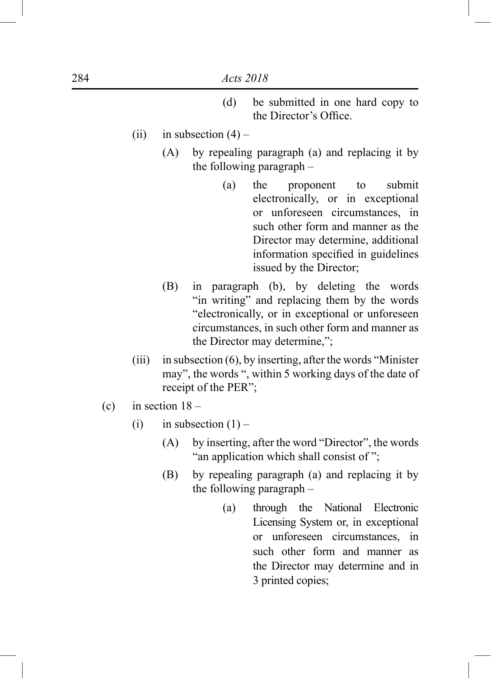- (d) be submitted in one hard copy to the Director's Office.
- (ii) in subsection  $(4)$ 
	- (A) by repealing paragraph (a) and replacing it by the following paragraph –
		- (a) the proponent to submit electronically, or in exceptional or unforeseen circumstances, in such other form and manner as the Director may determine, additional information specified in guidelines issued by the Director;
	- (B) in paragraph (b), by deleting the words "in writing" and replacing them by the words "electronically, or in exceptional or unforeseen circumstances, in such other form and manner as the Director may determine,";
- (iii) in subsection  $(6)$ , by inserting, after the words "Minister" may", the words ", within 5 working days of the date of receipt of the PER";
- (c) in section  $18 -$ 
	- (i) in subsection  $(1)$ 
		- (A) by inserting, after the word "Director", the words "an application which shall consist of ";
		- (B) by repealing paragraph (a) and replacing it by the following paragraph –
			- (a) through the National Electronic Licensing System or, in exceptional or unforeseen circumstances, in such other form and manner as the Director may determine and in 3 printed copies;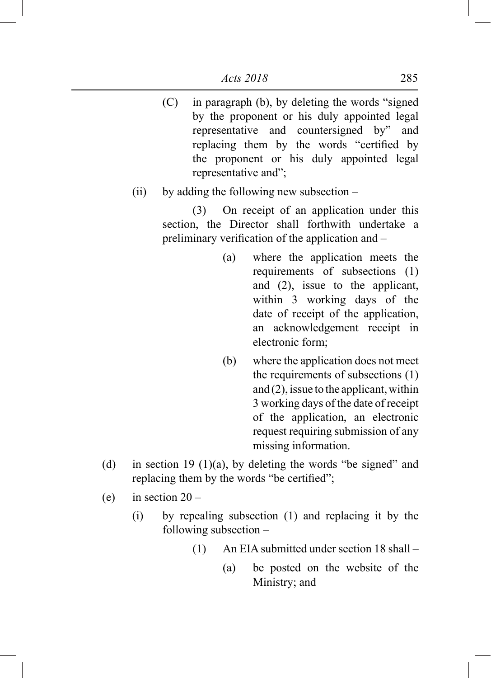(C) in paragraph (b), by deleting the words "signed by the proponent or his duly appointed legal representative and countersigned by" and replacing them by the words "certified by the proponent or his duly appointed legal representative and";

## (ii) by adding the following new subsection –

 (3) On receipt of an application under this section, the Director shall forthwith undertake a preliminary verification of the application and –

- (a) where the application meets the requirements of subsections (1) and (2), issue to the applicant, within 3 working days of the date of receipt of the application, an acknowledgement receipt in electronic form;
- (b) where the application does not meet the requirements of subsections (1) and (2), issue to the applicant, within 3 working days of the date of receipt of the application, an electronic request requiring submission of any missing information.
- (d) in section 19 (1)(a), by deleting the words "be signed" and replacing them by the words "be certified";
- (e) in section  $20 -$ 
	- (i) by repealing subsection (1) and replacing it by the following subsection –
		- (1) An EIA submitted under section 18 shall
			- (a) be posted on the website of the Ministry; and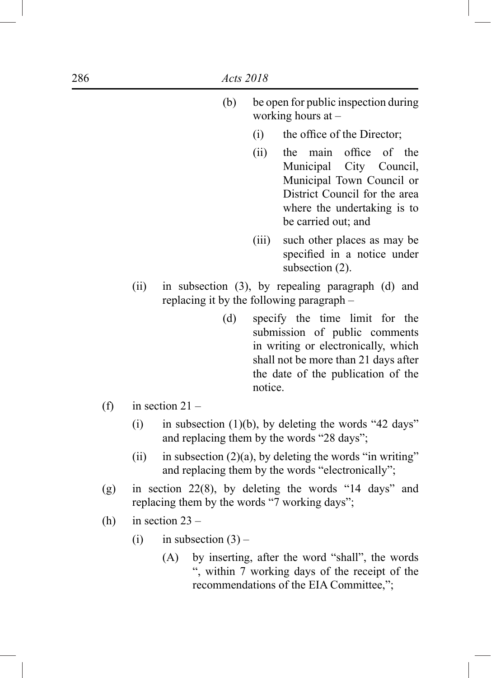|     |      | (b)                                                                                                       |         | be open for public inspection during<br>working hours at $-$                                                                                                                         |
|-----|------|-----------------------------------------------------------------------------------------------------------|---------|--------------------------------------------------------------------------------------------------------------------------------------------------------------------------------------|
|     |      |                                                                                                           | (i)     | the office of the Director;                                                                                                                                                          |
|     |      |                                                                                                           | (ii)    | office<br>main<br>of the<br>the<br>Municipal City Council,<br>Municipal Town Council or<br>District Council for the area<br>where the undertaking is to<br>be carried out; and       |
|     |      |                                                                                                           | (iii)   | such other places as may be<br>specified in a notice under<br>subsection (2).                                                                                                        |
|     | (ii) | replacing it by the following paragraph -                                                                 |         | in subsection (3), by repealing paragraph (d) and                                                                                                                                    |
|     |      | (d)                                                                                                       | notice. | specify the time limit for the<br>submission of public comments<br>in writing or electronically, which<br>shall not be more than 21 days after<br>the date of the publication of the |
| (f) |      | in section $21 -$                                                                                         |         |                                                                                                                                                                                      |
|     | (i)  |                                                                                                           |         | in subsection $(1)(b)$ , by deleting the words "42 days"<br>and replacing them by the words "28 days";                                                                               |
|     | (ii) |                                                                                                           |         | in subsection $(2)(a)$ , by deleting the words "in writing"<br>and replacing them by the words "electronically";                                                                     |
| (g) |      | in section $22(8)$ , by deleting the words "14 days" and<br>replacing them by the words "7 working days"; |         |                                                                                                                                                                                      |
| (1) |      | $\cdots$ $\cdots$                                                                                         |         |                                                                                                                                                                                      |

(h) in section  $23 -$ 

 $(f)$ 

- (i) in subsection  $(3)$ 
	- (A) by inserting, after the word "shall", the words ", within 7 working days of the receipt of the recommendations of the EIA Committee,";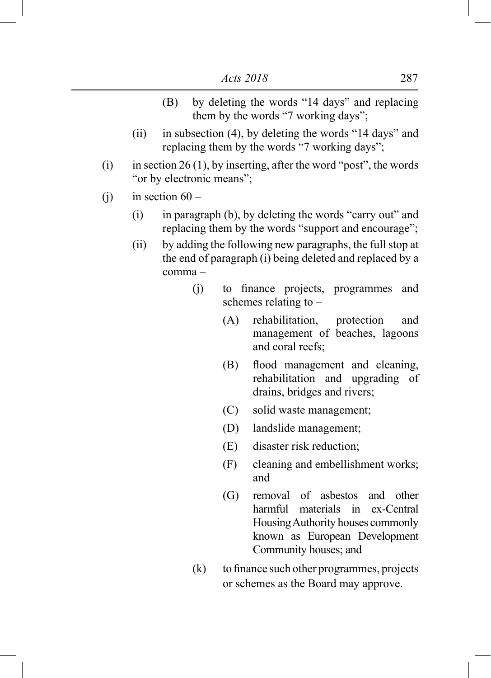- (B) by deleting the words "14 days" and replacing them by the words "7 working days";
- (ii) in subsection (4), by deleting the words "14 days" and replacing them by the words "7 working days";
- (i) in section 26 (1), by inserting, after the word "post", the words "or by electronic means";
- (i) in section  $60 -$ 
	- (i) in paragraph (b), by deleting the words "carry out" and replacing them by the words "support and encourage";
	- (ii) by adding the following new paragraphs, the full stop at the end of paragraph (i) being deleted and replaced by a comma –
		- (j) to finance projects, programmes and schemes relating to –
			- (A) rehabilitation, protection and management of beaches, lagoons and coral reefs;
			- (B) flood management and cleaning, rehabilitation and upgrading of drains, bridges and rivers;
			- (C) solid waste management;
			- (D) landslide management;
			- (E) disaster risk reduction;
			- (F) cleaning and embellishment works; and
			- (G) removal of asbestos and other harmful materials in ex-Central Housing Authority houses commonly known as European Development Community houses; and
		- (k) to finance such other programmes, projects or schemes as the Board may approve.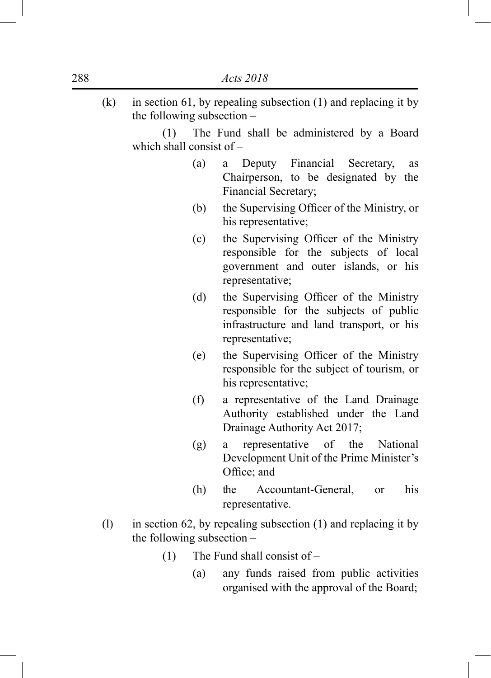$(k)$  in section 61, by repealing subsection (1) and replacing it by the following subsection –

 (1) The Fund shall be administered by a Board which shall consist of –

- (a) a Deputy Financial Secretary, as Chairperson, to be designated by the Financial Secretary;
- (b) the Supervising Officer of the Ministry, or his representative;
- (c) the Supervising Officer of the Ministry responsible for the subjects of local government and outer islands, or his representative;
- (d) the Supervising Officer of the Ministry responsible for the subjects of public infrastructure and land transport, or his representative;
- (e) the Supervising Officer of the Ministry responsible for the subject of tourism, or his representative;
- (f) a representative of the Land Drainage Authority established under the Land Drainage Authority Act 2017;
- (g) a representative of the National Development Unit of the Prime Minister's Office; and
- (h) the Accountant-General, or his representative.
- (1) in section 62, by repealing subsection  $(1)$  and replacing it by the following subsection –
	- (1) The Fund shall consist of
		- (a) any funds raised from public activities organised with the approval of the Board;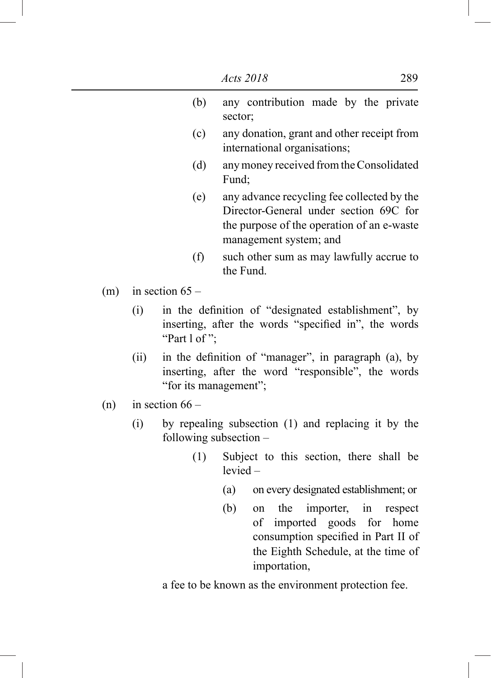|     |      |                                                                                                                                     | Acts 2018  |                                                                                                                                                              |           |       |           | 289             |
|-----|------|-------------------------------------------------------------------------------------------------------------------------------------|------------|--------------------------------------------------------------------------------------------------------------------------------------------------------------|-----------|-------|-----------|-----------------|
|     |      | (b)                                                                                                                                 | sector;    | any contribution made by the private                                                                                                                         |           |       |           |                 |
|     |      | (c)                                                                                                                                 |            | any donation, grant and other receipt from<br>international organisations;                                                                                   |           |       |           |                 |
|     |      | (d)                                                                                                                                 | Fund;      | any money received from the Consolidated                                                                                                                     |           |       |           |                 |
|     |      | (e)                                                                                                                                 |            | any advance recycling fee collected by the<br>Director-General under section 69C for<br>the purpose of the operation of an e-waste<br>management system; and |           |       |           |                 |
|     |      | (f)                                                                                                                                 | the Fund.  | such other sum as may lawfully accrue to                                                                                                                     |           |       |           |                 |
| (m) |      | in section $65 -$                                                                                                                   |            |                                                                                                                                                              |           |       |           |                 |
|     | (i)  | in the definition of "designated establishment", by<br>inserting, after the words "specified in", the words<br>"Part 1 of":         |            |                                                                                                                                                              |           |       |           |                 |
|     | (ii) | in the definition of "manager", in paragraph (a), by<br>inserting, after the word "responsible", the words<br>"for its management"; |            |                                                                                                                                                              |           |       |           |                 |
| (n) |      | in section $66 -$                                                                                                                   |            |                                                                                                                                                              |           |       |           |                 |
|     | (i)  | by repealing subsection (1) and replacing it by the<br>following subsection $-$                                                     |            |                                                                                                                                                              |           |       |           |                 |
|     |      | (1)                                                                                                                                 | $levied -$ | Subject to this section, there shall be                                                                                                                      |           |       |           |                 |
|     |      |                                                                                                                                     | (a)        | on every designated establishment; or                                                                                                                        |           |       |           |                 |
|     |      |                                                                                                                                     | (b)        | the<br>on<br>imported<br>οf<br>consumption specified in Part II of<br>the Eighth Schedule, at the time of<br>importation,                                    | importer, | goods | in<br>for | respect<br>home |
|     |      | a fee to be known as the environment protection fee.                                                                                |            |                                                                                                                                                              |           |       |           |                 |

ı

I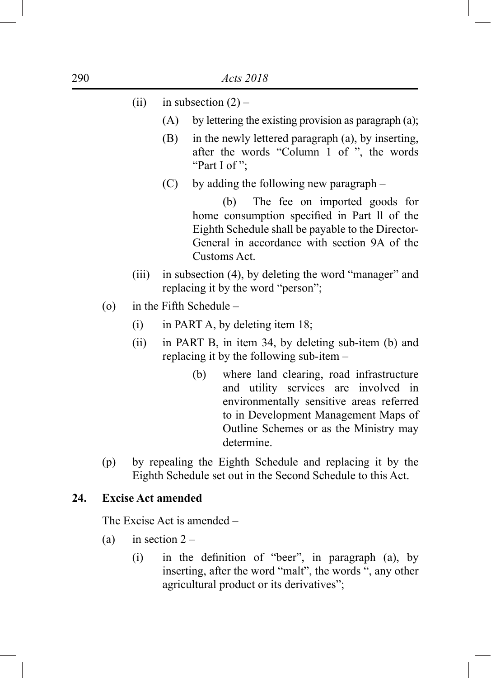|  | (ii) |  | in subsection $(2)$ |  |  |
|--|------|--|---------------------|--|--|
|--|------|--|---------------------|--|--|

- $(A)$  by lettering the existing provision as paragraph (a);
- (B) in the newly lettered paragraph (a), by inserting, after the words "Column 1 of ", the words "Part I of ";
- (C) by adding the following new paragraph –

 (b) The fee on imported goods for home consumption specified in Part ll of the Eighth Schedule shall be payable to the Director-General in accordance with section 9A of the Customs Act.

- (iii) in subsection (4), by deleting the word "manager" and replacing it by the word "person";
- (o) in the Fifth Schedule
	- $(i)$  in PART A, by deleting item 18;
	- (ii) in PART B, in item 34, by deleting sub-item (b) and replacing it by the following sub-item –
		- (b) where land clearing, road infrastructure and utility services are involved in environmentally sensitive areas referred to in Development Management Maps of Outline Schemes or as the Ministry may determine.
- (p) by repealing the Eighth Schedule and replacing it by the Eighth Schedule set out in the Second Schedule to this Act.

## **24. Excise Act amended**

The Excise Act is amended –

- (a) in section  $2 -$ 
	- $(i)$  in the definition of "beer", in paragraph (a), by inserting, after the word "malt", the words ", any other agricultural product or its derivatives";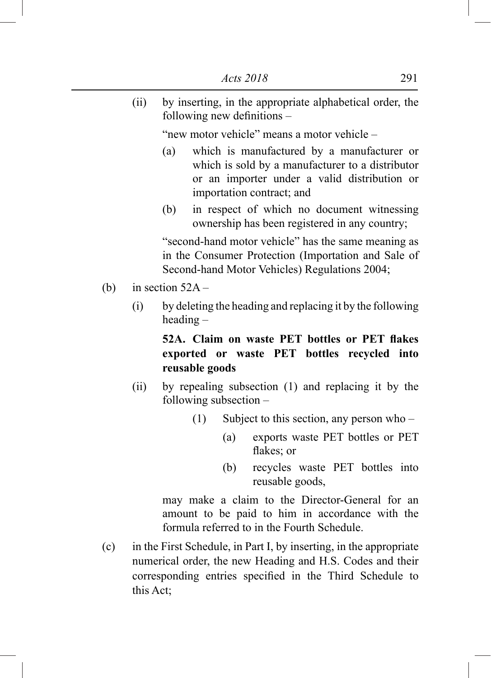(ii) by inserting, in the appropriate alphabetical order, the following new definitions –

"new motor vehicle" means a motor vehicle –

- (a) which is manufactured by a manufacturer or which is sold by a manufacturer to a distributor or an importer under a valid distribution or importation contract; and
- (b) in respect of which no document witnessing ownership has been registered in any country;

"second-hand motor vehicle" has the same meaning as in the Consumer Protection (Importation and Sale of Second-hand Motor Vehicles) Regulations 2004;

- (b) in section  $52A -$ 
	- (i) by deleting the heading and replacing it by the following heading –

**52A. Claim on waste PET bottles or PET flakes exported or waste PET bottles recycled into reusable goods**

- (ii) by repealing subsection (1) and replacing it by the following subsection –
	- (1) Subject to this section, any person who
		- (a) exports waste PET bottles or PET flakes; or
		- (b) recycles waste PET bottles into reusable goods,

may make a claim to the Director-General for an amount to be paid to him in accordance with the formula referred to in the Fourth Schedule.

(c) in the First Schedule, in Part I, by inserting, in the appropriate numerical order, the new Heading and H.S. Codes and their corresponding entries specified in the Third Schedule to this Act;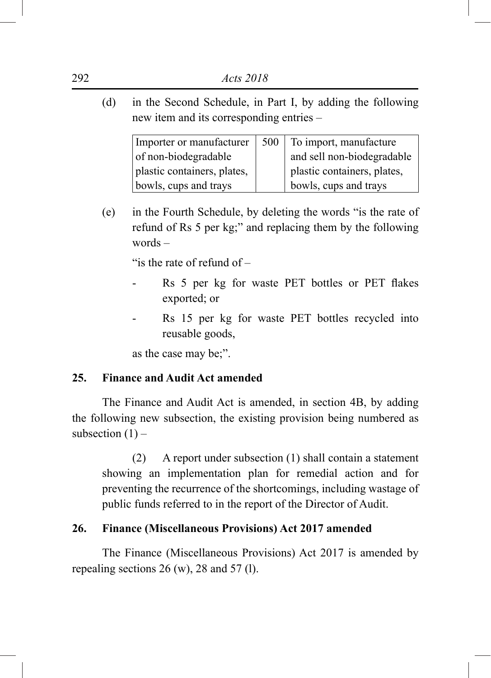(d) in the Second Schedule, in Part I, by adding the following new item and its corresponding entries –

| Importer or manufacturer    | 500 | To import, manufacture      |
|-----------------------------|-----|-----------------------------|
| of non-biodegradable        |     | and sell non-biodegradable  |
| plastic containers, plates, |     | plastic containers, plates, |
| bowls, cups and trays       |     | bowls, cups and trays       |

(e) in the Fourth Schedule, by deleting the words "is the rate of refund of Rs 5 per kg;" and replacing them by the following words –

"is the rate of refund of –

- Rs 5 per kg for waste PET bottles or PET flakes exported; or
- Rs 15 per kg for waste PET bottles recycled into reusable goods,

as the case may be;".

# **25. Finance and Audit Act amended**

The Finance and Audit Act is amended, in section 4B, by adding the following new subsection, the existing provision being numbered as subsection  $(1)$  –

(2) A report under subsection (1) shall contain a statement showing an implementation plan for remedial action and for preventing the recurrence of the shortcomings, including wastage of public funds referred to in the report of the Director of Audit.

# **26. Finance (Miscellaneous Provisions) Act 2017 amended**

The Finance (Miscellaneous Provisions) Act 2017 is amended by repealing sections 26 (w), 28 and 57 (l).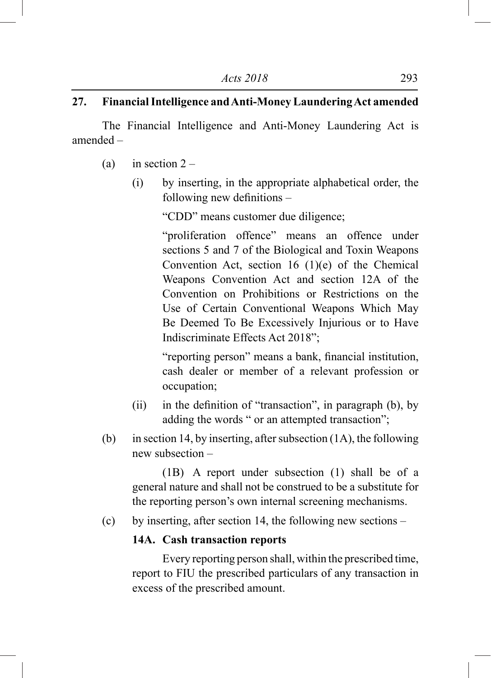# **27. Financial Intelligence and Anti-Money Laundering Act amended**

The Financial Intelligence and Anti-Money Laundering Act is amended –

- (a) in section  $2 -$ 
	- (i) by inserting, in the appropriate alphabetical order, the following new definitions –

 "CDD" means customer due diligence;

"proliferation offence" means an offence under sections 5 and 7 of the Biological and Toxin Weapons Convention Act, section 16 (1)(e) of the Chemical Weapons Convention Act and section 12A of the Convention on Prohibitions or Restrictions on the Use of Certain Conventional Weapons Which May Be Deemed To Be Excessively Injurious or to Have Indiscriminate Effects Act 2018";

 "reporting person" means a bank, financial institution, cash dealer or member of a relevant profession or occupation;

- (ii) in the definition of "transaction", in paragraph  $(b)$ , by adding the words " or an attempted transaction";
- (b) in section 14, by inserting, after subsection  $(1A)$ , the following new subsection –

 (1B) A report under subsection (1) shall be of a general nature and shall not be construed to be a substitute for the reporting person's own internal screening mechanisms.

(c) by inserting, after section 14, the following new sections –

## **14A. Cash transaction reports**

 Every reporting person shall, within the prescribed time, report to FIU the prescribed particulars of any transaction in excess of the prescribed amount.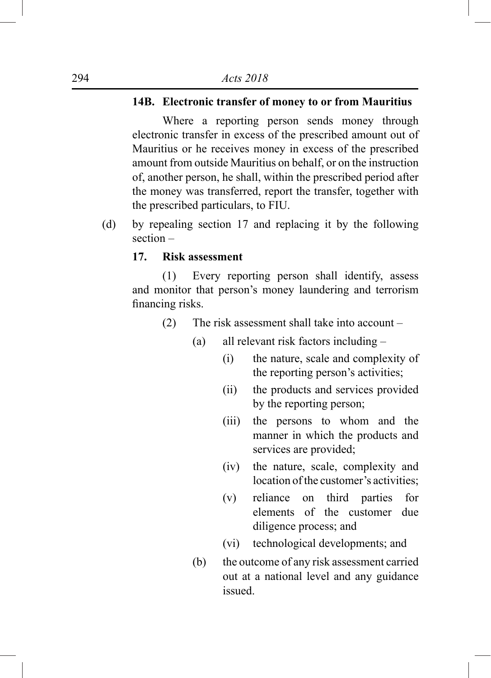# **14B. Electronic transfer of money to or from Mauritius**

 Where a reporting person sends money through electronic transfer in excess of the prescribed amount out of Mauritius or he receives money in excess of the prescribed amount from outside Mauritius on behalf, or on the instruction of, another person, he shall, within the prescribed period after the money was transferred, report the transfer, together with the prescribed particulars, to FIU.

(d) by repealing section 17 and replacing it by the following section –

## **17. Risk assessment**

 (1) Every reporting person shall identify, assess and monitor that person's money laundering and terrorism financing risks.

- (2) The risk assessment shall take into account
	- (a) all relevant risk factors including
		- (i) the nature, scale and complexity of the reporting person's activities;
		- (ii) the products and services provided by the reporting person;
		- (iii) the persons to whom and the manner in which the products and services are provided;
		- (iv) the nature, scale, complexity and location of the customer's activities:
		- (v) reliance on third parties for elements of the customer due diligence process; and
		- (vi) technological developments; and
	- (b) the outcome of any risk assessment carried out at a national level and any guidance issued.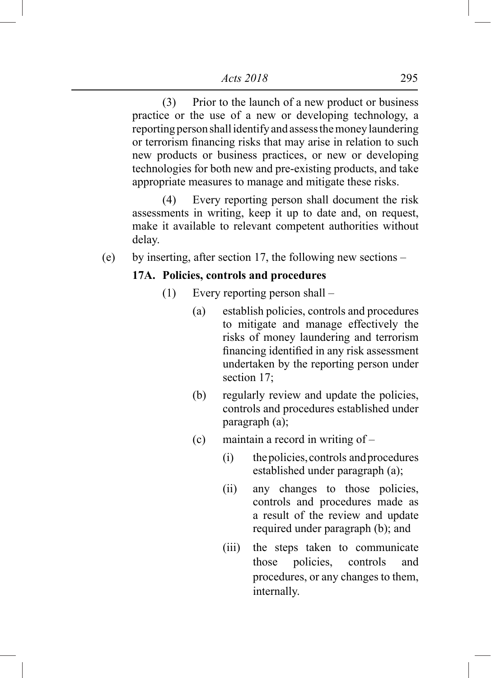(3) Prior to the launch of a new product or business practice or the use of a new or developing technology, a reporting person shall identify and assess the money laundering or terrorism financing risks that may arise in relation to such new products or business practices, or new or developing technologies for both new and pre-existing products, and take appropriate measures to manage and mitigate these risks.

 (4) Every reporting person shall document the risk assessments in writing, keep it up to date and, on request, make it available to relevant competent authorities without delay.

(e) by inserting, after section 17, the following new sections –

## **17A. Policies, controls and procedures**

- (1) Every reporting person shall
	- (a) establish policies, controls and procedures to mitigate and manage effectively the risks of money laundering and terrorism financing identified in any risk assessment undertaken by the reporting person under section 17;
	- (b) regularly review and update the policies, controls and procedures established under paragraph (a);
	- (c) maintain a record in writing of
		- (i) the policies, controls and procedures established under paragraph (a);
		- (ii) any changes to those policies, controls and procedures made as a result of the review and update required under paragraph (b); and
		- (iii) the steps taken to communicate those policies, controls and procedures, or any changes to them, internally.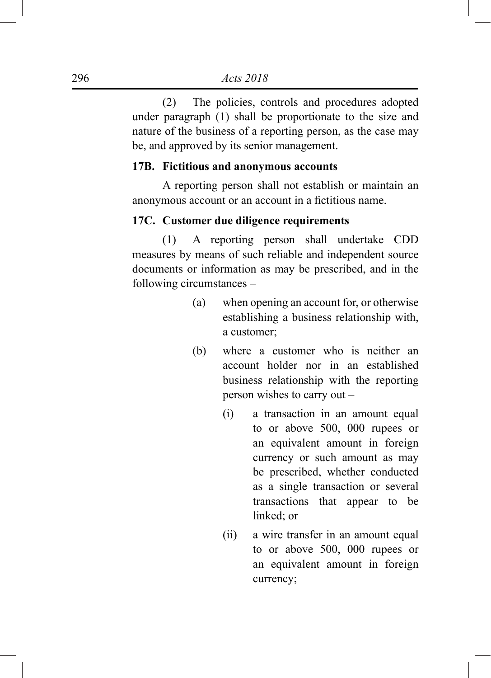(2) The policies, controls and procedures adopted under paragraph (1) shall be proportionate to the size and nature of the business of a reporting person, as the case may be, and approved by its senior management.

## **17B. Fictitious and anonymous accounts**

 A reporting person shall not establish or maintain an anonymous account or an account in a fictitious name.

## **17C. Customer due diligence requirements**

 (1) A reporting person shall undertake CDD measures by means of such reliable and independent source documents or information as may be prescribed, and in the following circumstances –

- (a) when opening an account for, or otherwise establishing a business relationship with, a customer;
- (b) where a customer who is neither an account holder nor in an established business relationship with the reporting person wishes to carry out –
	- (i) a transaction in an amount equal to or above 500, 000 rupees or an equivalent amount in foreign currency or such amount as may be prescribed, whether conducted as a single transaction or several transactions that appear to be linked; or
	- (ii) a wire transfer in an amount equal to or above 500, 000 rupees or an equivalent amount in foreign currency;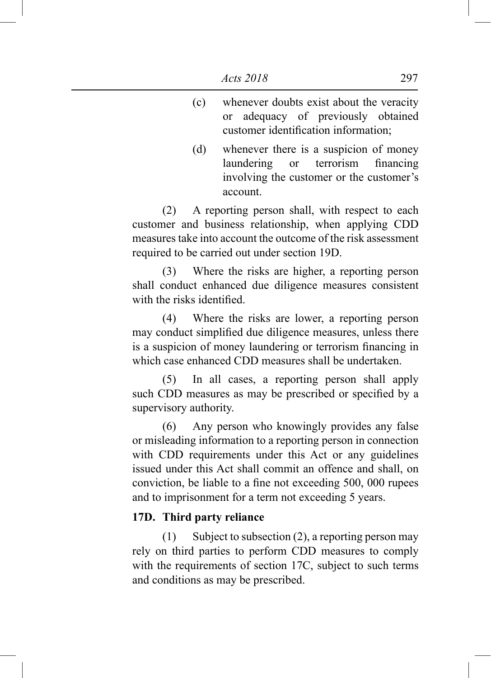- (c) whenever doubts exist about the veracity or adequacy of previously obtained customer identification information;
- (d) whenever there is a suspicion of money laundering or terrorism financing involving the customer or the customer's account.

 (2) A reporting person shall, with respect to each customer and business relationship, when applying CDD measures take into account the outcome of the risk assessment required to be carried out under section 19D.

 (3) Where the risks are higher, a reporting person shall conduct enhanced due diligence measures consistent with the risks identified.

 (4) Where the risks are lower, a reporting person may conduct simplified due diligence measures, unless there is a suspicion of money laundering or terrorism financing in which case enhanced CDD measures shall be undertaken.

 (5) In all cases, a reporting person shall apply such CDD measures as may be prescribed or specified by a supervisory authority.

 (6) Any person who knowingly provides any false or misleading information to a reporting person in connection with CDD requirements under this Act or any guidelines issued under this Act shall commit an offence and shall, on conviction, be liable to a fine not exceeding 500, 000 rupees and to imprisonment for a term not exceeding 5 years.

#### **17D. Third party reliance**

 (1) Subject to subsection (2), a reporting person may rely on third parties to perform CDD measures to comply with the requirements of section 17C, subject to such terms and conditions as may be prescribed.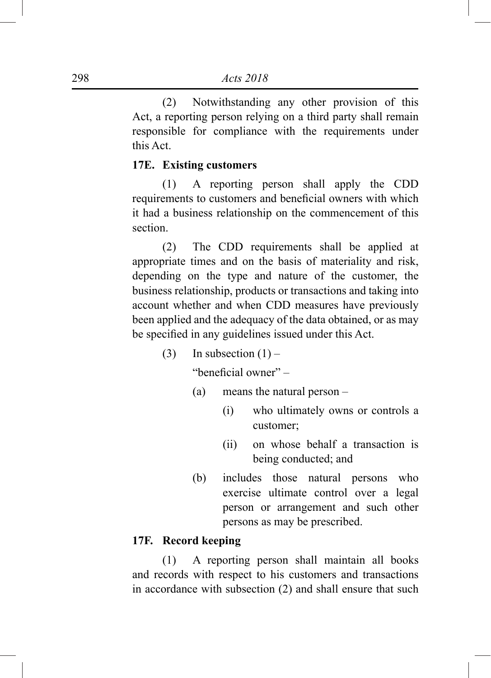(2) Notwithstanding any other provision of this Act, a reporting person relying on a third party shall remain responsible for compliance with the requirements under this Act.

## **17E. Existing customers**

 (1) A reporting person shall apply the CDD requirements to customers and beneficial owners with which it had a business relationship on the commencement of this section.

 (2) The CDD requirements shall be applied at appropriate times and on the basis of materiality and risk, depending on the type and nature of the customer, the business relationship, products or transactions and taking into account whether and when CDD measures have previously been applied and the adequacy of the data obtained, or as may be specified in any guidelines issued under this Act.

(3) In subsection  $(1)$  –

"beneficial owner" –

- (a) means the natural person
	- (i) who ultimately owns or controls a customer;
	- (ii) on whose behalf a transaction is being conducted; and
- (b) includes those natural persons who exercise ultimate control over a legal person or arrangement and such other persons as may be prescribed.

## **17F. Record keeping**

 (1) A reporting person shall maintain all books and records with respect to his customers and transactions in accordance with subsection (2) and shall ensure that such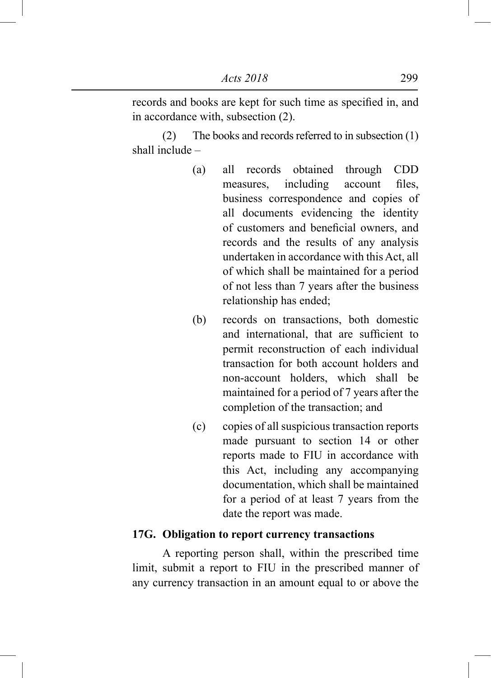records and books are kept for such time as specified in, and in accordance with, subsection (2).

 (2) The books and records referred to in subsection (1) shall include –

- (a) all records obtained through CDD measures, including account files, business correspondence and copies of all documents evidencing the identity of customers and beneficial owners, and records and the results of any analysis undertaken in accordance with this Act, all of which shall be maintained for a period of not less than 7 years after the business relationship has ended;
- (b) records on transactions, both domestic and international, that are sufficient to permit reconstruction of each individual transaction for both account holders and non-account holders, which shall be maintained for a period of 7 years after the completion of the transaction; and
- (c) copies of all suspicious transaction reports made pursuant to section 14 or other reports made to FIU in accordance with this Act, including any accompanying documentation, which shall be maintained for a period of at least 7 years from the date the report was made.

#### **17G. Obligation to report currency transactions**

 A reporting person shall, within the prescribed time limit, submit a report to FIU in the prescribed manner of any currency transaction in an amount equal to or above the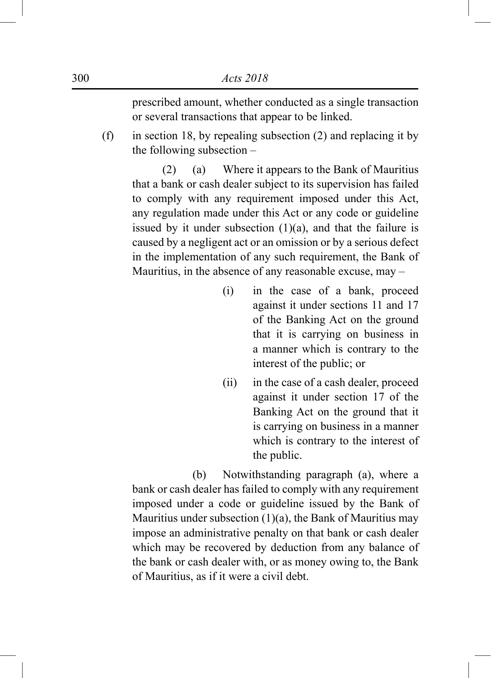prescribed amount, whether conducted as a single transaction or several transactions that appear to be linked.

(f) in section 18, by repealing subsection (2) and replacing it by the following subsection –

 (2) (a) Where it appears to the Bank of Mauritius that a bank or cash dealer subject to its supervision has failed to comply with any requirement imposed under this Act, any regulation made under this Act or any code or guideline issued by it under subsection  $(1)(a)$ , and that the failure is caused by a negligent act or an omission or by a serious defect in the implementation of any such requirement, the Bank of Mauritius, in the absence of any reasonable excuse, may –

- (i) in the case of a bank, proceed against it under sections 11 and 17 of the Banking Act on the ground that it is carrying on business in a manner which is contrary to the interest of the public; or
- (ii) in the case of a cash dealer, proceed against it under section 17 of the Banking Act on the ground that it is carrying on business in a manner which is contrary to the interest of the public.

 (b) Notwithstanding paragraph (a), where a bank or cash dealer has failed to comply with any requirement imposed under a code or guideline issued by the Bank of Mauritius under subsection  $(1)(a)$ , the Bank of Mauritius may impose an administrative penalty on that bank or cash dealer which may be recovered by deduction from any balance of the bank or cash dealer with, or as money owing to, the Bank of Mauritius, as if it were a civil debt.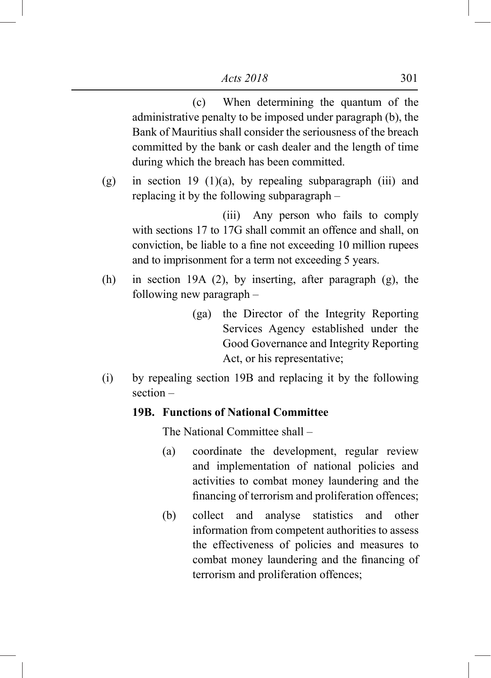(c) When determining the quantum of the administrative penalty to be imposed under paragraph (b), the Bank of Mauritius shall consider the seriousness of the breach committed by the bank or cash dealer and the length of time during which the breach has been committed.

(g) in section 19 (1)(a), by repealing subparagraph (iii) and replacing it by the following subparagraph –

 (iii) Any person who fails to comply with sections 17 to 17G shall commit an offence and shall, on conviction, be liable to a fine not exceeding 10 million rupees and to imprisonment for a term not exceeding 5 years.

- (h) in section 19A (2), by inserting, after paragraph (g), the following new paragraph –
	- (ga) the Director of the Integrity Reporting Services Agency established under the Good Governance and Integrity Reporting Act, or his representative;
- (i) by repealing section 19B and replacing it by the following section –

#### **19B. Functions of National Committee**

The National Committee shall –

- (a) coordinate the development, regular review and implementation of national policies and activities to combat money laundering and the financing of terrorism and proliferation offences;
- (b) collect and analyse statistics and other information from competent authorities to assess the effectiveness of policies and measures to combat money laundering and the financing of terrorism and proliferation offences;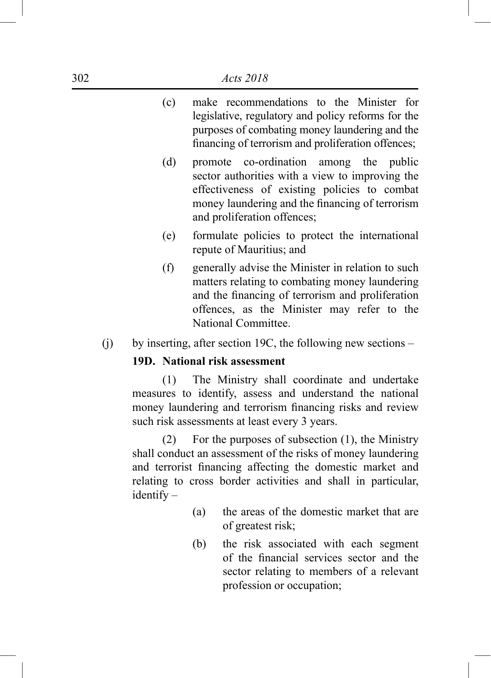- (c) make recommendations to the Minister for legislative, regulatory and policy reforms for the purposes of combating money laundering and the financing of terrorism and proliferation offences;
- (d) promote co-ordination among the public sector authorities with a view to improving the effectiveness of existing policies to combat money laundering and the financing of terrorism and proliferation offences;
- (e) formulate policies to protect the international repute of Mauritius; and
- (f) generally advise the Minister in relation to such matters relating to combating money laundering and the financing of terrorism and proliferation offences, as the Minister may refer to the National Committee.
- (j) by inserting, after section 19C, the following new sections –

# **19D. National risk assessment**

 (1) The Ministry shall coordinate and undertake measures to identify, assess and understand the national money laundering and terrorism financing risks and review such risk assessments at least every 3 years.

 (2) For the purposes of subsection (1), the Ministry shall conduct an assessment of the risks of money laundering and terrorist financing affecting the domestic market and relating to cross border activities and shall in particular, identify –

- (a) the areas of the domestic market that are of greatest risk;
- (b) the risk associated with each segment of the financial services sector and the sector relating to members of a relevant profession or occupation;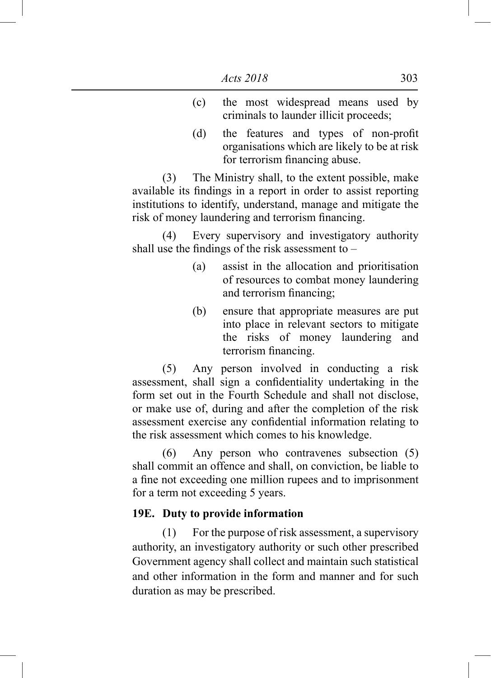- (c) the most widespread means used by criminals to launder illicit proceeds;
- (d) the features and types of non-profit organisations which are likely to be at risk for terrorism financing abuse.

 (3) The Ministry shall, to the extent possible, make available its findings in a report in order to assist reporting institutions to identify, understand, manage and mitigate the risk of money laundering and terrorism financing.

 (4) Every supervisory and investigatory authority shall use the findings of the risk assessment to –

- (a) assist in the allocation and prioritisation of resources to combat money laundering and terrorism financing;
- (b) ensure that appropriate measures are put into place in relevant sectors to mitigate the risks of money laundering and terrorism financing.

 (5) Any person involved in conducting a risk assessment, shall sign a confidentiality undertaking in the form set out in the Fourth Schedule and shall not disclose, or make use of, during and after the completion of the risk assessment exercise any confidential information relating to the risk assessment which comes to his knowledge.

 (6) Any person who contravenes subsection (5) shall commit an offence and shall, on conviction, be liable to a fine not exceeding one million rupees and to imprisonment for a term not exceeding 5 years.

## **19E. Duty to provide information**

 (1) For the purpose of risk assessment, a supervisory authority, an investigatory authority or such other prescribed Government agency shall collect and maintain such statistical and other information in the form and manner and for such duration as may be prescribed.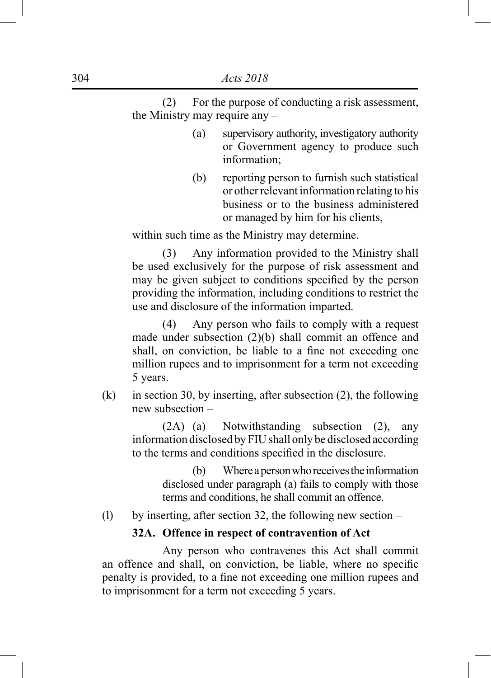(2) For the purpose of conducting a risk assessment, the Ministry may require any –

- (a) supervisory authority, investigatory authority or Government agency to produce such information;
- (b) reporting person to furnish such statistical or other relevant information relating to his business or to the business administered or managed by him for his clients,

within such time as the Ministry may determine.

 (3) Any information provided to the Ministry shall be used exclusively for the purpose of risk assessment and may be given subject to conditions specified by the person providing the information, including conditions to restrict the use and disclosure of the information imparted.

 (4) Any person who fails to comply with a request made under subsection (2)(b) shall commit an offence and shall, on conviction, be liable to a fine not exceeding one million rupees and to imprisonment for a term not exceeding 5 years.

(k) in section 30, by inserting, after subsection  $(2)$ , the following new subsection –

 (2A) (a) Notwithstanding subsection (2), any information disclosed by FIU shall only be disclosed according to the terms and conditions specified in the disclosure.

> (b) Where a person who receives the information disclosed under paragraph (a) fails to comply with those terms and conditions, he shall commit an offence.

(l) by inserting, after section 32, the following new section –

## **32A. Offence in respect of contravention of Act**

 Any person who contravenes this Act shall commit an offence and shall, on conviction, be liable, where no specific penalty is provided, to a fine not exceeding one million rupees and to imprisonment for a term not exceeding 5 years.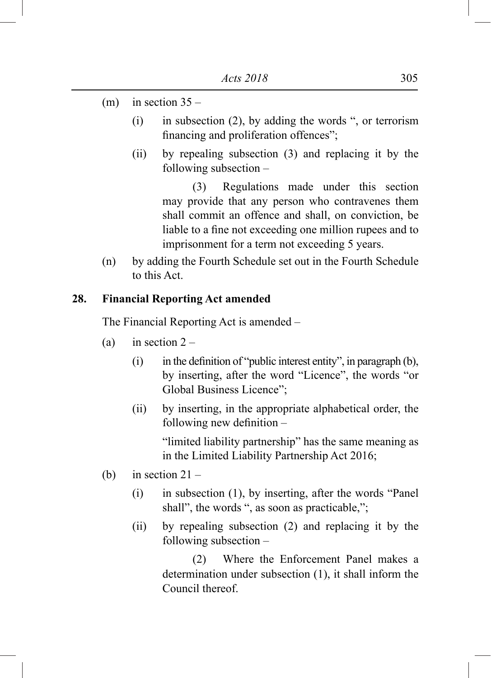- (m) in section  $35 -$ 
	- (i) in subsection (2), by adding the words ", or terrorism financing and proliferation offences";
	- (ii) by repealing subsection (3) and replacing it by the following subsection –

 (3) Regulations made under this section may provide that any person who contravenes them shall commit an offence and shall, on conviction, be liable to a fine not exceeding one million rupees and to imprisonment for a term not exceeding 5 years.

(n) by adding the Fourth Schedule set out in the Fourth Schedule to this Act.

## **28. Financial Reporting Act amended**

The Financial Reporting Act is amended –

- (a) in section  $2 -$ 
	- (i) in the definition of "public interest entity", in paragraph  $(b)$ , by inserting, after the word "Licence", the words "or Global Business Licence";
	- (ii) by inserting, in the appropriate alphabetical order, the following new definition –

"limited liability partnership" has the same meaning as in the Limited Liability Partnership Act 2016;

- (b) in section  $21 -$ 
	- (i) in subsection (1), by inserting, after the words "Panel shall", the words ", as soon as practicable,";
	- (ii) by repealing subsection (2) and replacing it by the following subsection –

 (2) Where the Enforcement Panel makes a determination under subsection (1), it shall inform the Council thereof.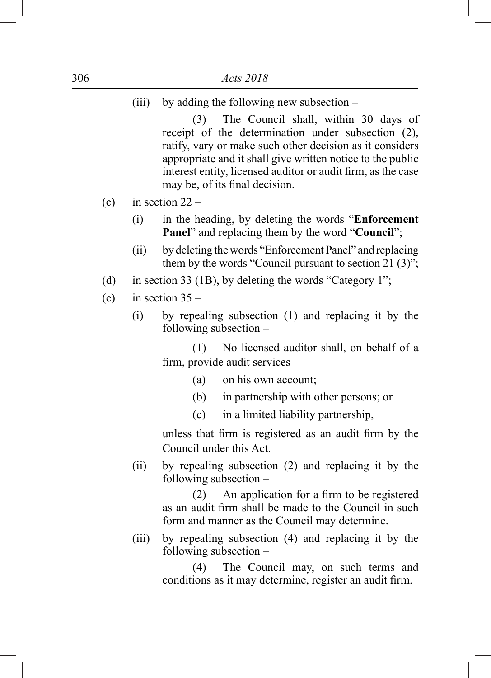(iii) by adding the following new subsection –

 (3) The Council shall, within 30 days of receipt of the determination under subsection (2), ratify, vary or make such other decision as it considers appropriate and it shall give written notice to the public interest entity, licensed auditor or audit firm, as the case may be, of its final decision.

- (c) in section  $22 -$ 
	- (i) in the heading, by deleting the words "**Enforcement Panel**" and replacing them by the word "**Council**";
	- (ii) by deleting the words "Enforcement Panel" and replacing them by the words "Council pursuant to section  $21 (3)$ ";
- (d) in section 33 (1B), by deleting the words "Category 1";
- (e) in section  $35 -$ 
	- (i) by repealing subsection (1) and replacing it by the following subsection –

 (1) No licensed auditor shall, on behalf of a firm, provide audit services –

- (a) on his own account;
- (b) in partnership with other persons; or
- (c) in a limited liability partnership,

 unless that firm is registered as an audit firm by the Council under this Act.

(ii) by repealing subsection (2) and replacing it by the following subsection –

> (2) An application for a firm to be registered as an audit firm shall be made to the Council in such form and manner as the Council may determine.

(iii) by repealing subsection (4) and replacing it by the following subsection –

> (4) The Council may, on such terms and conditions as it may determine, register an audit firm.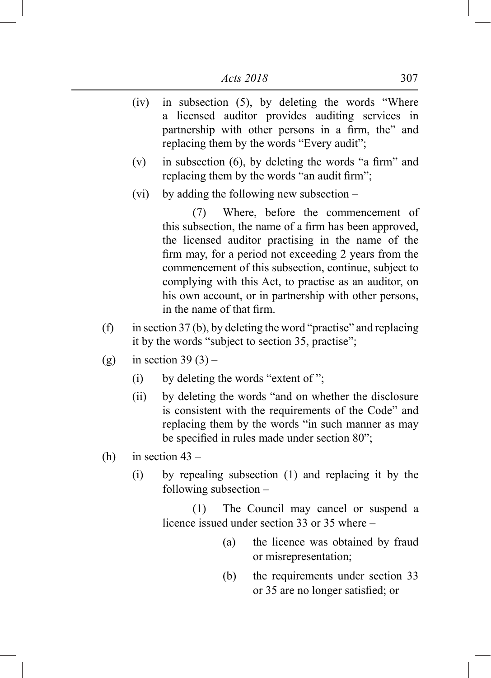- (iv) in subsection (5), by deleting the words "Where a licensed auditor provides auditing services in partnership with other persons in a firm, the" and replacing them by the words "Every audit";
- (v) in subsection  $(6)$ , by deleting the words "a firm" and replacing them by the words "an audit firm";
- (vi) by adding the following new subsection –

 (7) Where, before the commencement of this subsection, the name of a firm has been approved, the licensed auditor practising in the name of the firm may, for a period not exceeding 2 years from the commencement of this subsection, continue, subject to complying with this Act, to practise as an auditor, on his own account, or in partnership with other persons, in the name of that firm.

- (f) in section  $37$  (b), by deleting the word "practise" and replacing it by the words "subject to section 35, practise";
- (g) in section  $39(3)$ 
	- (i) by deleting the words "extent of";
	- (ii) by deleting the words "and on whether the disclosure is consistent with the requirements of the Code" and replacing them by the words "in such manner as may be specified in rules made under section 80";
- (h) in section  $43 -$ 
	- (i) by repealing subsection (1) and replacing it by the following subsection –

 (1) The Council may cancel or suspend a licence issued under section 33 or 35 where –

- (a) the licence was obtained by fraud or misrepresentation;
- (b) the requirements under section 33 or 35 are no longer satisfied; or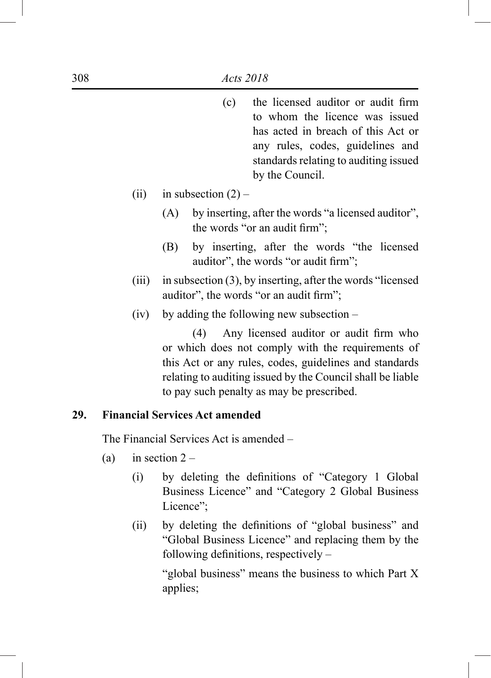- (c) the licensed auditor or audit firm to whom the licence was issued has acted in breach of this Act or any rules, codes, guidelines and standards relating to auditing issued by the Council.
- (ii) in subsection  $(2)$ 
	- (A) by inserting, after the words "a licensed auditor", the words "or an audit firm";
	- (B) by inserting, after the words "the licensed auditor", the words "or audit firm";
- (iii) in subsection (3), by inserting, after the words "licensed auditor", the words "or an audit firm";
- (iv) by adding the following new subsection –

 (4) Any licensed auditor or audit firm who or which does not comply with the requirements of this Act or any rules, codes, guidelines and standards relating to auditing issued by the Council shall be liable to pay such penalty as may be prescribed.

#### **29. Financial Services Act amended**

The Financial Services Act is amended –

- (a) in section  $2 -$ 
	- (i) by deleting the definitions of "Category 1 Global Business Licence" and "Category 2 Global Business Licence":
	- (ii) by deleting the definitions of "global business" and "Global Business Licence" and replacing them by the following definitions, respectively –

"global business" means the business to which Part X applies;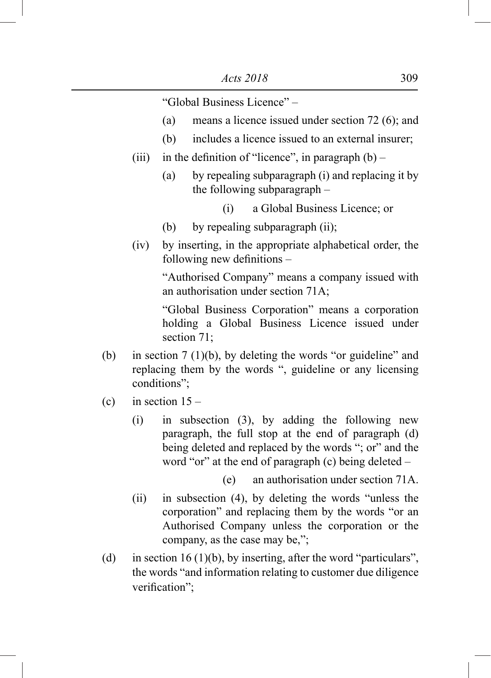"Global Business Licence" –

- (a) means a licence issued under section  $72(6)$ ; and
- (b) includes a licence issued to an external insurer;
- (iii) in the definition of "licence", in paragraph  $(b)$ 
	- (a) by repealing subparagraph (i) and replacing it by the following subparagraph –
		- (i) a Global Business Licence; or
	- (b) by repealing subparagraph (ii);
- (iv) by inserting, in the appropriate alphabetical order, the following new definitions –

"Authorised Company" means a company issued with an authorisation under section 71A;

"Global Business Corporation" means a corporation holding a Global Business Licence issued under section 71;

- (b) in section 7 (1)(b), by deleting the words "or guideline" and replacing them by the words ", guideline or any licensing conditions";
- (c) in section  $15 -$ 
	- (i) in subsection (3), by adding the following new paragraph, the full stop at the end of paragraph (d) being deleted and replaced by the words "; or" and the word "or" at the end of paragraph (c) being deleted –

(e) an authorisation under section 71A.

- (ii) in subsection (4), by deleting the words "unless the corporation" and replacing them by the words "or an Authorised Company unless the corporation or the company, as the case may be,";
- (d) in section 16 (1)(b), by inserting, after the word "particulars", the words "and information relating to customer due diligence verification";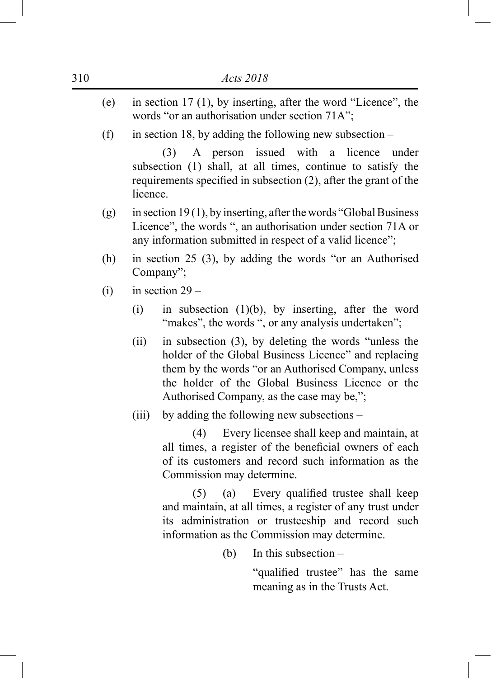- (e) in section 17 (1), by inserting, after the word "Licence", the words "or an authorisation under section 71A";
- (f) in section 18, by adding the following new subsection –

 (3) A person issued with a licence under subsection (1) shall, at all times, continue to satisfy the requirements specified in subsection (2), after the grant of the **licence** 

- (g) in section 19 (1), by inserting, after the words "Global Business" Licence", the words ", an authorisation under section 71A or any information submitted in respect of a valid licence";
- (h) in section 25 (3), by adding the words "or an Authorised Company";
- (i) in section  $29 -$ 
	- (i) in subsection  $(1)(b)$ , by inserting, after the word "makes", the words ", or any analysis undertaken";
	- (ii) in subsection (3), by deleting the words "unless the holder of the Global Business Licence" and replacing them by the words "or an Authorised Company, unless the holder of the Global Business Licence or the Authorised Company, as the case may be,";
	- (iii) by adding the following new subsections –

 (4) Every licensee shall keep and maintain, at all times, a register of the beneficial owners of each of its customers and record such information as the Commission may determine.

 (5) (a) Every qualified trustee shall keep and maintain, at all times, a register of any trust under its administration or trusteeship and record such information as the Commission may determine.

(b) In this subsection –

 "qualified trustee" has the same meaning as in the Trusts Act.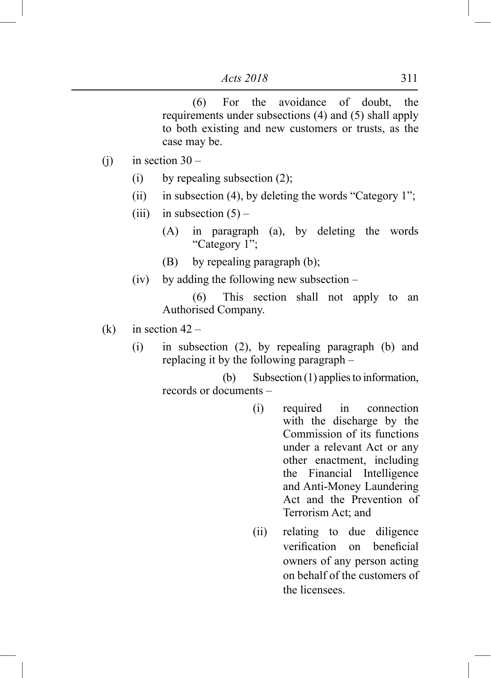(6) For the avoidance of doubt, the requirements under subsections (4) and (5) shall apply to both existing and new customers or trusts, as the case may be.

- (i) in section  $30 -$ 
	- (i) by repealing subsection  $(2)$ ;
	- (ii) in subsection (4), by deleting the words "Category 1";
	- (iii) in subsection  $(5)$ 
		- (A) in paragraph (a), by deleting the words "Category 1";
		- (B) by repealing paragraph (b);
	- (iv) by adding the following new subsection –

 (6) This section shall not apply to an Authorised Company.

- (k) in section  $42 -$ 
	- (i) in subsection (2), by repealing paragraph (b) and replacing it by the following paragraph –

 (b) Subsection (1) applies to information, records or documents –

- (i) required in connection with the discharge by the Commission of its functions under a relevant Act or any other enactment, including the Financial Intelligence and Anti-Money Laundering Act and the Prevention of Terrorism Act; and
- (ii) relating to due diligence verification on beneficial owners of any person acting on behalf of the customers of the licensees.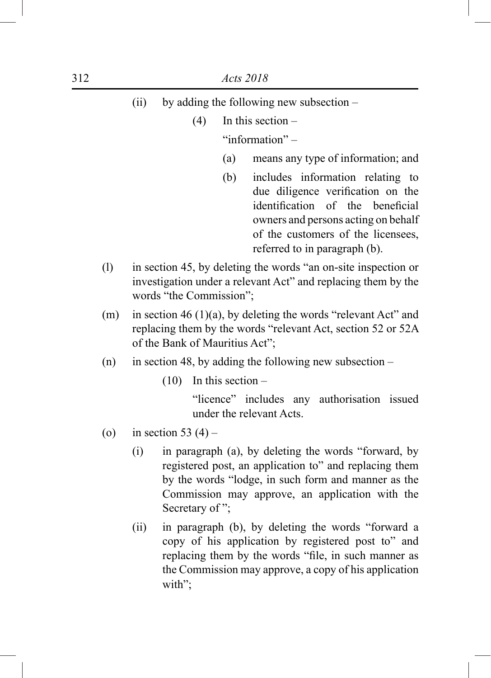|         | (ii)                                                                                                                                                                |        |                |                     | by adding the following new subsection –                                                                                                                                                                                      |
|---------|---------------------------------------------------------------------------------------------------------------------------------------------------------------------|--------|----------------|---------------------|-------------------------------------------------------------------------------------------------------------------------------------------------------------------------------------------------------------------------------|
|         |                                                                                                                                                                     |        | (4)            |                     | In this section $-$                                                                                                                                                                                                           |
|         |                                                                                                                                                                     |        |                |                     | "information"-                                                                                                                                                                                                                |
|         |                                                                                                                                                                     |        |                | (a)                 | means any type of information; and                                                                                                                                                                                            |
|         |                                                                                                                                                                     |        |                | (b)                 | includes information relating to<br>due diligence verification on the<br>identification<br>of the<br>beneficial<br>owners and persons acting on behalf<br>of the customers of the licensees,<br>referred to in paragraph (b). |
| (1)     | in section 45, by deleting the words "an on-site inspection or<br>investigation under a relevant Act" and replacing them by the<br>words "the Commission";          |        |                |                     |                                                                                                                                                                                                                               |
| (m)     | in section 46 $(1)(a)$ , by deleting the words "relevant Act" and<br>replacing them by the words "relevant Act, section 52 or 52A<br>of the Bank of Mauritius Act"; |        |                |                     |                                                                                                                                                                                                                               |
| (n)     | in section 48, by adding the following new subsection $-$                                                                                                           |        |                |                     |                                                                                                                                                                                                                               |
|         |                                                                                                                                                                     | (10)   |                | In this section $-$ |                                                                                                                                                                                                                               |
|         |                                                                                                                                                                     |        |                |                     | "licence" includes any authorisation issued<br>under the relevant Acts.                                                                                                                                                       |
| $\circ$ | in section 53 $(4)$ –                                                                                                                                               |        |                |                     |                                                                                                                                                                                                                               |
|         | (i)                                                                                                                                                                 |        | Secretary of"; |                     | in paragraph (a), by deleting the words "forward, by<br>registered post, an application to" and replacing them<br>by the words "lodge, in such form and manner as the<br>Commission may approve, an application with the      |
|         | (ii)                                                                                                                                                                | with"; |                |                     | in paragraph (b), by deleting the words "forward a<br>copy of his application by registered post to" and<br>replacing them by the words "file, in such manner as<br>the Commission may approve, a copy of his application     |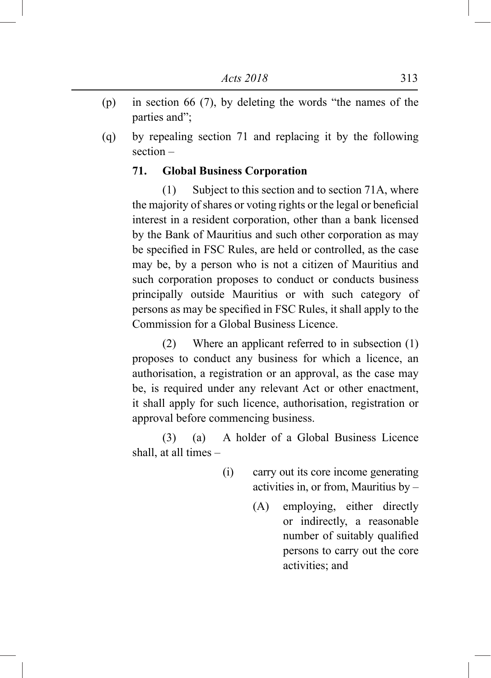- (p) in section 66 (7), by deleting the words "the names of the parties and";
- (q) by repealing section 71 and replacing it by the following section –

## **71. Global Business Corporation**

 (1) Subject to this section and to section 71A, where the majority of shares or voting rights or the legal or beneficial interest in a resident corporation, other than a bank licensed by the Bank of Mauritius and such other corporation as may be specified in FSC Rules, are held or controlled, as the case may be, by a person who is not a citizen of Mauritius and such corporation proposes to conduct or conducts business principally outside Mauritius or with such category of persons as may be specified in FSC Rules, it shall apply to the Commission for a Global Business Licence.

 (2) Where an applicant referred to in subsection (1) proposes to conduct any business for which a licence, an authorisation, a registration or an approval, as the case may be, is required under any relevant Act or other enactment, it shall apply for such licence, authorisation, registration or approval before commencing business.

 (3) (a) A holder of a Global Business Licence shall, at all times –

- (i) carry out its core income generating activities in, or from, Mauritius by –
	- (A) employing, either directly or indirectly, a reasonable number of suitably qualified persons to carry out the core activities; and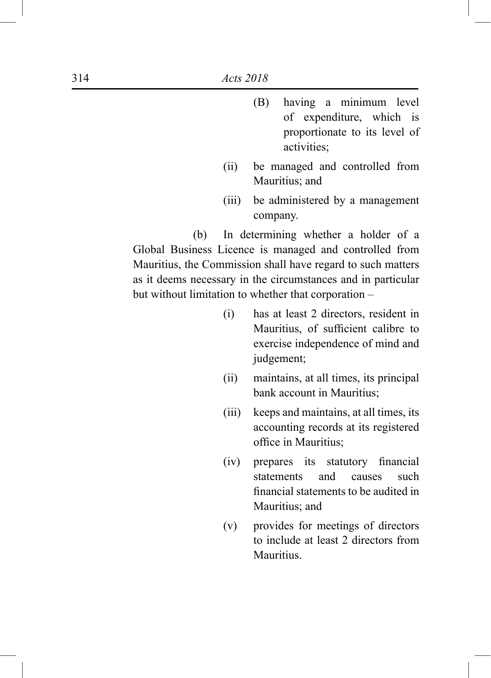- (B) having a minimum level of expenditure, which is proportionate to its level of activities;
- (ii) be managed and controlled from Mauritius; and
- (iii) be administered by a management company.

 (b) In determining whether a holder of a Global Business Licence is managed and controlled from Mauritius, the Commission shall have regard to such matters as it deems necessary in the circumstances and in particular but without limitation to whether that corporation –

- (i) has at least 2 directors, resident in Mauritius, of sufficient calibre to exercise independence of mind and judgement;
- (ii) maintains, at all times, its principal bank account in Mauritius;
- (iii) keeps and maintains, at all times, its accounting records at its registered office in Mauritius;
- (iv) prepares its statutory financial statements and causes such financial statements to be audited in Mauritius; and
- (v) provides for meetings of directors to include at least 2 directors from **Mauritius**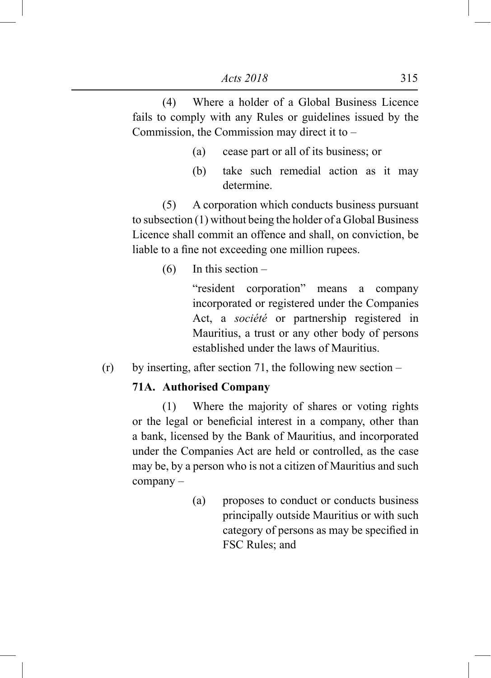(4) Where a holder of a Global Business Licence fails to comply with any Rules or guidelines issued by the Commission, the Commission may direct it to –

- (a) cease part or all of its business; or
- (b) take such remedial action as it may determine.

 (5) A corporation which conducts business pursuant to subsection (1) without being the holder of a Global Business Licence shall commit an offence and shall, on conviction, be liable to a fine not exceeding one million rupees.

(6) In this section –

"resident corporation" means a company incorporated or registered under the Companies Act, a *société* or partnership registered in Mauritius, a trust or any other body of persons established under the laws of Mauritius.

 $(r)$  by inserting, after section 71, the following new section –

## **71A. Authorised Company**

 (1) Where the majority of shares or voting rights or the legal or beneficial interest in a company, other than a bank, licensed by the Bank of Mauritius, and incorporated under the Companies Act are held or controlled, as the case may be, by a person who is not a citizen of Mauritius and such company –

> (a) proposes to conduct or conducts business principally outside Mauritius or with such category of persons as may be specified in FSC Rules; and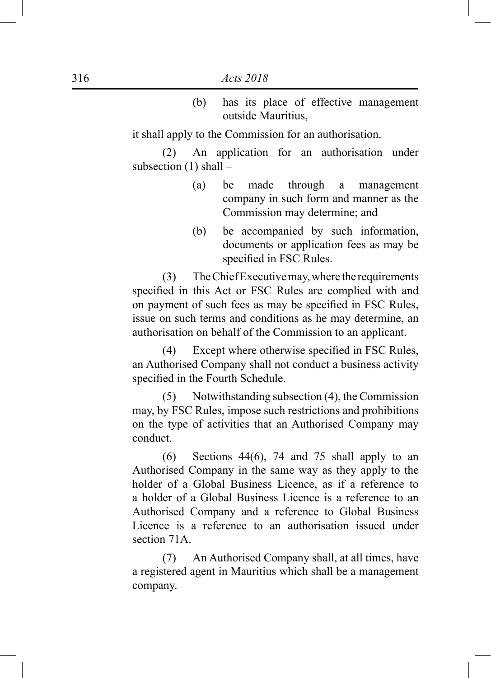(b) has its place of effective management outside Mauritius,

it shall apply to the Commission for an authorisation.

 (2) An application for an authorisation under subsection  $(1)$  shall –

- (a) be made through a management company in such form and manner as the Commission may determine; and
- (b) be accompanied by such information, documents or application fees as may be specified in FSC Rules.

 (3) The Chief Executive may, where the requirements specified in this Act or FSC Rules are complied with and on payment of such fees as may be specified in FSC Rules, issue on such terms and conditions as he may determine, an authorisation on behalf of the Commission to an applicant.

 (4) Except where otherwise specified in FSC Rules, an Authorised Company shall not conduct a business activity specified in the Fourth Schedule.

 (5) Notwithstanding subsection (4), the Commission may, by FSC Rules, impose such restrictions and prohibitions on the type of activities that an Authorised Company may conduct.

 (6) Sections 44(6), 74 and 75 shall apply to an Authorised Company in the same way as they apply to the holder of a Global Business Licence, as if a reference to a holder of a Global Business Licence is a reference to an Authorised Company and a reference to Global Business Licence is a reference to an authorisation issued under section 71A.

 (7) An Authorised Company shall, at all times, have a registered agent in Mauritius which shall be a management company.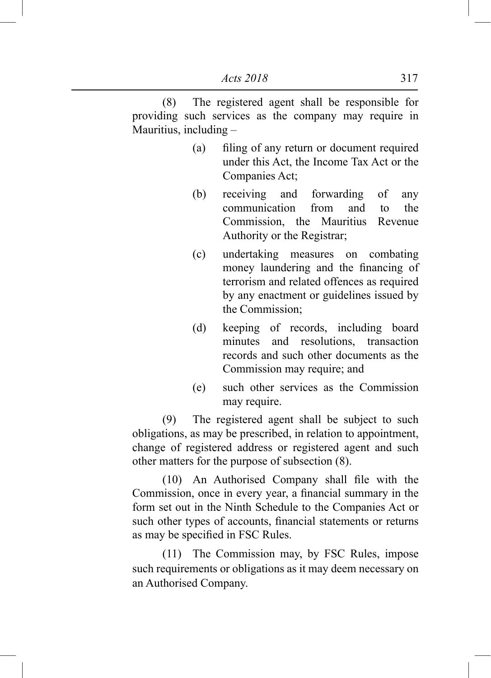(8) The registered agent shall be responsible for providing such services as the company may require in Mauritius, including –

- (a) filing of any return or document required under this Act, the Income Tax Act or the Companies Act;
- (b) receiving and forwarding of any communication from and to the Commission, the Mauritius Revenue Authority or the Registrar;
- (c) undertaking measures on combating money laundering and the financing of terrorism and related offences as required by any enactment or guidelines issued by the Commission;
- (d) keeping of records, including board minutes and resolutions transaction records and such other documents as the Commission may require; and
- (e) such other services as the Commission may require.

 (9) The registered agent shall be subject to such obligations, as may be prescribed, in relation to appointment, change of registered address or registered agent and such other matters for the purpose of subsection (8).

 (10) An Authorised Company shall file with the Commission, once in every year, a financial summary in the form set out in the Ninth Schedule to the Companies Act or such other types of accounts, financial statements or returns as may be specified in FSC Rules.

 (11) The Commission may, by FSC Rules, impose such requirements or obligations as it may deem necessary on an Authorised Company.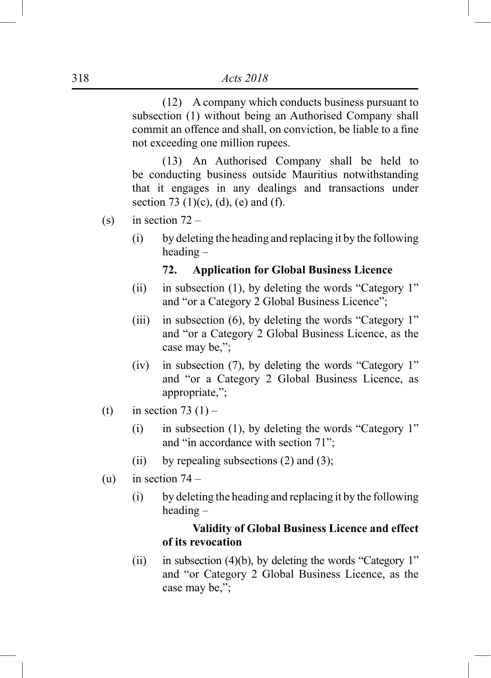(12) A company which conducts business pursuant to subsection (1) without being an Authorised Company shall commit an offence and shall, on conviction, be liable to a fine not exceeding one million rupees.

 (13) An Authorised Company shall be held to be conducting business outside Mauritius notwithstanding that it engages in any dealings and transactions under section 73 (1)(c), (d), (e) and (f).

- (s) in section  $72 -$ 
	- (i) by deleting the heading and replacing it by the following heading –

#### **72. Application for Global Business Licence**

- (ii) in subsection (1), by deleting the words "Category 1" and "or a Category 2 Global Business Licence";
- (iii) in subsection (6), by deleting the words "Category 1" and "or a Category 2 Global Business Licence, as the case may be,";
- (iv) in subsection (7), by deleting the words "Category 1" and "or a Category 2 Global Business Licence, as appropriate,";
- (t) in section  $73(1)$ 
	- (i) in subsection (1), by deleting the words "Category 1" and "in accordance with section 71";
	- (ii) by repealing subsections  $(2)$  and  $(3)$ ;
- (u) in section  $74 -$ 
	- (i) by deleting the heading and replacing it by the following heading –

## **Validity of Global Business Licence and effect of its revocation**

(ii) in subsection (4)(b), by deleting the words "Category 1" and "or Category 2 Global Business Licence, as the case may be,";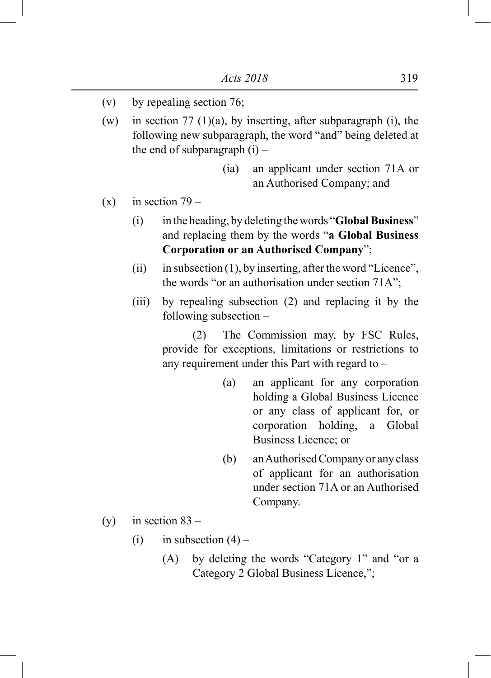- (v) by repealing section 76;
- (w) in section 77 (1)(a), by inserting, after subparagraph (i), the following new subparagraph, the word "and" being deleted at the end of subparagraph  $(i)$  –
	- (ia) an applicant under section 71A or an Authorised Company; and
- $(x)$  in section 79
	- (i) in the heading, by deleting the words "**Global Business**" and replacing them by the words "**a Global Business Corporation or an Authorised Company**";
	- (ii) in subsection  $(1)$ , by inserting, after the word "Licence", the words "or an authorisation under section 71A";
	- (iii) by repealing subsection (2) and replacing it by the following subsection –

 (2) The Commission may, by FSC Rules, provide for exceptions, limitations or restrictions to any requirement under this Part with regard to –

- (a) an applicant for any corporation holding a Global Business Licence or any class of applicant for, or corporation holding, a Global Business Licence; or
- (b) an Authorised Company or any class of applicant for an authorisation under section 71A or an Authorised Company.
- (y) in section  $83 -$ 
	- (i) in subsection  $(4)$ 
		- (A) by deleting the words "Category 1" and "or a Category 2 Global Business Licence,";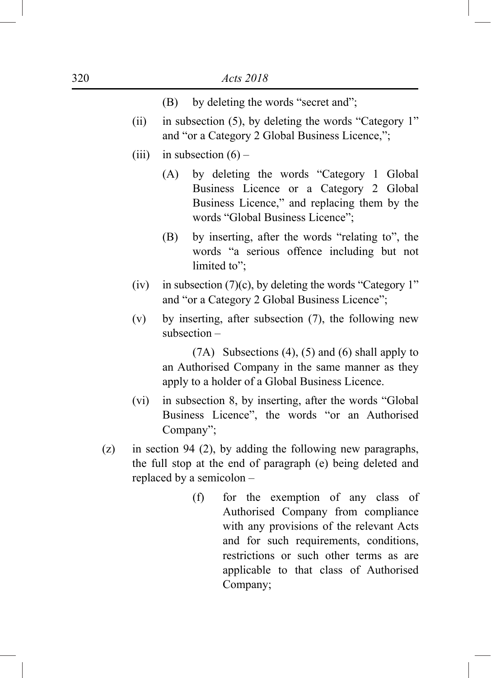- (B) by deleting the words "secret and";
- (ii) in subsection (5), by deleting the words "Category 1" and "or a Category 2 Global Business Licence,";
- (iii) in subsection  $(6)$ 
	- (A) by deleting the words "Category 1 Global Business Licence or a Category 2 Global Business Licence," and replacing them by the words "Global Business Licence";
	- (B) by inserting, after the words "relating to", the words "a serious offence including but not limited to":
- (iv) in subsection  $(7)(c)$ , by deleting the words "Category 1" and "or a Category 2 Global Business Licence";
- (v) by inserting, after subsection (7), the following new subsection –

 (7A) Subsections (4), (5) and (6) shall apply to an Authorised Company in the same manner as they apply to a holder of a Global Business Licence.

- (vi) in subsection 8, by inserting, after the words "Global Business Licence", the words "or an Authorised Company";
- (z) in section 94 (2), by adding the following new paragraphs, the full stop at the end of paragraph (e) being deleted and replaced by a semicolon –
	- (f) for the exemption of any class of Authorised Company from compliance with any provisions of the relevant Acts and for such requirements, conditions, restrictions or such other terms as are applicable to that class of Authorised Company;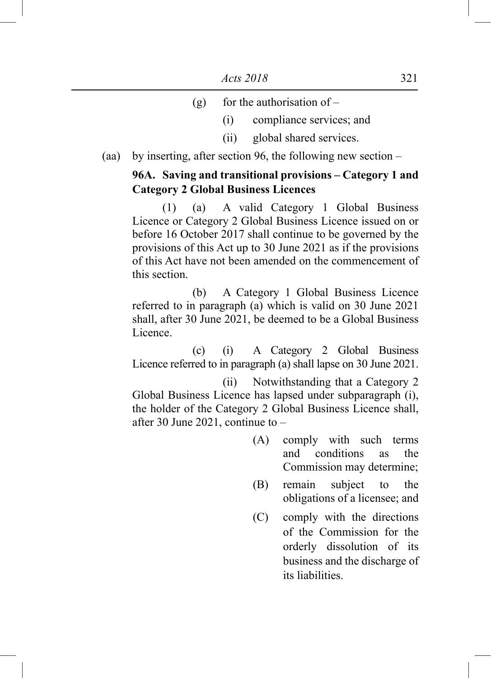- (g) for the authorisation of  $-$ 
	- (i) compliance services; and
	- (ii) global shared services.
- (aa) by inserting, after section 96, the following new section –

# **96A. Saving and transitional provisions – Category 1 and Category 2 Global Business Licences**

 (1) (a) A valid Category 1 Global Business Licence or Category 2 Global Business Licence issued on or before 16 October 2017 shall continue to be governed by the provisions of this Act up to 30 June 2021 as if the provisions of this Act have not been amended on the commencement of this section.

 (b) A Category 1 Global Business Licence referred to in paragraph (a) which is valid on 30 June 2021 shall, after 30 June 2021, be deemed to be a Global Business Licence.

 (c) (i) A Category 2 Global Business Licence referred to in paragraph (a) shall lapse on 30 June 2021.

 (ii) Notwithstanding that a Category 2 Global Business Licence has lapsed under subparagraph (i), the holder of the Category 2 Global Business Licence shall, after 30 June 2021, continue to –

- (A) comply with such terms<br>and conditions as the conditions as the Commission may determine;
- (B) remain subject to the obligations of a licensee; and
- (C) comply with the directions of the Commission for the orderly dissolution of its business and the discharge of its liabilities.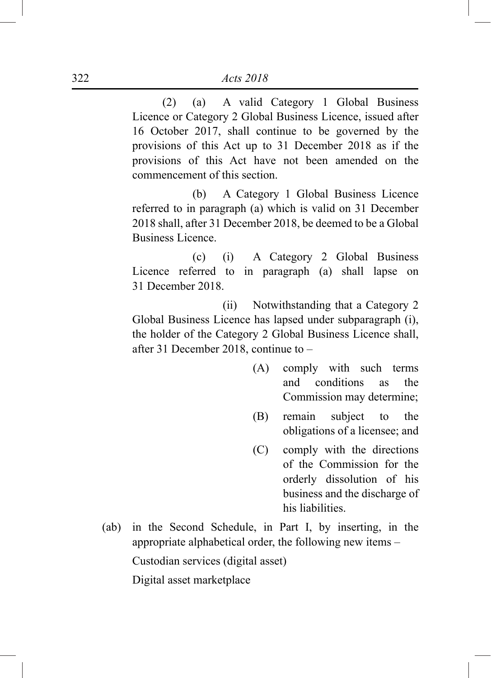(2) (a) A valid Category 1 Global Business Licence or Category 2 Global Business Licence, issued after 16 October 2017, shall continue to be governed by the provisions of this Act up to 31 December 2018 as if the provisions of this Act have not been amended on the commencement of this section.

 (b) A Category 1 Global Business Licence referred to in paragraph (a) which is valid on 31 December 2018 shall, after 31 December 2018, be deemed to be a Global Business Licence.

 (c) (i) A Category 2 Global Business Licence referred to in paragraph (a) shall lapse on 31 December 2018.

 (ii) Notwithstanding that a Category 2 Global Business Licence has lapsed under subparagraph (i), the holder of the Category 2 Global Business Licence shall, after 31 December 2018, continue to –

- (A) comply with such terms and conditions as the Commission may determine;
- (B) remain subject to the obligations of a licensee; and
- (C) comply with the directions of the Commission for the orderly dissolution of his business and the discharge of his liabilities.
- (ab) in the Second Schedule, in Part I, by inserting, in the appropriate alphabetical order, the following new items –

Custodian services (digital asset)

Digital asset marketplace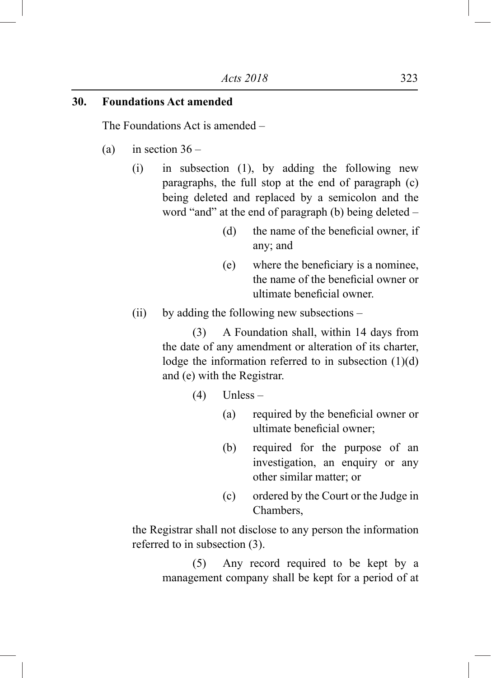## **30. Foundations Act amended**

The Foundations Act is amended –

- (a) in section  $36 -$ 
	- (i) in subsection (1), by adding the following new paragraphs, the full stop at the end of paragraph (c) being deleted and replaced by a semicolon and the word "and" at the end of paragraph (b) being deleted –
		- (d) the name of the beneficial owner, if any; and
		- (e) where the beneficiary is a nominee, the name of the beneficial owner or ultimate beneficial owner.
	- (ii) by adding the following new subsections –

 (3) A Foundation shall, within 14 days from the date of any amendment or alteration of its charter, lodge the information referred to in subsection  $(1)(d)$ and (e) with the Registrar.

- $(4)$  Unless
	- (a) required by the beneficial owner or ultimate beneficial owner;
	- (b) required for the purpose of an investigation, an enquiry or any other similar matter; or
	- (c) ordered by the Court or the Judge in Chambers,

the Registrar shall not disclose to any person the information referred to in subsection (3).

> (5) Any record required to be kept by a management company shall be kept for a period of at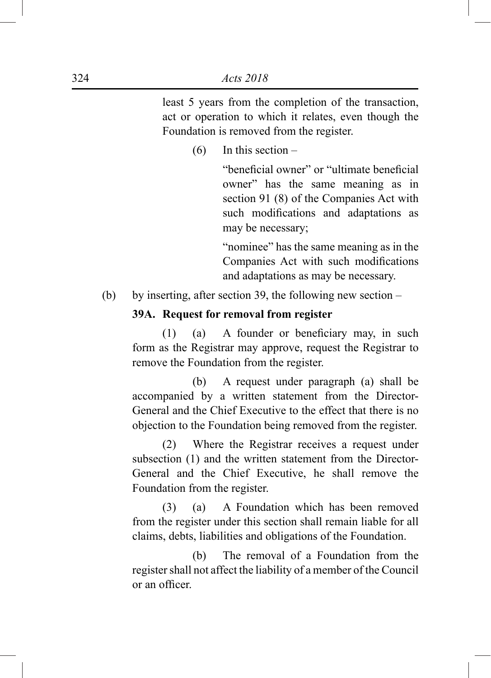least 5 years from the completion of the transaction, act or operation to which it relates, even though the Foundation is removed from the register.

 $(6)$  In this section –

 "beneficial owner" or "ultimate beneficial owner" has the same meaning as in section 91 (8) of the Companies Act with such modifications and adaptations as may be necessary;

"nominee" has the same meaning as in the Companies Act with such modifications and adaptations as may be necessary.

(b) by inserting, after section 39, the following new section –

## **39A. Request for removal from register**

 $(1)$  (a) A founder or beneficiary may, in such form as the Registrar may approve, request the Registrar to remove the Foundation from the register.

 (b) A request under paragraph (a) shall be accompanied by a written statement from the Director-General and the Chief Executive to the effect that there is no objection to the Foundation being removed from the register.

 (2) Where the Registrar receives a request under subsection (1) and the written statement from the Director-General and the Chief Executive, he shall remove the Foundation from the register.

 (3) (a) A Foundation which has been removed from the register under this section shall remain liable for all claims, debts, liabilities and obligations of the Foundation.

 (b) The removal of a Foundation from the register shall not affect the liability of a member of the Council or an officer.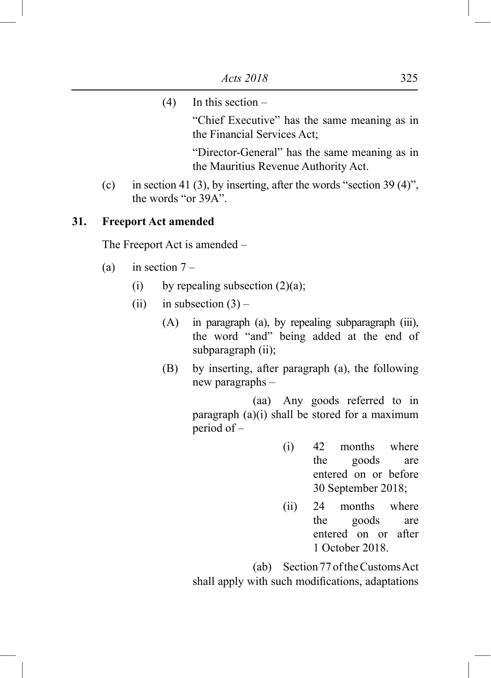- $(4)$  In this section "Chief Executive" has the same meaning as in the Financial Services Act; "Director-General" has the same meaning as in the Mauritius Revenue Authority Act.
- (c) in section 41 (3), by inserting, after the words "section 39 (4)", the words "or 39A".

# **31. Freeport Act amended**

The Freeport Act is amended –

- (a) in section  $7 -$ 
	- (i) by repealing subsection  $(2)(a)$ ;
	- (ii) in subsection  $(3)$ 
		- (A) in paragraph (a), by repealing subparagraph (iii), the word "and" being added at the end of subparagraph (ii);
		- (B) by inserting, after paragraph (a), the following new paragraphs –

 (aa) Any goods referred to in paragraph (a)(i) shall be stored for a maximum period of –

- (i) 42 months where the goods are entered on or before 30 September 2018;
- (ii) 24 months where the goods are entered on or after 1 October 2018.

 (ab) Section 77 of the Customs Act shall apply with such modifications, adaptations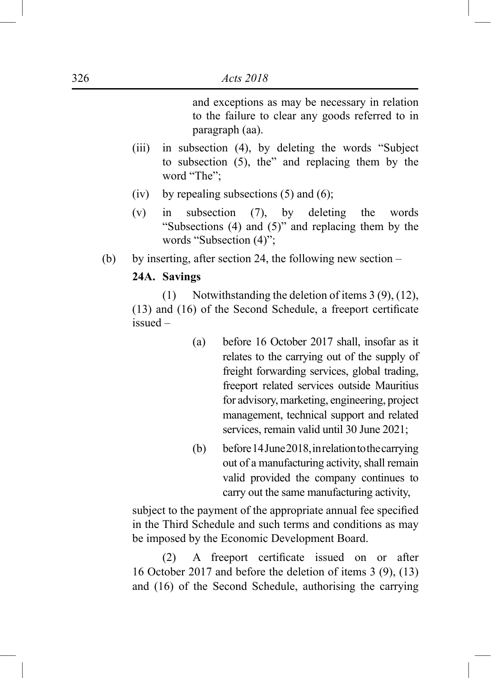and exceptions as may be necessary in relation to the failure to clear any goods referred to in paragraph (aa).

- (iii) in subsection (4), by deleting the words "Subject to subsection (5), the" and replacing them by the word "The":
- (iv) by repealing subsections  $(5)$  and  $(6)$ ;
- (v) in subsection (7), by deleting the words "Subsections (4) and (5)" and replacing them by the words "Subsection (4)";
- (b) by inserting, after section 24, the following new section –

## **24A. Savings**

 (1) Notwithstanding the deletion of items 3 (9), (12), (13) and (16) of the Second Schedule, a freeport certificate issued –

- (a) before 16 October 2017 shall, insofar as it relates to the carrying out of the supply of freight forwarding services, global trading, freeport related services outside Mauritius for advisory, marketing, engineering, project management, technical support and related services, remain valid until 30 June 2021;
- (b) before 14 June 2018, in relation to the carrying out of a manufacturing activity, shall remain valid provided the company continues to carry out the same manufacturing activity,

 subject to the payment of the appropriate annual fee specified in the Third Schedule and such terms and conditions as may be imposed by the Economic Development Board.

 (2) A freeport certificate issued on or after 16 October 2017 and before the deletion of items 3 (9), (13) and (16) of the Second Schedule, authorising the carrying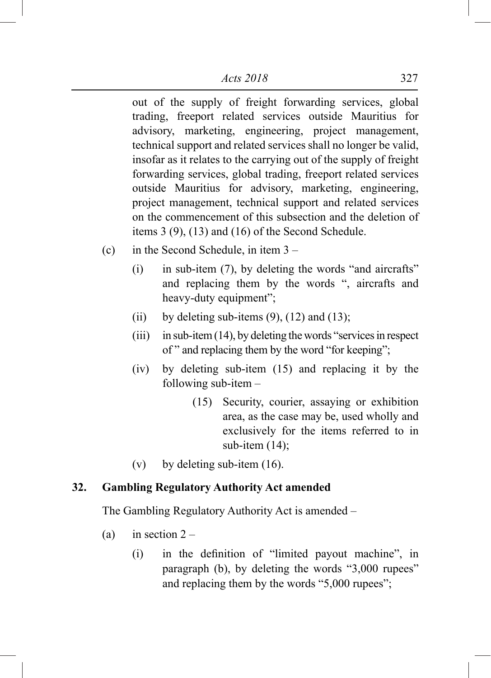out of the supply of freight forwarding services, global trading, freeport related services outside Mauritius for advisory, marketing, engineering, project management, technical support and related services shall no longer be valid, insofar as it relates to the carrying out of the supply of freight forwarding services, global trading, freeport related services outside Mauritius for advisory, marketing, engineering, project management, technical support and related services on the commencement of this subsection and the deletion of items 3 (9), (13) and (16) of the Second Schedule.

- (c) in the Second Schedule, in item 3
	- (i) in sub-item (7), by deleting the words "and aircrafts" and replacing them by the words ", aircrafts and heavy-duty equipment";
	- (ii) by deleting sub-items  $(9)$ ,  $(12)$  and  $(13)$ ;
	- (iii) in sub-item (14), by deleting the words "services in respect of " and replacing them by the word "for keeping";
	- (iv) by deleting sub-item (15) and replacing it by the following sub-item –
		- (15) Security, courier, assaying or exhibition area, as the case may be, used wholly and exclusively for the items referred to in sub-item (14):
	- (v) by deleting sub-item  $(16)$ .

# **32. Gambling Regulatory Authority Act amended**

The Gambling Regulatory Authority Act is amended –

- (a) in section  $2 -$ 
	- (i) in the definition of "limited payout machine", in paragraph (b), by deleting the words "3,000 rupees" and replacing them by the words "5,000 rupees";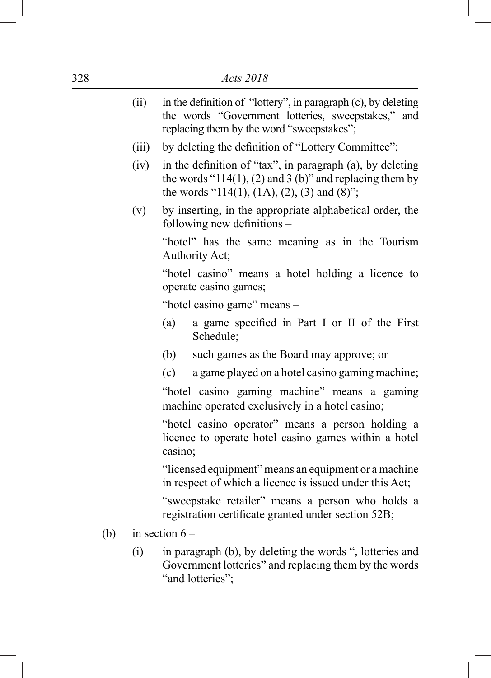| (ii)  | in the definition of "lottery", in paragraph (c), by deleting<br>the words "Government lotteries, sweepstakes," and<br>replacing them by the word "sweepstakes";        |  |  |  |  |
|-------|-------------------------------------------------------------------------------------------------------------------------------------------------------------------------|--|--|--|--|
| (iii) | by deleting the definition of "Lottery Committee";                                                                                                                      |  |  |  |  |
| (iv)  | in the definition of "tax", in paragraph (a), by deleting<br>the words " $114(1)$ , (2) and 3 (b)" and replacing them by<br>the words "114(1), (1A), (2), (3) and (8)"; |  |  |  |  |
| (v)   | by inserting, in the appropriate alphabetical order, the<br>following new definitions -                                                                                 |  |  |  |  |
|       | "hotel" has the same meaning as in the Tourism<br>Authority Act;                                                                                                        |  |  |  |  |
|       | "hotel casino" means a hotel holding a licence to<br>operate casino games;                                                                                              |  |  |  |  |
|       | "hotel casino game" means -                                                                                                                                             |  |  |  |  |
|       | a game specified in Part I or II of the First<br>(a)<br>Schedule;                                                                                                       |  |  |  |  |
|       | such games as the Board may approve; or<br>(b)                                                                                                                          |  |  |  |  |
|       | a game played on a hotel casino gaming machine;<br>(c)                                                                                                                  |  |  |  |  |
|       | "hotel casino gaming machine" means a gaming<br>machine operated exclusively in a hotel casino;                                                                         |  |  |  |  |
|       | "hotel casino operator" means a person holding a<br>licence to operate hotel casino games within a hotel<br>casino;                                                     |  |  |  |  |
|       | "licensed equipment" means an equipment or a machine<br>in respect of which a licence is issued under this Act;                                                         |  |  |  |  |
|       | "sweepstake retailer" means a person who holds a<br>registration certificate granted under section 52B;                                                                 |  |  |  |  |
|       |                                                                                                                                                                         |  |  |  |  |

- (b) in section  $6 -$ 
	- (i) in paragraph (b), by deleting the words ", lotteries and Government lotteries" and replacing them by the words "and lotteries";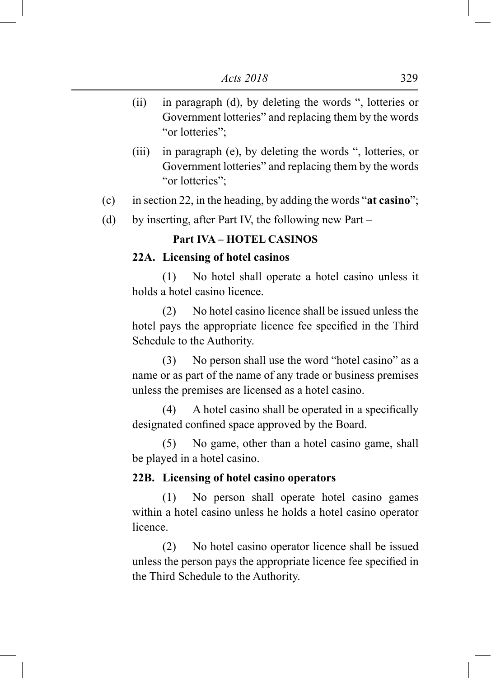- (ii) in paragraph (d), by deleting the words ", lotteries or Government lotteries" and replacing them by the words "or lotteries";
- (iii) in paragraph (e), by deleting the words ", lotteries, or Government lotteries" and replacing them by the words "or lotteries";
- (c) in section 22, in the heading, by adding the words "**at casino**";
- (d) by inserting, after Part IV, the following new Part –

## **Part IVA – HOTEL CASINOS**

#### **22A. Licensing of hotel casinos**

 (1) No hotel shall operate a hotel casino unless it holds a hotel casino licence.

 (2) No hotel casino licence shall be issued unless the hotel pays the appropriate licence fee specified in the Third Schedule to the Authority.

 (3) No person shall use the word "hotel casino" as a name or as part of the name of any trade or business premises unless the premises are licensed as a hotel casino.

 (4) A hotel casino shall be operated in a specifically designated confined space approved by the Board.

 (5) No game, other than a hotel casino game, shall be played in a hotel casino.

# **22B. Licensing of hotel casino operators**

 (1) No person shall operate hotel casino games within a hotel casino unless he holds a hotel casino operator licence.

 (2) No hotel casino operator licence shall be issued unless the person pays the appropriate licence fee specified in the Third Schedule to the Authority.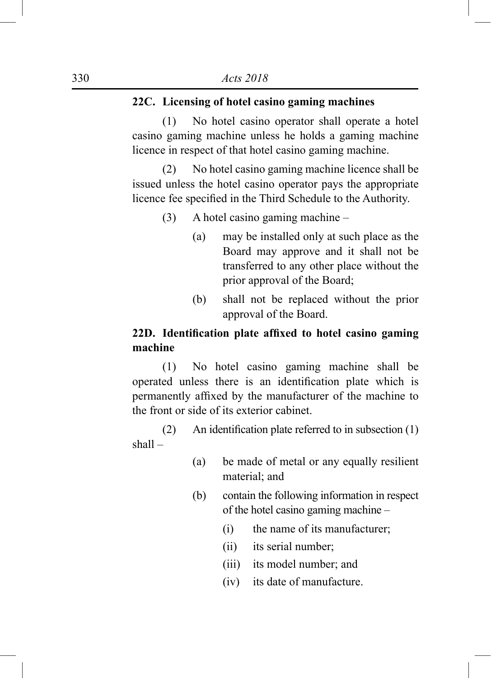# **22C. Licensing of hotel casino gaming machines**

 (1) No hotel casino operator shall operate a hotel casino gaming machine unless he holds a gaming machine licence in respect of that hotel casino gaming machine.

 (2) No hotel casino gaming machine licence shall be issued unless the hotel casino operator pays the appropriate licence fee specified in the Third Schedule to the Authority.

- (3) A hotel casino gaming machine
	- (a) may be installed only at such place as the Board may approve and it shall not be transferred to any other place without the prior approval of the Board;
	- (b) shall not be replaced without the prior approval of the Board.

# **22D. Identification plate affixed to hotel casino gaming machine**

 (1) No hotel casino gaming machine shall be operated unless there is an identification plate which is permanently affixed by the manufacturer of the machine to the front or side of its exterior cabinet.

(2) An identification plate referred to in subsection  $(1)$ shall –

- (a) be made of metal or any equally resilient material; and
- (b) contain the following information in respect of the hotel casino gaming machine –
	- (i) the name of its manufacturer;
	- (ii) its serial number;
	- (iii) its model number; and
	- (iv) its date of manufacture.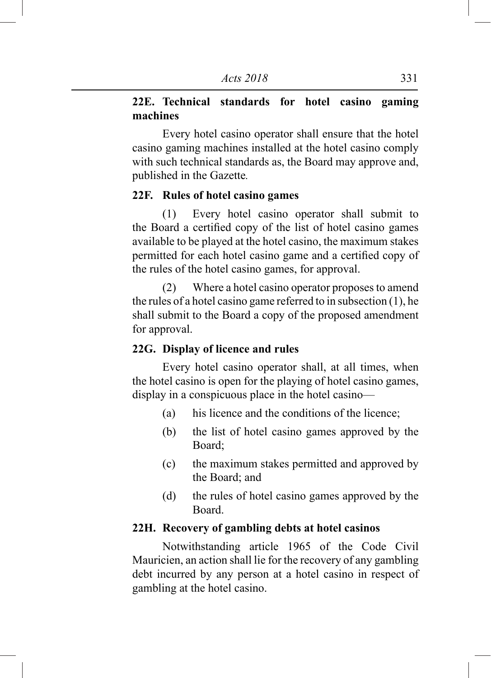# **22E. Technical standards for hotel casino gaming machines**

 Every hotel casino operator shall ensure that the hotel casino gaming machines installed at the hotel casino comply with such technical standards as, the Board may approve and, published in the Gazette*.*

#### **22F. Rules of hotel casino games**

 (1) Every hotel casino operator shall submit to the Board a certified copy of the list of hotel casino games available to be played at the hotel casino, the maximum stakes permitted for each hotel casino game and a certified copy of the rules of the hotel casino games, for approval.

 (2) Where a hotel casino operator proposes to amend the rules of a hotel casino game referred to in subsection (1), he shall submit to the Board a copy of the proposed amendment for approval.

#### **22G. Display of licence and rules**

 Every hotel casino operator shall, at all times, when the hotel casino is open for the playing of hotel casino games, display in a conspicuous place in the hotel casino—

- (a) his licence and the conditions of the licence;
- (b) the list of hotel casino games approved by the Board;
- (c) the maximum stakes permitted and approved by the Board; and
- (d) the rules of hotel casino games approved by the Board.

## **22H. Recovery of gambling debts at hotel casinos**

 Notwithstanding article 1965 of the Code Civil Mauricien, an action shall lie for the recovery of any gambling debt incurred by any person at a hotel casino in respect of gambling at the hotel casino.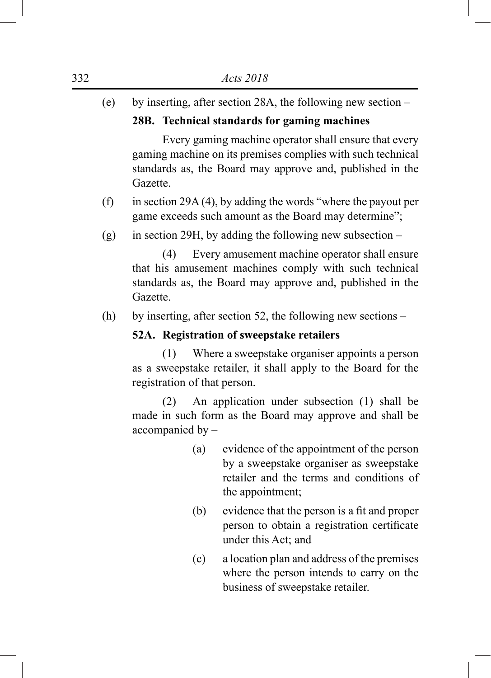(e) by inserting, after section 28A, the following new section –

# **28B. Technical standards for gaming machines**

 Every gaming machine operator shall ensure that every gaming machine on its premises complies with such technical standards as, the Board may approve and, published in the Gazette.

- (f) in section 29A (4), by adding the words "where the payout per game exceeds such amount as the Board may determine";
- (g) in section 29H, by adding the following new subsection –

 (4) Every amusement machine operator shall ensure that his amusement machines comply with such technical standards as, the Board may approve and, published in the Gazette.

(h) by inserting, after section 52, the following new sections –

# **52A. Registration of sweepstake retailers**

 (1) Where a sweepstake organiser appoints a person as a sweepstake retailer, it shall apply to the Board for the registration of that person.

 (2) An application under subsection (1) shall be made in such form as the Board may approve and shall be accompanied by –

- (a) evidence of the appointment of the person by a sweepstake organiser as sweepstake retailer and the terms and conditions of the appointment;
- (b) evidence that the person is a fit and proper person to obtain a registration certificate under this Act; and
- (c) a location plan and address of the premises where the person intends to carry on the business of sweepstake retailer.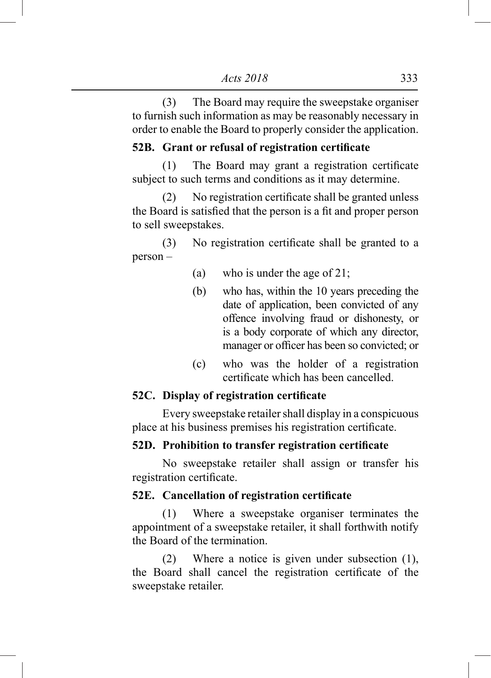(3) The Board may require the sweepstake organiser to furnish such information as may be reasonably necessary in order to enable the Board to properly consider the application.

## **52B. Grant or refusal of registration certificate**

 (1) The Board may grant a registration certificate subject to such terms and conditions as it may determine.

 (2) No registration certificate shall be granted unless the Board is satisfied that the person is a fit and proper person to sell sweepstakes.

 (3) No registration certificate shall be granted to a person –

- (a) who is under the age of  $21$ ;
- (b) who has, within the 10 years preceding the date of application, been convicted of any offence involving fraud or dishonesty, or is a body corporate of which any director, manager or officer has been so convicted; or
- (c) who was the holder of a registration certificate which has been cancelled.

## **52C. Display of registration certificate**

 Every sweepstake retailer shall display in a conspicuous place at his business premises his registration certificate.

## **52D. Prohibition to transfer registration certificate**

 No sweepstake retailer shall assign or transfer his registration certificate.

## **52E. Cancellation of registration certificate**

 (1) Where a sweepstake organiser terminates the appointment of a sweepstake retailer, it shall forthwith notify the Board of the termination.

 (2) Where a notice is given under subsection (1), the Board shall cancel the registration certificate of the sweepstake retailer.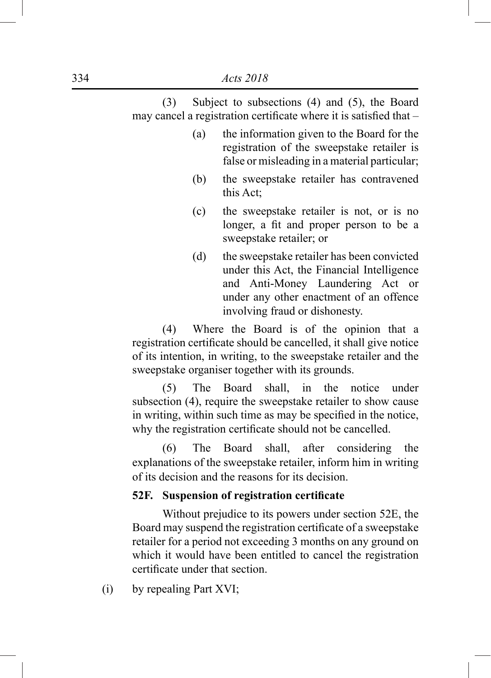(3) Subject to subsections (4) and (5), the Board may cancel a registration certificate where it is satisfied that –

- (a) the information given to the Board for the registration of the sweepstake retailer is false or misleading in a material particular;
- (b) the sweepstake retailer has contravened this Act;
- (c) the sweepstake retailer is not, or is no longer, a fit and proper person to be a sweepstake retailer; or
- (d) the sweepstake retailer has been convicted under this Act, the Financial Intelligence and Anti-Money Laundering Act or under any other enactment of an offence involving fraud or dishonesty.

 (4) Where the Board is of the opinion that a registration certificate should be cancelled, it shall give notice of its intention, in writing, to the sweepstake retailer and the sweepstake organiser together with its grounds.

 (5) The Board shall, in the notice under subsection (4), require the sweepstake retailer to show cause in writing, within such time as may be specified in the notice, why the registration certificate should not be cancelled.

 (6) The Board shall, after considering the explanations of the sweepstake retailer, inform him in writing of its decision and the reasons for its decision.

## **52F. Suspension of registration certificate**

 Without prejudice to its powers under section 52E, the Board may suspend the registration certificate of a sweepstake retailer for a period not exceeding 3 months on any ground on which it would have been entitled to cancel the registration certificate under that section.

(i) by repealing Part XVI;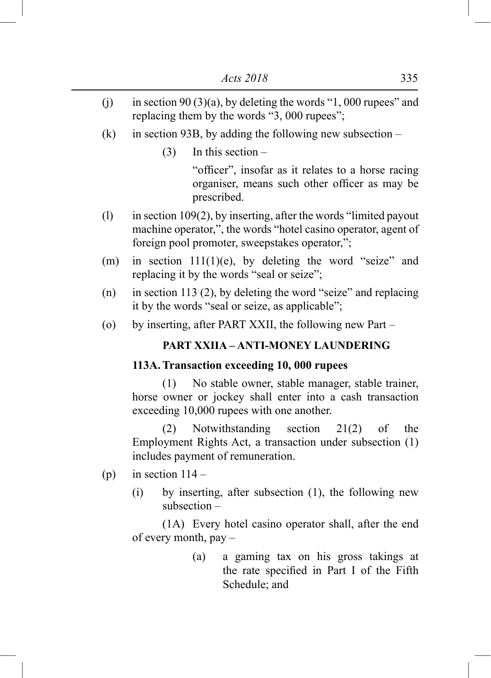- (i) in section 90 (3)(a), by deleting the words "1, 000 rupees" and replacing them by the words "3, 000 rupees";
- (k) in section 93B, by adding the following new subsection
	- (3) In this section –

 "officer", insofar as it relates to a horse racing organiser, means such other officer as may be prescribed.

- (l) in section 109(2), by inserting, after the words "limited payout machine operator,", the words "hotel casino operator, agent of foreign pool promoter, sweepstakes operator,";
- (m) in section  $111(1)(e)$ , by deleting the word "seize" and replacing it by the words "seal or seize";
- (n) in section 113 (2), by deleting the word "seize" and replacing it by the words "seal or seize, as applicable";
- (o) by inserting, after PART XXII, the following new Part –

## **PART XXIIA – ANTI-MONEY LAUNDERING**

### **113A.Transaction exceeding 10, 000 rupees**

 (1) No stable owner, stable manager, stable trainer, horse owner or jockey shall enter into a cash transaction exceeding 10,000 rupees with one another.

 (2) Notwithstanding section 21(2) of the Employment Rights Act, a transaction under subsection (1) includes payment of remuneration.

- (p) in section  $114 -$ 
	- (i) by inserting, after subsection (1), the following new subsection –

 (1A) Every hotel casino operator shall, after the end of every month, pay –

> (a) a gaming tax on his gross takings at the rate specified in Part I of the Fifth Schedule; and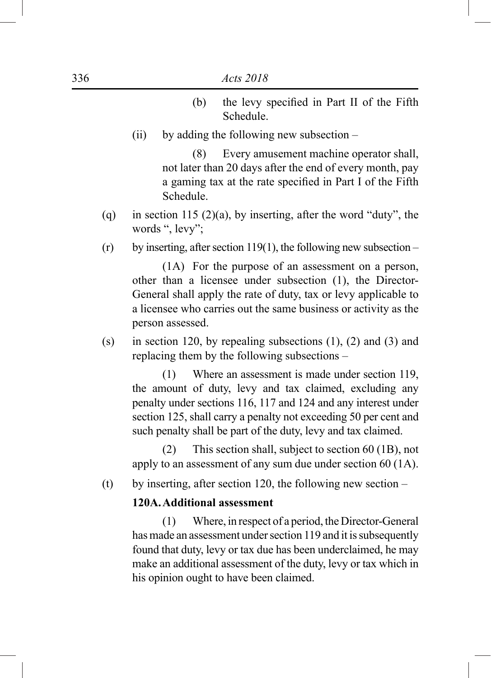- (b) the levy specified in Part II of the Fifth Schedule.
- (ii) by adding the following new subsection –

 (8) Every amusement machine operator shall, not later than 20 days after the end of every month, pay a gaming tax at the rate specified in Part I of the Fifth Schedule.

- (q) in section 115 (2)(a), by inserting, after the word "duty", the words ", levy";
- $(r)$  by inserting, after section 119(1), the following new subsection –

 (1A) For the purpose of an assessment on a person, other than a licensee under subsection (1), the Director-General shall apply the rate of duty, tax or levy applicable to a licensee who carries out the same business or activity as the person assessed.

(s) in section 120, by repealing subsections  $(1)$ ,  $(2)$  and  $(3)$  and replacing them by the following subsections –

 (1) Where an assessment is made under section 119, the amount of duty, levy and tax claimed, excluding any penalty under sections 116, 117 and 124 and any interest under section 125, shall carry a penalty not exceeding 50 per cent and such penalty shall be part of the duty, levy and tax claimed.

 (2) This section shall, subject to section 60 (1B), not apply to an assessment of any sum due under section 60 (1A).

(t) by inserting, after section 120, the following new section  $-$ 

#### **120A.Additional assessment**

 (1) Where, in respect of a period, the Director-General has made an assessment under section 119 and it is subsequently found that duty, levy or tax due has been underclaimed, he may make an additional assessment of the duty, levy or tax which in his opinion ought to have been claimed.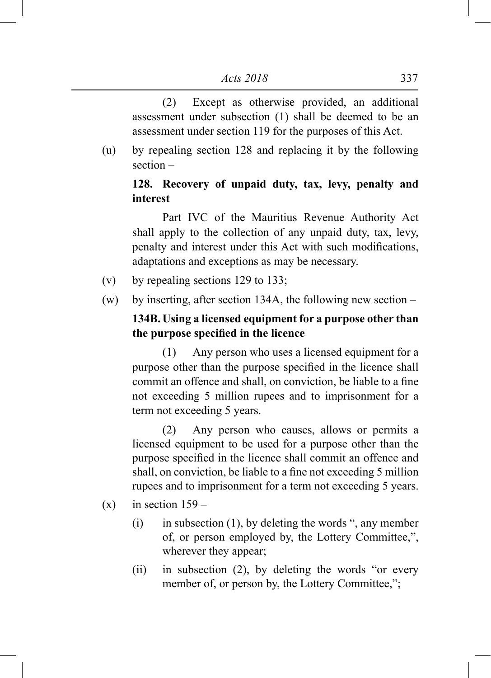(2) Except as otherwise provided, an additional assessment under subsection (1) shall be deemed to be an assessment under section 119 for the purposes of this Act.

(u) by repealing section 128 and replacing it by the following section –

# **128. Recovery of unpaid duty, tax, levy, penalty and interest**

 Part IVC of the Mauritius Revenue Authority Act shall apply to the collection of any unpaid duty, tax, levy, penalty and interest under this Act with such modifications, adaptations and exceptions as may be necessary.

- (v) by repealing sections 129 to 133;
- (w) by inserting, after section 134A, the following new section –

# **134B. Using a licensed equipment for a purpose other than the purpose specified in the licence**

 (1) Any person who uses a licensed equipment for a purpose other than the purpose specified in the licence shall commit an offence and shall, on conviction, be liable to a fine not exceeding 5 million rupees and to imprisonment for a term not exceeding 5 years.

 (2) Any person who causes, allows or permits a licensed equipment to be used for a purpose other than the purpose specified in the licence shall commit an offence and shall, on conviction, be liable to a fine not exceeding 5 million rupees and to imprisonment for a term not exceeding 5 years.

 $(x)$  in section  $159 -$ 

- $(i)$  in subsection  $(1)$ , by deleting the words ", any member of, or person employed by, the Lottery Committee,", wherever they appear;
- (ii) in subsection (2), by deleting the words "or every member of, or person by, the Lottery Committee,";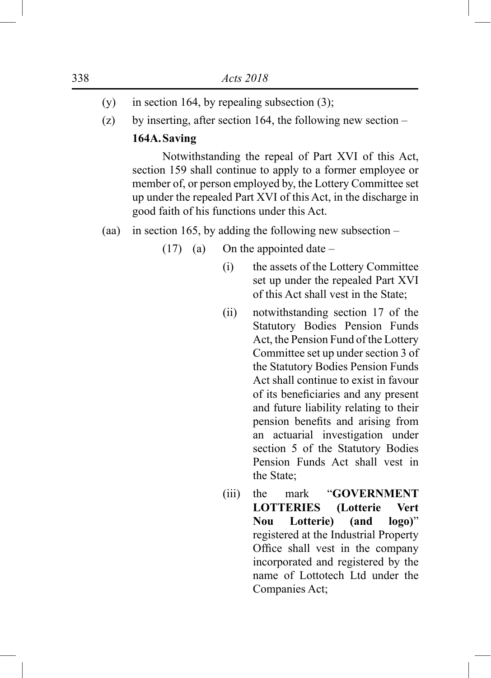- (y) in section 164, by repealing subsection  $(3)$ ;
- (z) by inserting, after section 164, the following new section  $-$

## **164A.Saving**

 Notwithstanding the repeal of Part XVI of this Act, section 159 shall continue to apply to a former employee or member of, or person employed by, the Lottery Committee set up under the repealed Part XVI of this Act, in the discharge in good faith of his functions under this Act.

- (aa) in section 165, by adding the following new subsection
	- $(17)$  (a) On the appointed date
		- (i) the assets of the Lottery Committee set up under the repealed Part XVI of this Act shall vest in the State;
		- (ii) notwithstanding section 17 of the Statutory Bodies Pension Funds Act, the Pension Fund of the Lottery Committee set up under section 3 of the Statutory Bodies Pension Funds Act shall continue to exist in favour of its beneficiaries and any present and future liability relating to their pension benefits and arising from an actuarial investigation under section 5 of the Statutory Bodies Pension Funds Act shall vest in the State;
		- (iii) the mark "**GOVERNMENT LOTTERIES (Lotterie Vert Nou Lotterie) (and logo)**" registered at the Industrial Property Office shall vest in the company incorporated and registered by the name of Lottotech Ltd under the Companies Act;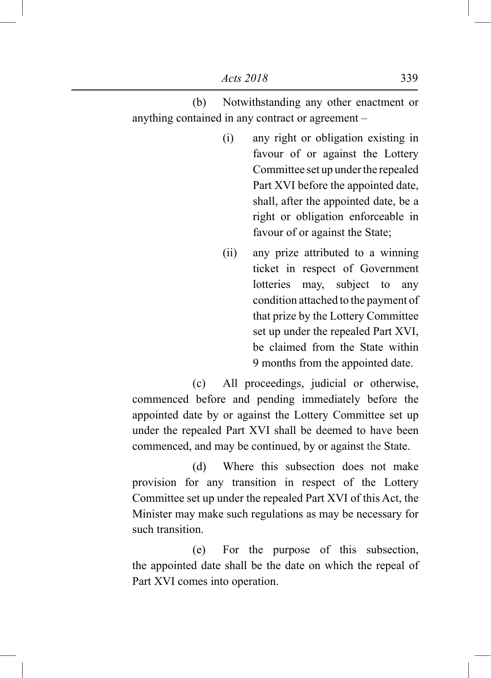(b) Notwithstanding any other enactment or anything contained in any contract or agreement –

- (i) any right or obligation existing in favour of or against the Lottery Committee set up under the repealed Part XVI before the appointed date, shall, after the appointed date, be a right or obligation enforceable in favour of or against the State;
- (ii) any prize attributed to a winning ticket in respect of Government lotteries may, subject to any condition attached to the payment of that prize by the Lottery Committee set up under the repealed Part XVI, be claimed from the State within 9 months from the appointed date.

 (c) All proceedings, judicial or otherwise, commenced before and pending immediately before the appointed date by or against the Lottery Committee set up under the repealed Part XVI shall be deemed to have been commenced, and may be continued, by or against the State.

 (d) Where this subsection does not make provision for any transition in respect of the Lottery Committee set up under the repealed Part XVI of this Act, the Minister may make such regulations as may be necessary for such transition.

 (e) For the purpose of this subsection, the appointed date shall be the date on which the repeal of Part XVI comes into operation.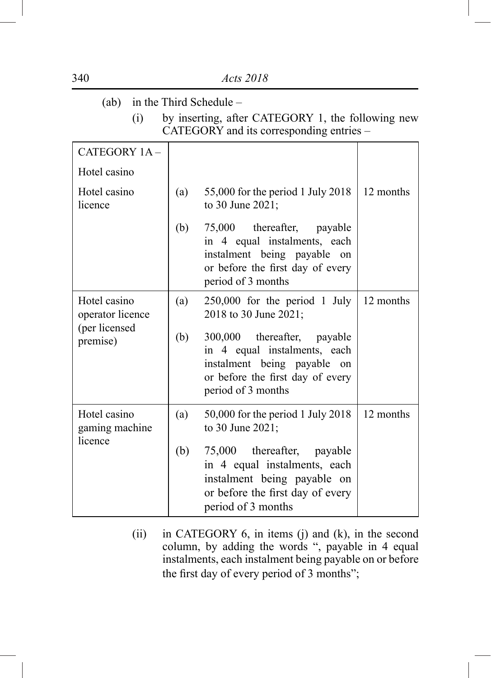| (ab)                             |     | in the Third Schedule -                                                                                                                              |           |
|----------------------------------|-----|------------------------------------------------------------------------------------------------------------------------------------------------------|-----------|
| (i)                              |     | by inserting, after CATEGORY 1, the following new<br>CATEGORY and its corresponding entries -                                                        |           |
| CATEGORY 1A-                     |     |                                                                                                                                                      |           |
| Hotel casino                     |     |                                                                                                                                                      |           |
| Hotel casino<br>licence          | (a) | 55,000 for the period 1 July 2018<br>to 30 June 2021;                                                                                                | 12 months |
|                                  | (b) | 75,000 thereafter, payable<br>in 4 equal instalments, each<br>instalment being payable on<br>or before the first day of every<br>period of 3 months  |           |
| Hotel casino<br>operator licence | (a) | $250,000$ for the period 1 July<br>2018 to 30 June 2021;                                                                                             | 12 months |
| (per licensed<br>premise)        | (b) | 300,000 thereafter, payable<br>in 4 equal instalments, each<br>instalment being payable on<br>or before the first day of every<br>period of 3 months |           |
| Hotel casino<br>gaming machine   | (a) | 50,000 for the period 1 July 2018<br>to 30 June 2021;                                                                                                | 12 months |
| licence                          | (b) | 75,000 thereafter, payable<br>in 4 equal instalments, each<br>instalment being payable on<br>or before the first day of every<br>period of 3 months  |           |

(ii) in CATEGORY 6, in items (j) and (k), in the second column, by adding the words ", payable in 4 equal instalments, each instalment being payable on or before the first day of every period of 3 months";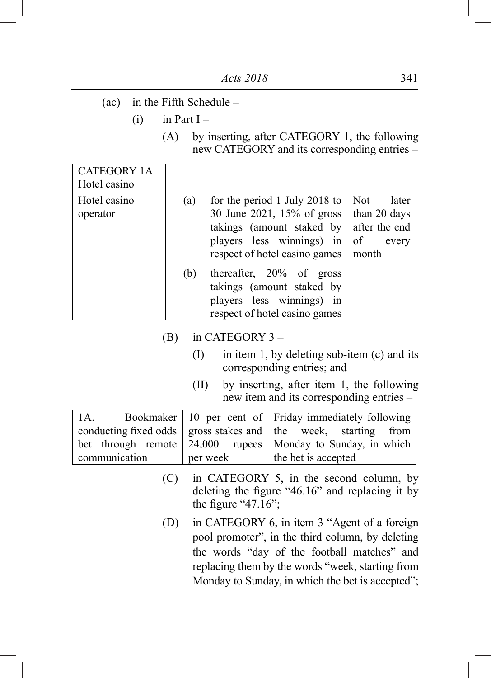- (ac) in the Fifth Schedule
	- $(i)$  in Part I
		- (A) by inserting, after CATEGORY 1, the following new CATEGORY and its corresponding entries –

| <b>CATEGORY 1A</b><br>Hotel casino |     |                                                                                                                                                        |                                                                       |
|------------------------------------|-----|--------------------------------------------------------------------------------------------------------------------------------------------------------|-----------------------------------------------------------------------|
| Hotel casino<br>operator           | (a) | for the period 1 July 2018 to<br>30 June 2021, 15% of gross<br>takings (amount staked by<br>players less winnings) in<br>respect of hotel casino games | Not<br>later<br>than 20 days<br>after the end<br>of<br>every<br>month |
|                                    | (b) | thereafter, 20% of gross<br>takings (amount staked by<br>players less winnings) in<br>respect of hotel casino games                                    |                                                                       |

- (B) in CATEGORY 3
	- $(I)$  in item 1, by deleting sub-item  $(c)$  and its corresponding entries; and
	- (II) by inserting, after item 1, the following new item and its corresponding entries –

| 1A.           |          | Bookmaker   10 per cent of   Friday immediately following                              |  |
|---------------|----------|----------------------------------------------------------------------------------------|--|
|               |          | conducting fixed odds $\vert$ gross stakes and $\vert$ the week, starting from $\vert$ |  |
|               |          | bet through remote $\vert$ 24,000 rupees $\vert$ Monday to Sunday, in which $\vert$    |  |
| communication | per week | the bet is accepted                                                                    |  |

- (C) in CATEGORY 5, in the second column, by deleting the figure "46.16" and replacing it by the figure "47. $16$ ";
- (D) in CATEGORY 6, in item 3 "Agent of a foreign pool promoter", in the third column, by deleting the words "day of the football matches" and replacing them by the words "week, starting from Monday to Sunday, in which the bet is accepted";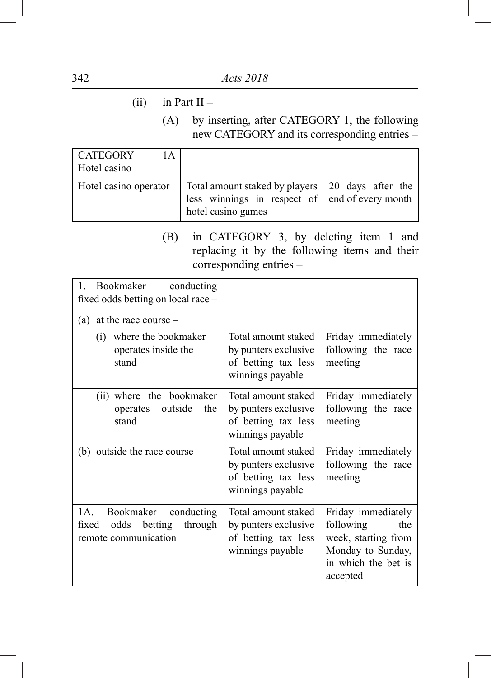- (ii) in Part II
	- (A) by inserting, after CATEGORY 1, the following new CATEGORY and its corresponding entries –

| CATEGORY<br>1 A       |                                                                                                                                  |  |
|-----------------------|----------------------------------------------------------------------------------------------------------------------------------|--|
| Hotel casino          |                                                                                                                                  |  |
| Hotel casino operator | Total amount staked by players 20 days after the<br>less winnings in respect of $\vert$ end of every month<br>hotel casino games |  |

(B) in CATEGORY 3, by deleting item 1 and replacing it by the following items and their corresponding entries –

| Bookmaker<br>$\mathfrak{t}$ .<br>conducting<br>fixed odds betting on local race -<br>at the race course $-$<br>(a) |                                                                                        |                                                                                                                       |
|--------------------------------------------------------------------------------------------------------------------|----------------------------------------------------------------------------------------|-----------------------------------------------------------------------------------------------------------------------|
| (i) where the bookmaker<br>operates inside the<br>stand                                                            | Total amount staked<br>by punters exclusive<br>of betting tax less<br>winnings payable | Friday immediately<br>following the race<br>meeting                                                                   |
| (ii) where the bookmaker<br>outside<br>the<br>operates<br>stand                                                    | Total amount staked<br>by punters exclusive<br>of betting tax less<br>winnings payable | Friday immediately<br>following the race<br>meeting                                                                   |
| (b) outside the race course                                                                                        | Total amount staked<br>by punters exclusive<br>of betting tax less<br>winnings payable | Friday immediately<br>following the race<br>meeting                                                                   |
| 1A.<br>Bookmaker conducting<br>odds<br>betting<br>through<br>fixed<br>remote communication                         | Total amount staked<br>by punters exclusive<br>of betting tax less<br>winnings payable | Friday immediately<br>following<br>the<br>week, starting from<br>Monday to Sunday,<br>in which the bet is<br>accepted |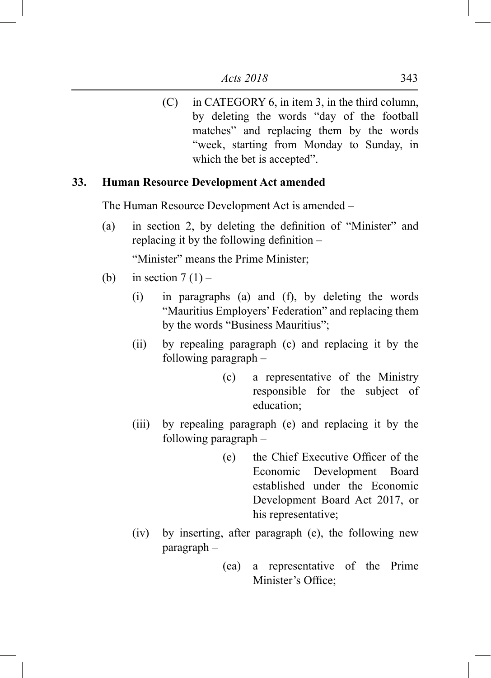(C) in CATEGORY 6, in item 3, in the third column, by deleting the words "day of the football matches" and replacing them by the words "week, starting from Monday to Sunday, in which the bet is accepted".

## **33. Human Resource Development Act amended**

The Human Resource Development Act is amended –

(a) in section 2, by deleting the definition of "Minister" and replacing it by the following definition –

"Minister" means the Prime Minister;

- (b) in section  $7(1)$ 
	- (i) in paragraphs (a) and (f), by deleting the words "Mauritius Employers' Federation" and replacing them by the words "Business Mauritius";
	- (ii) by repealing paragraph (c) and replacing it by the following paragraph –
		- (c) a representative of the Ministry responsible for the subject of education;
	- (iii) by repealing paragraph (e) and replacing it by the following paragraph –
		- (e) the Chief Executive Officer of the Economic Development Board established under the Economic Development Board Act 2017, or his representative;
	- (iv) by inserting, after paragraph (e), the following new paragraph –
		- (ea) a representative of the Prime Minister's Office;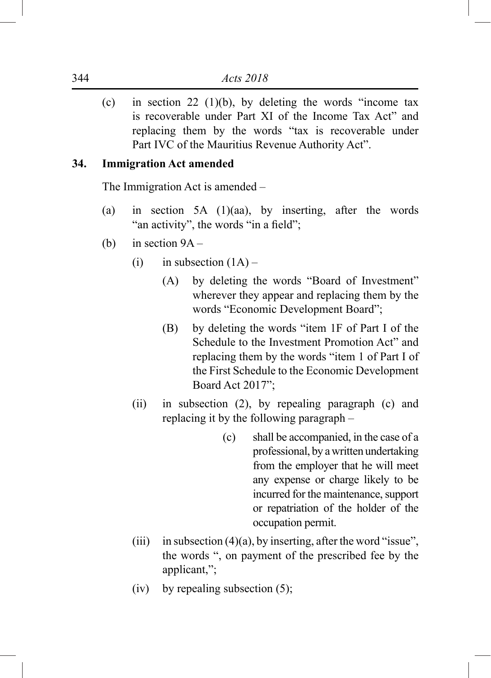(c) in section 22 (1)(b), by deleting the words "income tax is recoverable under Part XI of the Income Tax Act" and replacing them by the words "tax is recoverable under Part IVC of the Mauritius Revenue Authority Act".

## **34. Immigration Act amended**

The Immigration Act is amended –

- (a) in section 5A (1)(aa), by inserting, after the words "an activity", the words "in a field";
- (b) in section 9A
	- (i) in subsection  $(1A)$ 
		- (A) by deleting the words "Board of Investment" wherever they appear and replacing them by the words "Economic Development Board";
		- (B) by deleting the words "item 1F of Part I of the Schedule to the Investment Promotion Act" and replacing them by the words "item 1 of Part I of the First Schedule to the Economic Development Board Act 2017";
	- (ii) in subsection (2), by repealing paragraph (c) and replacing it by the following paragraph –
		- (c) shall be accompanied, in the case of a professional, by a written undertaking from the employer that he will meet any expense or charge likely to be incurred for the maintenance, support or repatriation of the holder of the occupation permit.
	- (iii) in subsection  $(4)(a)$ , by inserting, after the word "issue", the words ", on payment of the prescribed fee by the applicant,";
	- (iv) by repealing subsection  $(5)$ ;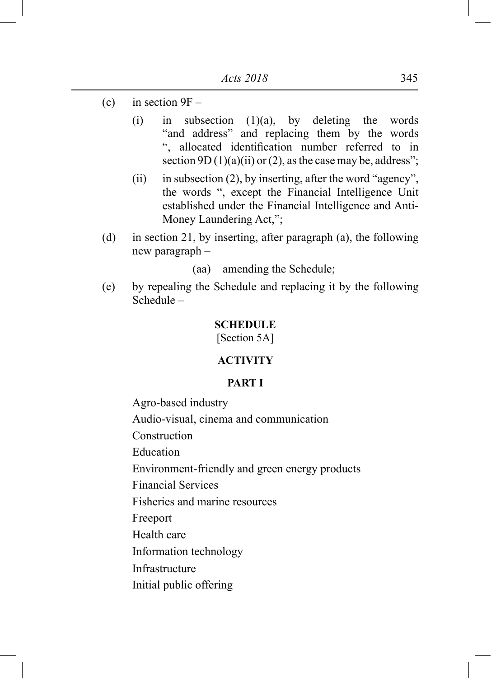- (c) in section  $9F -$ 
	- (i) in subsection (1)(a), by deleting the words "and address" and replacing them by the words ", allocated identification number referred to in section 9D (1)(a)(ii) or (2), as the case may be, address";
	- (ii) in subsection (2), by inserting, after the word "agency", the words ", except the Financial Intelligence Unit established under the Financial Intelligence and Anti-Money Laundering Act,";
- (d) in section 21, by inserting, after paragraph (a), the following new paragraph –

(aa) amending the Schedule;

(e) by repealing the Schedule and replacing it by the following Schedule –

### **SCHEDULE**

[Section 5A]

## **ACTIVITY**

## **PART I**

Agro-based industry Audio-visual, cinema and communication Construction Education Environment-friendly and green energy products Financial Services Fisheries and marine resources Freeport Health care Information technology Infrastructure Initial public offering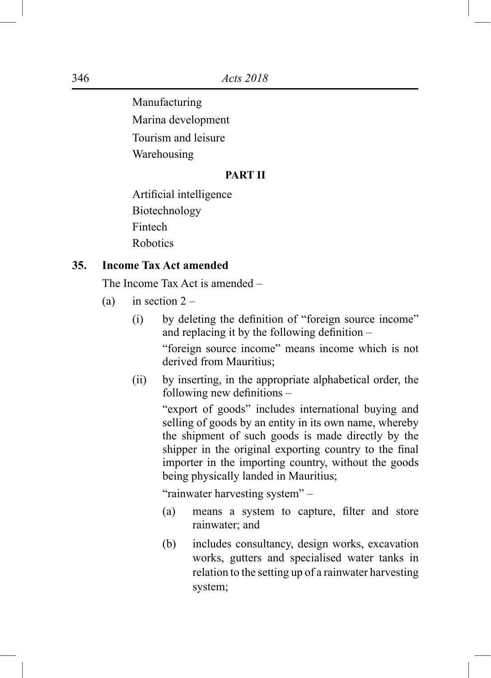Manufacturing

Marina development

Tourism and leisure

Warehousing

## **PART II**

Artificial intelligence Biotechnology Fintech Robotics

## **35. Income Tax Act amended**

The Income Tax Act is amended –

- (a) in section  $2 -$ 
	- (i) by deleting the definition of "foreign source income" and replacing it by the following definition –

"foreign source income" means income which is not derived from Mauritius;

(ii) by inserting, in the appropriate alphabetical order, the following new definitions –

> "export of goods" includes international buying and selling of goods by an entity in its own name, whereby the shipment of such goods is made directly by the shipper in the original exporting country to the final importer in the importing country, without the goods being physically landed in Mauritius;

"rainwater harvesting system" –

- (a) means a system to capture, filter and store rainwater; and
- (b) includes consultancy, design works, excavation works, gutters and specialised water tanks in relation to the setting up of a rainwater harvesting system;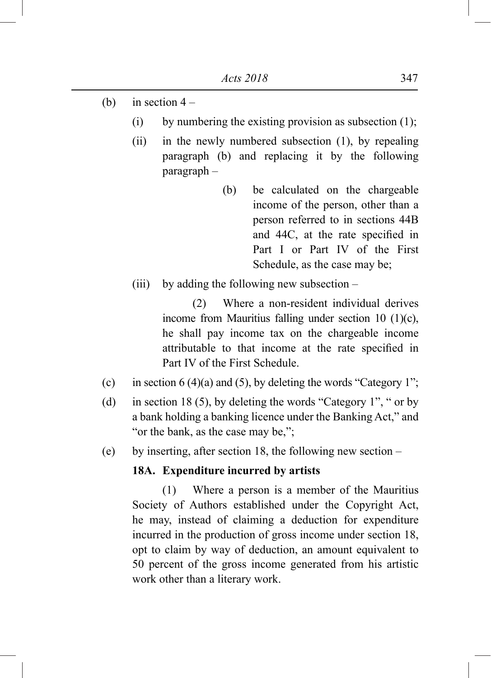- (b) in section  $4 -$ 
	- (i) by numbering the existing provision as subsection  $(1)$ ;
	- (ii) in the newly numbered subsection (1), by repealing paragraph (b) and replacing it by the following paragraph –
		- (b) be calculated on the chargeable income of the person, other than a person referred to in sections 44B and 44C, at the rate specified in Part I or Part IV of the First Schedule, as the case may be;
	- (iii) by adding the following new subsection –

 (2) Where a non-resident individual derives income from Mauritius falling under section 10 (1)(c), he shall pay income tax on the chargeable income attributable to that income at the rate specified in Part IV of the First Schedule.

- (c) in section 6 (4)(a) and (5), by deleting the words "Category 1";
- (d) in section 18 (5), by deleting the words "Category 1", " or by a bank holding a banking licence under the Banking Act," and "or the bank, as the case may be,";
- (e) by inserting, after section 18, the following new section –

#### **18A. Expenditure incurred by artists**

 (1) Where a person is a member of the Mauritius Society of Authors established under the Copyright Act, he may, instead of claiming a deduction for expenditure incurred in the production of gross income under section 18, opt to claim by way of deduction, an amount equivalent to 50 percent of the gross income generated from his artistic work other than a literary work.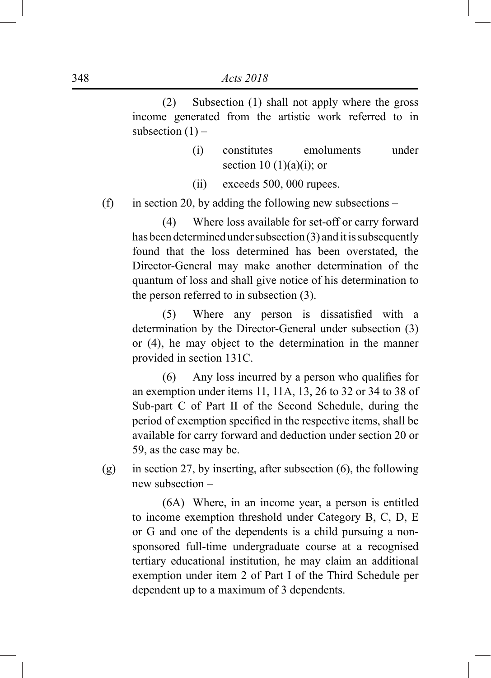(2) Subsection (1) shall not apply where the gross income generated from the artistic work referred to in subsection  $(1)$  –

- (i) constitutes emoluments under section  $10(1)(a)(i)$ ; or
- (ii) exceeds 500, 000 rupees.

(f) in section 20, by adding the following new subsections –

 (4) Where loss available for set-off or carry forward has been determined under subsection (3) and it is subsequently found that the loss determined has been overstated, the Director-General may make another determination of the quantum of loss and shall give notice of his determination to the person referred to in subsection (3).

 (5) Where any person is dissatisfied with a determination by the Director-General under subsection (3) or (4), he may object to the determination in the manner provided in section 131C.

 (6) Any loss incurred by a person who qualifies for an exemption under items 11, 11A, 13, 26 to 32 or 34 to 38 of Sub-part C of Part II of the Second Schedule, during the period of exemption specified in the respective items, shall be available for carry forward and deduction under section 20 or 59, as the case may be.

(g) in section 27, by inserting, after subsection (6), the following new subsection –

 (6A) Where, in an income year, a person is entitled to income exemption threshold under Category B, C, D, E or G and one of the dependents is a child pursuing a nonsponsored full-time undergraduate course at a recognised tertiary educational institution, he may claim an additional exemption under item 2 of Part I of the Third Schedule per dependent up to a maximum of 3 dependents.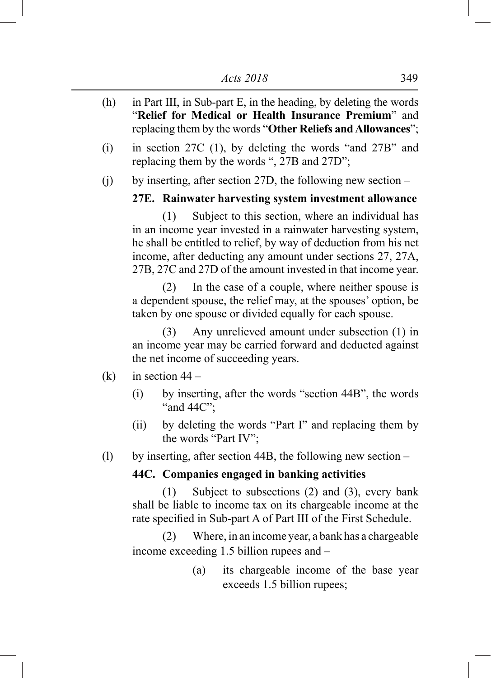- (h) in Part III, in Sub-part E, in the heading, by deleting the words "**Relief for Medical or Health Insurance Premium**" and replacing them by the words "**Other Reliefs and Allowances**";
- (i) in section 27C (1), by deleting the words "and 27B" and replacing them by the words ", 27B and 27D";
- (j) by inserting, after section 27D, the following new section –

### **27E. Rainwater harvesting system investment allowance**

 (1) Subject to this section, where an individual has in an income year invested in a rainwater harvesting system, he shall be entitled to relief, by way of deduction from his net income, after deducting any amount under sections 27, 27A, 27B, 27C and 27D of the amount invested in that income year.

 (2) In the case of a couple, where neither spouse is a dependent spouse, the relief may, at the spouses' option, be taken by one spouse or divided equally for each spouse.

 (3) Any unrelieved amount under subsection (1) in an income year may be carried forward and deducted against the net income of succeeding years.

- (k) in section  $44 -$ 
	- (i) by inserting, after the words "section 44B", the words "and 44C":
	- (ii) by deleting the words "Part I" and replacing them by the words "Part IV";

(l) by inserting, after section 44B, the following new section –

## **44C. Companies engaged in banking activities**

 (1) Subject to subsections (2) and (3), every bank shall be liable to income tax on its chargeable income at the rate specified in Sub-part A of Part III of the First Schedule.

 (2) Where, in an income year, a bank has a chargeable income exceeding 1.5 billion rupees and –

> (a) its chargeable income of the base year exceeds 1.5 billion rupees;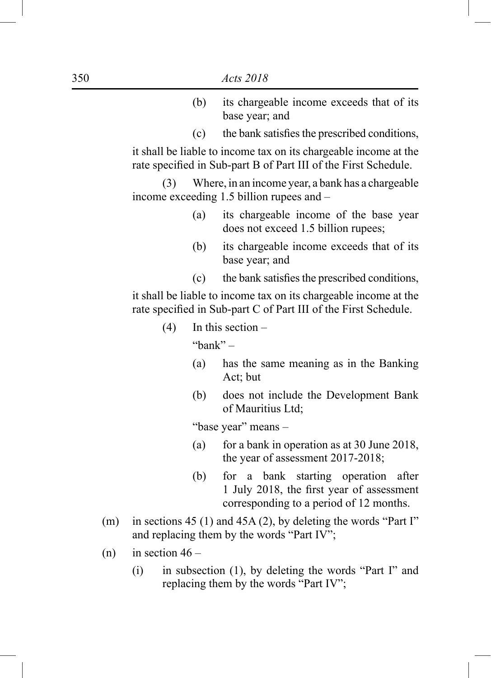- (b) its chargeable income exceeds that of its base year; and
- $(c)$  the bank satisfies the prescribed conditions,

it shall be liable to income tax on its chargeable income at the rate specified in Sub-part B of Part III of the First Schedule.

 (3) Where, in an income year, a bank has a chargeable income exceeding 1.5 billion rupees and –

- (a) its chargeable income of the base year does not exceed 1.5 billion rupees;
- (b) its chargeable income exceeds that of its base year; and
- $(c)$  the bank satisfies the prescribed conditions,

it shall be liable to income tax on its chargeable income at the rate specified in Sub-part C of Part III of the First Schedule.

(4) In this section –

"bank"  $-$ 

- (a) has the same meaning as in the Banking Act; but
- (b) does not include the Development Bank of Mauritius Ltd;

"base year" means –

- (a) for a bank in operation as at 30 June 2018, the year of assessment 2017-2018;
- (b) for a bank starting operation after 1 July 2018, the first year of assessment corresponding to a period of 12 months.
- (m) in sections 45 (1) and 45A (2), by deleting the words "Part I" and replacing them by the words "Part IV";
- $(n)$  in section  $46 -$ 
	- (i) in subsection (1), by deleting the words "Part I" and replacing them by the words "Part IV";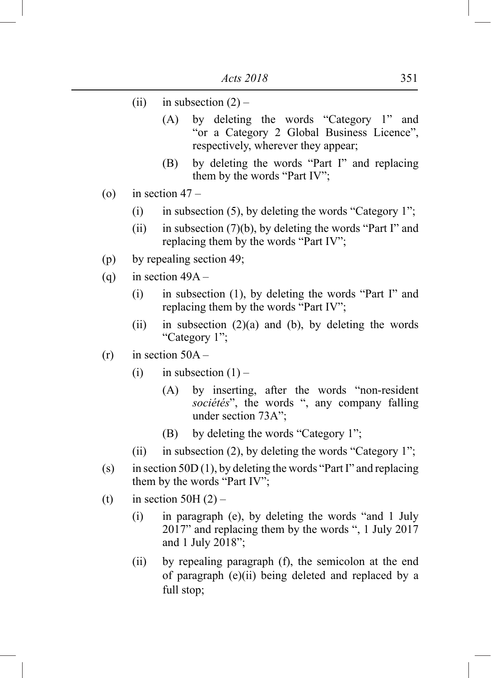- (ii) in subsection  $(2)$ 
	- (A) by deleting the words "Category 1" and "or a Category 2 Global Business Licence", respectively, wherever they appear;
	- (B) by deleting the words "Part I" and replacing them by the words "Part IV";
- (o) in section  $47 -$ 
	- (i) in subsection (5), by deleting the words "Category 1";
	- (ii) in subsection  $(7)(b)$ , by deleting the words "Part I" and replacing them by the words "Part IV";
- (p) by repealing section 49;
- (a) in section  $49A -$ 
	- (i) in subsection (1), by deleting the words "Part I" and replacing them by the words "Part IV";
	- (ii) in subsection  $(2)(a)$  and (b), by deleting the words "Category 1";
- $(r)$  in section  $50A -$ 
	- (i) in subsection  $(1)$ 
		- (A) by inserting, after the words "non-resident *sociétés*", the words ", any company falling under section 73A";
		- (B) by deleting the words "Category 1";
	- (ii) in subsection (2), by deleting the words "Category 1";
- (s) in section 50D (1), by deleting the words "Part I" and replacing them by the words "Part IV";
- (t) in section 50H $(2)$ 
	- (i) in paragraph (e), by deleting the words "and 1 July 2017" and replacing them by the words ", 1 July 2017 and 1 July  $2018$ ";
	- (ii) by repealing paragraph (f), the semicolon at the end of paragraph (e)(ii) being deleted and replaced by a full stop;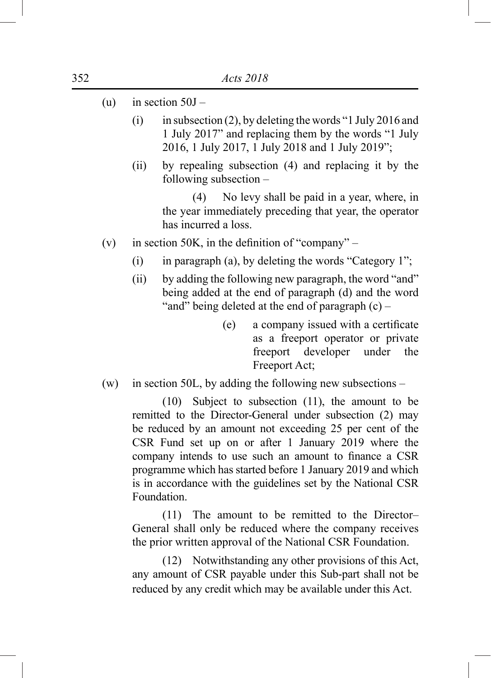- (u) in section  $50J -$ 
	- (i) in subsection (2), by deleting the words "1 July 2016 and 1 July 2017" and replacing them by the words "1 July 2016, 1 July 2017, 1 July 2018 and 1 July 2019";
	- (ii) by repealing subsection (4) and replacing it by the following subsection –

 (4) No levy shall be paid in a year, where, in the year immediately preceding that year, the operator has incurred a loss.

- (v) in section 50K, in the definition of "company"
	- (i) in paragraph (a), by deleting the words "Category 1";
	- (ii) by adding the following new paragraph, the word "and" being added at the end of paragraph (d) and the word "and" being deleted at the end of paragraph (c) –
		- (e) a company issued with a certificate as a freeport operator or private freeport developer under the Freeport Act;
- (w) in section 50L, by adding the following new subsections –

 (10) Subject to subsection (11), the amount to be remitted to the Director-General under subsection (2) may be reduced by an amount not exceeding 25 per cent of the CSR Fund set up on or after 1 January 2019 where the company intends to use such an amount to finance a CSR programme which has started before 1 January 2019 and which is in accordance with the guidelines set by the National CSR Foundation.

 (11) The amount to be remitted to the Director– General shall only be reduced where the company receives the prior written approval of the National CSR Foundation.

 (12) Notwithstanding any other provisions of this Act, any amount of CSR payable under this Sub-part shall not be reduced by any credit which may be available under this Act.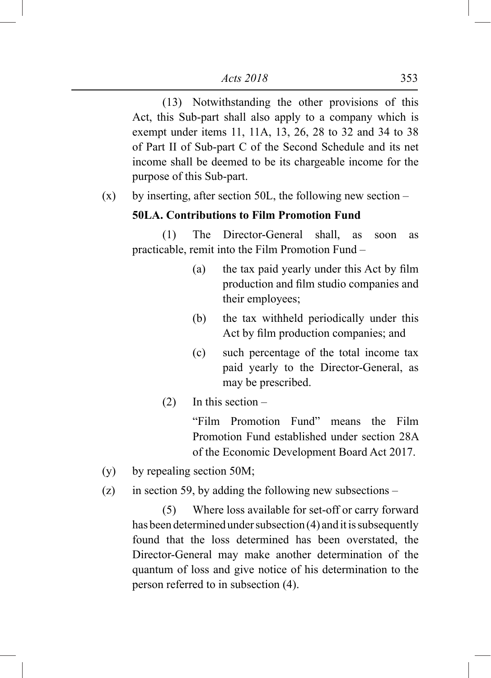(13) Notwithstanding the other provisions of this Act, this Sub-part shall also apply to a company which is exempt under items 11, 11A, 13, 26, 28 to 32 and 34 to 38 of Part II of Sub-part C of the Second Schedule and its net income shall be deemed to be its chargeable income for the purpose of this Sub-part.

 $(x)$  by inserting, after section 50L, the following new section –

## **50LA. Contributions to Film Promotion Fund**

 (1) The Director-General shall, as soon as practicable, remit into the Film Promotion Fund –

- (a) the tax paid yearly under this Act by film production and film studio companies and their employees;
- (b) the tax withheld periodically under this Act by film production companies; and
- (c) such percentage of the total income tax paid yearly to the Director-General, as may be prescribed.
- $(2)$  In this section –

"Film Promotion Fund" means the Film Promotion Fund established under section 28A of the Economic Development Board Act 2017.

- (y) by repealing section 50M;
- (z) in section 59, by adding the following new subsections –

 (5) Where loss available for set-off or carry forward has been determined under subsection (4) and it is subsequently found that the loss determined has been overstated, the Director-General may make another determination of the quantum of loss and give notice of his determination to the person referred to in subsection (4).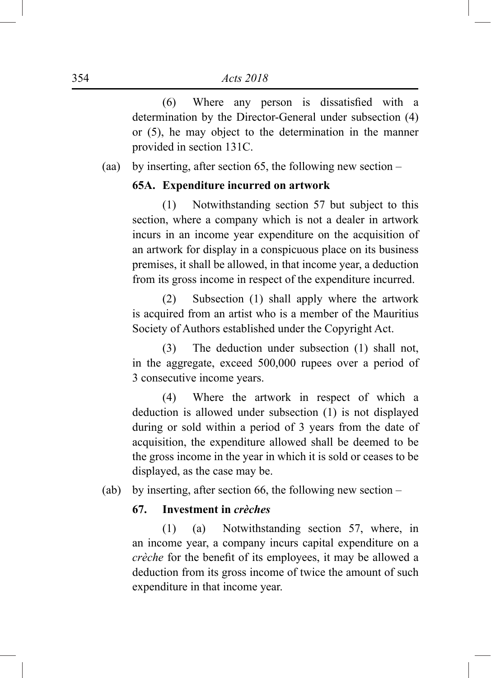(6) Where any person is dissatisfied with a determination by the Director-General under subsection (4) or (5), he may object to the determination in the manner provided in section 131C.

(aa) by inserting, after section 65, the following new section –

### **65A. Expenditure incurred on artwork**

 (1) Notwithstanding section 57 but subject to this section, where a company which is not a dealer in artwork incurs in an income year expenditure on the acquisition of an artwork for display in a conspicuous place on its business premises, it shall be allowed, in that income year, a deduction from its gross income in respect of the expenditure incurred.

 (2) Subsection (1) shall apply where the artwork is acquired from an artist who is a member of the Mauritius Society of Authors established under the Copyright Act.

 (3) The deduction under subsection (1) shall not, in the aggregate, exceed 500,000 rupees over a period of 3 consecutive income years.

 (4) Where the artwork in respect of which a deduction is allowed under subsection (1) is not displayed during or sold within a period of 3 years from the date of acquisition, the expenditure allowed shall be deemed to be the gross income in the year in which it is sold or ceases to be displayed, as the case may be.

(ab) by inserting, after section 66, the following new section –

## **67. Investment in** *crèches*

 (1) (a) Notwithstanding section 57, where, in an income year, a company incurs capital expenditure on a *crèche* for the benefit of its employees, it may be allowed a deduction from its gross income of twice the amount of such expenditure in that income year.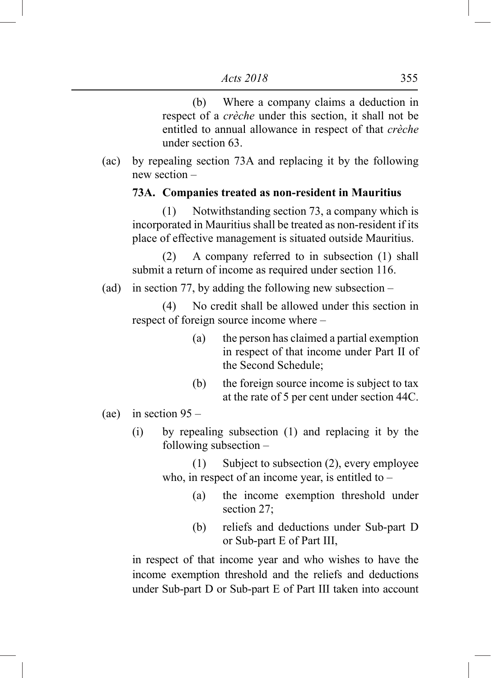(b) Where a company claims a deduction in respect of a *crèche* under this section, it shall not be entitled to annual allowance in respect of that *crèche* under section 63.

(ac) by repealing section 73A and replacing it by the following new section –

### **73A. Companies treated as non-resident in Mauritius**

 (1) Notwithstanding section 73, a company which is incorporated in Mauritius shall be treated as non-resident if its place of effective management is situated outside Mauritius.

 (2) A company referred to in subsection (1) shall submit a return of income as required under section 116.

(ad) in section 77, by adding the following new subsection –

 (4) No credit shall be allowed under this section in respect of foreign source income where –

- (a) the person has claimed a partial exemption in respect of that income under Part II of the Second Schedule;
- (b) the foreign source income is subject to tax at the rate of 5 per cent under section 44C.
- (ae) in section  $95 -$ 
	- (i) by repealing subsection (1) and replacing it by the following subsection –

 (1) Subject to subsection (2), every employee who, in respect of an income year, is entitled to –

- (a) the income exemption threshold under section 27;
- (b) reliefs and deductions under Sub-part D or Sub-part E of Part III,

in respect of that income year and who wishes to have the income exemption threshold and the reliefs and deductions under Sub-part D or Sub-part E of Part III taken into account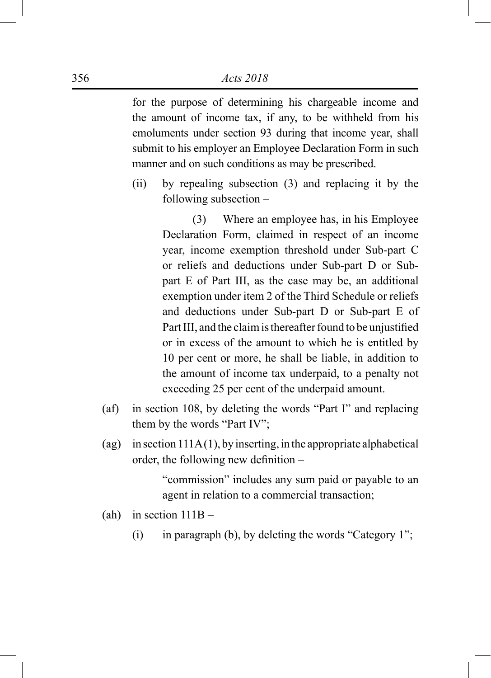#### 356 *Acts 2018*

for the purpose of determining his chargeable income and the amount of income tax, if any, to be withheld from his emoluments under section 93 during that income year, shall submit to his employer an Employee Declaration Form in such manner and on such conditions as may be prescribed.

(ii) by repealing subsection (3) and replacing it by the following subsection –

> (3) Where an employee has, in his Employee Declaration Form, claimed in respect of an income year, income exemption threshold under Sub-part C or reliefs and deductions under Sub-part D or Subpart E of Part III, as the case may be, an additional exemption under item 2 of the Third Schedule or reliefs and deductions under Sub-part D or Sub-part E of Part III, and the claim is thereafter found to be unjustified or in excess of the amount to which he is entitled by 10 per cent or more, he shall be liable, in addition to the amount of income tax underpaid, to a penalty not exceeding 25 per cent of the underpaid amount.

- (af) in section 108, by deleting the words "Part I" and replacing them by the words "Part IV";
- (ag) in section  $111A(1)$ , by inserting, in the appropriate alphabetical order, the following new definition –

"commission" includes any sum paid or payable to an agent in relation to a commercial transaction;

- (ah) in section  $111B -$ 
	- (i) in paragraph (b), by deleting the words "Category 1";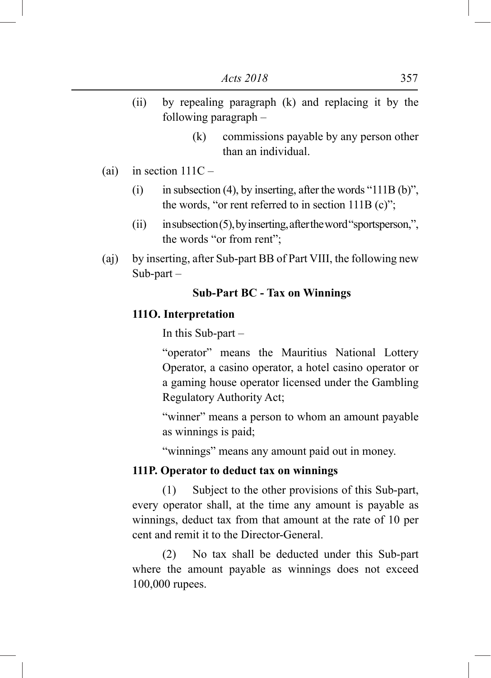- (ii) by repealing paragraph (k) and replacing it by the following paragraph –
	- (k) commissions payable by any person other than an individual.
- (ai) in section  $111C -$ 
	- (i) in subsection (4), by inserting, after the words "111B (b)", the words, "or rent referred to in section  $111B(c)$ ";
	- $(iii)$  in subsection  $(5)$ , by inserting, after the word "sportsperson,", the words "or from rent";
- (aj) by inserting, after Sub-part BB of Part VIII, the following new Sub-part –

## **Sub-Part BC - Tax on Winnings**

## **111O. Interpretation**

In this Sub-part –

"operator" means the Mauritius National Lottery Operator, a casino operator, a hotel casino operator or a gaming house operator licensed under the Gambling Regulatory Authority Act;

"winner" means a person to whom an amount payable as winnings is paid;

"winnings" means any amount paid out in money.

#### **111P. Operator to deduct tax on winnings**

 (1) Subject to the other provisions of this Sub-part, every operator shall, at the time any amount is payable as winnings, deduct tax from that amount at the rate of 10 per cent and remit it to the Director-General.

 (2) No tax shall be deducted under this Sub-part where the amount payable as winnings does not exceed 100,000 rupees.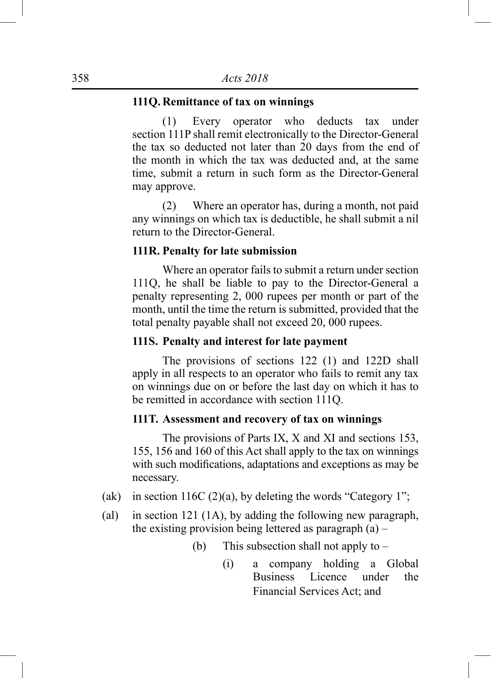### **111Q. Remittance of tax on winnings**

 (1) Every operator who deducts tax under section 111P shall remit electronically to the Director-General the tax so deducted not later than 20 days from the end of the month in which the tax was deducted and, at the same time, submit a return in such form as the Director-General may approve.

 (2) Where an operator has, during a month, not paid any winnings on which tax is deductible, he shall submit a nil return to the Director-General.

#### **111R. Penalty for late submission**

 Where an operator fails to submit a return under section 111Q, he shall be liable to pay to the Director-General a penalty representing 2, 000 rupees per month or part of the month, until the time the return is submitted, provided that the total penalty payable shall not exceed 20, 000 rupees.

## **111S. Penalty and interest for late payment**

 The provisions of sections 122 (1) and 122D shall apply in all respects to an operator who fails to remit any tax on winnings due on or before the last day on which it has to be remitted in accordance with section 111Q.

### **111T. Assessment and recovery of tax on winnings**

 The provisions of Parts IX, X and XI and sections 153, 155, 156 and 160 of this Act shall apply to the tax on winnings with such modifications, adaptations and exceptions as may be necessary.

- (ak) in section 116C (2)(a), by deleting the words "Category 1";
- (al) in section 121 (1A), by adding the following new paragraph, the existing provision being lettered as paragraph  $(a)$  –
	- (b) This subsection shall not apply to
		- (i) a company holding a Global Business Licence under the Financial Services Act; and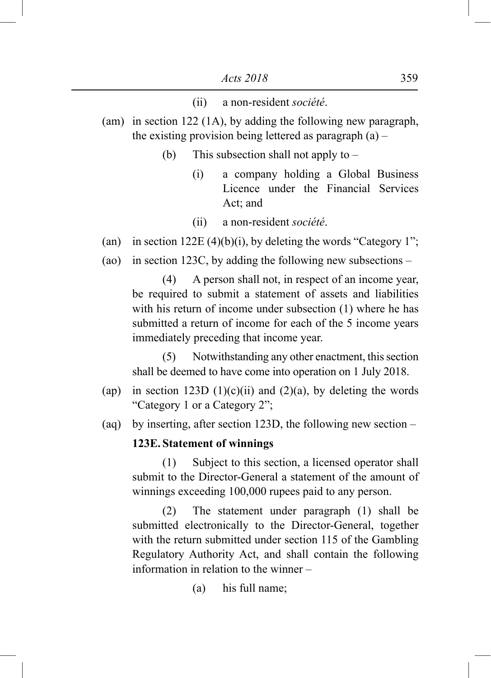#### (ii) a non-resident *société*.

- (am) in section 122 (1A), by adding the following new paragraph, the existing provision being lettered as paragraph  $(a)$  –
	- (b) This subsection shall not apply to
		- (i) a company holding a Global Business Licence under the Financial Services Act; and
		- (ii) a non-resident *société*.
- (an) in section 122E (4)(b)(i), by deleting the words "Category 1";
- (ao) in section 123C, by adding the following new subsections –

 (4) A person shall not, in respect of an income year, be required to submit a statement of assets and liabilities with his return of income under subsection (1) where he has submitted a return of income for each of the 5 income years immediately preceding that income year.

 (5) Notwithstanding any other enactment, this section shall be deemed to have come into operation on 1 July 2018.

- (ap) in section 123D  $(1)(c)(ii)$  and  $(2)(a)$ , by deleting the words "Category 1 or a Category 2";
- (aq) by inserting, after section 123D, the following new section –

### **123E. Statement of winnings**

 (1) Subject to this section, a licensed operator shall submit to the Director-General a statement of the amount of winnings exceeding 100,000 rupees paid to any person.

 (2) The statement under paragraph (1) shall be submitted electronically to the Director-General, together with the return submitted under section 115 of the Gambling Regulatory Authority Act, and shall contain the following information in relation to the winner –

(a) his full name;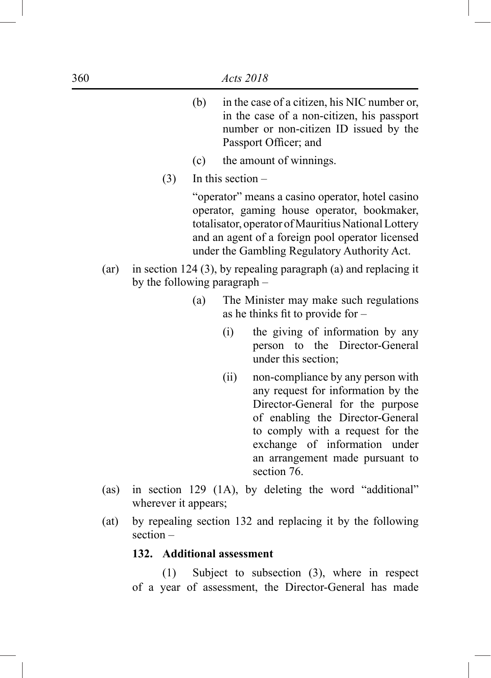- (b) in the case of a citizen, his NIC number or, in the case of a non-citizen, his passport number or non-citizen ID issued by the Passport Officer; and
- (c) the amount of winnings.
- $(3)$  In this section –

"operator" means a casino operator, hotel casino operator, gaming house operator, bookmaker, totalisator, operator of Mauritius National Lottery and an agent of a foreign pool operator licensed under the Gambling Regulatory Authority Act.

- (ar) in section 124 (3), by repealing paragraph (a) and replacing it by the following paragraph –
	- (a) The Minister may make such regulations as he thinks fit to provide for –
		- (i) the giving of information by any person to the Director-General under this section;
		- (ii) non-compliance by any person with any request for information by the Director-General for the purpose of enabling the Director-General to comply with a request for the exchange of information under an arrangement made pursuant to section 76.
- (as) in section 129 (1A), by deleting the word "additional" wherever it appears;
- (at) by repealing section 132 and replacing it by the following section –

### **132. Additional assessment**

 (1) Subject to subsection (3), where in respect of a year of assessment, the Director-General has made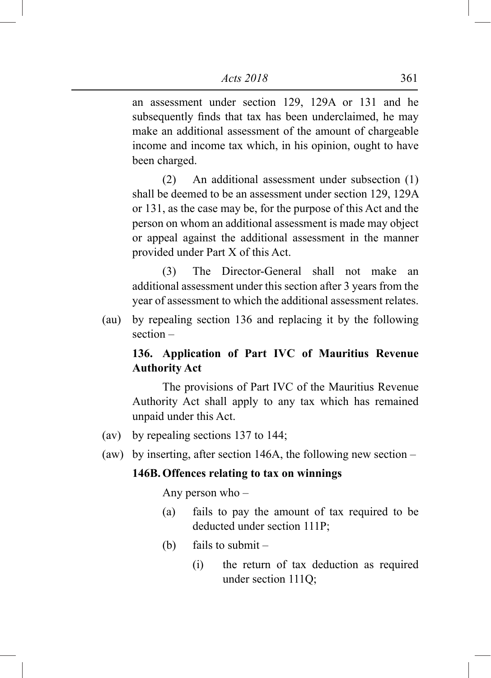an assessment under section 129, 129A or 131 and he subsequently finds that tax has been underclaimed, he may make an additional assessment of the amount of chargeable income and income tax which, in his opinion, ought to have been charged.

 (2) An additional assessment under subsection (1) shall be deemed to be an assessment under section 129, 129A or 131, as the case may be, for the purpose of this Act and the person on whom an additional assessment is made may object or appeal against the additional assessment in the manner provided under Part X of this Act.

 (3) The Director-General shall not make an additional assessment under this section after 3 years from the year of assessment to which the additional assessment relates.

(au) by repealing section 136 and replacing it by the following section –

# **136. Application of Part IVC of Mauritius Revenue Authority Act**

 The provisions of Part IVC of the Mauritius Revenue Authority Act shall apply to any tax which has remained unpaid under this Act.

- (av) by repealing sections 137 to 144;
- (aw) by inserting, after section 146A, the following new section –

### **146B. Offences relating to tax on winnings**

Any person who –

- (a) fails to pay the amount of tax required to be deducted under section 111P;
- (b) fails to submit
	- (i) the return of tax deduction as required under section 111Q;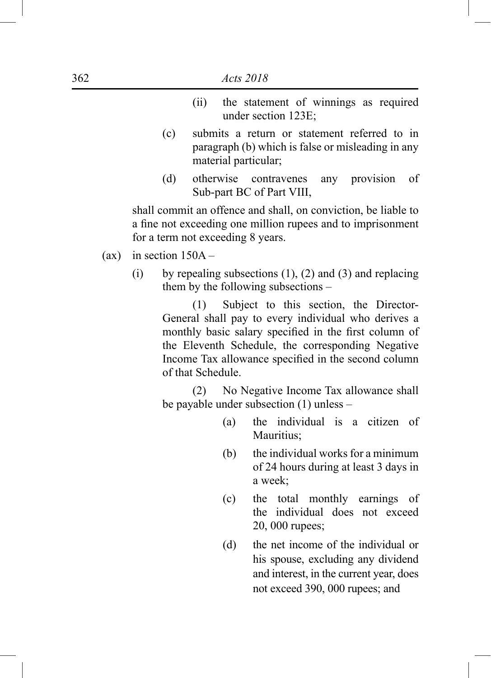- (ii) the statement of winnings as required under section 123E;
- (c) submits a return or statement referred to in paragraph (b) which is false or misleading in any material particular;
- (d) otherwise contravenes any provision of Sub-part BC of Part VIII,

shall commit an offence and shall, on conviction, be liable to a fine not exceeding one million rupees and to imprisonment for a term not exceeding 8 years.

- (ax) in section  $150A -$ 
	- (i) by repealing subsections  $(1)$ ,  $(2)$  and  $(3)$  and replacing them by the following subsections –

 (1) Subject to this section, the Director-General shall pay to every individual who derives a monthly basic salary specified in the first column of the Eleventh Schedule, the corresponding Negative Income Tax allowance specified in the second column of that Schedule.

 (2) No Negative Income Tax allowance shall be payable under subsection (1) unless –

- (a) the individual is a citizen of Mauritius;
- (b) the individual works for a minimum of 24 hours during at least 3 days in a week;
- (c) the total monthly earnings of the individual does not exceed 20, 000 rupees;
- (d) the net income of the individual or his spouse, excluding any dividend and interest, in the current year, does not exceed 390, 000 rupees; and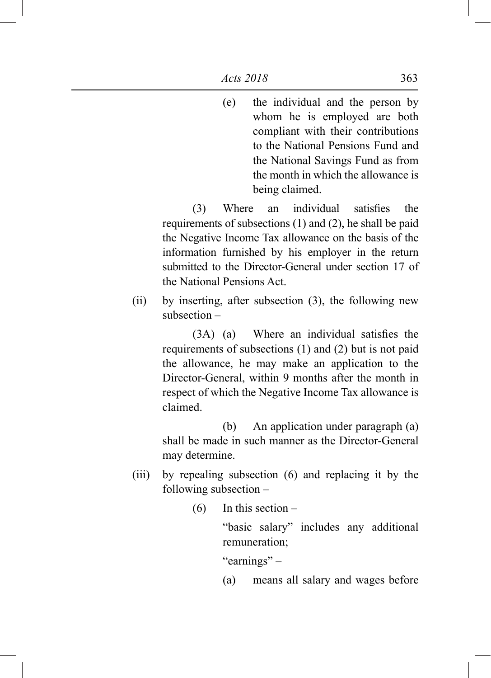(e) the individual and the person by whom he is employed are both compliant with their contributions to the National Pensions Fund and the National Savings Fund as from the month in which the allowance is being claimed.

 (3) Where an individual satisfies the requirements of subsections (1) and (2), he shall be paid the Negative Income Tax allowance on the basis of the information furnished by his employer in the return submitted to the Director-General under section 17 of the National Pensions Act.

(ii) by inserting, after subsection (3), the following new subsection –

> (3A) (a) Where an individual satisfies the requirements of subsections (1) and (2) but is not paid the allowance, he may make an application to the Director-General, within 9 months after the month in respect of which the Negative Income Tax allowance is claimed.

> (b) An application under paragraph (a) shall be made in such manner as the Director-General may determine.

- (iii) by repealing subsection (6) and replacing it by the following subsection –
	- $(6)$  In this section –

"basic salary" includes any additional remuneration;

"earnings" –

(a) means all salary and wages before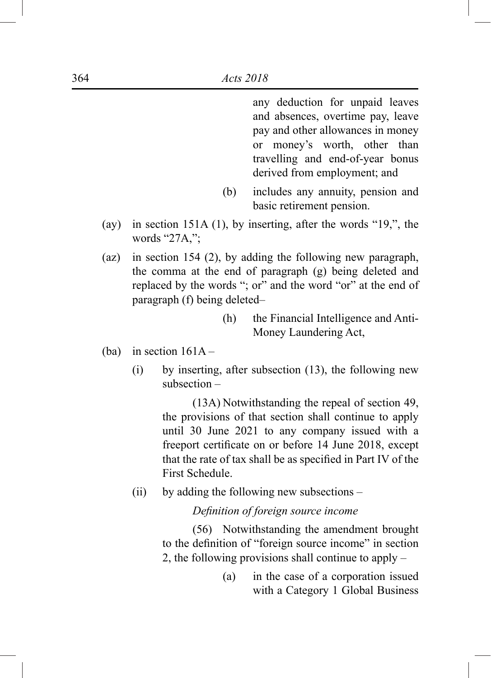any deduction for unpaid leaves and absences, overtime pay, leave pay and other allowances in money or money's worth, other than travelling and end-of-year bonus derived from employment; and

- (b) includes any annuity, pension and basic retirement pension.
- (ay) in section 151A (1), by inserting, after the words "19,", the words "27A,";
- (az) in section 154 (2), by adding the following new paragraph, the comma at the end of paragraph (g) being deleted and replaced by the words "; or" and the word "or" at the end of paragraph (f) being deleted–
	- (h) the Financial Intelligence and Anti-Money Laundering Act,
- (ba) in section  $161A -$ 
	- (i) by inserting, after subsection (13), the following new subsection –

 (13A) Notwithstanding the repeal of section 49, the provisions of that section shall continue to apply until 30 June 2021 to any company issued with a freeport certificate on or before 14 June 2018, except that the rate of tax shall be as specified in Part IV of the First Schedule.

(ii) by adding the following new subsections –

 *Definition of foreign source income*

 (56) Notwithstanding the amendment brought to the definition of "foreign source income" in section 2, the following provisions shall continue to apply –

> (a) in the case of a corporation issued with a Category 1 Global Business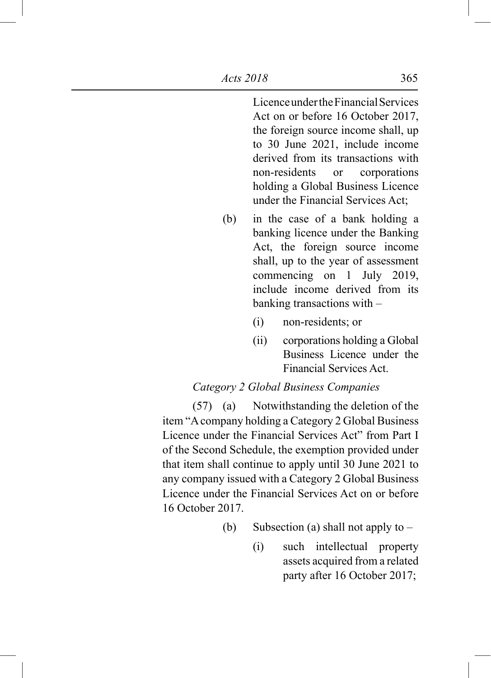Licence under the Financial Services Act on or before 16 October 2017, the foreign source income shall, up to 30 June 2021, include income derived from its transactions with non-residents or corporations holding a Global Business Licence under the Financial Services Act;

- (b) in the case of a bank holding a banking licence under the Banking Act, the foreign source income shall, up to the year of assessment commencing on 1 July 2019, include income derived from its banking transactions with –
	- (i) non-residents; or
	- (ii) corporations holding a Global Business Licence under the Financial Services Act.

## *Category 2 Global Business Companies*

 (57) (a) Notwithstanding the deletion of the item "A company holding a Category 2 Global Business Licence under the Financial Services Act" from Part I of the Second Schedule, the exemption provided under that item shall continue to apply until 30 June 2021 to any company issued with a Category 2 Global Business Licence under the Financial Services Act on or before 16 October 2017.

- (b) Subsection (a) shall not apply to  $-$ 
	- (i) such intellectual property assets acquired from a related party after 16 October 2017;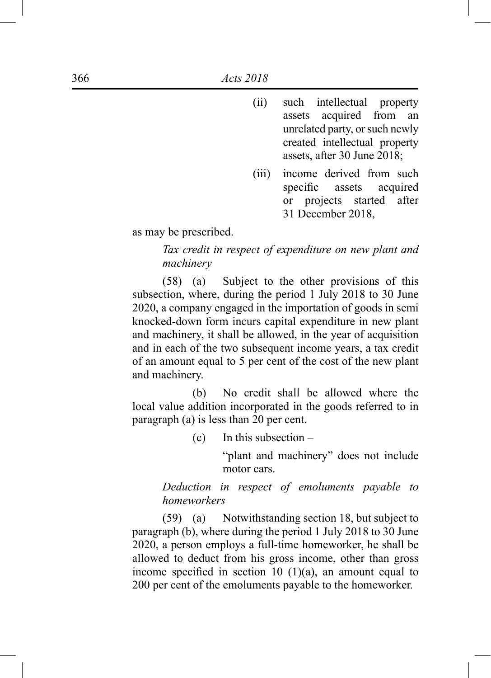- (ii) such intellectual property assets acquired from an unrelated party, or such newly created intellectual property assets, after 30 June 2018;
- (iii) income derived from such specific assets acquired or projects started after 31 December 2018,

as may be prescribed.

*Tax credit in respect of expenditure on new plant and machinery*

 (58) (a) Subject to the other provisions of this subsection, where, during the period 1 July 2018 to 30 June 2020, a company engaged in the importation of goods in semi knocked-down form incurs capital expenditure in new plant and machinery, it shall be allowed, in the year of acquisition and in each of the two subsequent income years, a tax credit of an amount equal to 5 per cent of the cost of the new plant and machinery.

 (b) No credit shall be allowed where the local value addition incorporated in the goods referred to in paragraph (a) is less than 20 per cent.

(c) In this subsection –

"plant and machinery" does not include motor cars.

*Deduction in respect of emoluments payable to homeworkers*

 (59) (a) Notwithstanding section 18, but subject to paragraph (b), where during the period 1 July 2018 to 30 June 2020, a person employs a full-time homeworker, he shall be allowed to deduct from his gross income, other than gross income specified in section 10  $(1)(a)$ , an amount equal to 200 per cent of the emoluments payable to the homeworker.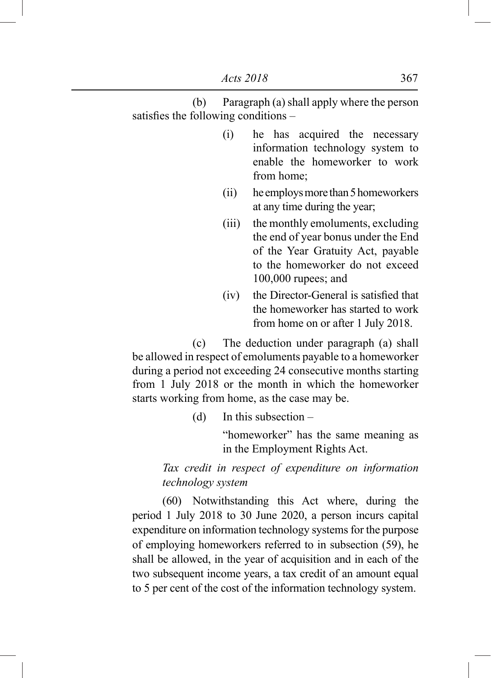(b) Paragraph (a) shall apply where the person satisfies the following conditions –

- (i) he has acquired the necessary information technology system to enable the homeworker to work from home;
- (ii) he employs more than 5 homeworkers at any time during the year;
- (iii) the monthly emoluments, excluding the end of year bonus under the End of the Year Gratuity Act, payable to the homeworker do not exceed 100,000 rupees; and
- (iv) the Director-General is satisfied that the homeworker has started to work from home on or after 1 July 2018.

 (c) The deduction under paragraph (a) shall be allowed in respect of emoluments payable to a homeworker during a period not exceeding 24 consecutive months starting from 1 July 2018 or the month in which the homeworker starts working from home, as the case may be.

(d) In this subsection –

"homeworker" has the same meaning as in the Employment Rights Act.

# *Tax credit in respect of expenditure on information technology system*

 (60) Notwithstanding this Act where, during the period 1 July 2018 to 30 June 2020, a person incurs capital expenditure on information technology systems for the purpose of employing homeworkers referred to in subsection (59), he shall be allowed, in the year of acquisition and in each of the two subsequent income years, a tax credit of an amount equal to 5 per cent of the cost of the information technology system.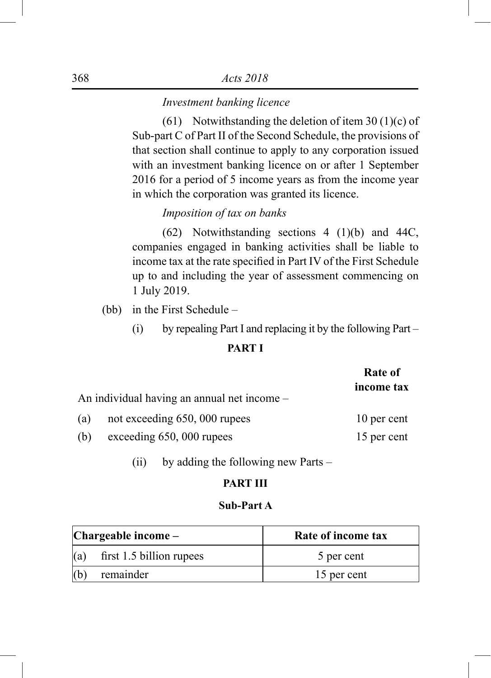### *Investment banking licence*

(61) Notwithstanding the deletion of item 30 (1)(c) of Sub-part C of Part II of the Second Schedule, the provisions of that section shall continue to apply to any corporation issued with an investment banking licence on or after 1 September 2016 for a period of 5 income years as from the income year in which the corporation was granted its licence.

# *Imposition of tax on banks*

 (62) Notwithstanding sections 4 (1)(b) and 44C, companies engaged in banking activities shall be liable to income tax at the rate specified in Part IV of the First Schedule up to and including the year of assessment commencing on 1 July 2019.

(bb) in the First Schedule –

(i) by repealing Part I and replacing it by the following Part –

## **PART I**

|     |                                             | Rate of<br>income tax |
|-----|---------------------------------------------|-----------------------|
|     | An individual having an annual net income – |                       |
| (a) | not exceeding 650, 000 rupees               | 10 per cent           |
| (b) | exceeding 650, 000 rupees                   | 15 per cent           |

(ii) by adding the following new Parts –

### **PART III**

### **Sub-Part A**

| $ Changeable $ income $-$ |                          | Rate of income tax |
|---------------------------|--------------------------|--------------------|
| (a)                       | first 1.5 billion rupees | 5 per cent         |
| (b)                       | remainder                | 15 per cent        |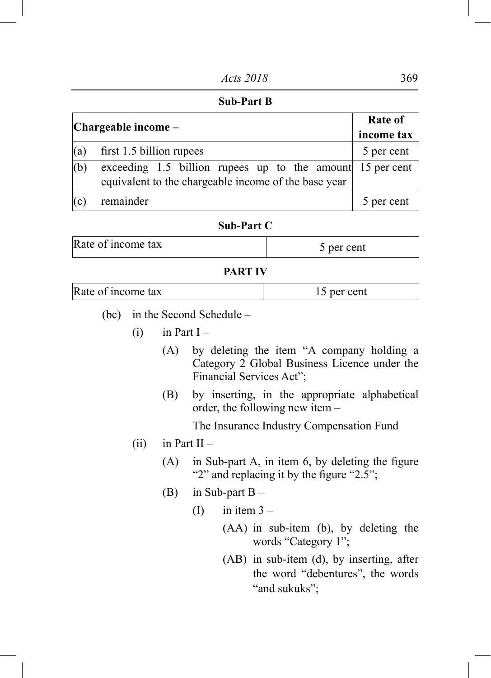#### **Sub-Part B**

| $ Changeable $ income – | <b>Rate of</b>                                                                                                    |            |
|-------------------------|-------------------------------------------------------------------------------------------------------------------|------------|
|                         | income tax                                                                                                        |            |
| (a)                     | first 1.5 billion rupees                                                                                          | 5 per cent |
| (b)                     | exceeding 1.5 billion rupees up to the amount 15 per cent<br>equivalent to the chargeable income of the base year |            |
| (c)                     | remainder                                                                                                         | 5 per cent |

#### **Sub-Part C**

| Rate of income tax | r cent<br>ner |
|--------------------|---------------|
|                    |               |

### **PART IV**

| Rate of income tax | per cent |
|--------------------|----------|
|                    |          |

- (bc) in the Second Schedule
	- $(i)$  in Part I
		- (A) by deleting the item "A company holding a Category 2 Global Business Licence under the Financial Services Act";
		- (B) by inserting, in the appropriate alphabetical order, the following new item –

The Insurance Industry Compensation Fund

- (ii) in Part  $II -$ 
	- $(A)$  in Sub-part A, in item 6, by deleting the figure "2" and replacing it by the figure "2.5";
	- (B) in Sub-part  $B -$ 
		- $(I)$  in item  $3 -$ 
			- (AA) in sub-item (b), by deleting the words "Category 1";
			- (AB) in sub-item (d), by inserting, after the word "debentures", the words "and sukuks";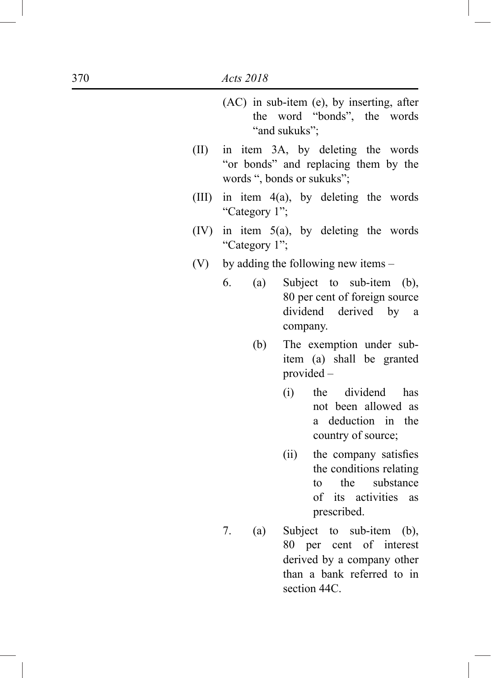|       |                  | (AC) in sub-item (e), by inserting, after<br>the word "bonds", the words<br>"and sukuks";                                       |
|-------|------------------|---------------------------------------------------------------------------------------------------------------------------------|
| (II)  |                  | in item 3A, by deleting the words<br>"or bonds" and replacing them by the<br>words ", bonds or sukuks";                         |
| (III) | "Category 1";    | in item $4(a)$ , by deleting the words                                                                                          |
| (IV)  | "Category 1";    | in item $5(a)$ , by deleting the words                                                                                          |
| (V)   |                  | by adding the following new items –                                                                                             |
|       | 6.<br>(a)<br>(b) | Subject to sub-item (b),<br>80 per cent of foreign source<br>dividend derived by a<br>company.<br>The exemption under sub-      |
|       |                  | item (a) shall be granted<br>provided -                                                                                         |
|       |                  | the dividend<br>(i)<br>has<br>not been allowed as<br>a deduction in the<br>country of source;                                   |
|       |                  | (ii)<br>the company satisfies<br>the conditions relating<br>the<br>substance<br>to<br>of its activities<br>as<br>prescribed.    |
|       | 7.<br>(a)        | Subject to sub-item (b),<br>80 per cent of interest<br>derived by a company other<br>than a bank referred to in<br>section 44C. |

I

I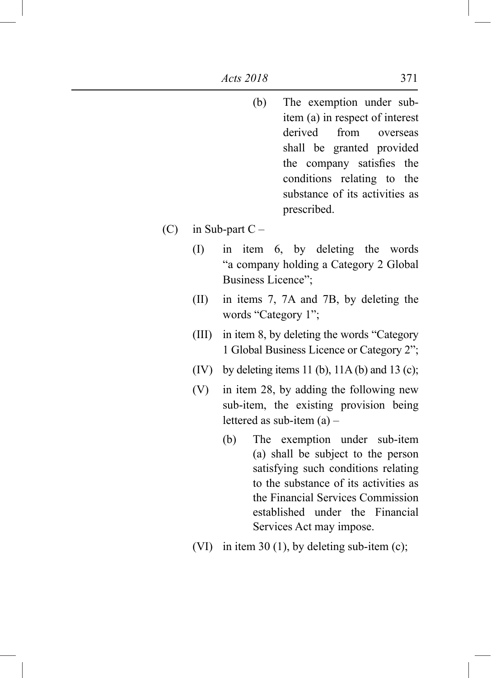- (b) The exemption under subitem (a) in respect of interest derived from overseas shall be granted provided the company satisfies the conditions relating to the substance of its activities as prescribed.
- (C) in Sub-part  $C -$ 
	- (I) in item 6, by deleting the words "a company holding a Category 2 Global Business Licence";
	- (II) in items 7, 7A and 7B, by deleting the words "Category 1";
	- (III) in item 8, by deleting the words "Category 1 Global Business Licence or Category 2";
	- (IV) by deleting items 11 (b),  $11A(b)$  and  $13(c)$ ;
	- (V) in item 28, by adding the following new sub-item, the existing provision being lettered as sub-item (a) –
		- (b) The exemption under sub-item (a) shall be subject to the person satisfying such conditions relating to the substance of its activities as the Financial Services Commission established under the Financial Services Act may impose.
	- (VI) in item 30 (1), by deleting sub-item (c);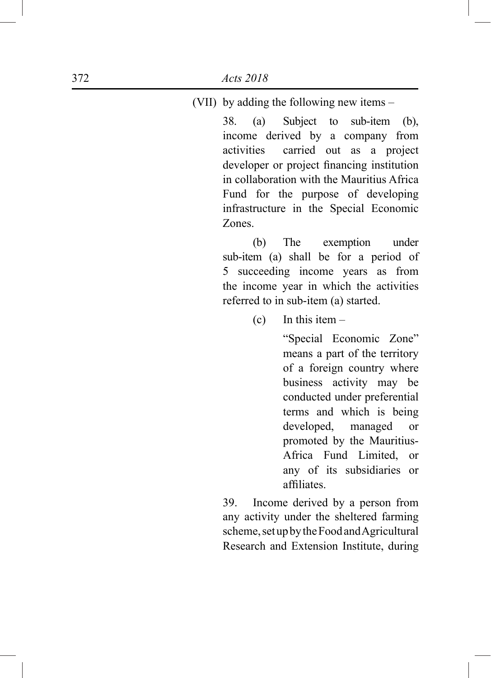(VII) by adding the following new items –

38. (a) Subject to sub-item (b), income derived by a company from activities carried out as a project developer or project financing institution in collaboration with the Mauritius Africa Fund for the purpose of developing infrastructure in the Special Economic Zones.

 (b) The exemption under sub-item (a) shall be for a period of 5 succeeding income years as from the income year in which the activities referred to in sub-item (a) started.

(c) In this item  $-$ 

"Special Economic Zone" means a part of the territory of a foreign country where business activity may be conducted under preferential terms and which is being developed, managed or promoted by the Mauritius-Africa Fund Limited, or any of its subsidiaries or affiliates.

39. Income derived by a person from any activity under the sheltered farming scheme, set up by the Food and Agricultural Research and Extension Institute, during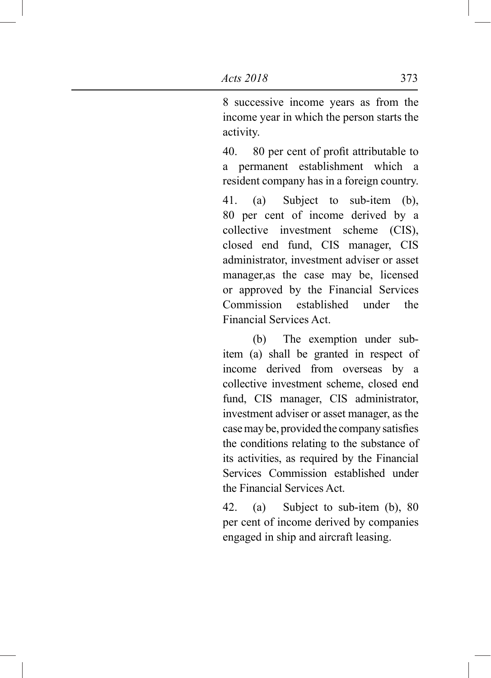8 successive income years as from the income year in which the person starts the activity.

 40. 80 per cent of profit attributable to a permanent establishment which a resident company has in a foreign country.

41. (a) Subject to sub-item (b), 80 per cent of income derived by a collective investment scheme (CIS), closed end fund, CIS manager, CIS administrator, investment adviser or asset manager,as the case may be, licensed or approved by the Financial Services Commission established under the Financial Services Act.

 (b) The exemption under subitem (a) shall be granted in respect of income derived from overseas by a collective investment scheme, closed end fund, CIS manager, CIS administrator, investment adviser or asset manager, as the casemay be, provided the company satisfies the conditions relating to the substance of its activities, as required by the Financial Services Commission established under the Financial Services Act.

42. (a) Subject to sub-item (b), 80 per cent of income derived by companies engaged in ship and aircraft leasing.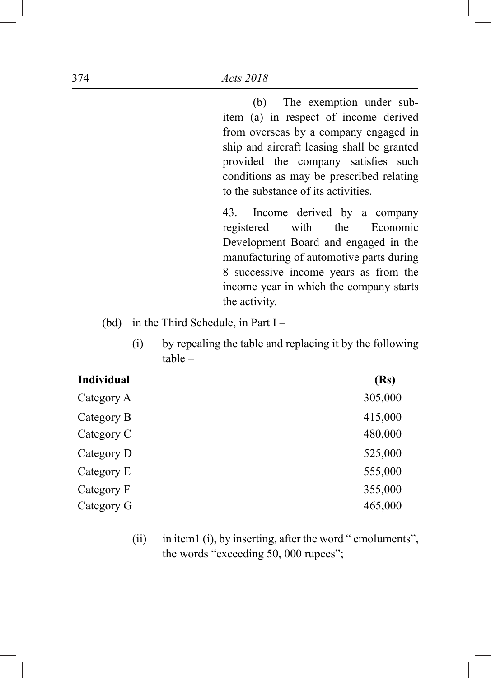(b) The exemption under subitem (a) in respect of income derived from overseas by a company engaged in ship and aircraft leasing shall be granted provided the company satisfies such conditions as may be prescribed relating to the substance of its activities.

43. Income derived by a company registered with the Economic Development Board and engaged in the manufacturing of automotive parts during 8 successive income years as from the income year in which the company starts the activity.

- (bd) in the Third Schedule, in Part I
	- (i) by repealing the table and replacing it by the following table –

| <b>Individual</b> | (Rs)    |
|-------------------|---------|
| Category A        | 305,000 |
| Category B        | 415,000 |
| Category C        | 480,000 |
| Category D        | 525,000 |
| Category E        | 555,000 |
| Category F        | 355,000 |
| Category G        | 465,000 |
|                   |         |

(ii) in item1 (i), by inserting, after the word " emoluments", the words "exceeding 50, 000 rupees";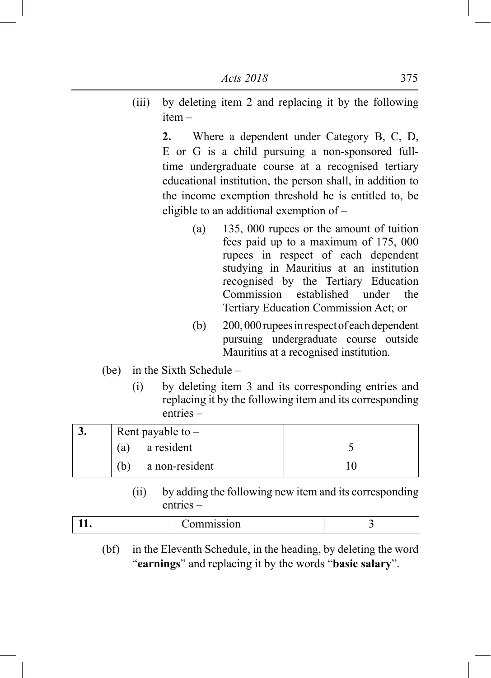(iii) by deleting item 2 and replacing it by the following item –

> **2.** Where a dependent under Category B, C, D, E or G is a child pursuing a non-sponsored fulltime undergraduate course at a recognised tertiary educational institution, the person shall, in addition to the income exemption threshold he is entitled to, be eligible to an additional exemption of –

- (a) 135, 000 rupees or the amount of tuition fees paid up to a maximum of 175, 000 rupees in respect of each dependent studying in Mauritius at an institution recognised by the Tertiary Education<br>Commission established under the Commission established under the Tertiary Education Commission Act; or
- (b) 200, 000 rupees in respect of each dependent pursuing undergraduate course outside Mauritius at a recognised institution.
- (be) in the Sixth Schedule
	- (i) by deleting item 3 and its corresponding entries and replacing it by the following item and its corresponding entries –

| J. | Rent payable to $-$   |  |
|----|-----------------------|--|
|    | a resident<br>(a)     |  |
|    | a non-resident<br>(b) |  |

(ii) by adding the following new item and its corresponding entries –

| $\sim$ 10<br>лиші әзі он |  |
|--------------------------|--|
|                          |  |

(bf) in the Eleventh Schedule, in the heading, by deleting the word "**earnings**" and replacing it by the words "**basic salary**".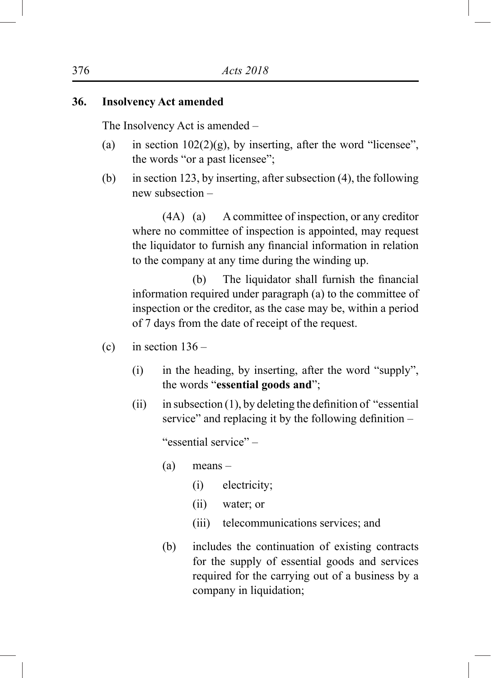## **36. Insolvency Act amended**

The Insolvency Act is amended –

- (a) in section  $102(2)(g)$ , by inserting, after the word "licensee", the words "or a past licensee";
- (b) in section 123, by inserting, after subsection (4), the following new subsection –

 (4A) (a) A committee of inspection, or any creditor where no committee of inspection is appointed, may request the liquidator to furnish any financial information in relation to the company at any time during the winding up.

(b) The liquidator shall furnish the financial information required under paragraph (a) to the committee of inspection or the creditor, as the case may be, within a period of 7 days from the date of receipt of the request.

- (c) in section  $136 -$ 
	- (i) in the heading, by inserting, after the word "supply", the words "**essential goods and**";
	- $(ii)$  in subsection  $(1)$ , by deleting the definition of "essential" service" and replacing it by the following definition –

"essential service" –

- (a) means
	- (i) electricity;
	- (ii) water; or
	- (iii) telecommunications services; and
- (b) includes the continuation of existing contracts for the supply of essential goods and services required for the carrying out of a business by a company in liquidation;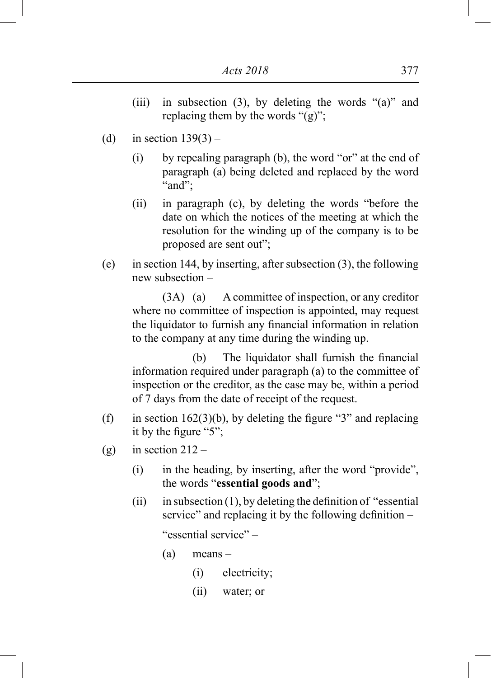- (iii) in subsection (3), by deleting the words "(a)" and replacing them by the words " $(g)$ ";
- (d) in section  $139(3)$ 
	- (i) by repealing paragraph (b), the word "or" at the end of paragraph (a) being deleted and replaced by the word "and";
	- (ii) in paragraph (c), by deleting the words "before the date on which the notices of the meeting at which the resolution for the winding up of the company is to be proposed are sent out";
- (e) in section 144, by inserting, after subsection (3), the following new subsection –

 (3A) (a) A committee of inspection, or any creditor where no committee of inspection is appointed, may request the liquidator to furnish any financial information in relation to the company at any time during the winding up.

(b) The liquidator shall furnish the financial information required under paragraph (a) to the committee of inspection or the creditor, as the case may be, within a period of 7 days from the date of receipt of the request.

- (f) in section  $162(3)(b)$ , by deleting the figure "3" and replacing it by the figure "5";
- (g) in section  $212 -$ 
	- (i) in the heading, by inserting, after the word "provide", the words "**essential goods and**";
	- $(ii)$  in subsection  $(1)$ , by deleting the definition of "essential" service" and replacing it by the following definition –

"essential service" –

- (a) means
	- (i) electricity;
	- (ii) water; or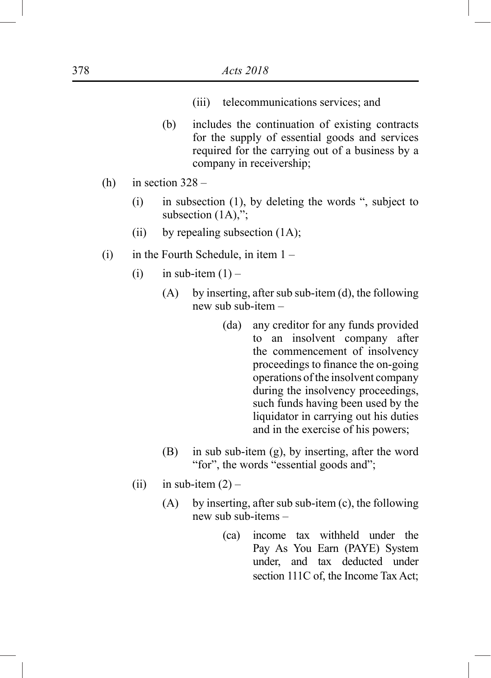- (iii) telecommunications services; and
- (b) includes the continuation of existing contracts for the supply of essential goods and services required for the carrying out of a business by a company in receivership;
- (h) in section  $328 -$ 
	- (i) in subsection (1), by deleting the words ", subject to subsection  $(1A)$ ,";
	- (ii) by repealing subsection (1A);
- $(i)$  in the Fourth Schedule, in item  $1 -$ 
	- (i) in sub-item  $(1)$ 
		- (A) by inserting, after sub sub-item (d), the following new sub sub-item –
			- (da) any creditor for any funds provided to an insolvent company after the commencement of insolvency proceedings to finance the on-going operations of the insolvent company during the insolvency proceedings, such funds having been used by the liquidator in carrying out his duties and in the exercise of his powers;
		- (B) in sub sub-item (g), by inserting, after the word "for", the words "essential goods and";
	- (ii) in sub-item  $(2)$ 
		- (A) by inserting, after sub sub-item (c), the following new sub sub-items –
			- (ca) income tax withheld under the Pay As You Earn (PAYE) System under, and tax deducted under section 111C of, the Income Tax Act;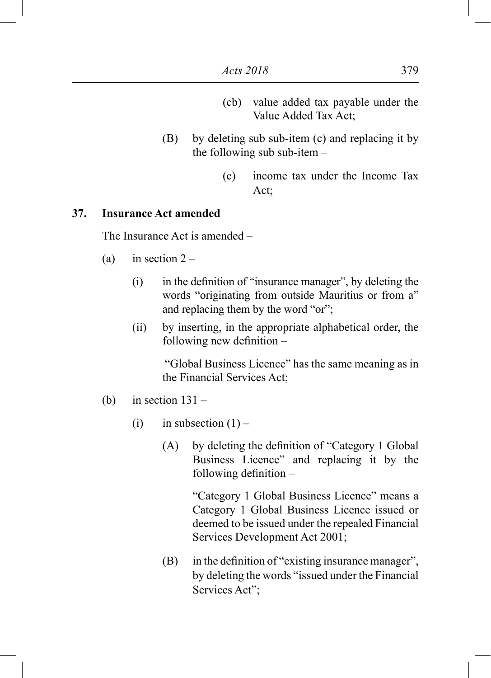- (cb) value added tax payable under the Value Added Tax Act;
- (B) by deleting sub sub-item (c) and replacing it by the following sub sub-item –
	- (c) income tax under the Income Tax Act;

## **37. Insurance Act amended**

The Insurance Act is amended –

- (a) in section  $2 -$ 
	- (i) in the definition of "insurance manager", by deleting the words "originating from outside Mauritius or from a" and replacing them by the word "or";
	- (ii) by inserting, in the appropriate alphabetical order, the following new definition –

 "Global Business Licence" has the same meaning as in the Financial Services Act;

- (b) in section  $131 -$ 
	- (i) in subsection  $(1)$ 
		- (A) by deleting the definition of "Category 1 Global Business Licence" and replacing it by the following definition –

"Category 1 Global Business Licence" means a Category 1 Global Business Licence issued or deemed to be issued under the repealed Financial Services Development Act 2001;

(B) in the definition of "existing insurance manager", by deleting the words "issued under the Financial Services Act";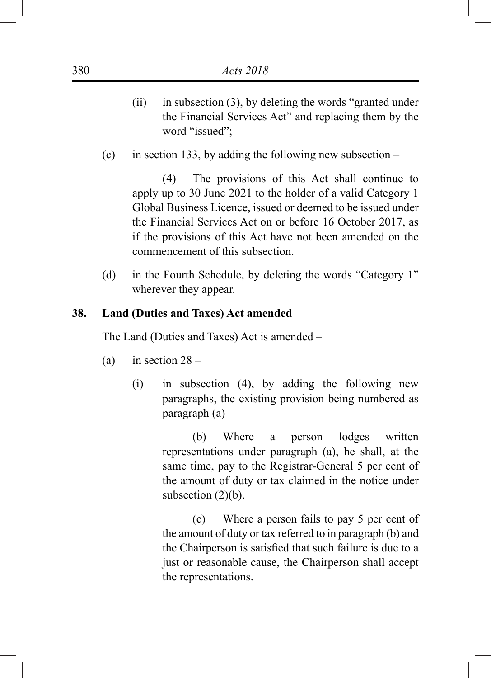- (ii) in subsection (3), by deleting the words "granted under the Financial Services Act" and replacing them by the word "issued";
- (c) in section 133, by adding the following new subsection –

(4) The provisions of this Act shall continue to apply up to 30 June 2021 to the holder of a valid Category 1 Global Business Licence, issued or deemed to be issued under the Financial Services Act on or before 16 October 2017, as if the provisions of this Act have not been amended on the commencement of this subsection.

(d) in the Fourth Schedule, by deleting the words "Category 1" wherever they appear.

## **38. Land (Duties and Taxes) Act amended**

The Land (Duties and Taxes) Act is amended –

- (a) in section  $28 -$ 
	- (i) in subsection (4), by adding the following new paragraphs, the existing provision being numbered as paragraph  $(a)$  –

(b) Where a person lodges written representations under paragraph (a), he shall, at the same time, pay to the Registrar-General 5 per cent of the amount of duty or tax claimed in the notice under subsection  $(2)(b)$ .

(c) Where a person fails to pay 5 per cent of the amount of duty or tax referred to in paragraph (b) and the Chairperson is satisfied that such failure is due to a just or reasonable cause, the Chairperson shall accept the representations.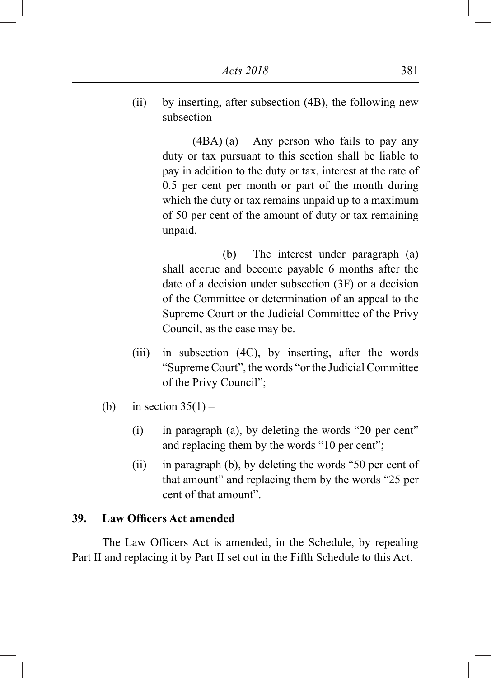(ii) by inserting, after subsection (4B), the following new subsection –

> (4BA) (a) Any person who fails to pay any duty or tax pursuant to this section shall be liable to pay in addition to the duty or tax, interest at the rate of 0.5 per cent per month or part of the month during which the duty or tax remains unpaid up to a maximum of 50 per cent of the amount of duty or tax remaining unpaid.

> (b) The interest under paragraph (a) shall accrue and become payable 6 months after the date of a decision under subsection (3F) or a decision of the Committee or determination of an appeal to the Supreme Court or the Judicial Committee of the Privy Council, as the case may be.

- (iii) in subsection (4C), by inserting, after the words "Supreme Court", the words "or the Judicial Committee of the Privy Council";
- (b) in section  $35(1)$ 
	- (i) in paragraph (a), by deleting the words "20 per cent" and replacing them by the words "10 per cent";
	- (ii) in paragraph (b), by deleting the words "50 per cent of that amount" and replacing them by the words "25 per cent of that amount".

## **39. Law Officers Act amended**

The Law Officers Act is amended, in the Schedule, by repealing Part II and replacing it by Part II set out in the Fifth Schedule to this Act.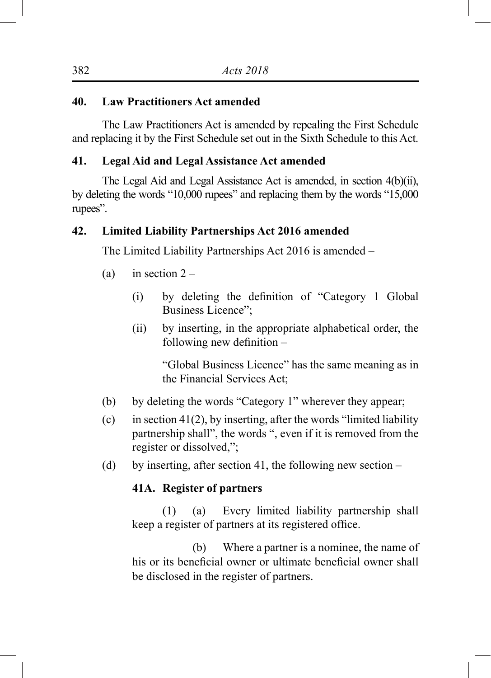## **40. Law Practitioners Act amended**

The Law Practitioners Act is amended by repealing the First Schedule and replacing it by the First Schedule set out in the Sixth Schedule to this Act.

## **41. Legal Aid and Legal Assistance Act amended**

The Legal Aid and Legal Assistance Act is amended, in section 4(b)(ii), by deleting the words "10,000 rupees" and replacing them by the words "15,000 rupees".

## **42. Limited Liability Partnerships Act 2016 amended**

The Limited Liability Partnerships Act 2016 is amended –

- (a) in section  $2 -$ 
	- (i) by deleting the definition of "Category 1 Global Business Licence";
	- (ii) by inserting, in the appropriate alphabetical order, the following new definition –

"Global Business Licence" has the same meaning as in the Financial Services Act;

- (b) by deleting the words "Category 1" wherever they appear;
- (c) in section  $41(2)$ , by inserting, after the words "limited liability" partnership shall", the words ", even if it is removed from the register or dissolved,";
- (d) by inserting, after section 41, the following new section –

## **41A. Register of partners**

(1) (a) Every limited liability partnership shall keep a register of partners at its registered office.

(b) Where a partner is a nominee, the name of his or its beneficial owner or ultimate beneficial owner shall be disclosed in the register of partners.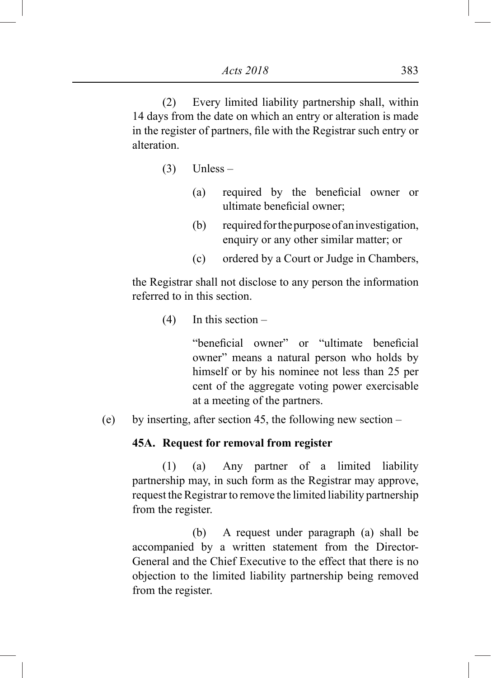(2) Every limited liability partnership shall, within 14 days from the date on which an entry or alteration is made in the register of partners, file with the Registrar such entry or alteration.

- $(3)$  Unless
	- (a) required by the beneficial owner or ultimate beneficial owner;
	- (b) required for the purpose of an investigation, enquiry or any other similar matter; or
	- (c) ordered by a Court or Judge in Chambers,

the Registrar shall not disclose to any person the information referred to in this section.

(4) In this section –

"beneficial owner" or "ultimate beneficial owner" means a natural person who holds by himself or by his nominee not less than 25 per cent of the aggregate voting power exercisable at a meeting of the partners.

(e) by inserting, after section 45, the following new section –

### **45A. Request for removal from register**

(1) (a) Any partner of a limited liability partnership may, in such form as the Registrar may approve, request the Registrar to remove the limited liability partnership from the register.

(b) A request under paragraph (a) shall be accompanied by a written statement from the Director-General and the Chief Executive to the effect that there is no objection to the limited liability partnership being removed from the register.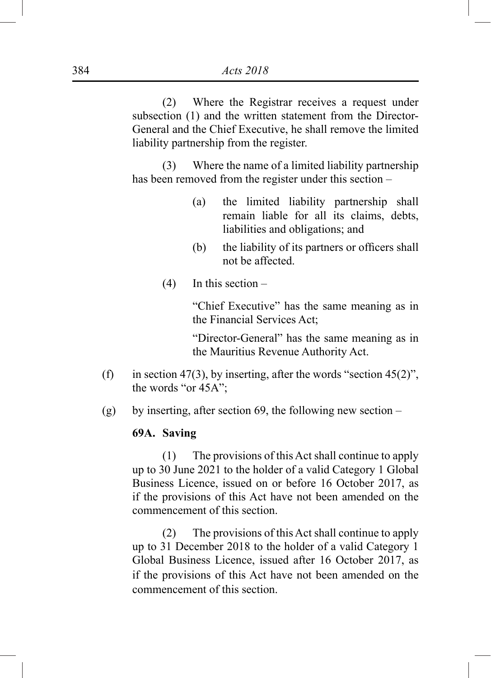(2) Where the Registrar receives a request under subsection (1) and the written statement from the Director-General and the Chief Executive, he shall remove the limited liability partnership from the register.

(3) Where the name of a limited liability partnership has been removed from the register under this section –

- (a) the limited liability partnership shall remain liable for all its claims, debts, liabilities and obligations; and
- (b) the liability of its partners or officers shall not be affected.
- (4) In this section –

"Chief Executive" has the same meaning as in the Financial Services Act;

"Director-General" has the same meaning as in the Mauritius Revenue Authority Act.

- (f) in section 47(3), by inserting, after the words "section 45(2)", the words "or 45A";
- (g) by inserting, after section 69, the following new section –

## **69A. Saving**

(1) The provisions of this Act shall continue to apply up to 30 June 2021 to the holder of a valid Category 1 Global Business Licence, issued on or before 16 October 2017, as if the provisions of this Act have not been amended on the commencement of this section.

(2) The provisions of this Act shall continue to apply up to 31 December 2018 to the holder of a valid Category 1 Global Business Licence, issued after 16 October 2017, as if the provisions of this Act have not been amended on the commencement of this section.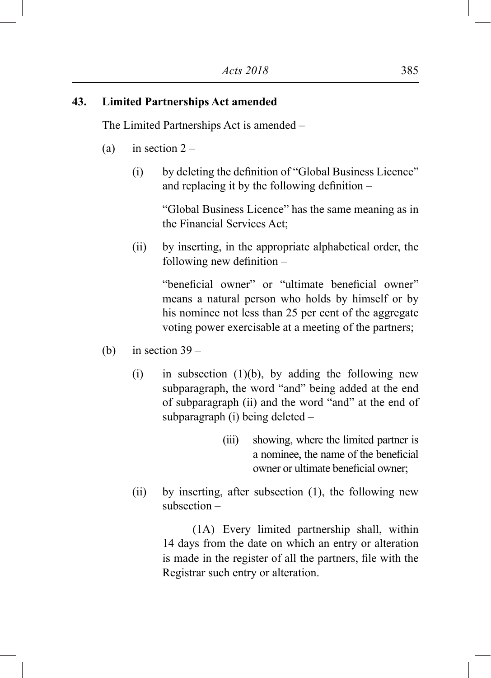## **43. Limited Partnerships Act amended**

The Limited Partnerships Act is amended –

- (a) in section  $2 -$ 
	- (i) by deleting the definition of "Global Business Licence" and replacing it by the following definition –

"Global Business Licence" has the same meaning as in the Financial Services Act;

(ii) by inserting, in the appropriate alphabetical order, the following new definition –

> "beneficial owner" or "ultimate beneficial owner" means a natural person who holds by himself or by his nominee not less than 25 per cent of the aggregate voting power exercisable at a meeting of the partners;

- (b) in section  $39 -$ 
	- (i) in subsection  $(1)(b)$ , by adding the following new subparagraph, the word "and" being added at the end of subparagraph (ii) and the word "and" at the end of subparagraph (i) being deleted –
		- (iii) showing, where the limited partner is a nominee, the name of the beneficial owner or ultimate beneficial owner;
	- (ii) by inserting, after subsection (1), the following new subsection –

(1A) Every limited partnership shall, within 14 days from the date on which an entry or alteration is made in the register of all the partners, file with the Registrar such entry or alteration.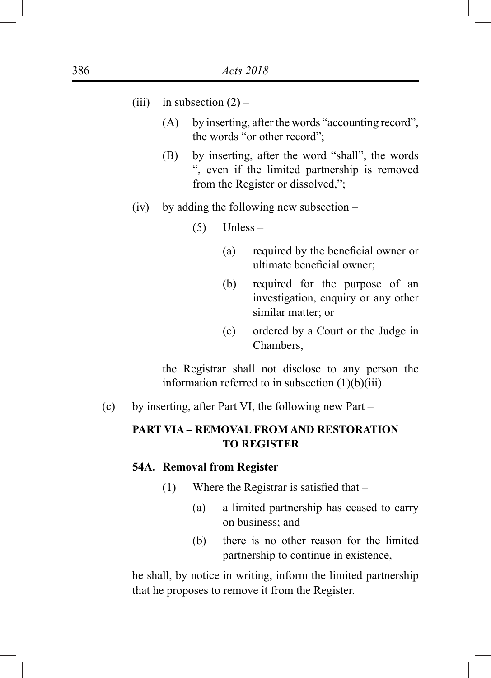| (iii)<br>in subsection $(2)$ |  |
|------------------------------|--|
|------------------------------|--|

- (A) by inserting, after the words "accounting record", the words "or other record";
- (B) by inserting, after the word "shall", the words ", even if the limited partnership is removed from the Register or dissolved,";
- (iv) by adding the following new subsection
	- $(5)$  Unless
		- (a) required by the beneficial owner or ultimate beneficial owner;
		- (b) required for the purpose of an investigation, enquiry or any other similar matter; or
		- (c) ordered by a Court or the Judge in Chambers,

the Registrar shall not disclose to any person the information referred to in subsection (1)(b)(iii).

(c) by inserting, after Part VI, the following new Part –

# **PART VIA – REMOVAL FROM AND RESTORATION TO REGISTER**

#### **54A. Removal from Register**

- (1) Where the Registrar is satisfied that
	- (a) a limited partnership has ceased to carry on business; and
	- (b) there is no other reason for the limited partnership to continue in existence,

he shall, by notice in writing, inform the limited partnership that he proposes to remove it from the Register.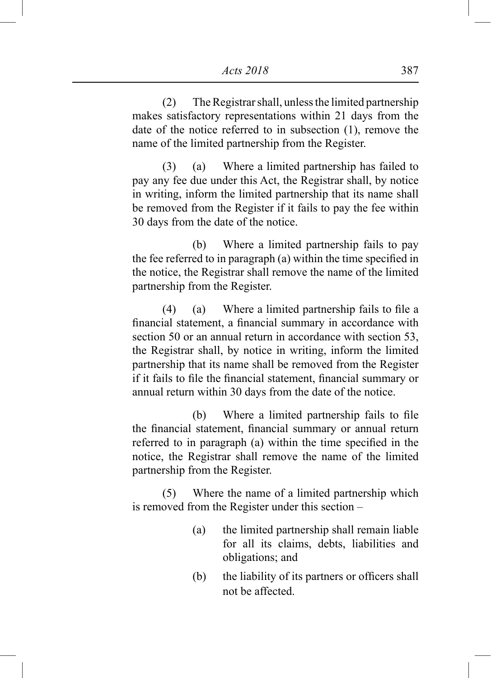(2) The Registrar shall, unless the limited partnership makes satisfactory representations within 21 days from the date of the notice referred to in subsection (1), remove the name of the limited partnership from the Register.

(3) (a) Where a limited partnership has failed to pay any fee due under this Act, the Registrar shall, by notice in writing, inform the limited partnership that its name shall be removed from the Register if it fails to pay the fee within 30 days from the date of the notice.

(b) Where a limited partnership fails to pay the fee referred to in paragraph (a) within the time specified in the notice, the Registrar shall remove the name of the limited partnership from the Register.

(4) (a) Where a limited partnership fails to file a financial statement, a financial summary in accordance with section 50 or an annual return in accordance with section 53. the Registrar shall, by notice in writing, inform the limited partnership that its name shall be removed from the Register if it fails to file the financial statement, financial summary or annual return within 30 days from the date of the notice.

(b) Where a limited partnership fails to file the financial statement, financial summary or annual return referred to in paragraph (a) within the time specified in the notice, the Registrar shall remove the name of the limited partnership from the Register.

(5) Where the name of a limited partnership which is removed from the Register under this section –

- (a) the limited partnership shall remain liable for all its claims, debts, liabilities and obligations; and
- (b) the liability of its partners or officers shall not be affected.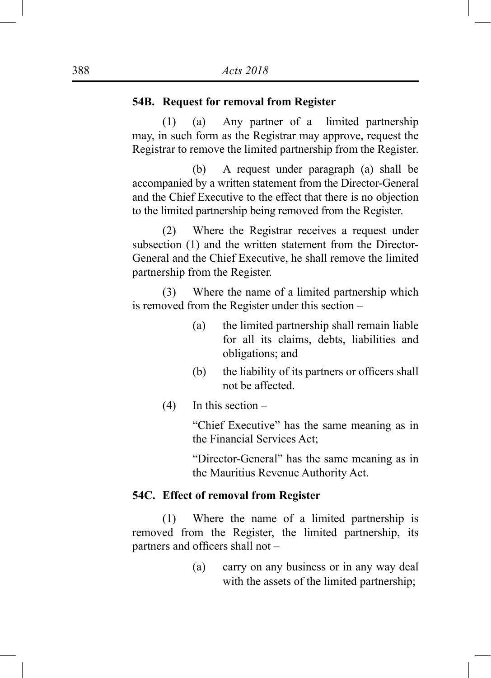## **54B. Request for removal from Register**

(1) (a) Any partner of a limited partnership may, in such form as the Registrar may approve, request the Registrar to remove the limited partnership from the Register.

(b) A request under paragraph (a) shall be accompanied by a written statement from the Director-General and the Chief Executive to the effect that there is no objection to the limited partnership being removed from the Register.

(2) Where the Registrar receives a request under subsection (1) and the written statement from the Director-General and the Chief Executive, he shall remove the limited partnership from the Register.

(3) Where the name of a limited partnership which is removed from the Register under this section –

- (a) the limited partnership shall remain liable for all its claims, debts, liabilities and obligations; and
- (b) the liability of its partners or officers shall not be affected.
- $(4)$  In this section –

"Chief Executive" has the same meaning as in the Financial Services Act;

"Director-General" has the same meaning as in the Mauritius Revenue Authority Act.

### **54C. Effect of removal from Register**

(1) Where the name of a limited partnership is removed from the Register, the limited partnership, its partners and officers shall not –

> (a) carry on any business or in any way deal with the assets of the limited partnership;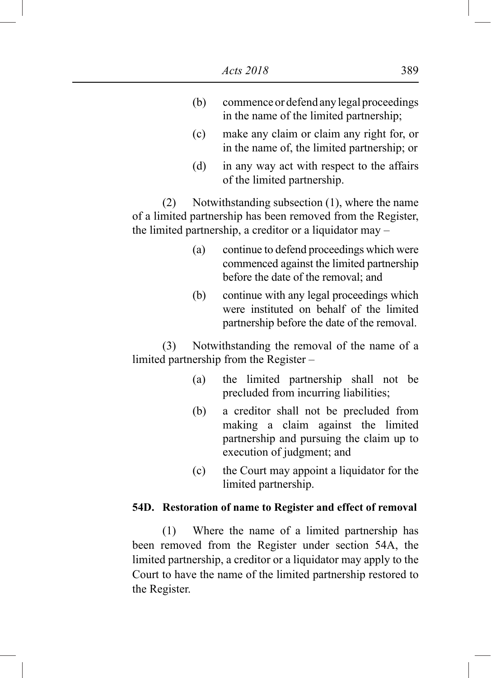- (b) commence or defend any legal proceedings in the name of the limited partnership;
- (c) make any claim or claim any right for, or in the name of, the limited partnership; or
- (d) in any way act with respect to the affairs of the limited partnership.

(2) Notwithstanding subsection (1), where the name of a limited partnership has been removed from the Register, the limited partnership, a creditor or a liquidator may –

- (a) continue to defend proceedings which were commenced against the limited partnership before the date of the removal; and
- (b) continue with any legal proceedings which were instituted on behalf of the limited partnership before the date of the removal.

(3) Notwithstanding the removal of the name of a limited partnership from the Register –

- (a) the limited partnership shall not be precluded from incurring liabilities;
- (b) a creditor shall not be precluded from making a claim against the limited partnership and pursuing the claim up to execution of judgment; and
- (c) the Court may appoint a liquidator for the limited partnership.

## **54D. Restoration of name to Register and effect of removal**

(1) Where the name of a limited partnership has been removed from the Register under section 54A, the limited partnership, a creditor or a liquidator may apply to the Court to have the name of the limited partnership restored to the Register.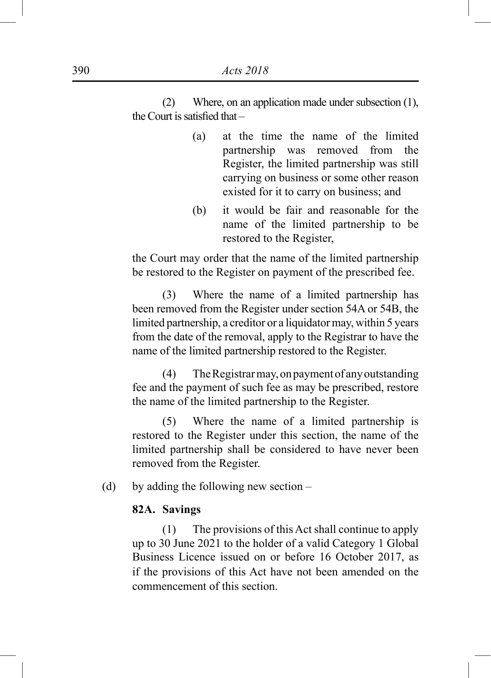(2) Where, on an application made under subsection (1), the Court is satisfied that –

- (a) at the time the name of the limited partnership was removed from the Register, the limited partnership was still carrying on business or some other reason existed for it to carry on business; and
- (b) it would be fair and reasonable for the name of the limited partnership to be restored to the Register,

the Court may order that the name of the limited partnership be restored to the Register on payment of the prescribed fee.

(3) Where the name of a limited partnership has been removed from the Register under section 54A or 54B, the limited partnership, a creditor or a liquidator may, within 5 years from the date of the removal, apply to the Registrar to have the name of the limited partnership restored to the Register.

(4) The Registrar may, on payment of any outstanding fee and the payment of such fee as may be prescribed, restore the name of the limited partnership to the Register.

(5) Where the name of a limited partnership is restored to the Register under this section, the name of the limited partnership shall be considered to have never been removed from the Register.

(d) by adding the following new section –

### **82A. Savings**

(1) The provisions of this Act shall continue to apply up to 30 June 2021 to the holder of a valid Category 1 Global Business Licence issued on or before 16 October 2017, as if the provisions of this Act have not been amended on the commencement of this section.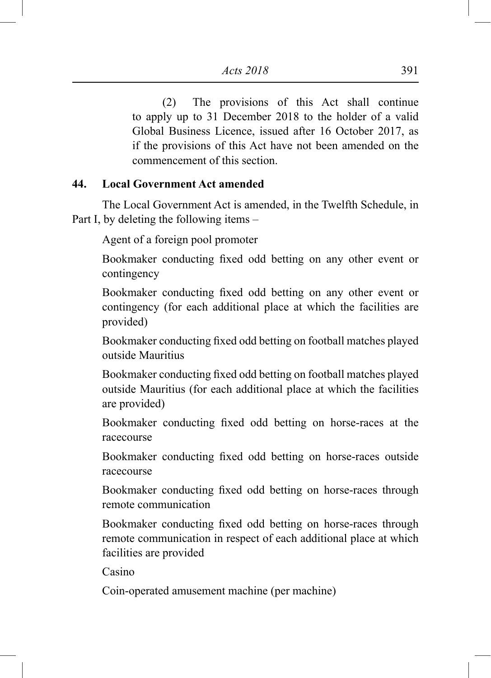(2) The provisions of this Act shall continue to apply up to 31 December 2018 to the holder of a valid Global Business Licence, issued after 16 October 2017, as if the provisions of this Act have not been amended on the commencement of this section.

## **44. Local Government Act amended**

The Local Government Act is amended, in the Twelfth Schedule, in Part I, by deleting the following items –

Agent of a foreign pool promoter

Bookmaker conducting fixed odd betting on any other event or contingency

Bookmaker conducting fixed odd betting on any other event or contingency (for each additional place at which the facilities are provided)

Bookmaker conducting fixed odd betting on football matches played outside Mauritius

Bookmaker conducting fixed odd betting on football matches played outside Mauritius (for each additional place at which the facilities are provided)

Bookmaker conducting fixed odd betting on horse-races at the racecourse

Bookmaker conducting fixed odd betting on horse-races outside racecourse

Bookmaker conducting fixed odd betting on horse-races through remote communication

Bookmaker conducting fixed odd betting on horse-races through remote communication in respect of each additional place at which facilities are provided

Casino

Coin-operated amusement machine (per machine)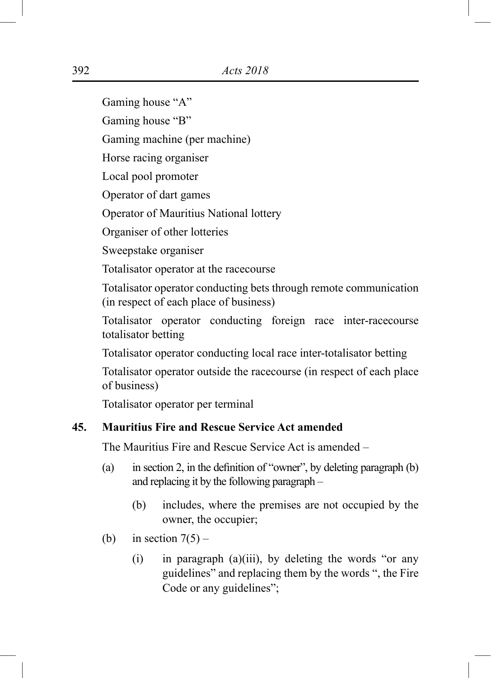Gaming house "A"

Gaming house "B"

Gaming machine (per machine)

Horse racing organiser

Local pool promoter

Operator of dart games

Operator of Mauritius National lottery

Organiser of other lotteries

Sweepstake organiser

Totalisator operator at the racecourse

Totalisator operator conducting bets through remote communication (in respect of each place of business)

Totalisator operator conducting foreign race inter-racecourse totalisator betting

Totalisator operator conducting local race inter-totalisator betting

Totalisator operator outside the racecourse (in respect of each place of business)

Totalisator operator per terminal

## **45. Mauritius Fire and Rescue Service Act amended**

The Mauritius Fire and Rescue Service Act is amended –

- (a) in section 2, in the definition of "owner", by deleting paragraph (b) and replacing it by the following paragraph –
	- (b) includes, where the premises are not occupied by the owner, the occupier;
- (b) in section  $7(5)$ 
	- $(i)$  in paragraph  $(a)(iii)$ , by deleting the words "or any guidelines" and replacing them by the words ", the Fire Code or any guidelines";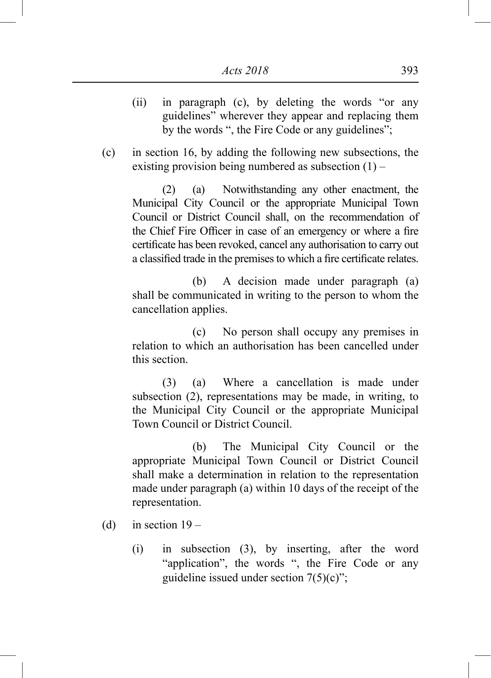- (ii) in paragraph (c), by deleting the words "or any guidelines" wherever they appear and replacing them by the words ", the Fire Code or any guidelines";
- (c) in section 16, by adding the following new subsections, the existing provision being numbered as subsection  $(1)$  –

(2) (a) Notwithstanding any other enactment, the Municipal City Council or the appropriate Municipal Town Council or District Council shall, on the recommendation of the Chief Fire Officer in case of an emergency or where a fire certificate has been revoked, cancel any authorisation to carry out a classified trade in the premises to which a fire certificate relates.

(b) A decision made under paragraph (a) shall be communicated in writing to the person to whom the cancellation applies.

(c) No person shall occupy any premises in relation to which an authorisation has been cancelled under this section.

(3) (a) Where a cancellation is made under subsection (2), representations may be made, in writing, to the Municipal City Council or the appropriate Municipal Town Council or District Council.

(b) The Municipal City Council or the appropriate Municipal Town Council or District Council shall make a determination in relation to the representation made under paragraph (a) within 10 days of the receipt of the representation.

- (d) in section  $19 -$ 
	- (i) in subsection (3), by inserting, after the word "application", the words ", the Fire Code or any guideline issued under section  $7(5)(c)$ ";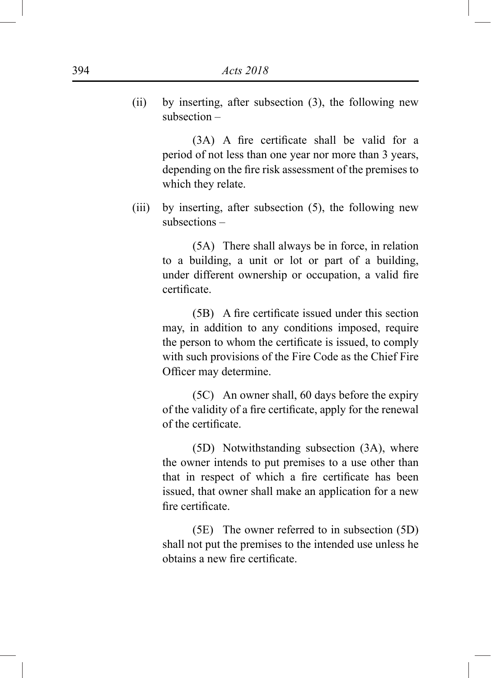(ii) by inserting, after subsection (3), the following new subsection –

> (3A) A fire certificate shall be valid for a period of not less than one year nor more than 3 years, depending on the fire risk assessment of the premises to which they relate.

(iii) by inserting, after subsection (5), the following new subsections –

> (5A) There shall always be in force, in relation to a building, a unit or lot or part of a building, under different ownership or occupation, a valid fire certificate.

> (5B) A fire certificate issued under this section may, in addition to any conditions imposed, require the person to whom the certificate is issued, to comply with such provisions of the Fire Code as the Chief Fire Officer may determine.

> (5C) An owner shall, 60 days before the expiry of the validity of a fire certificate, apply for the renewal of the certificate.

> (5D) Notwithstanding subsection (3A), where the owner intends to put premises to a use other than that in respect of which a fire certificate has been issued, that owner shall make an application for a new fire certificate.

> (5E) The owner referred to in subsection (5D) shall not put the premises to the intended use unless he obtains a new fire certificate.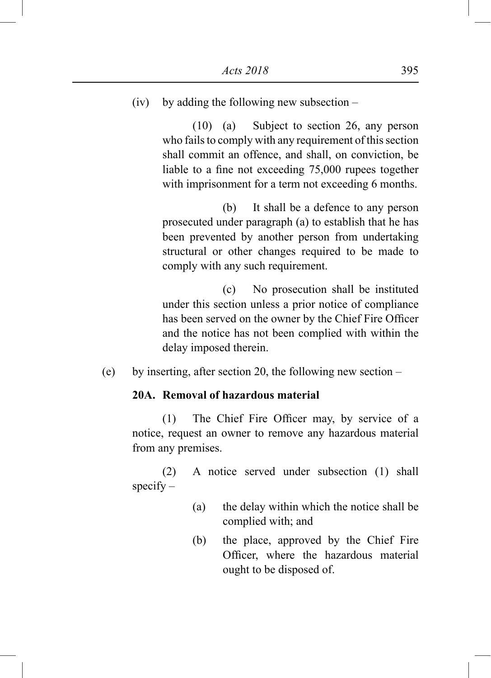(iv) by adding the following new subsection –

(10) (a) Subject to section 26, any person who fails to comply with any requirement of this section shall commit an offence, and shall, on conviction, be liable to a fine not exceeding 75,000 rupees together with imprisonment for a term not exceeding 6 months.

(b) It shall be a defence to any person prosecuted under paragraph (a) to establish that he has been prevented by another person from undertaking structural or other changes required to be made to comply with any such requirement.

(c) No prosecution shall be instituted under this section unless a prior notice of compliance has been served on the owner by the Chief Fire Officer and the notice has not been complied with within the delay imposed therein.

(e) by inserting, after section 20, the following new section –

## **20A. Removal of hazardous material**

(1) The Chief Fire Officer may, by service of a notice, request an owner to remove any hazardous material from any premises.

(2) A notice served under subsection (1) shall  $specify -$ 

- (a) the delay within which the notice shall be complied with; and
- (b) the place, approved by the Chief Fire Officer, where the hazardous material ought to be disposed of.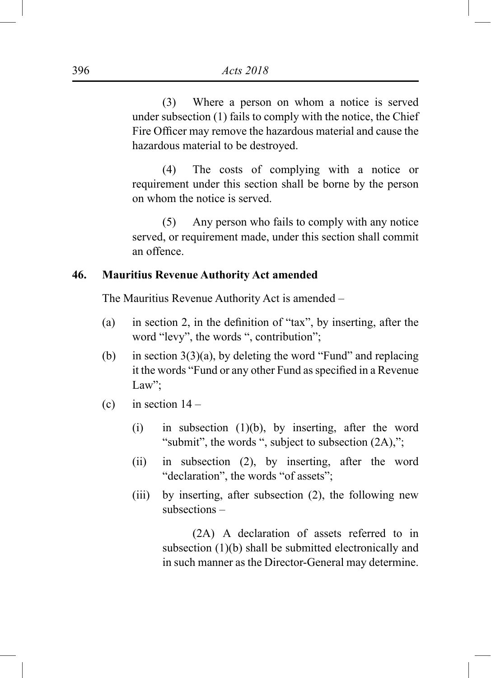(3) Where a person on whom a notice is served under subsection (1) fails to comply with the notice, the Chief Fire Officer may remove the hazardous material and cause the hazardous material to be destroyed.

(4) The costs of complying with a notice or requirement under this section shall be borne by the person on whom the notice is served.

(5) Any person who fails to comply with any notice served, or requirement made, under this section shall commit an offence.

## **46. Mauritius Revenue Authority Act amended**

The Mauritius Revenue Authority Act is amended –

- (a) in section 2, in the definition of "tax", by inserting, after the word "levy", the words ", contribution";
- (b) in section  $3(3)(a)$ , by deleting the word "Fund" and replacing it the words "Fund or any other Fund as specified in a Revenue Law":
- (c) in section  $14 -$ 
	- (i) in subsection  $(1)(b)$ , by inserting, after the word "submit", the words ", subject to subsection  $(2A)$ ,";
	- (ii) in subsection (2), by inserting, after the word "declaration", the words "of assets";
	- (iii) by inserting, after subsection (2), the following new subsections –

(2A) A declaration of assets referred to in subsection (1)(b) shall be submitted electronically and in such manner as the Director-General may determine.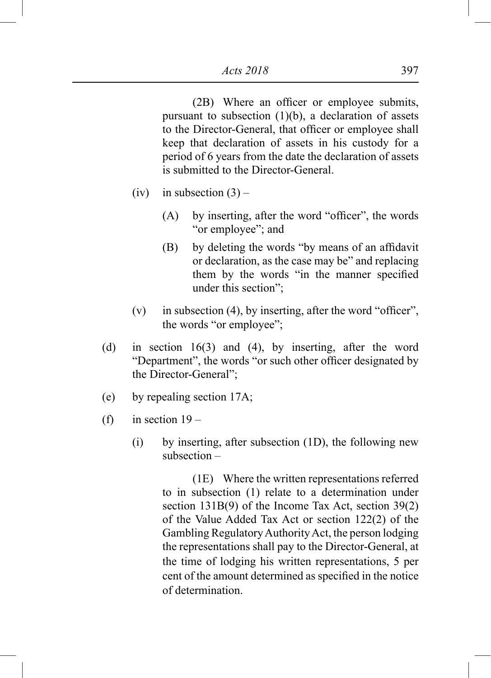(2B) Where an officer or employee submits, pursuant to subsection  $(1)(b)$ , a declaration of assets to the Director-General, that officer or employee shall keep that declaration of assets in his custody for a period of 6 years from the date the declaration of assets is submitted to the Director-General.

- (iv) in subsection  $(3)$ 
	- (A) by inserting, after the word "officer", the words "or employee"; and
	- (B) by deleting the words "by means of an affidavit or declaration, as the case may be" and replacing them by the words "in the manner specified under this section";
- $(v)$  in subsection (4), by inserting, after the word "officer", the words "or employee";
- (d) in section 16(3) and (4), by inserting, after the word "Department", the words "or such other officer designated by the Director-General";
- (e) by repealing section 17A;
- (f) in section  $19 -$ 
	- (i) by inserting, after subsection (1D), the following new subsection –

(1E) Where the written representations referred to in subsection (1) relate to a determination under section 131B(9) of the Income Tax Act, section 39(2) of the Value Added Tax Act or section 122(2) of the Gambling Regulatory Authority Act, the person lodging the representations shall pay to the Director-General, at the time of lodging his written representations, 5 per cent of the amount determined as specified in the notice of determination.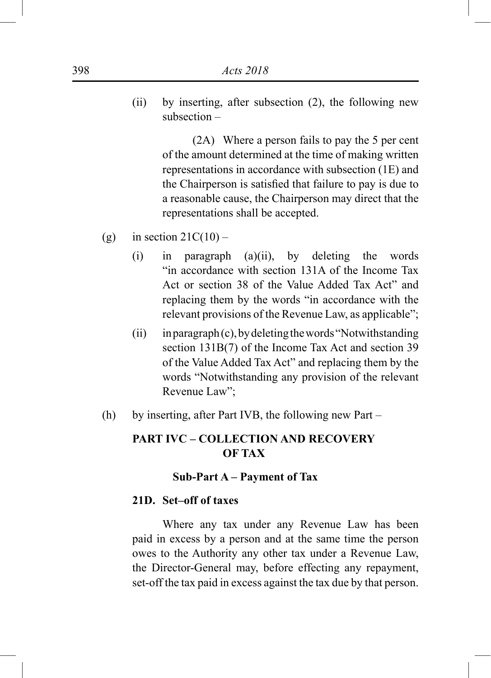(ii) by inserting, after subsection (2), the following new subsection –

> (2A) Where a person fails to pay the 5 per cent of the amount determined at the time of making written representations in accordance with subsection (1E) and the Chairperson is satisfied that failure to pay is due to a reasonable cause, the Chairperson may direct that the representations shall be accepted.

- (g) in section  $21C(10)$ 
	- (i) in paragraph (a)(ii), by deleting the words "in accordance with section 131A of the Income Tax Act or section 38 of the Value Added Tax Act" and replacing them by the words "in accordance with the relevant provisions of the Revenue Law, as applicable";
	- (ii) in paragraph (c), by deleting the words "Notwithstanding section 131B(7) of the Income Tax Act and section 39 of the Value Added Tax Act" and replacing them by the words "Notwithstanding any provision of the relevant Revenue Law";
- (h) by inserting, after Part IVB, the following new Part –

## **PART IVC – COLLECTION AND RECOVERY OF TAX**

#### **Sub-Part A – Payment of Tax**

### **21D. Set–off of taxes**

Where any tax under any Revenue Law has been paid in excess by a person and at the same time the person owes to the Authority any other tax under a Revenue Law, the Director-General may, before effecting any repayment, set-off the tax paid in excess against the tax due by that person.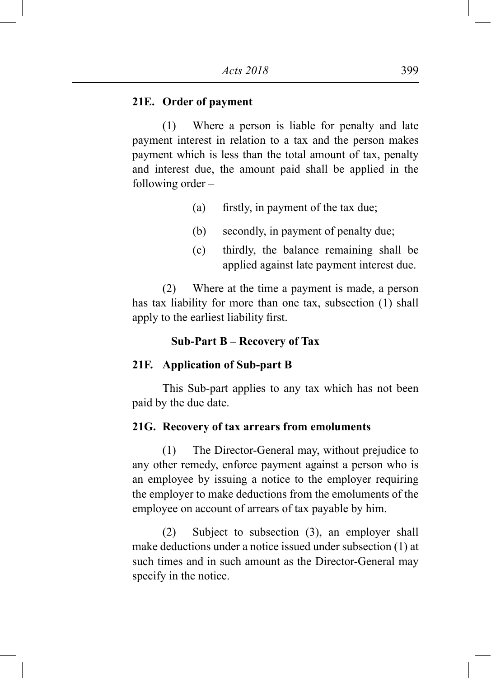#### **21E. Order of payment**

(1) Where a person is liable for penalty and late payment interest in relation to a tax and the person makes payment which is less than the total amount of tax, penalty and interest due, the amount paid shall be applied in the following order –

- (a) firstly, in payment of the tax due;
- (b) secondly, in payment of penalty due;
- (c) thirdly, the balance remaining shall be applied against late payment interest due.

(2) Where at the time a payment is made, a person has tax liability for more than one tax, subsection (1) shall apply to the earliest liability first.

#### **Sub-Part B – Recovery of Tax**

#### **21F. Application of Sub-part B**

This Sub-part applies to any tax which has not been paid by the due date.

#### **21G. Recovery of tax arrears from emoluments**

(1) The Director-General may, without prejudice to any other remedy, enforce payment against a person who is an employee by issuing a notice to the employer requiring the employer to make deductions from the emoluments of the employee on account of arrears of tax payable by him.

(2) Subject to subsection (3), an employer shall make deductions under a notice issued under subsection (1) at such times and in such amount as the Director-General may specify in the notice.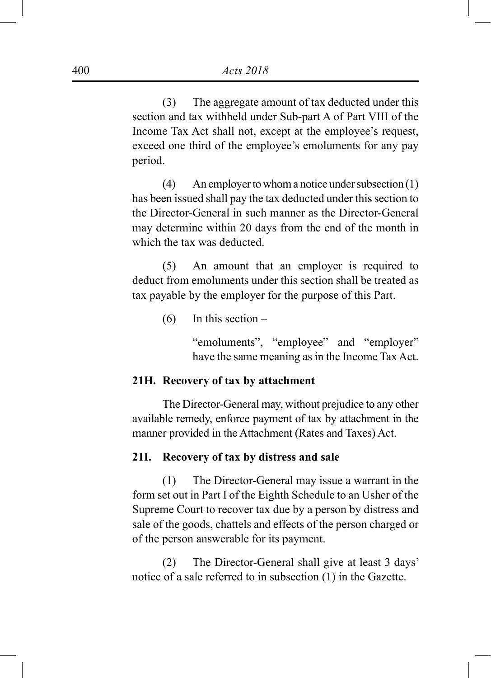(3) The aggregate amount of tax deducted under this section and tax withheld under Sub-part A of Part VIII of the Income Tax Act shall not, except at the employee's request, exceed one third of the employee's emoluments for any pay period.

(4) An employer to whom a notice under subsection (1) has been issued shall pay the tax deducted under this section to the Director-General in such manner as the Director-General may determine within 20 days from the end of the month in which the tax was deducted.

(5) An amount that an employer is required to deduct from emoluments under this section shall be treated as tax payable by the employer for the purpose of this Part.

 $(6)$  In this section –

"emoluments", "employee" and "employer" have the same meaning as in the Income Tax Act.

#### **21H. Recovery of tax by attachment**

The Director-General may, without prejudice to any other available remedy, enforce payment of tax by attachment in the manner provided in the Attachment (Rates and Taxes) Act.

## **21I. Recovery of tax by distress and sale**

(1) The Director-General may issue a warrant in the form set out in Part I of the Eighth Schedule to an Usher of the Supreme Court to recover tax due by a person by distress and sale of the goods, chattels and effects of the person charged or of the person answerable for its payment.

(2) The Director-General shall give at least 3 days' notice of a sale referred to in subsection (1) in the Gazette.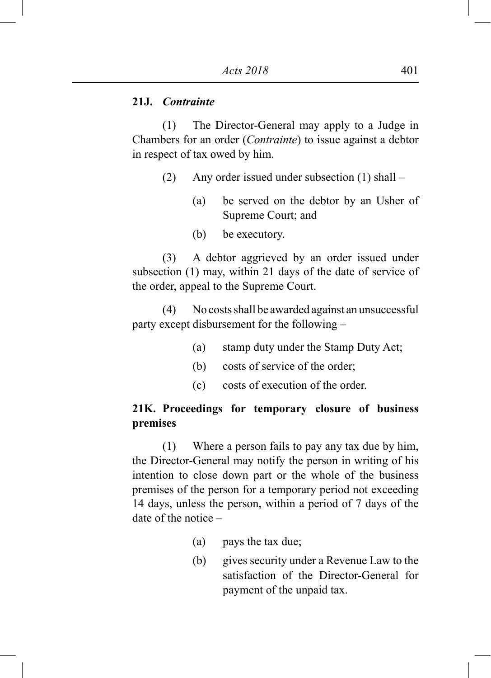## **21J.** *Contrainte*

(1) The Director-General may apply to a Judge in Chambers for an order (*Contrainte*) to issue against a debtor in respect of tax owed by him.

- (2) Any order issued under subsection (1) shall
	- (a) be served on the debtor by an Usher of Supreme Court; and
	- (b) be executory.

(3) A debtor aggrieved by an order issued under subsection (1) may, within 21 days of the date of service of the order, appeal to the Supreme Court.

(4) No costs shall be awarded against an unsuccessful party except disbursement for the following –

- (a) stamp duty under the Stamp Duty Act;
- (b) costs of service of the order;
- (c) costs of execution of the order.

# **21K. Proceedings for temporary closure of business premises**

(1) Where a person fails to pay any tax due by him, the Director-General may notify the person in writing of his intention to close down part or the whole of the business premises of the person for a temporary period not exceeding 14 days, unless the person, within a period of 7 days of the date of the notice –

- (a) pays the tax due;
- (b) gives security under a Revenue Law to the satisfaction of the Director-General for payment of the unpaid tax.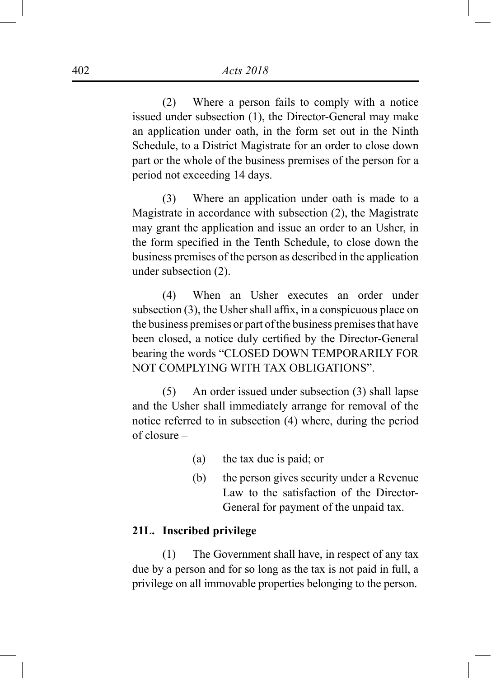(2) Where a person fails to comply with a notice issued under subsection (1), the Director-General may make an application under oath, in the form set out in the Ninth Schedule, to a District Magistrate for an order to close down part or the whole of the business premises of the person for a period not exceeding 14 days.

(3) Where an application under oath is made to a Magistrate in accordance with subsection (2), the Magistrate may grant the application and issue an order to an Usher, in the form specified in the Tenth Schedule, to close down the business premises of the person as described in the application under subsection (2).

(4) When an Usher executes an order under subsection (3), the Usher shall affix, in a conspicuous place on the business premises or part of the business premises that have been closed, a notice duly certified by the Director-General bearing the words "CLOSED DOWN TEMPORARILY FOR NOT COMPLYING WITH TAX OBLIGATIONS".

(5) An order issued under subsection (3) shall lapse and the Usher shall immediately arrange for removal of the notice referred to in subsection (4) where, during the period of closure –

- (a) the tax due is paid; or
- (b) the person gives security under a Revenue Law to the satisfaction of the Director-General for payment of the unpaid tax.

## **21L. Inscribed privilege**

(1) The Government shall have, in respect of any tax due by a person and for so long as the tax is not paid in full, a privilege on all immovable properties belonging to the person.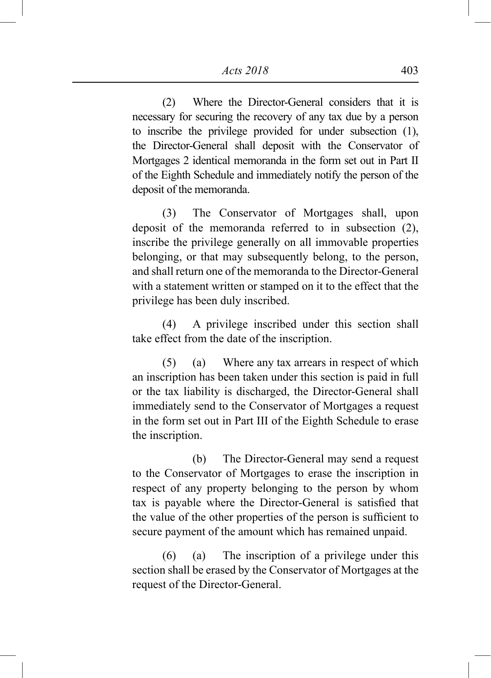(2) Where the Director-General considers that it is necessary for securing the recovery of any tax due by a person to inscribe the privilege provided for under subsection (1), the Director-General shall deposit with the Conservator of Mortgages 2 identical memoranda in the form set out in Part II of the Eighth Schedule and immediately notify the person of the deposit of the memoranda.

(3) The Conservator of Mortgages shall, upon deposit of the memoranda referred to in subsection (2), inscribe the privilege generally on all immovable properties belonging, or that may subsequently belong, to the person, and shall return one of the memoranda to the Director-General with a statement written or stamped on it to the effect that the privilege has been duly inscribed.

(4) A privilege inscribed under this section shall take effect from the date of the inscription.

(5) (a) Where any tax arrears in respect of which an inscription has been taken under this section is paid in full or the tax liability is discharged, the Director-General shall immediately send to the Conservator of Mortgages a request in the form set out in Part III of the Eighth Schedule to erase the inscription.

(b) The Director-General may send a request to the Conservator of Mortgages to erase the inscription in respect of any property belonging to the person by whom tax is payable where the Director-General is satisfied that the value of the other properties of the person is sufficient to secure payment of the amount which has remained unpaid.

(6) (a) The inscription of a privilege under this section shall be erased by the Conservator of Mortgages at the request of the Director-General.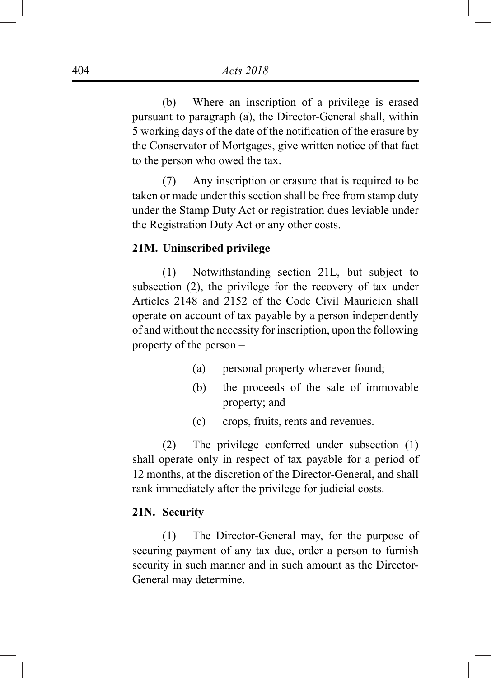(b) Where an inscription of a privilege is erased pursuant to paragraph (a), the Director-General shall, within 5 working days of the date of the notification of the erasure by the Conservator of Mortgages, give written notice of that fact to the person who owed the tax.

(7) Any inscription or erasure that is required to be taken or made under this section shall be free from stamp duty under the Stamp Duty Act or registration dues leviable under the Registration Duty Act or any other costs.

### **21M. Uninscribed privilege**

(1) Notwithstanding section 21L, but subject to subsection (2), the privilege for the recovery of tax under Articles 2148 and 2152 of the Code Civil Mauricien shall operate on account of tax payable by a person independently of and without the necessity for inscription, upon the following property of the person –

- (a) personal property wherever found;
- (b) the proceeds of the sale of immovable property; and
- (c) crops, fruits, rents and revenues.

(2) The privilege conferred under subsection (1) shall operate only in respect of tax payable for a period of 12 months, at the discretion of the Director-General, and shall rank immediately after the privilege for judicial costs.

## **21N. Security**

(1) The Director-General may, for the purpose of securing payment of any tax due, order a person to furnish security in such manner and in such amount as the Director-General may determine.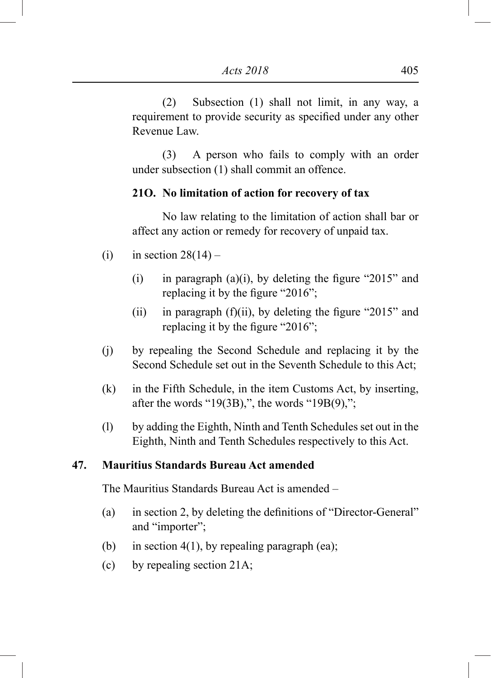(2) Subsection (1) shall not limit, in any way, a requirement to provide security as specified under any other Revenue Law.

(3) A person who fails to comply with an order under subsection (1) shall commit an offence.

## **21O. No limitation of action for recovery of tax**

No law relating to the limitation of action shall bar or affect any action or remedy for recovery of unpaid tax.

- (i) in section  $28(14)$ 
	- (i) in paragraph (a)(i), by deleting the figure "2015" and replacing it by the figure "2016";
	- (ii) in paragraph  $(f)(ii)$ , by deleting the figure "2015" and replacing it by the figure "2016";
- (j) by repealing the Second Schedule and replacing it by the Second Schedule set out in the Seventh Schedule to this Act;
- (k) in the Fifth Schedule, in the item Customs Act, by inserting, after the words "19 $(3B)$ ,", the words "19 $B(9)$ ,";
- (l) by adding the Eighth, Ninth and Tenth Schedules set out in the Eighth, Ninth and Tenth Schedules respectively to this Act.

## **47. Mauritius Standards Bureau Act amended**

The Mauritius Standards Bureau Act is amended –

- (a) in section 2, by deleting the definitions of "Director-General" and "importer";
- (b) in section 4(1), by repealing paragraph (ea);
- (c) by repealing section 21A;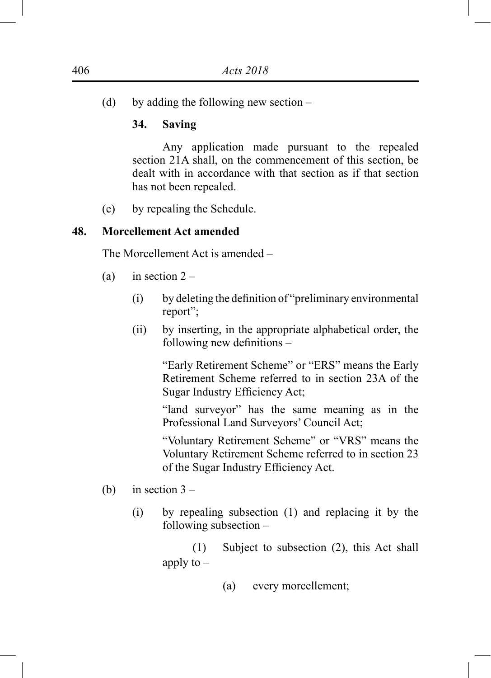(d) by adding the following new section –

## **34. Saving**

Any application made pursuant to the repealed section 21A shall, on the commencement of this section, be dealt with in accordance with that section as if that section has not been repealed.

(e) by repealing the Schedule.

## **48. Morcellement Act amended**

The Morcellement Act is amended –

- (a) in section  $2 -$ 
	- (i) by deleting the definition of "preliminary environmental report";
	- (ii) by inserting, in the appropriate alphabetical order, the following new definitions –

"Early Retirement Scheme" or "ERS" means the Early Retirement Scheme referred to in section 23A of the Sugar Industry Efficiency Act;

"land surveyor" has the same meaning as in the Professional Land Surveyors' Council Act;

"Voluntary Retirement Scheme" or "VRS" means the Voluntary Retirement Scheme referred to in section 23 of the Sugar Industry Efficiency Act.

- (b) in section  $3 -$ 
	- (i) by repealing subsection (1) and replacing it by the following subsection –

(1) Subject to subsection (2), this Act shall apply to  $-$ 

(a) every morcellement;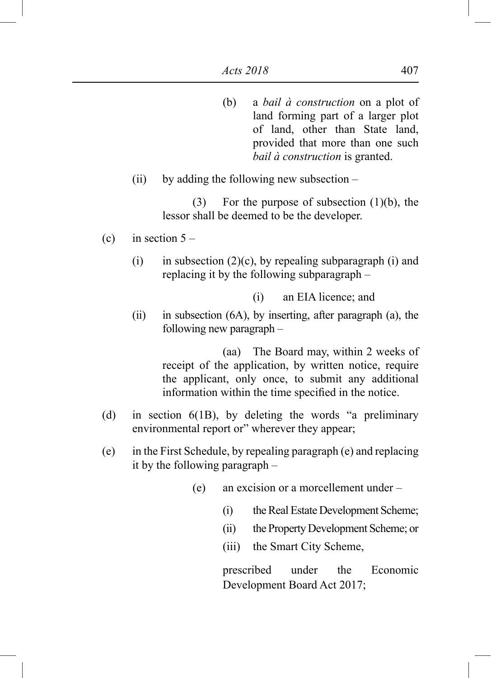- (b) a *bail à construction* on a plot of land forming part of a larger plot of land, other than State land, provided that more than one such *bail à construction* is granted.
- (ii) by adding the following new subsection –

(3) For the purpose of subsection  $(1)(b)$ , the lessor shall be deemed to be the developer.

- (c) in section  $5 -$ 
	- (i) in subsection  $(2)(c)$ , by repealing subparagraph (i) and replacing it by the following subparagraph –

(i) an EIA licence; and

(ii) in subsection (6A), by inserting, after paragraph (a), the following new paragraph –

> (aa) The Board may, within 2 weeks of receipt of the application, by written notice, require the applicant, only once, to submit any additional information within the time specified in the notice.

- (d) in section 6(1B), by deleting the words "a preliminary environmental report or" wherever they appear;
- (e) in the First Schedule, by repealing paragraph (e) and replacing it by the following paragraph –
	- (e) an excision or a morcellement under
		- (i) the Real Estate Development Scheme;
		- (ii) the Property Development Scheme; or
		- (iii) the Smart City Scheme,

prescribed under the Economic Development Board Act 2017;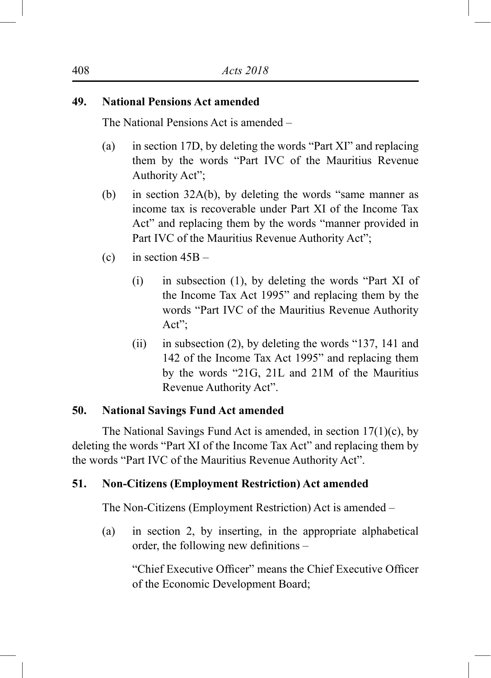## **49. National Pensions Act amended**

The National Pensions Act is amended –

- (a) in section 17D, by deleting the words "Part XI" and replacing them by the words "Part IVC of the Mauritius Revenue Authority Act";
- (b) in section 32A(b), by deleting the words "same manner as income tax is recoverable under Part XI of the Income Tax Act" and replacing them by the words "manner provided in Part IVC of the Mauritius Revenue Authority Act";
- (c) in section  $45B -$ 
	- (i) in subsection (1), by deleting the words "Part XI of the Income Tax Act 1995" and replacing them by the words "Part IVC of the Mauritius Revenue Authority Act";
	- (ii) in subsection (2), by deleting the words "137, 141 and 142 of the Income Tax Act 1995" and replacing them by the words "21G, 21L and 21M of the Mauritius Revenue Authority Act".

## **50. National Savings Fund Act amended**

The National Savings Fund Act is amended, in section 17(1)(c), by deleting the words "Part XI of the Income Tax Act" and replacing them by the words "Part IVC of the Mauritius Revenue Authority Act".

## **51. Non-Citizens (Employment Restriction) Act amended**

The Non-Citizens (Employment Restriction) Act is amended –

(a) in section 2, by inserting, in the appropriate alphabetical order, the following new definitions –

"Chief Executive Officer" means the Chief Executive Officer of the Economic Development Board;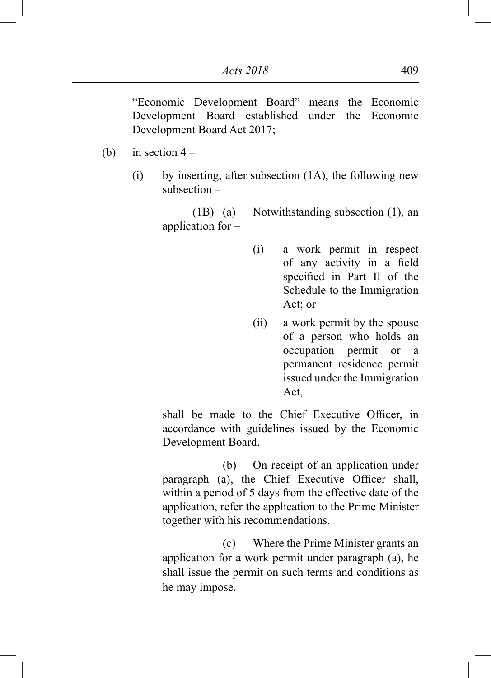"Economic Development Board" means the Economic Development Board established under the Economic Development Board Act 2017;

- (b) in section  $4 -$ 
	- (i) by inserting, after subsection  $(1A)$ , the following new subsection –

(1B) (a) Notwithstanding subsection (1), an application for –

- (i) a work permit in respect of any activity in a field specified in Part II of the Schedule to the Immigration Act; or
- (ii) a work permit by the spouse of a person who holds an occupation permit or a permanent residence permit issued under the Immigration Act,

shall be made to the Chief Executive Officer, in accordance with guidelines issued by the Economic Development Board.

(b) On receipt of an application under paragraph (a), the Chief Executive Officer shall, within a period of 5 days from the effective date of the application, refer the application to the Prime Minister together with his recommendations.

(c) Where the Prime Minister grants an application for a work permit under paragraph (a), he shall issue the permit on such terms and conditions as he may impose.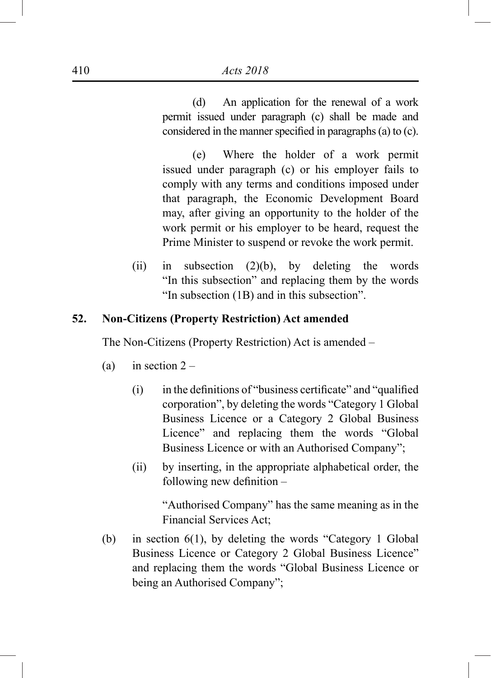(d) An application for the renewal of a work permit issued under paragraph (c) shall be made and considered in the manner specified in paragraphs (a) to (c).

(e) Where the holder of a work permit issued under paragraph (c) or his employer fails to comply with any terms and conditions imposed under that paragraph, the Economic Development Board may, after giving an opportunity to the holder of the work permit or his employer to be heard, request the Prime Minister to suspend or revoke the work permit.

(ii) in subsection  $(2)(b)$ , by deleting the words "In this subsection" and replacing them by the words "In subsection (1B) and in this subsection".

# **52. Non-Citizens (Property Restriction) Act amended**

The Non-Citizens (Property Restriction) Act is amended –

- (a) in section  $2 -$ 
	- (i) in the definitions of "business certificate" and "qualified corporation", by deleting the words "Category 1 Global Business Licence or a Category 2 Global Business Licence" and replacing them the words "Global Business Licence or with an Authorised Company";
	- (ii) by inserting, in the appropriate alphabetical order, the following new definition –

"Authorised Company" has the same meaning as in the Financial Services Act;

(b) in section 6(1), by deleting the words "Category 1 Global Business Licence or Category 2 Global Business Licence" and replacing them the words "Global Business Licence or being an Authorised Company";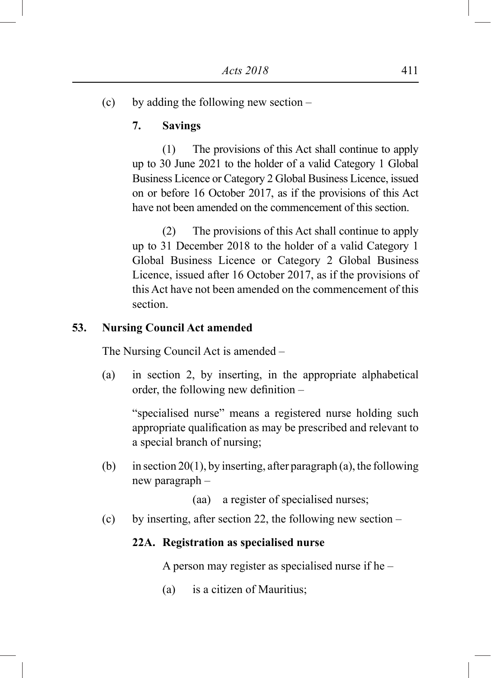(c) by adding the following new section –

# **7. Savings**

(1) The provisions of this Act shall continue to apply up to 30 June 2021 to the holder of a valid Category 1 Global Business Licence or Category 2 Global Business Licence, issued on or before 16 October 2017, as if the provisions of this Act have not been amended on the commencement of this section.

(2) The provisions of this Act shall continue to apply up to 31 December 2018 to the holder of a valid Category 1 Global Business Licence or Category 2 Global Business Licence, issued after 16 October 2017, as if the provisions of this Act have not been amended on the commencement of this section.

## **53. Nursing Council Act amended**

The Nursing Council Act is amended –

(a) in section 2, by inserting, in the appropriate alphabetical order, the following new definition –

"specialised nurse" means a registered nurse holding such appropriate qualification as may be prescribed and relevant to a special branch of nursing;

(b) in section 20(1), by inserting, after paragraph (a), the following new paragraph –

(aa) a register of specialised nurses;

(c) by inserting, after section 22, the following new section –

#### **22A. Registration as specialised nurse**

A person may register as specialised nurse if he –

(a) is a citizen of Mauritius;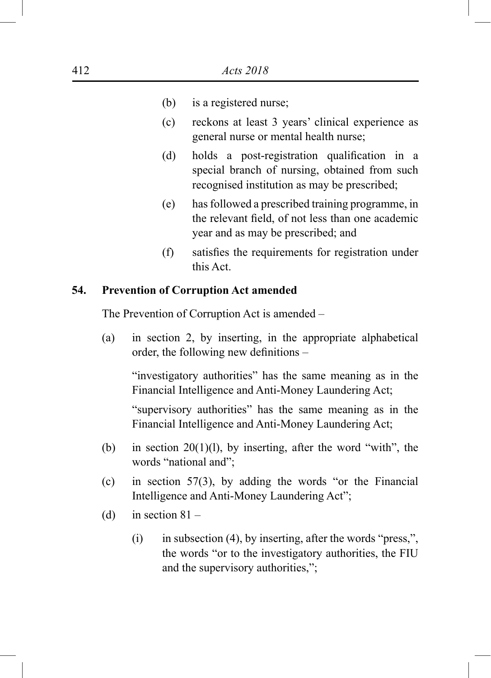- (b) is a registered nurse;
- (c) reckons at least 3 years' clinical experience as general nurse or mental health nurse;
- (d) holds a post-registration qualification in a special branch of nursing, obtained from such recognised institution as may be prescribed;
- (e) has followed a prescribed training programme, in the relevant field, of not less than one academic year and as may be prescribed; and
- (f) satisfies the requirements for registration under this Act.

### **54. Prevention of Corruption Act amended**

The Prevention of Corruption Act is amended –

(a) in section 2, by inserting, in the appropriate alphabetical order, the following new definitions –

"investigatory authorities" has the same meaning as in the Financial Intelligence and Anti-Money Laundering Act;

"supervisory authorities" has the same meaning as in the Financial Intelligence and Anti-Money Laundering Act;

- (b) in section  $20(1)(1)$ , by inserting, after the word "with", the words "national and";
- (c) in section 57(3), by adding the words "or the Financial Intelligence and Anti-Money Laundering Act";
- (d) in section  $81 -$ 
	- (i) in subsection (4), by inserting, after the words "press,", the words "or to the investigatory authorities, the FIU and the supervisory authorities,";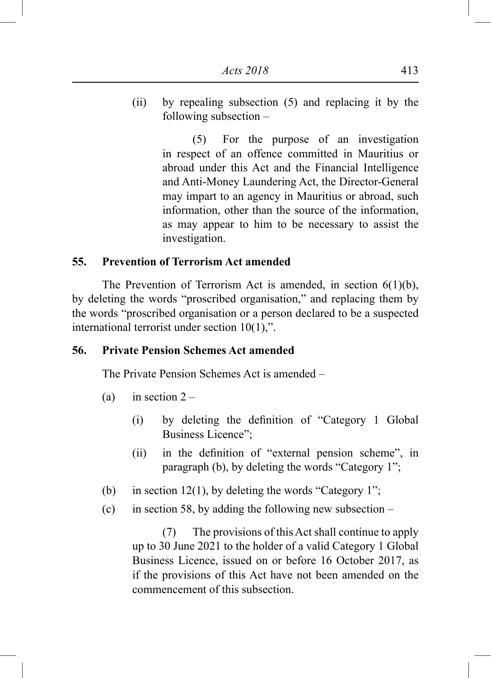(ii) by repealing subsection (5) and replacing it by the following subsection –

> (5) For the purpose of an investigation in respect of an offence committed in Mauritius or abroad under this Act and the Financial Intelligence and Anti-Money Laundering Act, the Director-General may impart to an agency in Mauritius or abroad, such information, other than the source of the information, as may appear to him to be necessary to assist the investigation.

### **55. Prevention of Terrorism Act amended**

The Prevention of Terrorism Act is amended, in section 6(1)(b), by deleting the words "proscribed organisation," and replacing them by the words "proscribed organisation or a person declared to be a suspected international terrorist under section 10(1),".

# **56. Private Pension Schemes Act amended**

The Private Pension Schemes Act is amended –

- (a) in section  $2 -$ 
	- (i) by deleting the definition of "Category 1 Global Business Licence";
	- (ii) in the definition of "external pension scheme", in paragraph (b), by deleting the words "Category 1";
- (b) in section 12(1), by deleting the words "Category 1";
- (c) in section 58, by adding the following new subsection  $-$

(7) The provisions of this Act shall continue to apply up to 30 June 2021 to the holder of a valid Category 1 Global Business Licence, issued on or before 16 October 2017, as if the provisions of this Act have not been amended on the commencement of this subsection.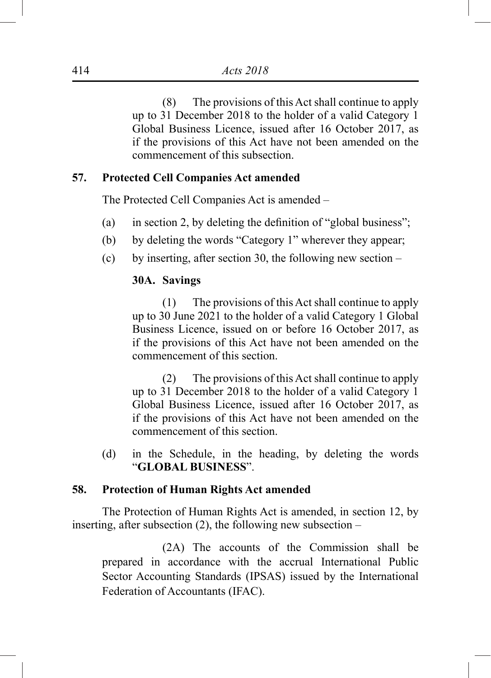(8) The provisions of this Act shall continue to apply up to 31 December 2018 to the holder of a valid Category 1 Global Business Licence, issued after 16 October 2017, as if the provisions of this Act have not been amended on the commencement of this subsection.

### **57. Protected Cell Companies Act amended**

The Protected Cell Companies Act is amended –

- (a) in section 2, by deleting the definition of "global business";
- (b) by deleting the words "Category 1" wherever they appear;
- (c) by inserting, after section 30, the following new section –

# **30A. Savings**

(1) The provisions of this Act shall continue to apply up to 30 June 2021 to the holder of a valid Category 1 Global Business Licence, issued on or before 16 October 2017, as if the provisions of this Act have not been amended on the commencement of this section.

(2) The provisions of this Act shall continue to apply up to 31 December 2018 to the holder of a valid Category 1 Global Business Licence, issued after 16 October 2017, as if the provisions of this Act have not been amended on the commencement of this section.

(d) in the Schedule, in the heading, by deleting the words "**GLOBAL BUSINESS**".

### **58. Protection of Human Rights Act amended**

The Protection of Human Rights Act is amended, in section 12, by inserting, after subsection  $(2)$ , the following new subsection –

(2A) The accounts of the Commission shall be prepared in accordance with the accrual International Public Sector Accounting Standards (IPSAS) issued by the International Federation of Accountants (IFAC).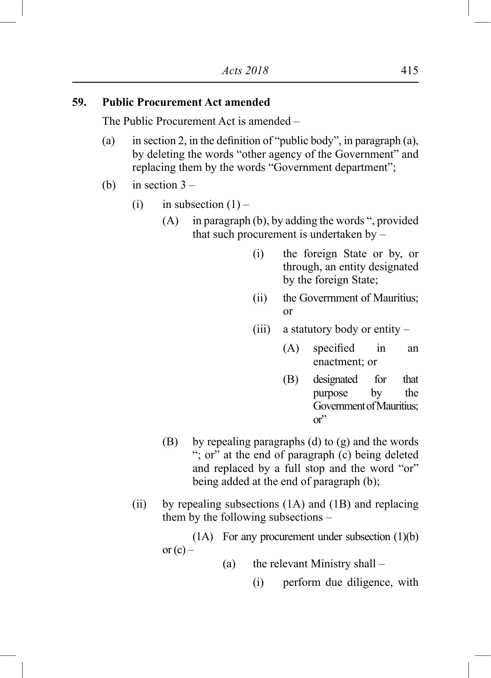# **59. Public Procurement Act amended**

The Public Procurement Act is amended –

- (a) in section 2, in the definition of "public body", in paragraph (a), by deleting the words "other agency of the Government" and replacing them by the words "Government department";
- (b) in section  $3 -$ 
	- (i) in subsection  $(1)$ 
		- (A) in paragraph (b), by adding the words ", provided that such procurement is undertaken by –
			- (i) the foreign State or by, or through, an entity designated by the foreign State;
			- (ii) the Goverrnment of Mauritius; or
			- (iii) a statutory body or entity
				- (A) specified in an enactment; or
				- (B) designated for that purpose by the Government of Mauritius;  $or''$
		- (B) by repealing paragraphs (d) to (g) and the words "; or" at the end of paragraph (c) being deleted and replaced by a full stop and the word "or" being added at the end of paragraph (b);
	- (ii) by repealing subsections (1A) and (1B) and replacing them by the following subsections –

(1A) For any procurement under subsection (1)(b) or  $(c)$  –

- (a) the relevant Ministry shall
	- (i) perform due diligence, with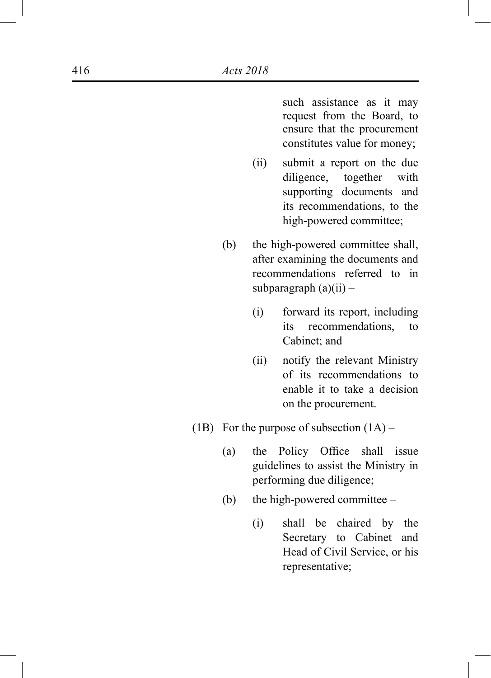such assistance as it may request from the Board, to ensure that the procurement constitutes value for money;

- (ii) submit a report on the due diligence, together with supporting documents and its recommendations, to the high-powered committee;
- (b) the high-powered committee shall, after examining the documents and recommendations referred to in subparagraph  $(a)(ii)$  –
	- (i) forward its report, including its recommendations, to Cabinet; and
	- (ii) notify the relevant Ministry of its recommendations to enable it to take a decision on the procurement.
- (1B) For the purpose of subsection  $(1A)$ 
	- (a) the Policy Office shall issue guidelines to assist the Ministry in performing due diligence;
	- (b) the high-powered committee
		- (i) shall be chaired by the Secretary to Cabinet and Head of Civil Service, or his representative;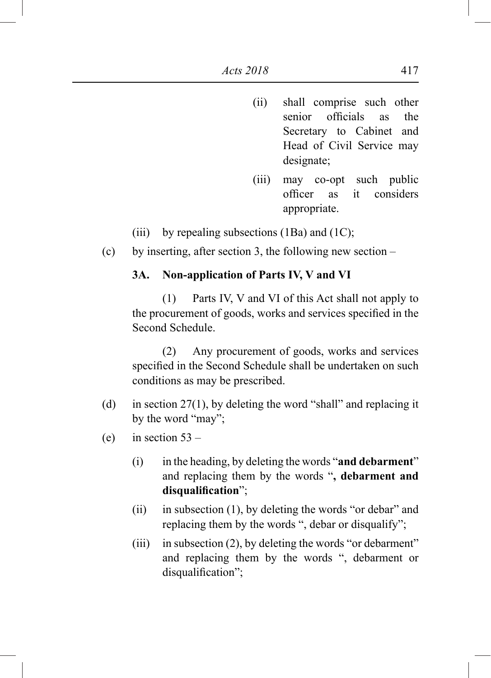- (ii) shall comprise such other senior officials as the Secretary to Cabinet and Head of Civil Service may designate;
- (iii) may co-opt such public officer as it considers appropriate.
- (iii) by repealing subsections  $(1Ba)$  and  $(1C)$ ;
- (c) by inserting, after section 3, the following new section –

## **3A. Non-application of Parts IV, V and VI**

(1) Parts IV, V and VI of this Act shall not apply to the procurement of goods, works and services specified in the Second Schedule.

(2) Any procurement of goods, works and services specified in the Second Schedule shall be undertaken on such conditions as may be prescribed.

- (d) in section 27(1), by deleting the word "shall" and replacing it by the word "may";
- (e) in section  $53 -$ 
	- (i) in the heading, by deleting the words "**and debarment**" and replacing them by the words "**, debarment and disqualification**";
	- (ii) in subsection (1), by deleting the words "or debar" and replacing them by the words ", debar or disqualify";
	- (iii) in subsection (2), by deleting the words "or debarment" and replacing them by the words ", debarment or disqualification":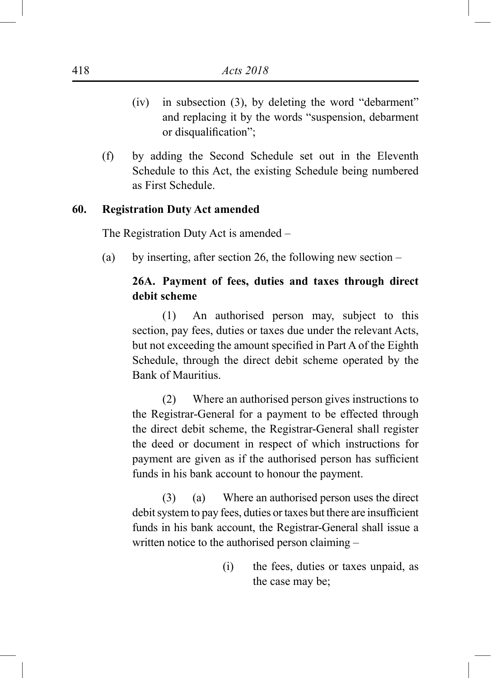- (iv) in subsection (3), by deleting the word "debarment" and replacing it by the words "suspension, debarment or disqualification";
- (f) by adding the Second Schedule set out in the Eleventh Schedule to this Act, the existing Schedule being numbered as First Schedule.

#### **60. Registration Duty Act amended**

The Registration Duty Act is amended –

(a) by inserting, after section 26, the following new section  $-$ 

# **26A. Payment of fees, duties and taxes through direct debit scheme**

(1) An authorised person may, subject to this section, pay fees, duties or taxes due under the relevant Acts, but not exceeding the amount specified in Part A of the Eighth Schedule, through the direct debit scheme operated by the Bank of Mauritius.

(2) Where an authorised person gives instructions to the Registrar-General for a payment to be effected through the direct debit scheme, the Registrar-General shall register the deed or document in respect of which instructions for payment are given as if the authorised person has sufficient funds in his bank account to honour the payment.

(3) (a) Where an authorised person uses the direct debit system to pay fees, duties or taxes but there are insufficient funds in his bank account, the Registrar-General shall issue a written notice to the authorised person claiming –

> (i) the fees, duties or taxes unpaid, as the case may be;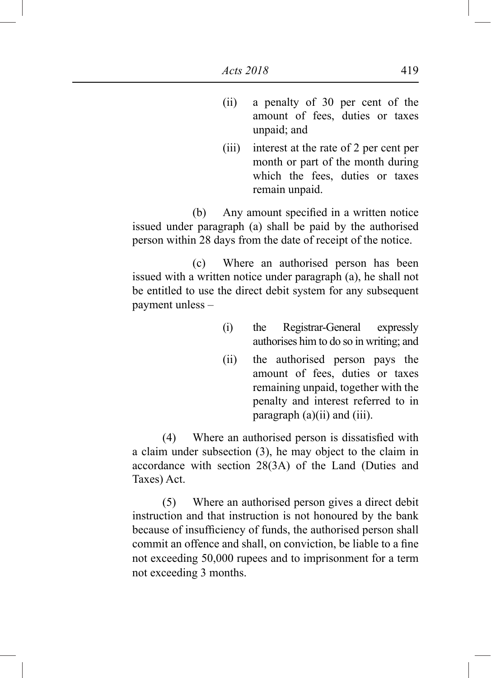- (ii) a penalty of 30 per cent of the amount of fees, duties or taxes unpaid; and
- (iii) interest at the rate of 2 per cent per month or part of the month during which the fees, duties or taxes remain unpaid.

(b) Any amount specified in a written notice issued under paragraph (a) shall be paid by the authorised person within 28 days from the date of receipt of the notice.

(c) Where an authorised person has been issued with a written notice under paragraph (a), he shall not be entitled to use the direct debit system for any subsequent payment unless –

- (i) the Registrar-General expressly authorises him to do so in writing; and
- (ii) the authorised person pays the amount of fees, duties or taxes remaining unpaid, together with the penalty and interest referred to in paragraph  $(a)(ii)$  and  $(iii)$ .

(4) Where an authorised person is dissatisfied with a claim under subsection (3), he may object to the claim in accordance with section 28(3A) of the Land (Duties and Taxes) Act.

(5) Where an authorised person gives a direct debit instruction and that instruction is not honoured by the bank because of insufficiency of funds, the authorised person shall commit an offence and shall, on conviction, be liable to a fine not exceeding 50,000 rupees and to imprisonment for a term not exceeding 3 months.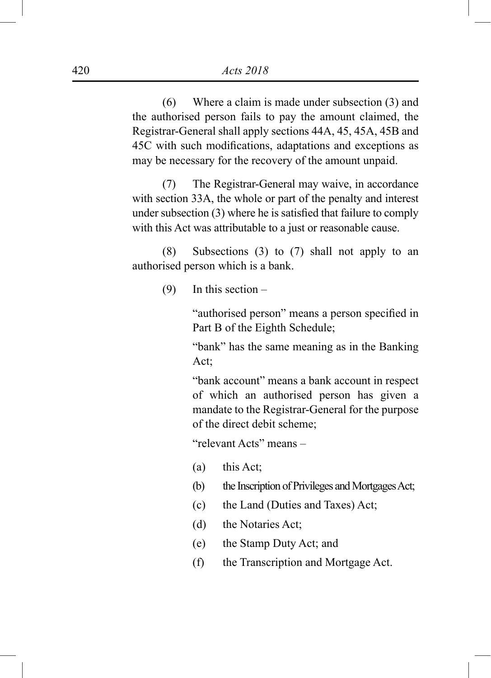(6) Where a claim is made under subsection (3) and the authorised person fails to pay the amount claimed, the Registrar-General shall apply sections 44A, 45, 45A, 45B and 45C with such modifications, adaptations and exceptions as may be necessary for the recovery of the amount unpaid.

(7) The Registrar-General may waive, in accordance with section 33A, the whole or part of the penalty and interest under subsection (3) where he is satisfied that failure to comply with this Act was attributable to a just or reasonable cause.

(8) Subsections (3) to (7) shall not apply to an authorised person which is a bank.

(9) In this section –

"authorised person" means a person specified in Part B of the Eighth Schedule;

"bank" has the same meaning as in the Banking Act;

"bank account" means a bank account in respect of which an authorised person has given a mandate to the Registrar-General for the purpose of the direct debit scheme;

"relevant Acts" means –

- (a) this Act;
- (b) the Inscription of Privileges and Mortgages Act;
- (c) the Land (Duties and Taxes) Act;
- (d) the Notaries Act;
- (e) the Stamp Duty Act; and
- (f) the Transcription and Mortgage Act.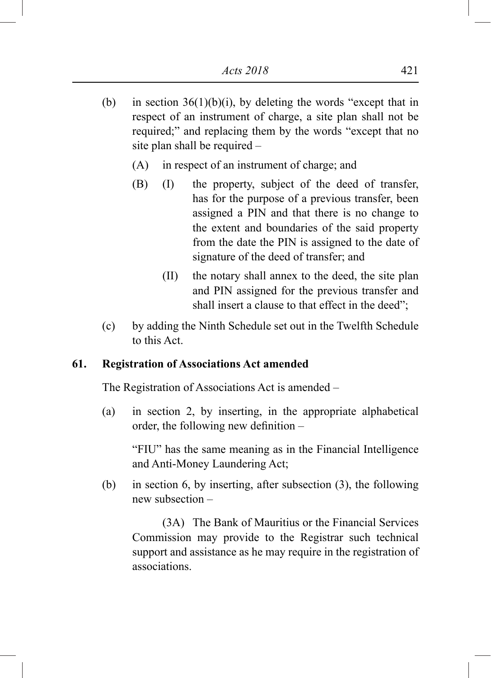- (b) in section  $36(1)(b)(i)$ , by deleting the words "except that in respect of an instrument of charge, a site plan shall not be required;" and replacing them by the words "except that no site plan shall be required –
	- (A) in respect of an instrument of charge; and
	- (B) (I) the property, subject of the deed of transfer, has for the purpose of a previous transfer, been assigned a PIN and that there is no change to the extent and boundaries of the said property from the date the PIN is assigned to the date of signature of the deed of transfer; and
		- (II) the notary shall annex to the deed, the site plan and PIN assigned for the previous transfer and shall insert a clause to that effect in the deed";
- (c) by adding the Ninth Schedule set out in the Twelfth Schedule to this Act.

# **61. Registration of Associations Act amended**

The Registration of Associations Act is amended –

(a) in section 2, by inserting, in the appropriate alphabetical order, the following new definition –

"FIU" has the same meaning as in the Financial Intelligence and Anti-Money Laundering Act;

(b) in section 6, by inserting, after subsection (3), the following new subsection –

(3A) The Bank of Mauritius or the Financial Services Commission may provide to the Registrar such technical support and assistance as he may require in the registration of associations.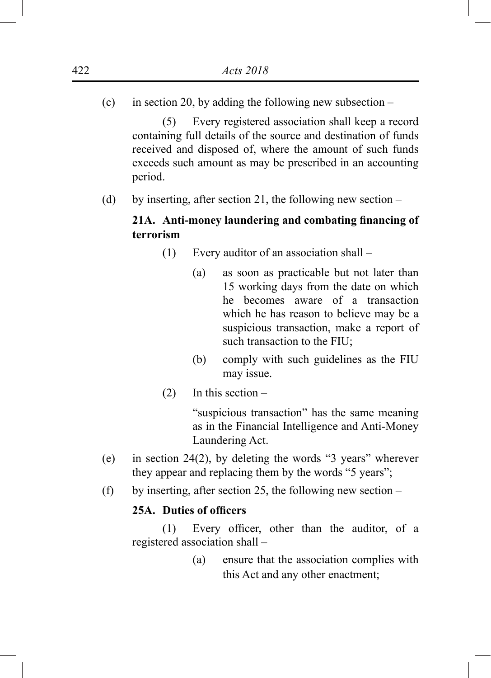(c) in section 20, by adding the following new subsection  $-$ 

(5) Every registered association shall keep a record containing full details of the source and destination of funds received and disposed of, where the amount of such funds exceeds such amount as may be prescribed in an accounting period.

(d) by inserting, after section 21, the following new section –

# **21A. Anti-money laundering and combating financing of terrorism**

- (1) Every auditor of an association shall
	- (a) as soon as practicable but not later than 15 working days from the date on which he becomes aware of a transaction which he has reason to believe may be a suspicious transaction, make a report of such transaction to the FIU;
	- (b) comply with such guidelines as the FIU may issue.
- (2) In this section –

"suspicious transaction" has the same meaning as in the Financial Intelligence and Anti-Money Laundering Act.

- (e) in section 24(2), by deleting the words "3 years" wherever they appear and replacing them by the words "5 years";
- (f) by inserting, after section 25, the following new section –

### **25A. Duties of officers**

(1) Every officer, other than the auditor, of a registered association shall –

> (a) ensure that the association complies with this Act and any other enactment;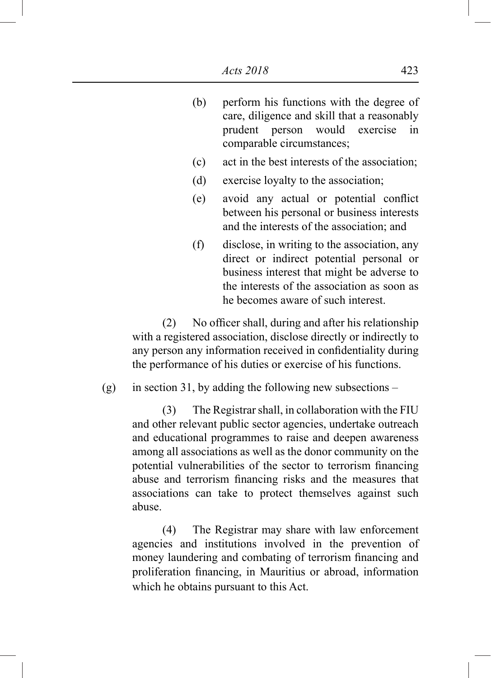- (b) perform his functions with the degree of care, diligence and skill that a reasonably prudent person would exercise in comparable circumstances;
- (c) act in the best interests of the association;
- (d) exercise loyalty to the association;
- (e) avoid any actual or potential conflict between his personal or business interests and the interests of the association; and
- (f) disclose, in writing to the association, any direct or indirect potential personal or business interest that might be adverse to the interests of the association as soon as he becomes aware of such interest.

(2) No officer shall, during and after his relationship with a registered association, disclose directly or indirectly to any person any information received in confidentiality during the performance of his duties or exercise of his functions.

(g) in section 31, by adding the following new subsections –

(3) The Registrar shall, in collaboration with the FIU and other relevant public sector agencies, undertake outreach and educational programmes to raise and deepen awareness among all associations as well as the donor community on the potential vulnerabilities of the sector to terrorism financing abuse and terrorism financing risks and the measures that associations can take to protect themselves against such abuse.

(4) The Registrar may share with law enforcement agencies and institutions involved in the prevention of money laundering and combating of terrorism financing and proliferation financing, in Mauritius or abroad, information which he obtains pursuant to this Act.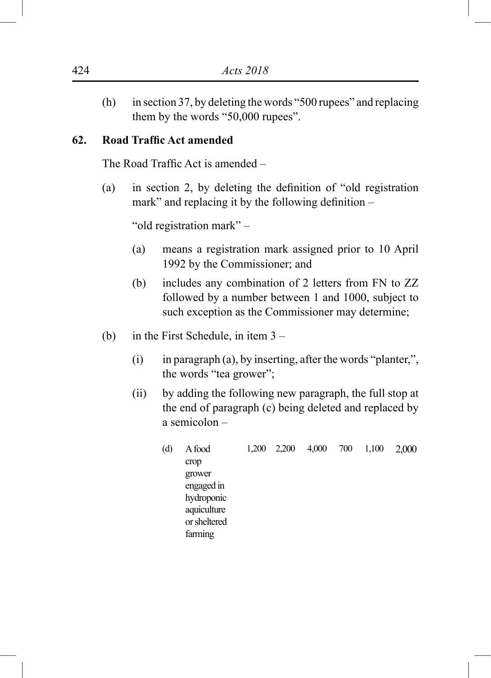(h) in section 37, by deleting the words "500 rupees" and replacing them by the words "50,000 rupees".

## **62. Road Traffic Act amended**

The Road Traffic Act is amended –

(a) in section 2, by deleting the definition of "old registration mark" and replacing it by the following definition –

"old registration mark" –

- (a) means a registration mark assigned prior to 10 April 1992 by the Commissioner; and
- (b) includes any combination of 2 letters from FN to ZZ followed by a number between 1 and 1000, subject to such exception as the Commissioner may determine;
- (b) in the First Schedule, in item 3
	- (i) in paragraph (a), by inserting, after the words "planter,", the words "tea grower";
	- (ii) by adding the following new paragraph, the full stop at the end of paragraph (c) being deleted and replaced by a semicolon –
		- (d) A food crop grower engaged in hydroponic aquiculture or sheltered farming 1,200 2,200 4,000 700 1,100 2,000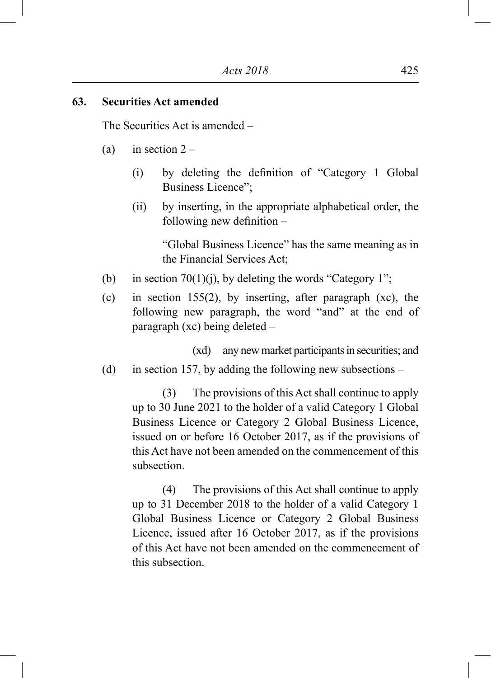### **63. Securities Act amended**

The Securities Act is amended –

- (a) in section  $2 -$ 
	- (i) by deleting the definition of "Category 1 Global Business Licence";
	- (ii) by inserting, in the appropriate alphabetical order, the following new definition –

"Global Business Licence" has the same meaning as in the Financial Services Act;

- (b) in section 70(1)(j), by deleting the words "Category 1";
- (c) in section 155(2), by inserting, after paragraph (xc), the following new paragraph, the word "and" at the end of paragraph (xc) being deleted –

(xd) any new market participants in securities; and

(d) in section 157, by adding the following new subsections –

(3) The provisions of this Act shall continue to apply up to 30 June 2021 to the holder of a valid Category 1 Global Business Licence or Category 2 Global Business Licence, issued on or before 16 October 2017, as if the provisions of this Act have not been amended on the commencement of this subsection.

(4) The provisions of this Act shall continue to apply up to 31 December 2018 to the holder of a valid Category 1 Global Business Licence or Category 2 Global Business Licence, issued after 16 October 2017, as if the provisions of this Act have not been amended on the commencement of this subsection.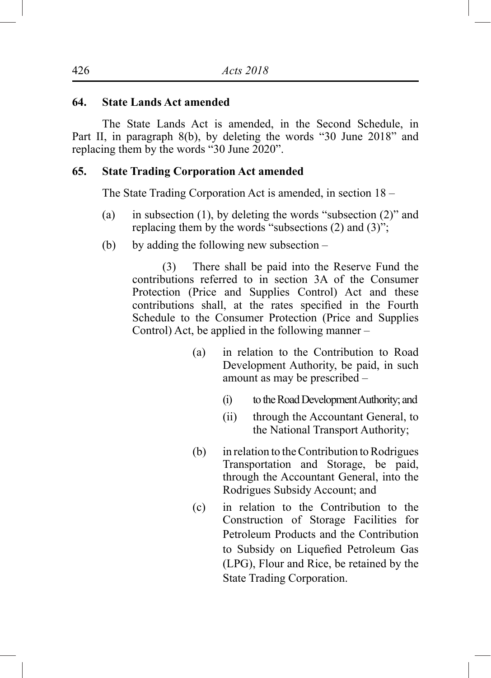### **64. State Lands Act amended**

The State Lands Act is amended, in the Second Schedule, in Part II, in paragraph 8(b), by deleting the words "30 June 2018" and replacing them by the words "30 June 2020".

### **65. State Trading Corporation Act amended**

The State Trading Corporation Act is amended, in section 18 –

- (a) in subsection (1), by deleting the words "subsection (2)" and replacing them by the words "subsections (2) and (3)";
- (b) by adding the following new subsection –

(3) There shall be paid into the Reserve Fund the contributions referred to in section 3A of the Consumer Protection (Price and Supplies Control) Act and these contributions shall, at the rates specified in the Fourth Schedule to the Consumer Protection (Price and Supplies Control) Act, be applied in the following manner –

- (a) in relation to the Contribution to Road Development Authority, be paid, in such amount as may be prescribed –
	- (i) to the Road Development Authority; and
	- (ii) through the Accountant General, to the National Transport Authority;
- (b) in relation to the Contribution to Rodrigues Transportation and Storage, be paid, through the Accountant General, into the Rodrigues Subsidy Account; and
- (c) in relation to the Contribution to the Construction of Storage Facilities for Petroleum Products and the Contribution to Subsidy on Liquefied Petroleum Gas (LPG), Flour and Rice, be retained by the State Trading Corporation.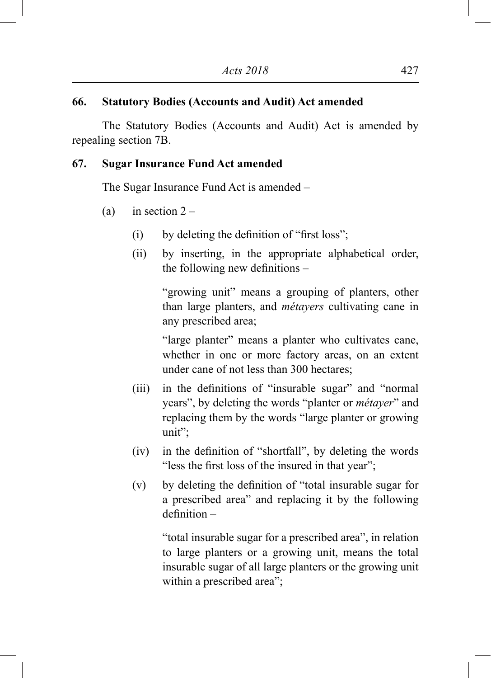### **66. Statutory Bodies (Accounts and Audit) Act amended**

The Statutory Bodies (Accounts and Audit) Act is amended by repealing section 7B.

### **67. Sugar Insurance Fund Act amended**

The Sugar Insurance Fund Act is amended –

- (a) in section  $2 -$ 
	- (i) by deleting the definition of "first loss";
	- (ii) by inserting, in the appropriate alphabetical order, the following new definitions –

"growing unit" means a grouping of planters, other than large planters, and *métayers* cultivating cane in any prescribed area;

"large planter" means a planter who cultivates cane, whether in one or more factory areas, on an extent under cane of not less than 300 hectares;

- (iii) in the definitions of "insurable sugar" and "normal years", by deleting the words "planter or *métayer*" and replacing them by the words "large planter or growing unit";
- (iv) in the definition of "shortfall", by deleting the words "less the first loss of the insured in that year";
- (v) by deleting the definition of "total insurable sugar for a prescribed area" and replacing it by the following definition –

"total insurable sugar for a prescribed area", in relation to large planters or a growing unit, means the total insurable sugar of all large planters or the growing unit within a prescribed area";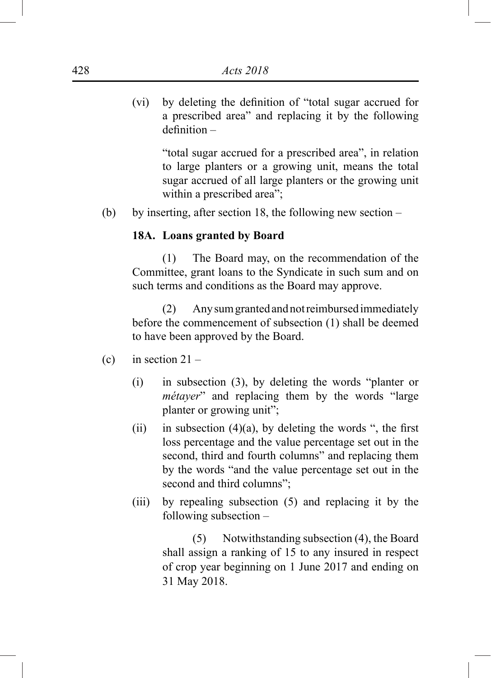(vi) by deleting the definition of "total sugar accrued for a prescribed area" and replacing it by the following definition –

> "total sugar accrued for a prescribed area", in relation to large planters or a growing unit, means the total sugar accrued of all large planters or the growing unit within a prescribed area";

(b) by inserting, after section 18, the following new section –

#### **18A. Loans granted by Board**

(1) The Board may, on the recommendation of the Committee, grant loans to the Syndicate in such sum and on such terms and conditions as the Board may approve.

(2) Any sum granted and not reimbursed immediately before the commencement of subsection (1) shall be deemed to have been approved by the Board.

- (c) in section  $21 -$ 
	- (i) in subsection (3), by deleting the words "planter or *métayer*" and replacing them by the words "large planter or growing unit";
	- (ii) in subsection  $(4)(a)$ , by deleting the words ", the first loss percentage and the value percentage set out in the second, third and fourth columns" and replacing them by the words "and the value percentage set out in the second and third columns";
	- (iii) by repealing subsection (5) and replacing it by the following subsection –

(5) Notwithstanding subsection (4), the Board shall assign a ranking of 15 to any insured in respect of crop year beginning on 1 June 2017 and ending on 31 May 2018.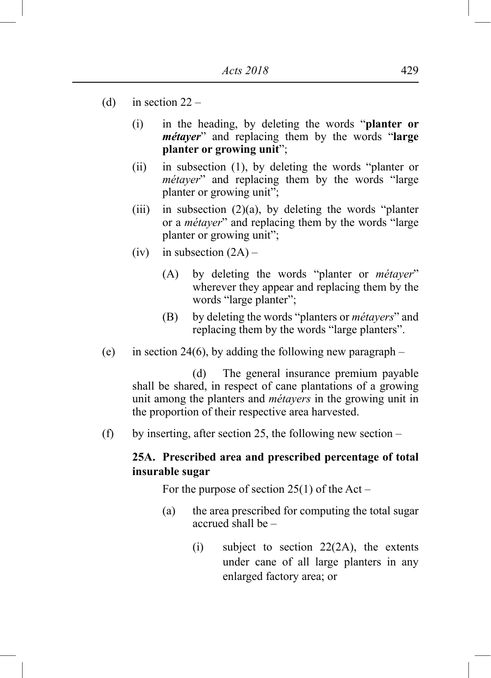- (d) in section  $22 -$ 
	- (i) in the heading, by deleting the words "**planter or**  *métayer*" and replacing them by the words "**large planter or growing unit**";
	- (ii) in subsection (1), by deleting the words "planter or *métayer*" and replacing them by the words "large planter or growing unit";
	- (iii) in subsection  $(2)(a)$ , by deleting the words "planter" or a *métayer*" and replacing them by the words "large planter or growing unit";
	- (iv) in subsection  $(2A)$ 
		- (A) by deleting the words "planter or *métayer*" wherever they appear and replacing them by the words "large planter";
		- (B) by deleting the words "planters or *métayers*" and replacing them by the words "large planters".
- (e) in section 24(6), by adding the following new paragraph  $-$

(d) The general insurance premium payable shall be shared, in respect of cane plantations of a growing unit among the planters and *métayers* in the growing unit in the proportion of their respective area harvested.

(f) by inserting, after section 25, the following new section –

# **25A. Prescribed area and prescribed percentage of total insurable sugar**

For the purpose of section  $25(1)$  of the Act –

- (a) the area prescribed for computing the total sugar accrued shall be –
	- (i) subject to section 22(2A), the extents under cane of all large planters in any enlarged factory area; or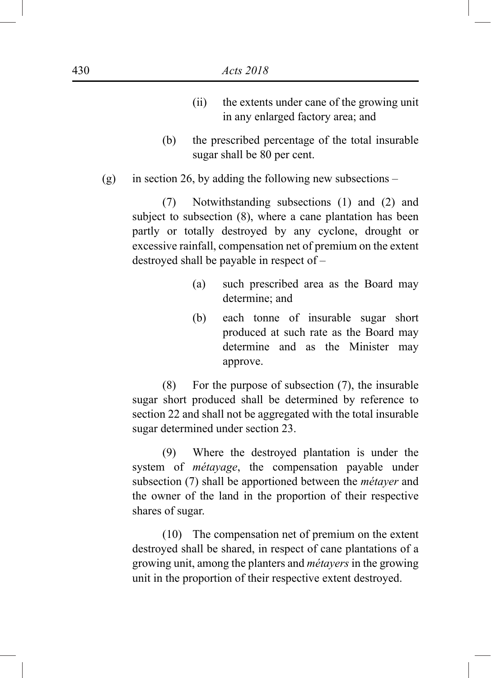- (ii) the extents under cane of the growing unit in any enlarged factory area; and
- (b) the prescribed percentage of the total insurable sugar shall be 80 per cent.
- (g) in section 26, by adding the following new subsections –

(7) Notwithstanding subsections (1) and (2) and subject to subsection  $(8)$ , where a cane plantation has been partly or totally destroyed by any cyclone, drought or excessive rainfall, compensation net of premium on the extent destroyed shall be payable in respect of –

- (a) such prescribed area as the Board may determine; and
- (b) each tonne of insurable sugar short produced at such rate as the Board may determine and as the Minister may approve.

(8) For the purpose of subsection (7), the insurable sugar short produced shall be determined by reference to section 22 and shall not be aggregated with the total insurable sugar determined under section 23.

(9) Where the destroyed plantation is under the system of *métayage*, the compensation payable under subsection (7) shall be apportioned between the *métayer* and the owner of the land in the proportion of their respective shares of sugar.

(10) The compensation net of premium on the extent destroyed shall be shared, in respect of cane plantations of a growing unit, among the planters and *métayers* in the growing unit in the proportion of their respective extent destroyed.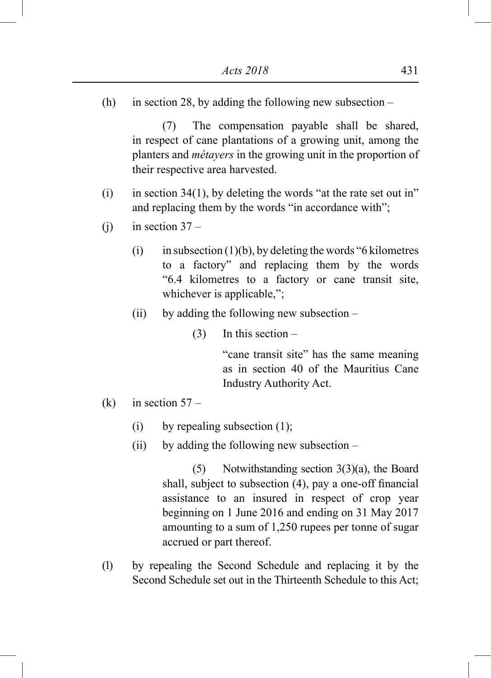(h) in section 28, by adding the following new subsection –

(7) The compensation payable shall be shared, in respect of cane plantations of a growing unit, among the planters and *métayers* in the growing unit in the proportion of their respective area harvested.

- (i) in section 34(1), by deleting the words "at the rate set out in" and replacing them by the words "in accordance with";
- (j) in section  $37 -$ 
	- (i) in subsection (1)(b), by deleting the words "6 kilometres" to a factory" and replacing them by the words "6.4 kilometres to a factory or cane transit site, whichever is applicable,";
	- (ii) by adding the following new subsection
		- $(3)$  In this section –

"cane transit site" has the same meaning as in section 40 of the Mauritius Cane Industry Authority Act.

- (k) in section  $57 -$ 
	- (i) by repealing subsection  $(1)$ ;
	- (ii) by adding the following new subsection –

(5) Notwithstanding section 3(3)(a), the Board shall, subject to subsection (4), pay a one-off financial assistance to an insured in respect of crop year beginning on 1 June 2016 and ending on 31 May 2017 amounting to a sum of 1,250 rupees per tonne of sugar accrued or part thereof.

(l) by repealing the Second Schedule and replacing it by the Second Schedule set out in the Thirteenth Schedule to this Act;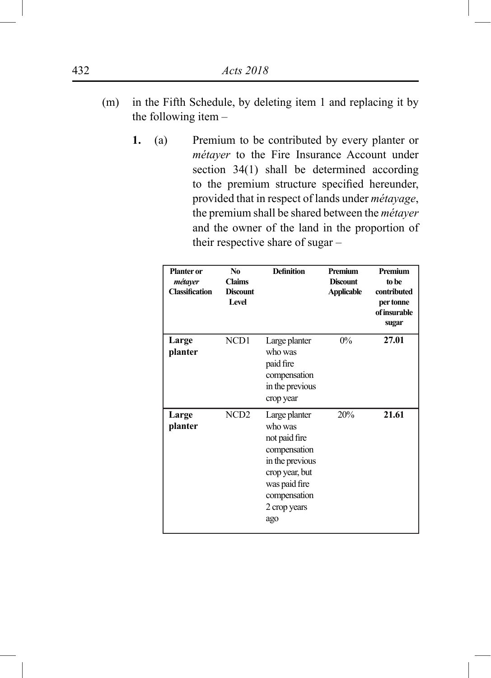- (m) in the Fifth Schedule, by deleting item 1 and replacing it by the following item –
	- **1.** (a) Premium to be contributed by every planter or *métayer* to the Fire Insurance Account under section 34(1) shall be determined according to the premium structure specified hereunder, provided that in respect of lands under *métayage*, the premium shall be shared between the *métayer* and the owner of the land in the proportion of their respective share of sugar –

| <b>Planter</b> or<br>métayer<br><b>Classification</b> | N <sub>0</sub><br><b>Claims</b><br><b>Discount</b><br><b>Level</b> | <b>Definition</b>                                                                                                                                      | Premium<br><b>Discount</b><br><b>Applicable</b> | Premium<br>to be<br>contributed<br>per tonne<br>of insurable<br>sugar |
|-------------------------------------------------------|--------------------------------------------------------------------|--------------------------------------------------------------------------------------------------------------------------------------------------------|-------------------------------------------------|-----------------------------------------------------------------------|
| Large<br>planter                                      | NCD1                                                               | Large planter<br>who was<br>paid fire<br>compensation<br>in the previous<br>crop year                                                                  | $0\%$                                           | 27.01                                                                 |
| Large<br>planter                                      | NCD <sub>2</sub>                                                   | Large planter<br>who was<br>not paid fire<br>compensation<br>in the previous<br>crop year, but<br>was paid fire<br>compensation<br>2 crop years<br>ago | 20%                                             | 21.61                                                                 |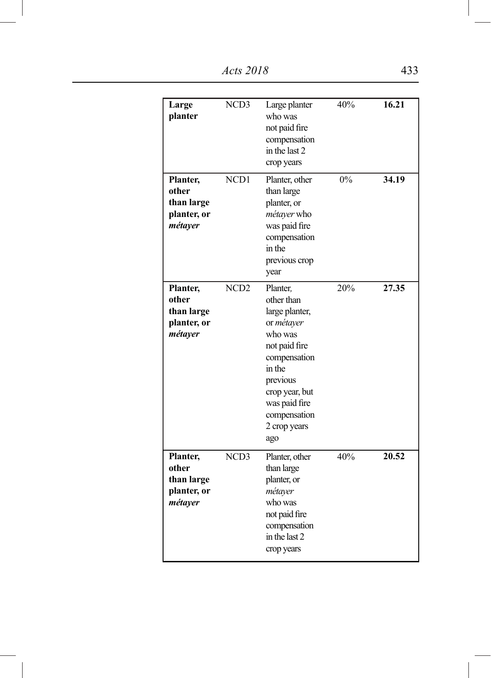*Acts 2018* 433

| Large<br>planter                                          | NCD3<br>NCD1     | Large planter<br>who was<br>not paid fire<br>compensation<br>in the last 2<br>crop years                                                                                                           | 40%<br>0% | 16.21<br>34.19 |
|-----------------------------------------------------------|------------------|----------------------------------------------------------------------------------------------------------------------------------------------------------------------------------------------------|-----------|----------------|
| Planter,<br>other<br>than large<br>planter, or<br>métayer |                  | Planter, other<br>than large<br>planter, or<br>métayer who<br>was paid fire<br>compensation<br>in the<br>previous crop<br>year                                                                     |           |                |
| Planter,<br>other<br>than large<br>planter, or<br>métayer | NCD <sub>2</sub> | Planter.<br>other than<br>large planter,<br>or métayer<br>who was<br>not paid fire<br>compensation<br>in the<br>previous<br>crop year, but<br>was paid fire<br>compensation<br>2 crop years<br>ago | 20%       | 27.35          |
| Planter,<br>other<br>than large<br>planter, or<br>métayer | NCD3             | Planter, other<br>than large<br>planter, or<br>métayer<br>who was<br>not paid fire<br>compensation<br>in the last 2<br>crop years                                                                  | 40%       | 20.52          |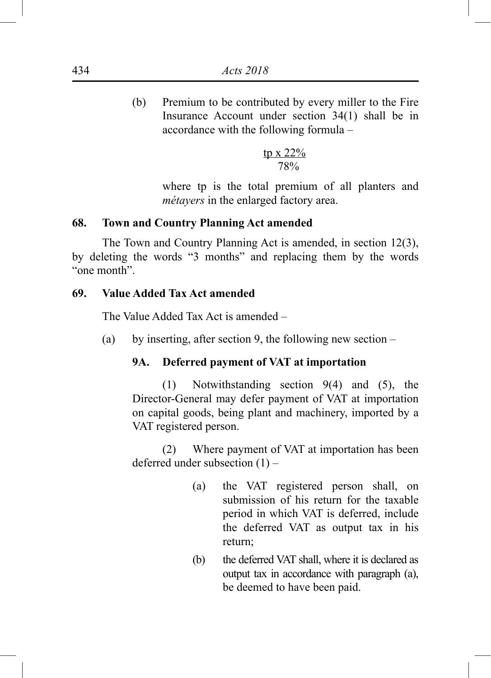(b) Premium to be contributed by every miller to the Fire Insurance Account under section 34(1) shall be in accordance with the following formula –

$$
\frac{\text{tp} \times 22\%}{78\%}
$$

where tp is the total premium of all planters and *métayers* in the enlarged factory area.

# **68. Town and Country Planning Act amended**

The Town and Country Planning Act is amended, in section 12(3), by deleting the words "3 months" and replacing them by the words "one month".

# **69. Value Added Tax Act amended**

The Value Added Tax Act is amended –

(a) by inserting, after section 9, the following new section –

### **9A. Deferred payment of VAT at importation**

(1) Notwithstanding section 9(4) and (5), the Director-General may defer payment of VAT at importation on capital goods, being plant and machinery, imported by a VAT registered person.

(2) Where payment of VAT at importation has been deferred under subsection (1) –

- (a) the VAT registered person shall, on submission of his return for the taxable period in which VAT is deferred, include the deferred VAT as output tax in his return;
- (b) the deferred VAT shall, where it is declared as output tax in accordance with paragraph (a), be deemed to have been paid.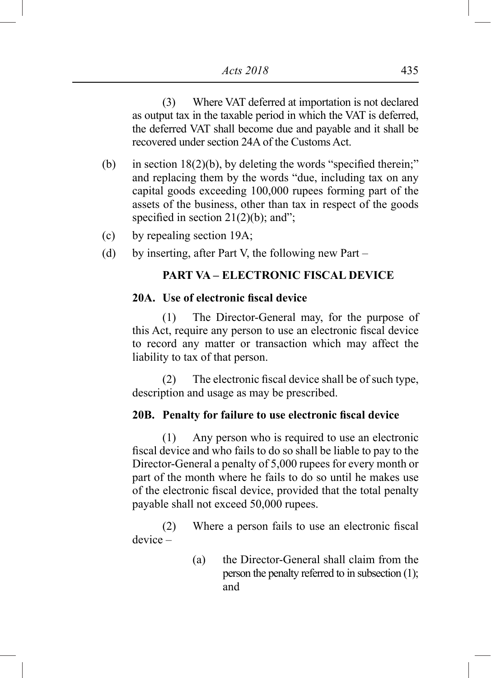(3) Where VAT deferred at importation is not declared as output tax in the taxable period in which the VAT is deferred, the deferred VAT shall become due and payable and it shall be recovered under section 24A of the Customs Act.

- (b) in section  $18(2)(b)$ , by deleting the words "specified therein;" and replacing them by the words "due, including tax on any capital goods exceeding 100,000 rupees forming part of the assets of the business, other than tax in respect of the goods specified in section  $21(2)(b)$ ; and";
- (c) by repealing section 19A;
- (d) by inserting, after Part V, the following new Part –

### **PART VA – ELECTRONIC FISCAL DEVICE**

### **20A. Use of electronic fiscal device**

(1) The Director-General may, for the purpose of this Act, require any person to use an electronic fiscal device to record any matter or transaction which may affect the liability to tax of that person.

(2) The electronic fiscal device shall be of such type, description and usage as may be prescribed.

## **20B. Penalty for failure to use electronic fiscal device**

(1) Any person who is required to use an electronic fiscal device and who fails to do so shall be liable to pay to the Director-General a penalty of 5,000 rupees for every month or part of the month where he fails to do so until he makes use of the electronic fiscal device, provided that the total penalty payable shall not exceed 50,000 rupees.

(2) Where a person fails to use an electronic fiscal device –

> (a) the Director-General shall claim from the person the penalty referred to in subsection (1); and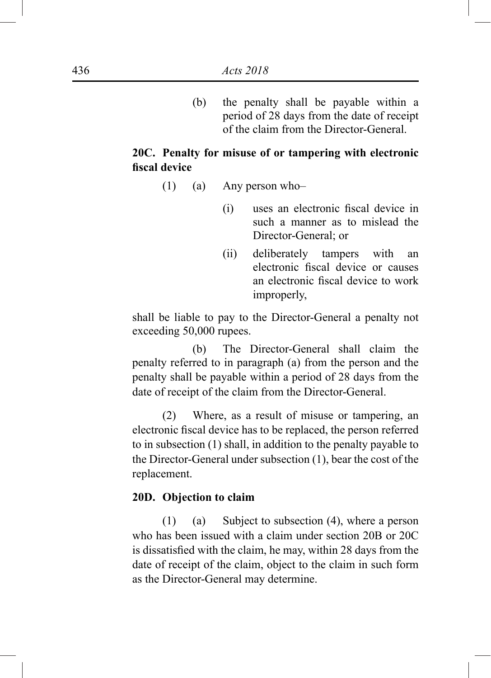(b) the penalty shall be payable within a period of 28 days from the date of receipt of the claim from the Director-General.

# **20C. Penalty for misuse of or tampering with electronic fiscal device**

- (1) (a) Any person who–
	- (i) uses an electronic fiscal device in such a manner as to mislead the Director-General; or
	- (ii) deliberately tampers with an electronic fiscal device or causes an electronic fiscal device to work improperly,

shall be liable to pay to the Director-General a penalty not exceeding 50,000 rupees.

(b) The Director-General shall claim the penalty referred to in paragraph (a) from the person and the penalty shall be payable within a period of 28 days from the date of receipt of the claim from the Director-General.

(2) Where, as a result of misuse or tampering, an electronic fiscal device has to be replaced, the person referred to in subsection (1) shall, in addition to the penalty payable to the Director-General under subsection (1), bear the cost of the replacement.

#### **20D. Objection to claim**

(1) (a) Subject to subsection (4), where a person who has been issued with a claim under section 20B or 20C is dissatisfied with the claim, he may, within 28 days from the date of receipt of the claim, object to the claim in such form as the Director-General may determine.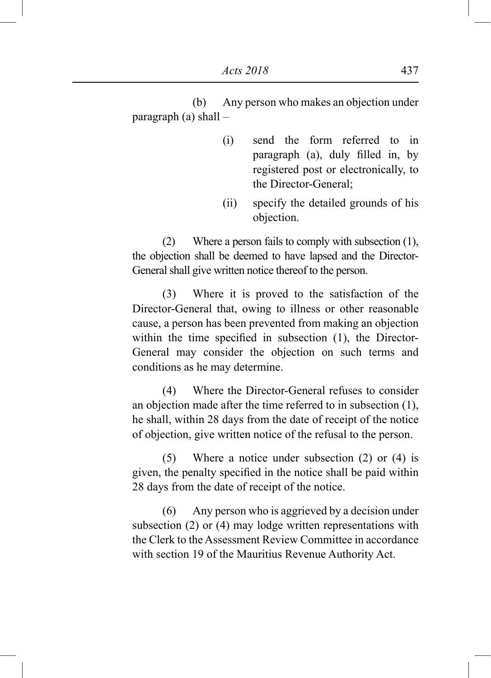(b) Any person who makes an objection under paragraph (a) shall –

- (i) send the form referred to in paragraph (a), duly filled in, by registered post or electronically, to the Director-General;
- (ii) specify the detailed grounds of his objection.

(2) Where a person fails to comply with subsection (1), the objection shall be deemed to have lapsed and the Director-General shall give written notice thereof to the person.

(3) Where it is proved to the satisfaction of the Director-General that, owing to illness or other reasonable cause, a person has been prevented from making an objection within the time specified in subsection (1), the Director-General may consider the objection on such terms and conditions as he may determine.

(4) Where the Director-General refuses to consider an objection made after the time referred to in subsection (1), he shall, within 28 days from the date of receipt of the notice of objection, give written notice of the refusal to the person.

(5) Where a notice under subsection (2) or (4) is given, the penalty specified in the notice shall be paid within 28 days from the date of receipt of the notice.

(6) Any person who is aggrieved by a decision under subsection (2) or (4) may lodge written representations with the Clerk to the Assessment Review Committee in accordance with section 19 of the Mauritius Revenue Authority Act.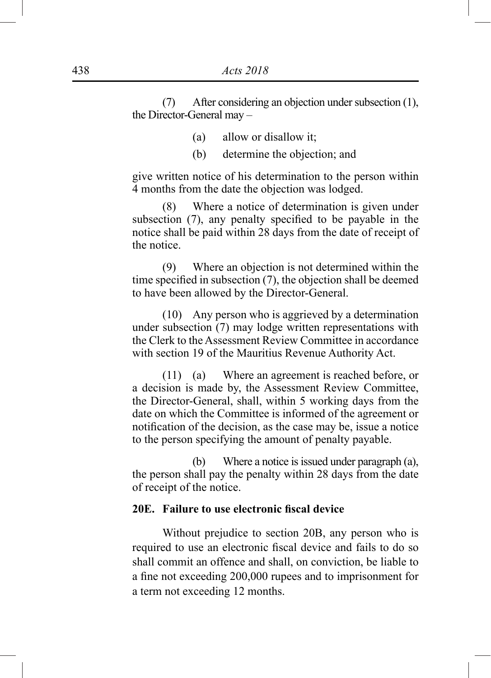(7) After considering an objection under subsection (1), the Director-General may –

- (a) allow or disallow it;
- (b) determine the objection; and

give written notice of his determination to the person within 4 months from the date the objection was lodged.

(8) Where a notice of determination is given under subsection (7), any penalty specified to be payable in the notice shall be paid within 28 days from the date of receipt of the notice.

(9) Where an objection is not determined within the time specified in subsection (7), the objection shall be deemed to have been allowed by the Director-General.

(10) Any person who is aggrieved by a determination under subsection (7) may lodge written representations with the Clerk to the Assessment Review Committee in accordance with section 19 of the Mauritius Revenue Authority Act.

(11) (a) Where an agreement is reached before, or a decision is made by, the Assessment Review Committee, the Director-General, shall, within 5 working days from the date on which the Committee is informed of the agreement or notification of the decision, as the case may be, issue a notice to the person specifying the amount of penalty payable.

(b) Where a notice is issued under paragraph (a), the person shall pay the penalty within 28 days from the date of receipt of the notice.

#### **20E. Failure to use electronic fiscal device**

Without prejudice to section 20B, any person who is required to use an electronic fiscal device and fails to do so shall commit an offence and shall, on conviction, be liable to a fine not exceeding 200,000 rupees and to imprisonment for a term not exceeding 12 months.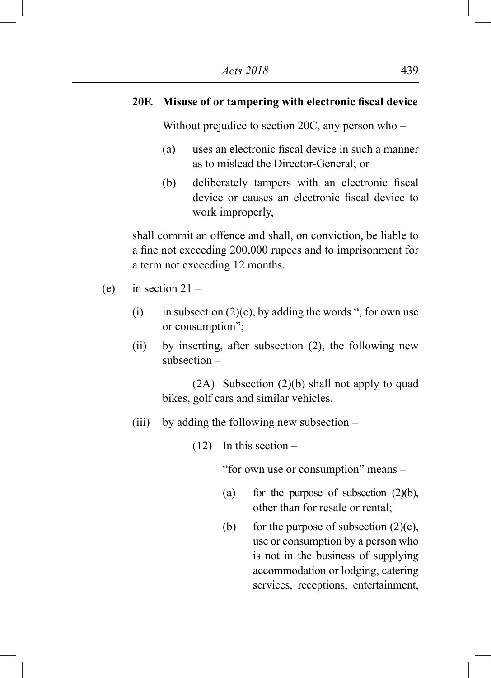## **20F. Misuse of or tampering with electronic fiscal device**

Without prejudice to section 20C, any person who –

- (a) uses an electronic fiscal device in such a manner as to mislead the Director-General; or
- (b) deliberately tampers with an electronic fiscal device or causes an electronic fiscal device to work improperly,

shall commit an offence and shall, on conviction, be liable to a fine not exceeding 200,000 rupees and to imprisonment for a term not exceeding 12 months.

- (e) in section  $21 -$ 
	- (i) in subsection  $(2)(c)$ , by adding the words ", for own use or consumption";
	- (ii) by inserting, after subsection (2), the following new subsection –

(2A) Subsection (2)(b) shall not apply to quad bikes, golf cars and similar vehicles.

(iii) by adding the following new subsection –

 $(12)$  In this section –

"for own use or consumption" means –

- (a) for the purpose of subsection  $(2)(b)$ , other than for resale or rental;
- (b) for the purpose of subsection  $(2)(c)$ , use or consumption by a person who is not in the business of supplying accommodation or lodging, catering services, receptions, entertainment,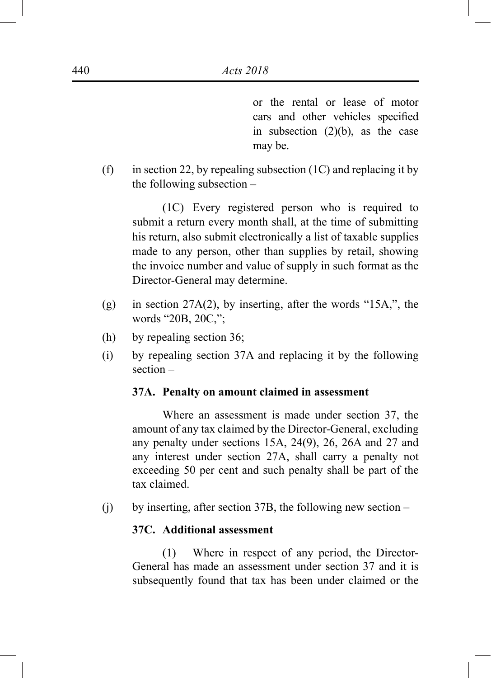or the rental or lease of motor cars and other vehicles specified in subsection (2)(b), as the case may be.

(f) in section 22, by repealing subsection  $(1C)$  and replacing it by the following subsection –

(1C) Every registered person who is required to submit a return every month shall, at the time of submitting his return, also submit electronically a list of taxable supplies made to any person, other than supplies by retail, showing the invoice number and value of supply in such format as the Director-General may determine.

- (g) in section 27A(2), by inserting, after the words "15A,", the words "20B, 20C,";
- (h) by repealing section 36;
- (i) by repealing section 37A and replacing it by the following section –

### **37A. Penalty on amount claimed in assessment**

Where an assessment is made under section 37, the amount of any tax claimed by the Director-General, excluding any penalty under sections 15A, 24(9), 26, 26A and 27 and any interest under section 27A, shall carry a penalty not exceeding 50 per cent and such penalty shall be part of the tax claimed.

(j) by inserting, after section 37B, the following new section –

## **37C. Additional assessment**

(1) Where in respect of any period, the Director-General has made an assessment under section 37 and it is subsequently found that tax has been under claimed or the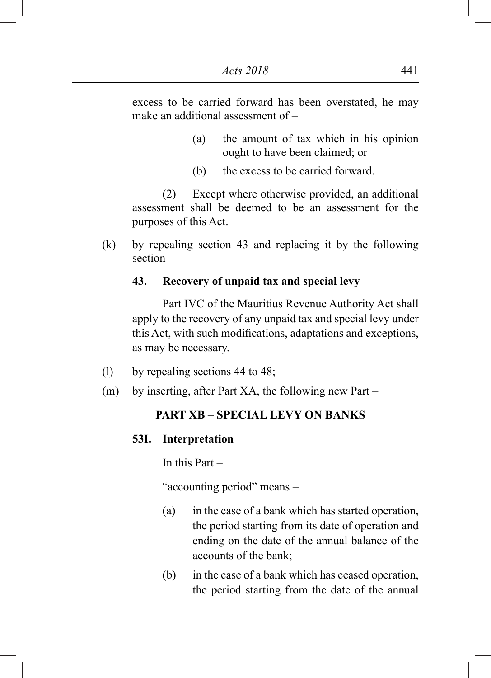excess to be carried forward has been overstated, he may make an additional assessment of –

- (a) the amount of tax which in his opinion ought to have been claimed; or
- (b) the excess to be carried forward.

(2) Except where otherwise provided, an additional assessment shall be deemed to be an assessment for the purposes of this Act.

(k) by repealing section 43 and replacing it by the following section –

## **43. Recovery of unpaid tax and special levy**

Part IVC of the Mauritius Revenue Authority Act shall apply to the recovery of any unpaid tax and special levy under this Act, with such modifications, adaptations and exceptions, as may be necessary.

- (l) by repealing sections 44 to 48;
- (m) by inserting, after Part XA, the following new Part –

# **PART XB – SPECIAL LEVY ON BANKS**

### **53I. Interpretation**

In this Part –

"accounting period" means –

- (a) in the case of a bank which has started operation, the period starting from its date of operation and ending on the date of the annual balance of the accounts of the bank;
- (b) in the case of a bank which has ceased operation, the period starting from the date of the annual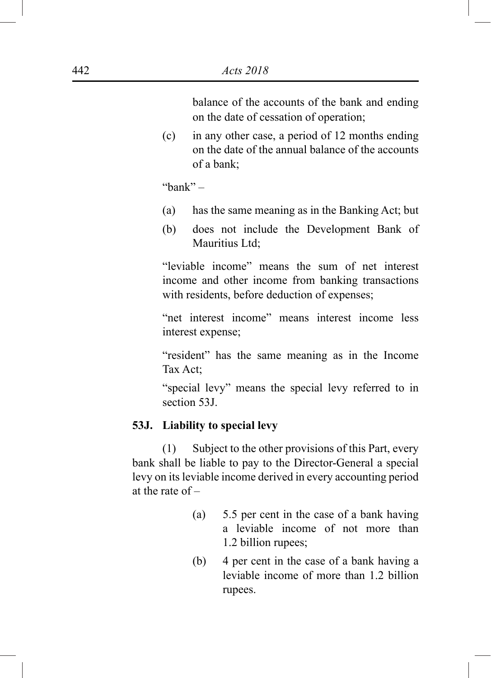balance of the accounts of the bank and ending on the date of cessation of operation;

(c) in any other case, a period of 12 months ending on the date of the annual balance of the accounts of a bank;

"bank" –

- (a) has the same meaning as in the Banking Act; but
- (b) does not include the Development Bank of Mauritius Ltd;

"leviable income" means the sum of net interest income and other income from banking transactions with residents, before deduction of expenses;

"net interest income" means interest income less interest expense;

"resident" has the same meaning as in the Income Tax Act;

"special levy" means the special levy referred to in section 53J.

#### **53J. Liability to special levy**

(1) Subject to the other provisions of this Part, every bank shall be liable to pay to the Director-General a special levy on its leviable income derived in every accounting period at the rate of –

- (a) 5.5 per cent in the case of a bank having a leviable income of not more than 1.2 billion rupees;
- (b) 4 per cent in the case of a bank having a leviable income of more than 1.2 billion rupees.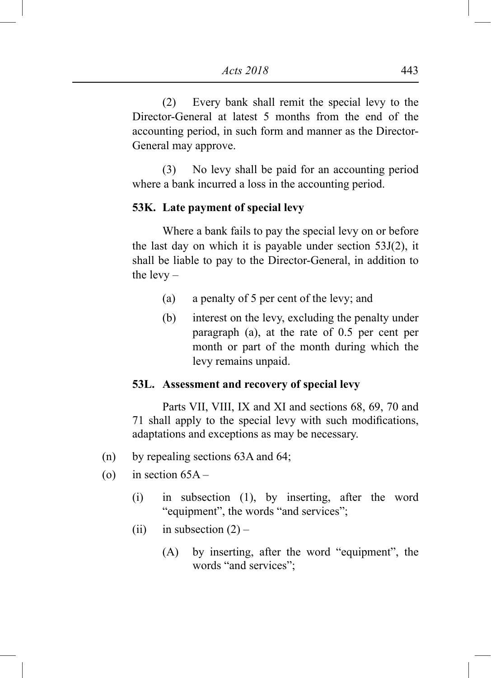(2) Every bank shall remit the special levy to the Director-General at latest 5 months from the end of the accounting period, in such form and manner as the Director-General may approve.

(3) No levy shall be paid for an accounting period where a bank incurred a loss in the accounting period.

### **53K. Late payment of special levy**

Where a bank fails to pay the special levy on or before the last day on which it is payable under section 53J(2), it shall be liable to pay to the Director-General, in addition to the  $levv -$ 

- (a) a penalty of 5 per cent of the levy; and
- (b) interest on the levy, excluding the penalty under paragraph (a), at the rate of 0.5 per cent per month or part of the month during which the levy remains unpaid.

### **53L. Assessment and recovery of special levy**

Parts VII, VIII, IX and XI and sections 68, 69, 70 and 71 shall apply to the special levy with such modifications, adaptations and exceptions as may be necessary.

- (n) by repealing sections 63A and 64;
- (o) in section  $65A -$ 
	- (i) in subsection (1), by inserting, after the word "equipment", the words "and services";
	- (ii) in subsection  $(2)$ 
		- (A) by inserting, after the word "equipment", the words "and services";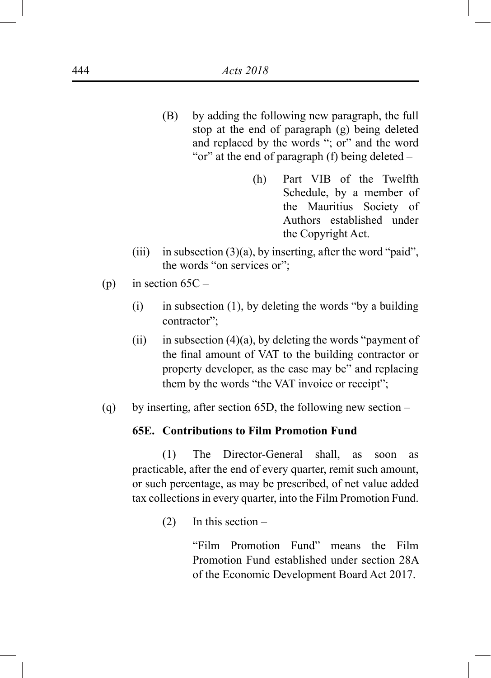- (B) by adding the following new paragraph, the full stop at the end of paragraph (g) being deleted and replaced by the words "; or" and the word "or" at the end of paragraph (f) being deleted –
	- (h) Part VIB of the Twelfth Schedule, by a member of the Mauritius Society of Authors established under the Copyright Act.
- (iii) in subsection  $(3)(a)$ , by inserting, after the word "paid", the words "on services or";
- (p) in section  $65C -$ 
	- (i) in subsection (1), by deleting the words "by a building contractor";
	- (ii) in subsection  $(4)(a)$ , by deleting the words "payment of the final amount of VAT to the building contractor or property developer, as the case may be" and replacing them by the words "the VAT invoice or receipt";
- (q) by inserting, after section 65D, the following new section –

### **65E. Contributions to Film Promotion Fund**

(1) The Director-General shall, as soon as practicable, after the end of every quarter, remit such amount, or such percentage, as may be prescribed, of net value added tax collections in every quarter, into the Film Promotion Fund.

 $(2)$  In this section –

"Film Promotion Fund" means the Film Promotion Fund established under section 28A of the Economic Development Board Act 2017.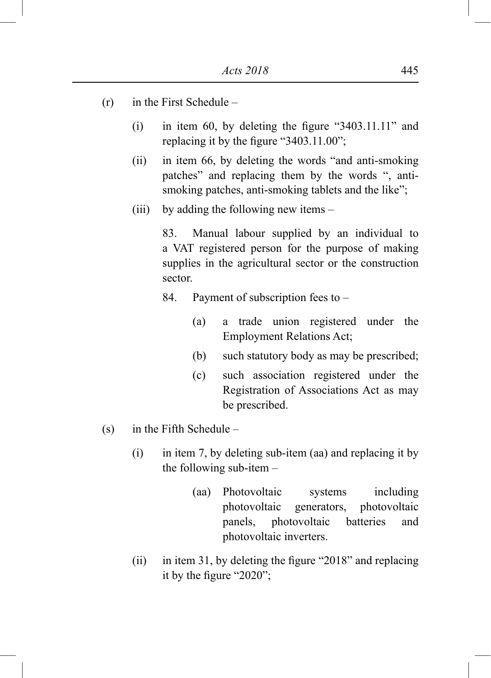- (r) in the First Schedule
	- (i) in item 60, by deleting the figure "3403.11.11" and replacing it by the figure "3403.11.00";
	- (ii) in item 66, by deleting the words "and anti-smoking patches" and replacing them by the words ", antismoking patches, anti-smoking tablets and the like";
	- (iii) by adding the following new items –

83. Manual labour supplied by an individual to a VAT registered person for the purpose of making supplies in the agricultural sector or the construction sector.

84. Payment of subscription fees to –

- (a) a trade union registered under the Employment Relations Act;
- (b) such statutory body as may be prescribed;
- (c) such association registered under the Registration of Associations Act as may be prescribed.
- (s) in the Fifth Schedule
	- $(i)$  in item 7, by deleting sub-item (aa) and replacing it by the following sub-item –
		- (aa) Photovoltaic systems including photovoltaic generators, photovoltaic panels, photovoltaic batteries and photovoltaic inverters.
	- (ii) in item 31, by deleting the figure "2018" and replacing it by the figure "2020";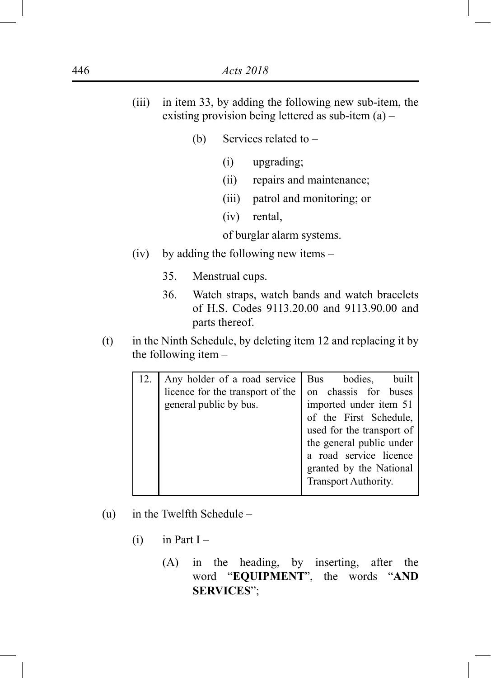- (iii) in item 33, by adding the following new sub-item, the existing provision being lettered as sub-item (a) –
	- (b) Services related to  $-$ 
		- (i) upgrading;
		- (ii) repairs and maintenance;
		- (iii) patrol and monitoring; or
		- (iv) rental,

of burglar alarm systems.

- (iv) by adding the following new items
	- 35. Menstrual cups.
	- 36. Watch straps, watch bands and watch bracelets of H.S. Codes 9113.20.00 and 9113.90.00 and parts thereof.
- (t) in the Ninth Schedule, by deleting item 12 and replacing it by the following item –

| Any holder of a road service                               | Bus<br>bodies,<br>built                                                                                                                                      |
|------------------------------------------------------------|--------------------------------------------------------------------------------------------------------------------------------------------------------------|
| licence for the transport of the<br>general public by bus. | on chassis for buses<br>imported under item 51                                                                                                               |
|                                                            | of the First Schedule,<br>used for the transport of<br>the general public under<br>a road service licence<br>granted by the National<br>Transport Authority. |

- (u) in the Twelfth Schedule
	- $(i)$  in Part I
		- (A) in the heading, by inserting, after the word "**EQUIPMENT**", the words "**AND SERVICES**";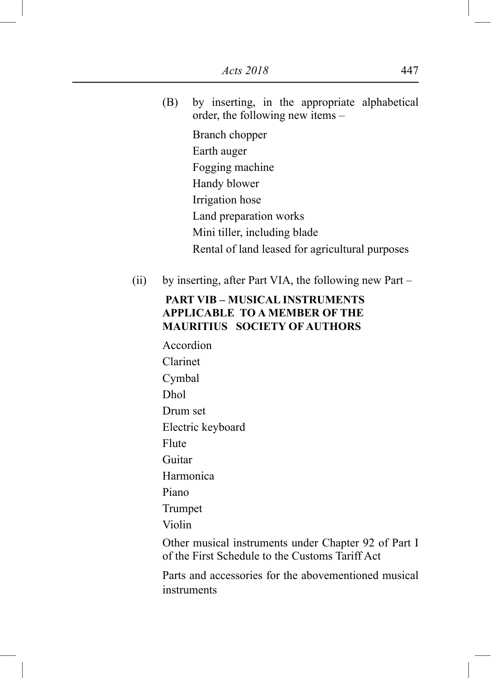(B) by inserting, in the appropriate alphabetical order, the following new items –

Branch chopper Earth auger Fogging machine Handy blower Irrigation hose Land preparation works Mini tiller, including blade Rental of land leased for agricultural purposes

(ii) by inserting, after Part VIA, the following new Part –

## **PART VIB – MUSICAL INSTRUMENTS APPLICABLE TO A MEMBER OF THE MAURITIUS SOCIETY OF AUTHORS**

Accordion Clarinet Cymbal Dhol Drum set Electric keyboard Flute Guitar Harmonica Piano Trumpet Violin

Other musical instruments under Chapter 92 of Part I of the First Schedule to the Customs Tariff Act

Parts and accessories for the abovementioned musical instruments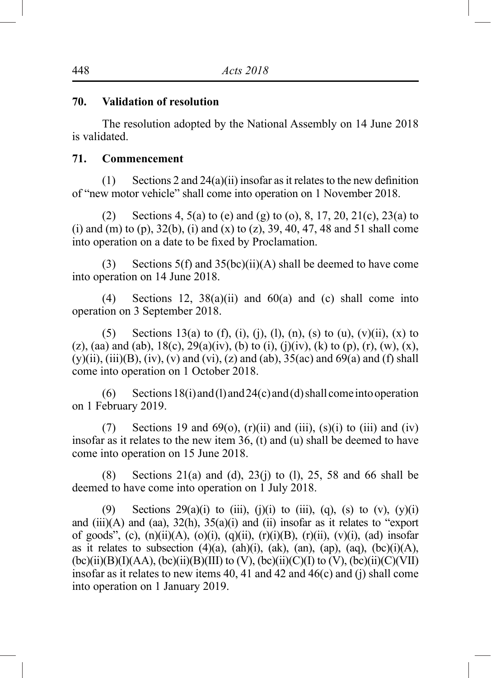#### **70. Validation of resolution**

The resolution adopted by the National Assembly on 14 June 2018 is validated.

#### **71. Commencement**

(1) Sections 2 and 24(a)(ii) insofar as it relates to the new definition of "new motor vehicle" shall come into operation on 1 November 2018.

(2) Sections 4, 5(a) to (e) and (g) to (o), 8, 17, 20, 21(c), 23(a) to (i) and (m) to (p),  $32(b)$ , (i) and (x) to (z),  $39, 40, 47, 48$  and  $51$  shall come into operation on a date to be fixed by Proclamation.

(3) Sections 5(f) and  $35(bc)(ii)(A)$  shall be deemed to have come into operation on 14 June 2018.

(4) Sections 12,  $38(a)(ii)$  and  $60(a)$  and (c) shall come into operation on 3 September 2018.

(5) Sections 13(a) to (f), (i), (i), (l), (n), (s) to (u), (v)(ii), (x) to (z), (aa) and (ab),  $18(c)$ ,  $29(a)(iv)$ , (b) to (i), (j)(iv), (k) to (p), (r), (w), (x),  $(y)(ii)$ ,  $(iii)(B)$ ,  $(iv)$ ,  $(v)$  and  $(vi)$ ,  $(z)$  and  $(ab)$ ,  $35(ac)$  and  $69(a)$  and  $(f)$  shall come into operation on 1 October 2018.

(6) Sections  $18(i)$  and (1) and  $24(c)$  and (d) shall come into operation on 1 February 2019.

(7) Sections 19 and  $69(0)$ ,  $(r)(ii)$  and  $(iii)$ ,  $(s)(i)$  to  $(iii)$  and  $(iv)$ insofar as it relates to the new item 36, (t) and (u) shall be deemed to have come into operation on 15 June 2018.

(8) Sections 21(a) and (d), 23(j) to (l), 25, 58 and 66 shall be deemed to have come into operation on 1 July 2018.

(9) Sections  $29(a)(i)$  to (iii), (j)(i) to (iii), (q), (s) to (v), (y)(i) and  $(iii)(A)$  and  $(aa)$ ,  $32(h)$ ,  $35(a)(i)$  and  $(ii)$  insofar as it relates to "export" of goods", (c),  $(n)(ii)(A)$ ,  $(o)(i)$ ,  $(q)(ii)$ ,  $(r)(i)(B)$ ,  $(r)(ii)$ ,  $(v)(i)$ ,  $(ad)$  insofar as it relates to subsection  $(4)(a)$ ,  $(ah)(i)$ ,  $(ak)$ ,  $(an)$ ,  $(ap)$ ,  $(aq)$ ,  $(bc)(i)(A)$ ,  $(bc)(ii)(B)(I)(AA)$ ,  $(bc)(ii)(B)(III)$  to  $(V)$ ,  $(bc)(ii)(C)(I)$  to  $(V)$ ,  $(bc)(ii)(C)(VII)$ insofar as it relates to new items 40, 41 and 42 and 46(c) and (j) shall come into operation on 1 January 2019.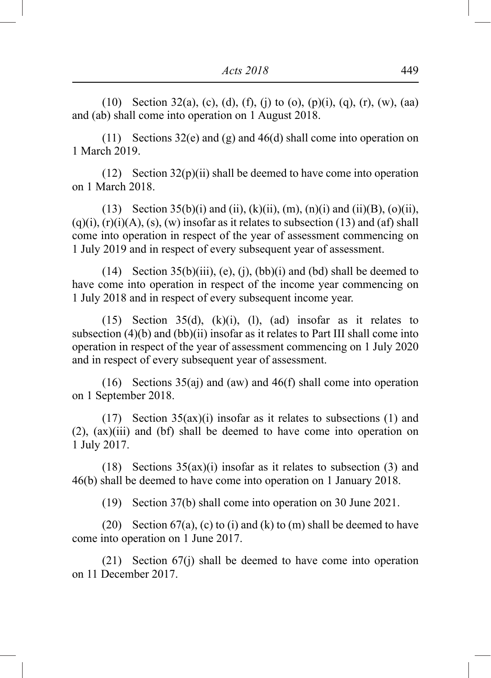(10) Section 32(a), (c), (d), (f), (j) to (o), (p)(i), (q), (r), (w), (aa) and (ab) shall come into operation on 1 August 2018.

(11) Sections 32(e) and (g) and 46(d) shall come into operation on 1 March 2019.

(12) Section 32(p)(ii) shall be deemed to have come into operation on 1 March 2018.

(13) Section 35(b)(i) and (ii), (k)(ii), (m), (n)(i) and (ii)(B), (o)(ii),  $(q)(i)$ ,  $(r)(i)(A)$ ,  $(s)$ ,  $(w)$  insofar as it relates to subsection  $(13)$  and  $(af)$  shall come into operation in respect of the year of assessment commencing on 1 July 2019 and in respect of every subsequent year of assessment.

(14) Section  $35(b)(iii)$ , (e), (j), (bb)(i) and (bd) shall be deemed to have come into operation in respect of the income year commencing on 1 July 2018 and in respect of every subsequent income year.

(15) Section  $35(d)$ , (k)(i), (l), (ad) insofar as it relates to subsection (4)(b) and (bb)(ii) insofar as it relates to Part III shall come into operation in respect of the year of assessment commencing on 1 July 2020 and in respect of every subsequent year of assessment.

(16) Sections 35(aj) and (aw) and 46(f) shall come into operation on 1 September 2018.

(17) Section 35(ax)(i) insofar as it relates to subsections (1) and (2), (ax)(iii) and (bf) shall be deemed to have come into operation on 1 July 2017.

(18) Sections 35(ax)(i) insofar as it relates to subsection (3) and 46(b) shall be deemed to have come into operation on 1 January 2018.

(19) Section 37(b) shall come into operation on 30 June 2021.

(20) Section  $67(a)$ , (c) to (i) and (k) to (m) shall be deemed to have come into operation on 1 June 2017.

(21) Section 67(j) shall be deemed to have come into operation on 11 December 2017.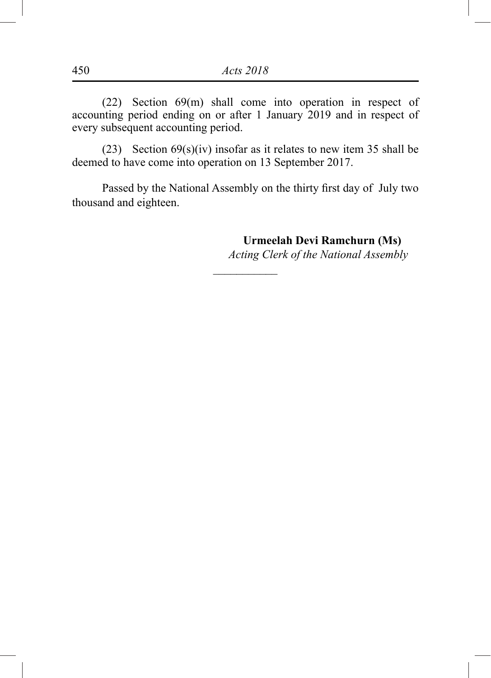(22) Section 69(m) shall come into operation in respect of accounting period ending on or after 1 January 2019 and in respect of every subsequent accounting period.

(23) Section  $69(s)(iv)$  insofar as it relates to new item 35 shall be deemed to have come into operation on 13 September 2017.

Passed by the National Assembly on the thirty first day of July two thousand and eighteen.

 $\overline{\phantom{a}}$ 

**Urmeelah Devi Ramchurn (Ms)**

*Acting Clerk of the National Assembly*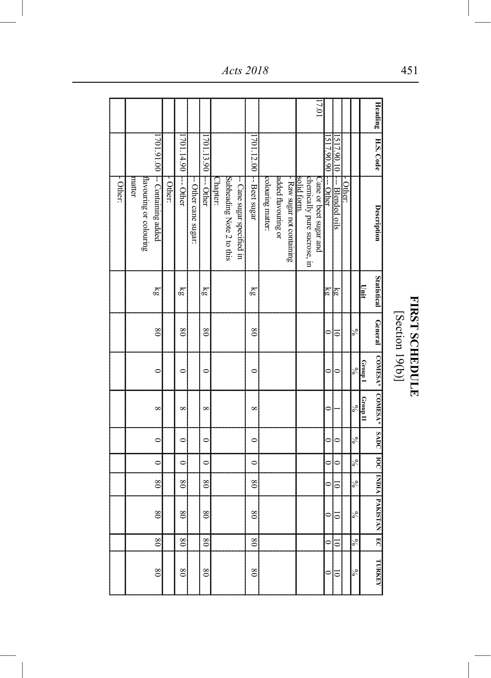|          |                                  |                              |          |                         |                      |                 |          |                           |                            |                        |                   |                     |                          |             | 117.01                                                |           |                  |          |               |          |                               |                 |                       |
|----------|----------------------------------|------------------------------|----------|-------------------------|----------------------|-----------------|----------|---------------------------|----------------------------|------------------------|-------------------|---------------------|--------------------------|-------------|-------------------------------------------------------|-----------|------------------|----------|---------------|----------|-------------------------------|-----------------|-----------------------|
|          |                                  |                              |          |                         |                      |                 |          |                           |                            |                        |                   |                     |                          |             |                                                       |           |                  |          |               |          | Heading                       |                 |                       |
|          |                                  |                              |          | 701.14.90 -- Other      |                      | 701.13.90       |          |                           |                            |                        |                   |                     |                          |             |                                                       | 517.90.90 | 1517.90.10       |          |               |          | H.S. Code                     |                 |                       |
| - Other: | Havouring or colouring<br>matter | 701.91.00 - Containing added | - Other: |                         | -- Other cane sugar: | -- Other        | Chapter: | Subheading Note 2 to this | -- Cane sugar specified in | 701.12.00 - Beet sugar | colouring matter: | added flavouring or | Raw sugar not containing | solid form. | chemically pure sucrose, in<br>Cane or beet sugar and | --- Other | --- Blended oils | - Other: |               |          | Description                   |                 |                       |
|          |                                  | $\overline{\epsilon}$        |          | ζĝ                      |                      | ξğ              |          |                           |                            | ζĝ                     |                   |                     |                          |             |                                                       | ¦ই        | 뎖                |          |               | Unit     | <b>Statistical</b>            |                 |                       |
|          |                                  | $\frac{8}{2}$                |          | $\overline{\mathbf{8}}$ |                      | $\frac{8}{2}$   |          |                           |                            | $\infty$               |                   |                     |                          |             |                                                       |           | 5                |          | $\frac{6}{6}$ |          | <b>General</b>                | [Section 19(b)] | <b>FIRST SCHEDULE</b> |
|          |                                  | $\circ$                      |          | $\circ$                 |                      | $\circ$         |          |                           |                            | $\circ$                |                   |                     |                          |             |                                                       | 0         | ⋍                |          | $\approx$     | Group I  | COMESA*   COMESA*             |                 |                       |
|          |                                  | $\infty$                     |          | $\infty$                |                      | $\infty$        |          |                           |                            | $\infty$               |                   |                     |                          |             |                                                       | ⊂         |                  |          | $\frac{6}{6}$ | Group II |                               |                 |                       |
|          |                                  | $\circ$                      |          | $\circ$                 |                      | $\circ$         |          |                           |                            | $\circ$                |                   |                     |                          |             |                                                       | 0         | 0                |          | $\frac{1}{6}$ |          |                               |                 |                       |
|          |                                  | $\mathbf{\in}$               |          | $\mathbf{\mathsf{C}}$   |                      | $\circ$         |          |                           |                            | $\mathbf{C}$           |                   |                     |                          |             |                                                       | 0         |                  |          | $\frac{6}{6}$ |          |                               |                 |                       |
|          |                                  | $\overline{08}$              |          | $\overline{08}$         |                      | $\overline{08}$ |          |                           |                            | $\overline{08}$        |                   |                     |                          |             |                                                       | $\circ$   | $\bar{ }$        |          | $\frac{5}{6}$ |          |                               |                 |                       |
|          |                                  | $\overline{08}$              |          | $_{08}$                 |                      | $\frac{8}{3}$   |          |                           |                            | $_{08}$                |                   |                     |                          |             |                                                       | 0         | Ξ                |          | $\frac{6}{6}$ |          | SADC   IOC   INDIA   PAKISTAN |                 |                       |
|          |                                  | $\overline{08}$              |          | $\overline{\ }$         |                      | $\overline{08}$ |          |                           |                            | $\infty$               |                   |                     |                          |             |                                                       | 0         | Ξ                |          | న             |          | E                             |                 |                       |
|          |                                  | $\frac{8}{2}$                |          | $\infty$                |                      | $\infty$        |          |                           |                            | $\infty$               |                   |                     |                          |             |                                                       | 0         | ರ                |          | $\frac{6}{6}$ |          | <b>TURKEY</b>                 |                 |                       |

# FIRST SCHEDULE<br>[Section 19(b)]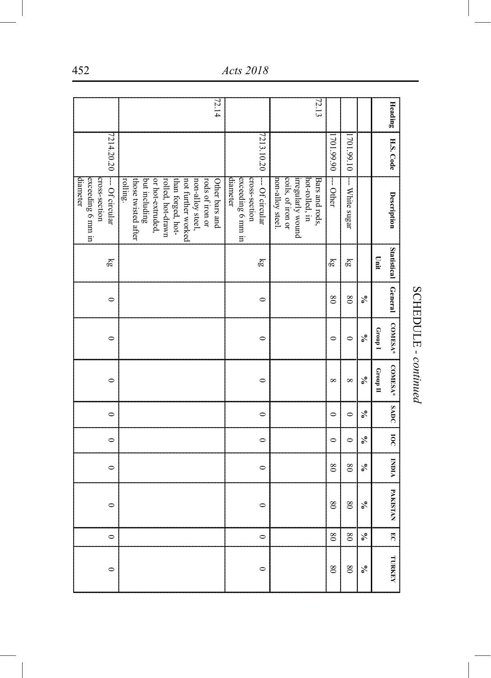| Heading | H.S. Code  | Description                             | Statistical           | General                 | <b>COMESA*</b>          | <b>COMESA*</b> | <b>SADC</b> | $\overline{\mathbf{g}}$ | <b>AIONI</b>            | PAKISTAN                | $\overline{C}$  | <b>TURKEY</b> |
|---------|------------|-----------------------------------------|-----------------------|-------------------------|-------------------------|----------------|-------------|-------------------------|-------------------------|-------------------------|-----------------|---------------|
|         |            |                                         | Linit                 |                         | I dnou <sup>5</sup>     | $G$ roup II    |             |                         |                         |                         |                 |               |
|         |            |                                         |                       | ℅                       | $\mathcal{S}_{\bullet}$ | వ్             | ℅           | ℅                       | ℅                       | $\epsilon$              | ℅               | ℅             |
|         | 701.99.10  | -- White sugar                          | $\overline{\epsilon}$ | $\overline{\mathbf{8}}$ | $\circ$                 | $\infty$       | $\circ$     | $\circ$                 | $\overline{\mathbf{8}}$ | $\overline{\mathbf{8}}$ | $\frac{8}{2}$   | $\frac{8}{2}$ |
|         | 701.99.90  | --- Other                               | ξg                    | $\frac{8}{2}$           | $\circ$                 | $\infty$       | $\circ$     | $\circ$                 | $\frac{8}{2}$           | $\infty$                | $\overline{\ }$ | $\infty$      |
| 172.13  |            | Bars and rods,                          |                       |                         |                         |                |             |                         |                         |                         |                 |               |
|         |            | hot-rolled, in                          |                       |                         |                         |                |             |                         |                         |                         |                 |               |
|         |            | irregularly wound                       |                       |                         |                         |                |             |                         |                         |                         |                 |               |
|         |            | coils, of iron or<br>non-alloy steel.   |                       |                         |                         |                |             |                         |                         |                         |                 |               |
|         |            |                                         |                       |                         |                         |                |             |                         |                         |                         |                 |               |
|         | 7213.10.20 | cross-section<br>-- Of circular         | ξğ                    | $\circ$                 | $\circ$                 | $\circ$        | $\circ$     | $\circ$                 | $\circ$                 | $\circ$                 | $\circ$         | $\circ$       |
|         |            | exceeding 6 mm in                       |                       |                         |                         |                |             |                         |                         |                         |                 |               |
| 172.14  |            | diameter                                |                       |                         |                         |                |             |                         |                         |                         |                 |               |
|         |            | rods of iron or<br>Other bars and       |                       |                         |                         |                |             |                         |                         |                         |                 |               |
|         |            | non-alloy steel,                        |                       |                         |                         |                |             |                         |                         |                         |                 |               |
|         |            | than forged, hot-<br>not further worked |                       |                         |                         |                |             |                         |                         |                         |                 |               |
|         |            | rolled, hot-drawn                       |                       |                         |                         |                |             |                         |                         |                         |                 |               |
|         |            | or hot-extruded,                        |                       |                         |                         |                |             |                         |                         |                         |                 |               |
|         |            | those twisted after<br>but including    |                       |                         |                         |                |             |                         |                         |                         |                 |               |
|         |            | rolling.                                |                       |                         |                         |                |             |                         |                         |                         |                 |               |
|         | 7214.20.20 | $\vdash$ - Of circular                  | ξg                    | $\circ$                 | $\circ$                 | $\circ$        | $\circ$     | $\circ$                 | $\circ$                 | $\circ$                 | $\circ$         | $\circ$       |
|         |            | cross-section                           |                       |                         |                         |                |             |                         |                         |                         |                 |               |
|         |            | exceeding 6 mm in                       |                       |                         |                         |                |             |                         |                         |                         |                 |               |
|         |            | diameter                                |                       |                         |                         |                |             |                         |                         |                         |                 |               |

SCHEDULE - continued SCHEDULE *- continued*

452 *Acts 2018*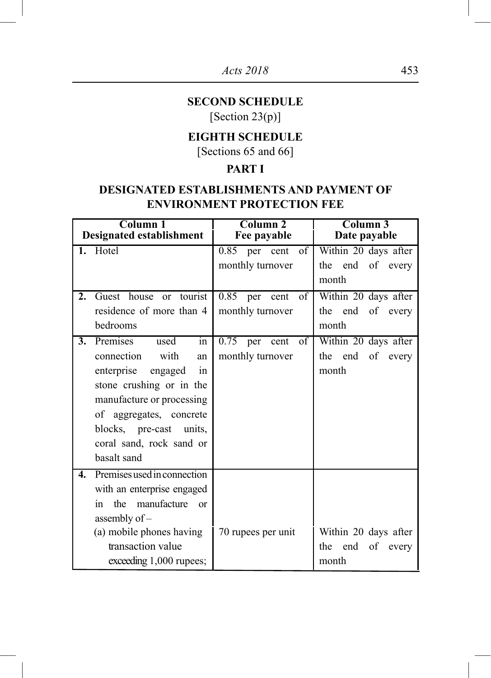# **SECOND SCHEDULE**

[Section 23(p)]

# **EIGHTH SCHEDULE**

[Sections 65 and 66]

# **PART I**

# **DESIGNATED ESTABLISHMENTS AND PAYMENT OF ENVIRONMENT PROTECTION FEE**

|                  | Column 1<br><b>Designated establishment</b>                                                                                                                                                                                                 | Column <sub>2</sub><br>Fee payable                                          | Column 3<br>Date payable                                   |
|------------------|---------------------------------------------------------------------------------------------------------------------------------------------------------------------------------------------------------------------------------------------|-----------------------------------------------------------------------------|------------------------------------------------------------|
| 1.               | Hotel                                                                                                                                                                                                                                       | of<br>0.85 per cent<br>monthly turnover                                     | Within 20 days after<br>the end of every<br>month          |
| $\overline{2}$ . | Guest house<br>tourist<br><sub>or</sub><br>residence of more than 4<br>bedrooms                                                                                                                                                             | $\overline{0.85}$ per<br>$\overline{\text{of}}$<br>cent<br>monthly turnover | Within 20 days after<br>the end of every<br>month          |
| 3.               | Premises<br>used<br>in<br>connection<br>with<br>an<br>enterprise<br>engaged<br>in<br>stone crushing or in the<br>manufacture or processing<br>of aggregates, concrete<br>blocks, pre-cast units,<br>coral sand, rock sand or<br>basalt sand | 0.75<br>of<br>cent<br>per<br>monthly turnover                               | Within 20 days after<br>the end<br>of every<br>month       |
| 4.               | Premises used in connection<br>with an enterprise engaged<br>manufacture<br>the<br>in<br>$\alpha$<br>assembly of -<br>(a) mobile phones having<br>transaction value<br>exceeding 1,000 rupees;                                              | 70 rupees per unit                                                          | Within 20 days after<br>of<br>the<br>end<br>every<br>month |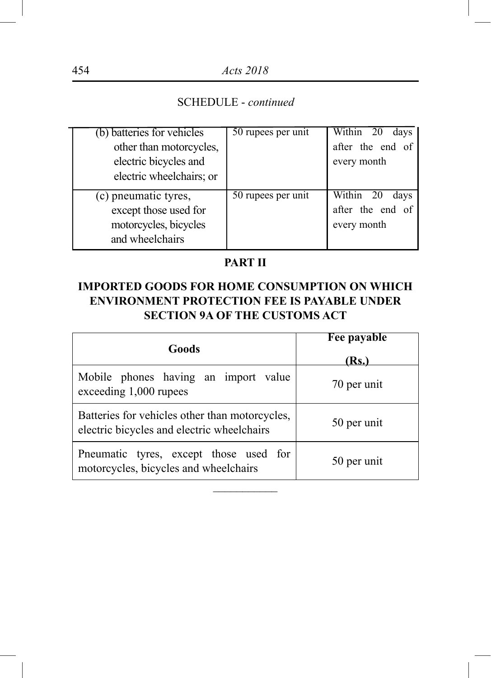| (b) batteries for vehicles | 50 rupees per unit | Within 20<br>days |
|----------------------------|--------------------|-------------------|
| other than motorcycles,    |                    | after the end of  |
| electric bicycles and      |                    | every month       |
| electric wheelchairs; or   |                    |                   |
|                            |                    |                   |
| (c) pneumatic tyres,       | 50 rupees per unit | Within 20<br>days |
| except those used for      |                    | after the end of  |
| motorcycles, bicycles      |                    | every month       |
| and wheelchairs            |                    |                   |

# **PART II**

# **IMPORTED GOODS FOR HOME CONSUMPTION ON WHICH ENVIRONMENT PROTECTION FEE IS PAYABLE UNDER SECTION 9A OF THE CUSTOMS ACT**

| Goods                                                                                        | <b>Fee payable</b><br>(Rs.) |
|----------------------------------------------------------------------------------------------|-----------------------------|
| Mobile phones having an import value<br>exceeding 1,000 rupees                               | 70 per unit                 |
| Batteries for vehicles other than motorcycles,<br>electric bicycles and electric wheelchairs | 50 per unit                 |
| Pneumatic tyres, except those used for<br>motorcycles, bicycles and wheelchairs              | 50 per unit                 |
|                                                                                              |                             |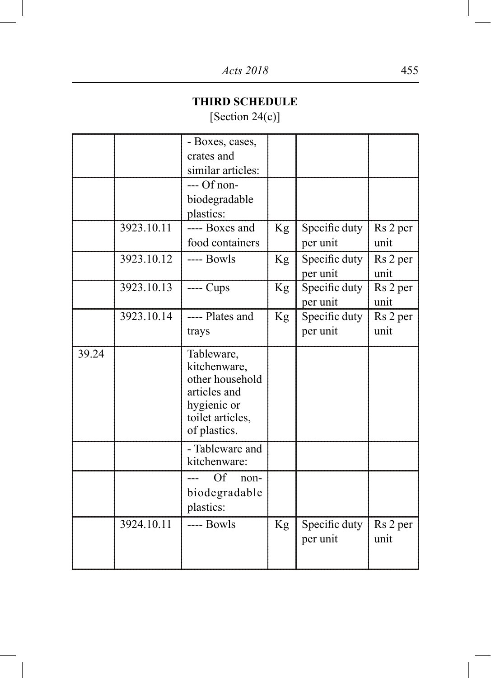# **THIRD SCHEDULE**

[Section 24(c)]

|       |            | - Boxes, cases,<br>crates and<br>similar articles:                                                               |    |                           |                  |
|-------|------------|------------------------------------------------------------------------------------------------------------------|----|---------------------------|------------------|
|       |            | --- Of non-<br>biodegradable<br>plastics:                                                                        |    |                           |                  |
|       | 3923.10.11 | ---- Boxes and<br>food containers                                                                                | Kg | Specific duty<br>per unit | Rs 2 per<br>unit |
|       | 3923.10.12 | ---- Bowls                                                                                                       | Kg | Specific duty<br>per unit | Rs 2 per<br>unit |
|       | 3923.10.13 | ---- Cups                                                                                                        | Kg | Specific duty<br>per unit | Rs 2 per<br>unit |
|       | 3923.10.14 | ---- Plates and<br>trays                                                                                         | Kg | Specific duty<br>per unit | Rs 2 per<br>unit |
| 39.24 |            | Tableware,<br>kitchenware,<br>other household<br>articles and<br>hygienic or<br>toilet articles,<br>of plastics. |    |                           |                  |
|       |            | - Tableware and<br>kitchenware:                                                                                  |    |                           |                  |
|       |            | Of<br>non-<br>biodegradable<br>plastics:                                                                         |    |                           |                  |
|       | 3924.10.11 | ---- Bowls                                                                                                       | Kg | Specific duty<br>per unit | Rs 2 per<br>unit |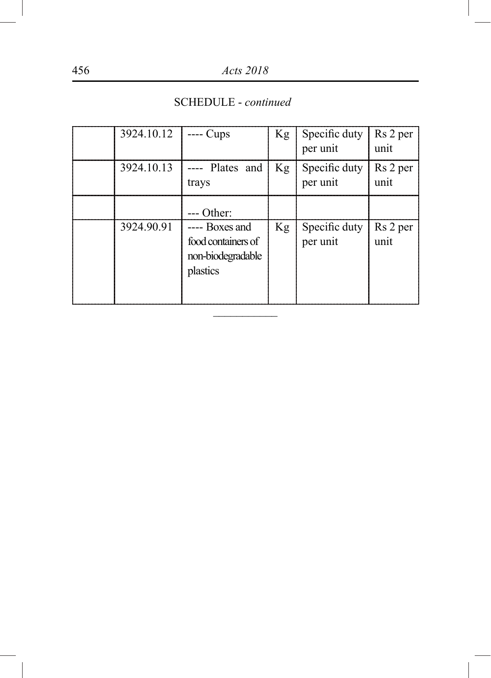| 3924.10.12 | -- Cups                                                               | Kg | Specific duty<br>per unit | Rs 2 per<br>unit |
|------------|-----------------------------------------------------------------------|----|---------------------------|------------------|
| 3924.10.13 | ---- Plates and<br>trays                                              | Kg | Specific duty<br>per unit | Rs 2 per<br>unit |
|            | Other:                                                                |    |                           |                  |
| 3924.90.91 | ---- Boxes and<br>food containers of<br>non-biodegradable<br>plastics | Kg | Specific duty<br>per unit | Rs 2 per<br>unit |

\_\_\_\_\_\_\_\_\_\_\_

SCHEDULE - *continued*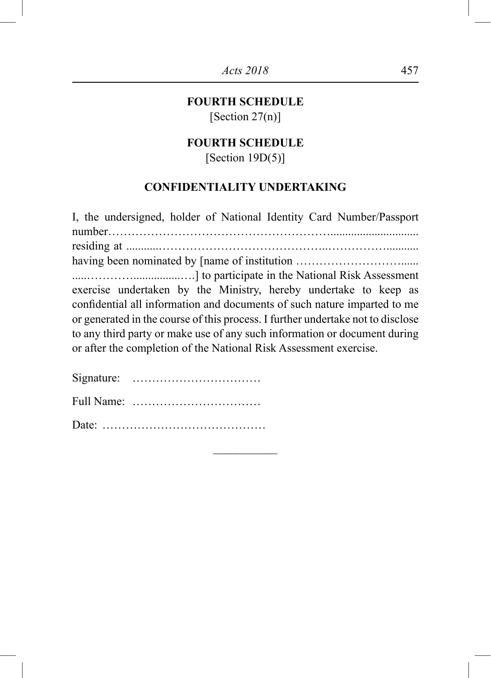# **FOURTH SCHEDULE**

[Section 27(n)]

# **FOURTH SCHEDULE**

[Section  $19D(5)$ ]

# **CONFIDENTIALITY UNDERTAKING**

| I, the undersigned, holder of National Identity Card Number/Passport            |
|---------------------------------------------------------------------------------|
|                                                                                 |
|                                                                                 |
|                                                                                 |
| exercise undertaken by the Ministry, hereby undertake to keep as                |
| confidential all information and documents of such nature imparted to me        |
| or generated in the course of this process. I further undertake not to disclose |
| to any third party or make use of any such information or document during       |
| or after the completion of the National Risk Assessment exercise.               |
|                                                                                 |
| Cianatura                                                                       |

 $\overline{\phantom{a}}$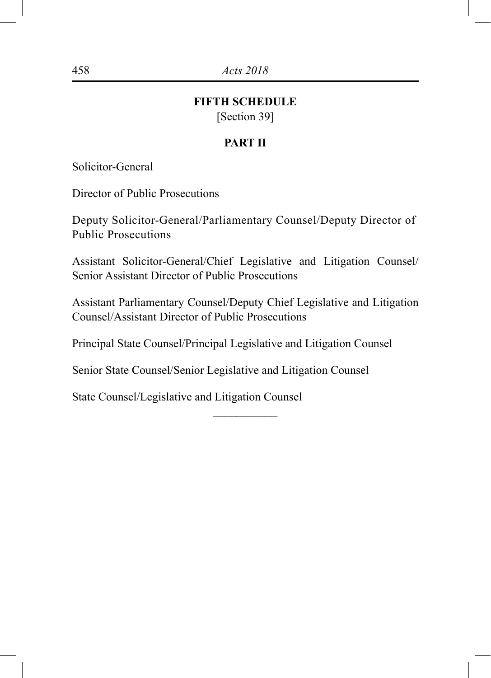#### **FIFTH SCHEDULE**

[Section 39]

#### **PART II**

Solicitor-General

Director of Public Prosecutions

Deputy Solicitor-General/Parliamentary Counsel/Deputy Director of Public Prosecutions

Assistant Solicitor-General/Chief Legislative and Litigation Counsel/ Senior Assistant Director of Public Prosecutions

Assistant Parliamentary Counsel/Deputy Chief Legislative and Litigation Counsel/Assistant Director of Public Prosecutions

 $\overline{\phantom{a}}$ 

Principal State Counsel/Principal Legislative and Litigation Counsel

Senior State Counsel/Senior Legislative and Litigation Counsel

State Counsel/Legislative and Litigation Counsel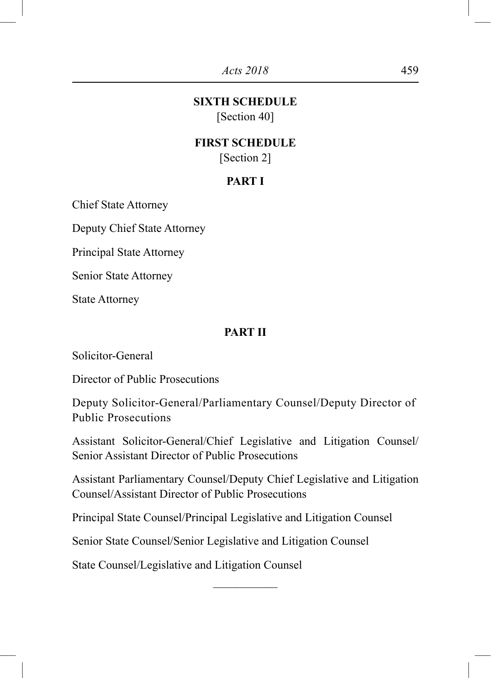# **SIXTH SCHEDULE**

[Section 40]

#### **FIRST SCHEDULE** [Section 2]

# **PART I**

Chief State Attorney

Deputy Chief State Attorney

Principal State Attorney

Senior State Attorney

State Attorney

#### **PART II**

Solicitor-General

Director of Public Prosecutions

Deputy Solicitor-General/Parliamentary Counsel/Deputy Director of Public Prosecutions

Assistant Solicitor-General/Chief Legislative and Litigation Counsel/ Senior Assistant Director of Public Prosecutions

Assistant Parliamentary Counsel/Deputy Chief Legislative and Litigation Counsel/Assistant Director of Public Prosecutions

 $\frac{1}{2}$ 

Principal State Counsel/Principal Legislative and Litigation Counsel

Senior State Counsel/Senior Legislative and Litigation Counsel

State Counsel/Legislative and Litigation Counsel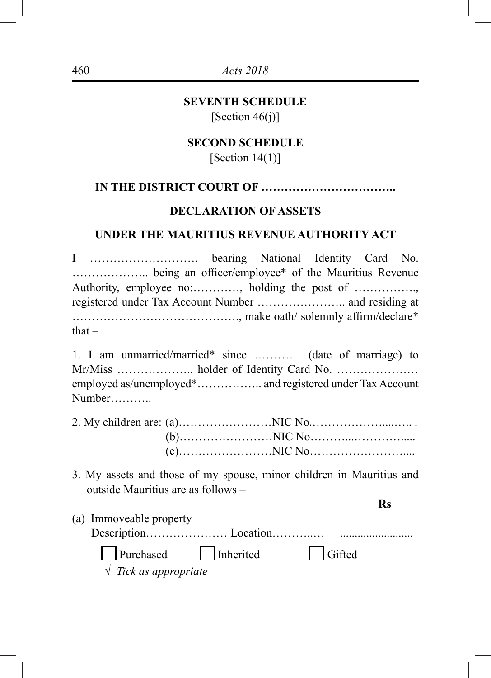#### **SEVENTH SCHEDULE** [Section  $46(j)$ ]

# **SECOND SCHEDULE**

[Section  $14(1)$ ]

## **IN THE DISTRICT COURT OF ……………………………..**

#### **DECLARATION OF ASSETS**

#### **UNDER THE MAURITIUS REVENUE AUTHORITY ACT**

I ………………………. bearing National Identity Card No. ……………….. being an officer/employee\* of the Mauritius Revenue Authority, employee no:…………, holding the post of ……………., registered under Tax Account Number ………………….. and residing at ……………………………………., make oath/ solemnly affirm/declare\*  $that -$ 

1. I am unmarried/married\* since ………… (date of marriage) to Mr/Miss ……………….. holder of Identity Card No. ………………… employed as/unemployed\*…………….. and registered under Tax Account Number………..

3. My assets and those of my spouse, minor children in Mauritius and outside Mauritius are as follows –

**Rs**

| (a) Immoveable property        |        |
|--------------------------------|--------|
|                                |        |
| Purchased Inherited            | Gifted |
| $\sqrt{T}$ Tick as appropriate |        |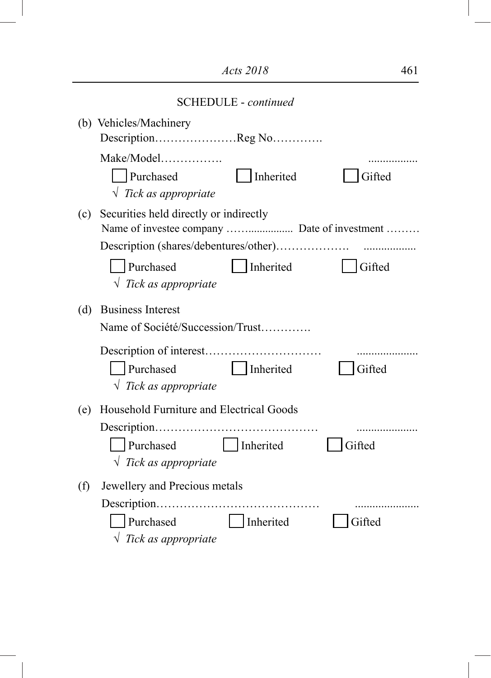|     | <b>SCHEDULE</b> - continued                                  |           |        |  |  |  |  |  |  |  |
|-----|--------------------------------------------------------------|-----------|--------|--|--|--|--|--|--|--|
|     | (b) Vehicles/Machinery<br>DescriptionReg No                  |           |        |  |  |  |  |  |  |  |
|     | Make/Model<br>Purchased<br>$\sqrt{T}$ Tick as appropriate    | Inherited | Gifted |  |  |  |  |  |  |  |
| (c) | Securities held directly or indirectly                       |           |        |  |  |  |  |  |  |  |
|     | Purchased<br>$\sqrt{Tick}$ as appropriate                    | Inherited | Gifted |  |  |  |  |  |  |  |
| (d) | <b>Business Interest</b><br>Name of Société/Succession/Trust |           |        |  |  |  |  |  |  |  |
|     | Purchased<br>$\sqrt{Tick}$ as appropriate                    | Inherited | Gifted |  |  |  |  |  |  |  |
| (e) | Household Furniture and Electrical Goods                     |           |        |  |  |  |  |  |  |  |
|     | Purchased<br>$\sqrt{T}$ Tick as appropriate                  | Inherited | Gifted |  |  |  |  |  |  |  |
| (f) | Jewellery and Precious metals                                |           |        |  |  |  |  |  |  |  |
|     | Purchased<br>$\sqrt{Tick}$ as appropriate                    | Inherited | Gifted |  |  |  |  |  |  |  |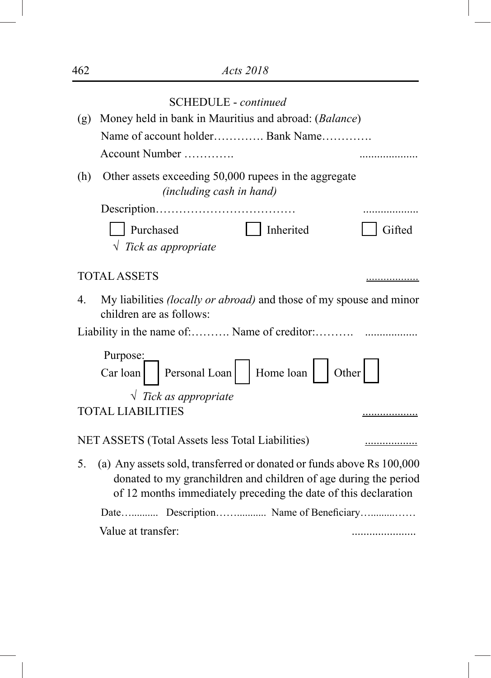|     | <b>SCHEDULE</b> - continued                                                                                                                                                                                  |        |
|-----|--------------------------------------------------------------------------------------------------------------------------------------------------------------------------------------------------------------|--------|
| (g) | Money held in bank in Mauritius and abroad: (Balance)                                                                                                                                                        |        |
|     | Name of account holder Bank Name                                                                                                                                                                             |        |
|     | Account Number                                                                                                                                                                                               |        |
|     |                                                                                                                                                                                                              |        |
| (h) | Other assets exceeding 50,000 rupees in the aggregate<br>(including cash in hand)                                                                                                                            |        |
|     |                                                                                                                                                                                                              |        |
|     | Purchased<br>Inherited                                                                                                                                                                                       | Gifted |
|     | $\sqrt{Tick}$ as appropriate                                                                                                                                                                                 |        |
|     | <b>TOTAL ASSETS</b>                                                                                                                                                                                          |        |
| 4.  | My liabilities <i>(locally or abroad)</i> and those of my spouse and minor<br>children are as follows:                                                                                                       |        |
|     |                                                                                                                                                                                                              |        |
|     | Purpose:                                                                                                                                                                                                     |        |
|     | Personal Loan   Home loan<br>Car loan                                                                                                                                                                        | Other  |
|     | $\sqrt{Tick}$ as appropriate                                                                                                                                                                                 |        |
|     | <b>TOTAL LIABILITIES</b>                                                                                                                                                                                     |        |
|     | NET ASSETS (Total Assets less Total Liabilities)                                                                                                                                                             | .      |
| 5.  | (a) Any assets sold, transferred or donated or funds above Rs 100,000<br>donated to my granchildren and children of age during the period<br>of 12 months immediately preceding the date of this declaration |        |
|     | Date Description Name of Beneficiary                                                                                                                                                                         |        |
|     | Value at transfer:                                                                                                                                                                                           |        |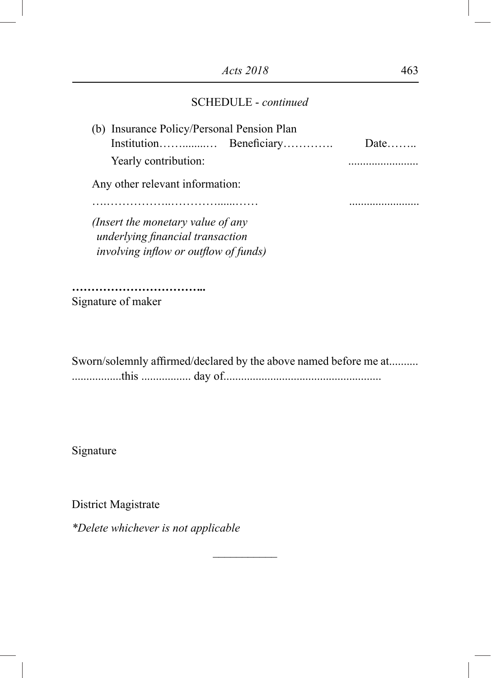| (b) Insurance Policy/Personal Pension Plan   |      |
|----------------------------------------------|------|
|                                              | Date |
| Yearly contribution:                         |      |
| Any other relevant information:              |      |
|                                              |      |
| (Insert the monetary value of any            |      |
| underlying financial transaction             |      |
| <i>involving inflow or outflow of funds)</i> |      |
|                                              |      |

*……………………………..* Signature of maker

Sworn/solemnly affirmed/declared by the above named before me at.......... .................this ................. day of......................................................

 $\frac{1}{2}$ 

Signature

District Magistrate

*\*Delete whichever is not applicable*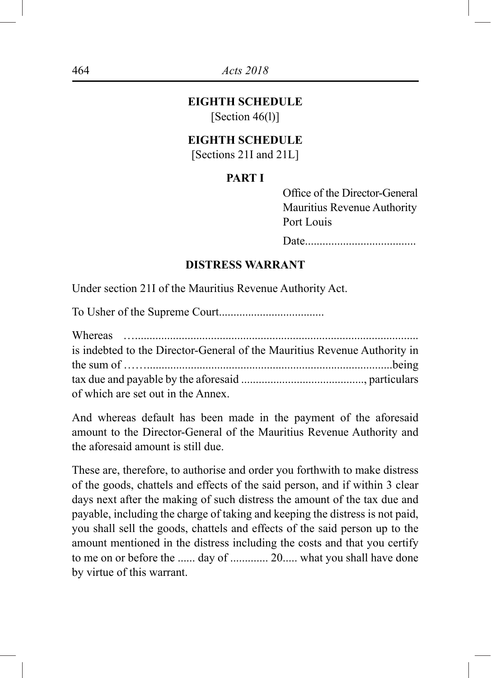# **EIGHTH SCHEDULE**

 $[Section 46(1)]$ 

#### **EIGHTH SCHEDULE**

[Sections 21I and 21L]

#### **PART I**

Office of the Director-General Mauritius Revenue Authority Port Louis

Date......................................

#### **DISTRESS WARRANT**

Under section 21I of the Mauritius Revenue Authority Act.

To Usher of the Supreme Court.................................... Whereas …................................................................................................. is indebted to the Director-General of the Mauritius Revenue Authority in the sum of ……....................................................................................being tax due and payable by the aforesaid .........................................., particulars of which are set out in the Annex.

And whereas default has been made in the payment of the aforesaid amount to the Director-General of the Mauritius Revenue Authority and the aforesaid amount is still due.

These are, therefore, to authorise and order you forthwith to make distress of the goods, chattels and effects of the said person, and if within 3 clear days next after the making of such distress the amount of the tax due and payable, including the charge of taking and keeping the distress is not paid, you shall sell the goods, chattels and effects of the said person up to the amount mentioned in the distress including the costs and that you certify to me on or before the ...... day of ............. 20..... what you shall have done by virtue of this warrant.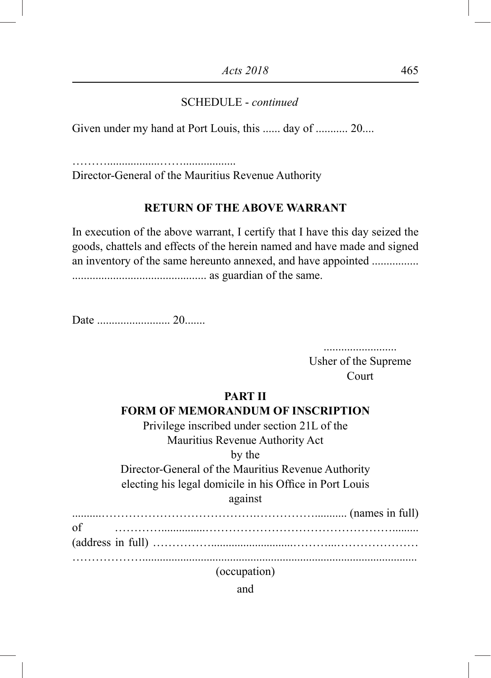Given under my hand at Port Louis, this ...... day of ........... 20....

………..................……..................

Director-General of the Mauritius Revenue Authority

#### **RETURN OF THE ABOVE WARRANT**

In execution of the above warrant, I certify that I have this day seized the goods, chattels and effects of the herein named and have made and signed an inventory of the same hereunto annexed, and have appointed ................ .............................................. as guardian of the same.

Date ......................... 20.......

......................... Usher of the Supreme Court

#### **PART II**

#### **FORM OF MEMORANDUM OF INSCRIPTION**

Privilege inscribed under section 21L of the Mauritius Revenue Authority Act by the Director-General of the Mauritius Revenue Authority electing his legal domicile in his Office in Port Louis against

..........………………………………….……………........... (names in full) of …………...............………………………………………….........

(address in full) ……………............................………...…………………

………………..............................................................................................

(occupation)

and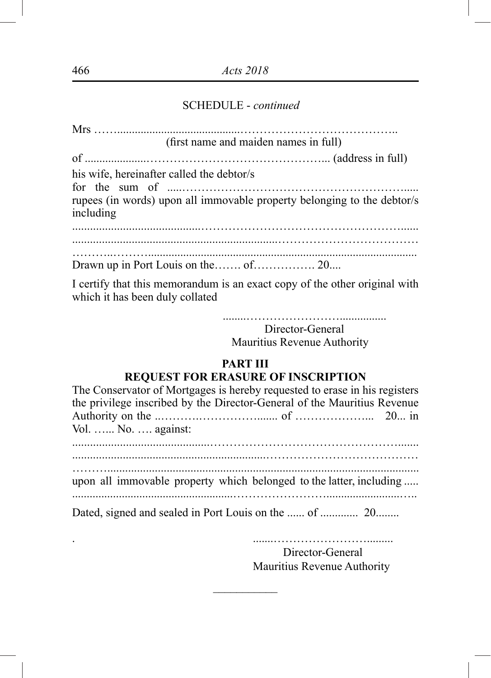|                                           | (first name and maiden names in full)                                                                                                                                                                                                 |
|-------------------------------------------|---------------------------------------------------------------------------------------------------------------------------------------------------------------------------------------------------------------------------------------|
|                                           |                                                                                                                                                                                                                                       |
| his wife, hereinafter called the debtor/s |                                                                                                                                                                                                                                       |
| including                                 | rupees (in words) upon all immovable property belonging to the debtor/s                                                                                                                                                               |
|                                           |                                                                                                                                                                                                                                       |
|                                           |                                                                                                                                                                                                                                       |
|                                           |                                                                                                                                                                                                                                       |
|                                           | $\mathbf{I}$ and $\mathbf{C}$ and the definition of the second contract of the second of the second second contribution of the second second second second second second second second second second second second second second seco |

I certify that this memorandum is an exact copy of the other original with which it has been duly collated

> ........……………………................ Director-General Mauritius Revenue Authority

#### **PART III REQUEST FOR ERASURE OF INSCRIPTION**

| The Conservator of Mortgages is hereby requested to erase in his registers<br>the privilege inscribed by the Director-General of the Mauritius Revenue |  |
|--------------------------------------------------------------------------------------------------------------------------------------------------------|--|
|                                                                                                                                                        |  |
| Vol.  No.  against:                                                                                                                                    |  |
|                                                                                                                                                        |  |
|                                                                                                                                                        |  |
| upon all immovable property which belonged to the latter, including                                                                                    |  |
|                                                                                                                                                        |  |

 $\frac{1}{2}$ 

. .......……………………......... Director-General Mauritius Revenue Authority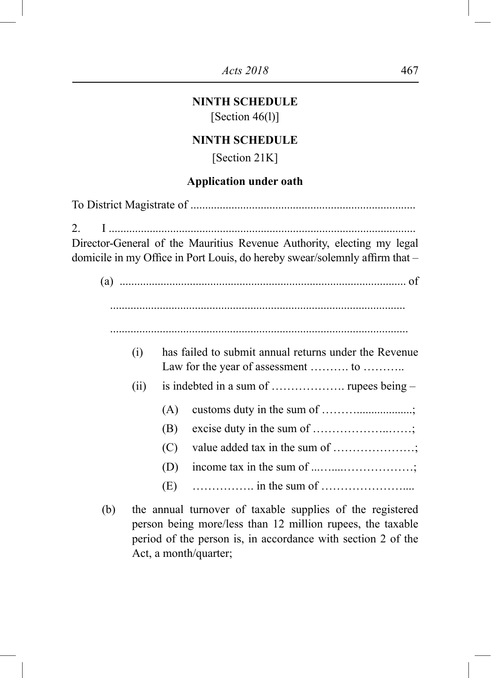# **NINTH SCHEDULE**

 $[Section 46(1)]$ 

## **NINTH SCHEDULE**

[Section 21K]

#### **Application under oath**

To District Magistrate of ............................................................................. 2. I ......................................................................................................... Director-General of the Mauritius Revenue Authority, electing my legal domicile in my Office in Port Louis, do hereby swear/solemnly affirm that – (a) .................................................................................................. of (i) has failed to submit annual returns under the Revenue Law for the year of assessment ……….. to ……….. (ii) is indebted in a sum of ………………. rupees being – (A) customs duty in the sum of ………...................; (B) excise duty in the sum of ………………..……; (C) value added tax in the sum of …………………; (D) income tax in the sum of  $\dots\dots\dots\dots\dots\dots$ (E) ……………. in the sum of …………………....

(b) the annual turnover of taxable supplies of the registered person being more/less than 12 million rupees, the taxable period of the person is, in accordance with section 2 of the Act, a month/quarter;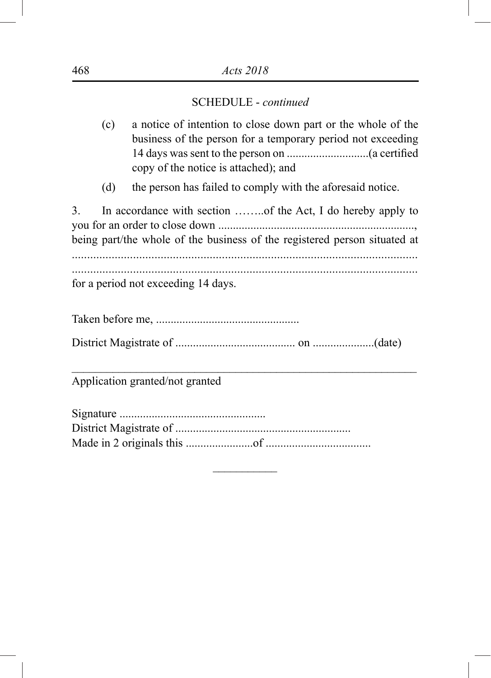- (c) a notice of intention to close down part or the whole of the business of the person for a temporary period not exceeding 14 days was sent to the person on ............................(a certified copy of the notice is attached); and
- (d) the person has failed to comply with the aforesaid notice.

3. In accordance with section ……..of the Act, I do hereby apply to you for an order to close down ..................................................................., being part/the whole of the business of the registered person situated at ................................................................................................................. .................................................................................................................

for a period not exceeding 14 days.

\_\_\_\_\_\_\_\_\_\_\_\_\_\_\_\_\_\_\_\_\_\_\_\_\_\_\_\_\_\_\_\_\_\_\_\_\_\_\_\_\_\_\_\_\_\_\_\_\_\_\_\_\_\_\_\_\_\_\_

 $\overline{\phantom{a}}$ 

Application granted/not granted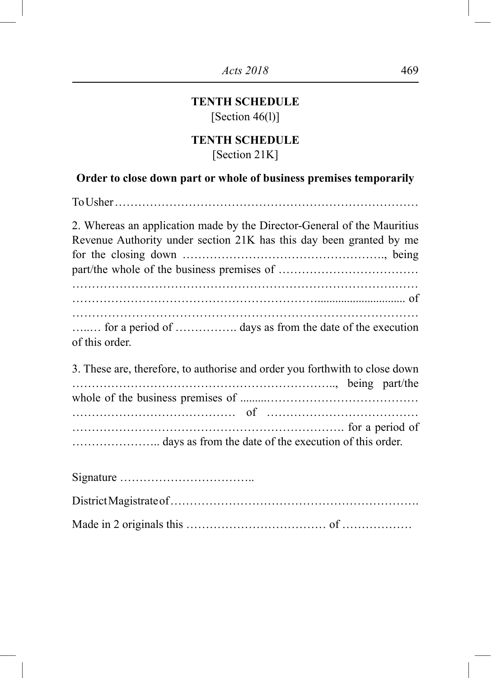# **TENTH SCHEDULE** [Section 46(l)]

# **TENTH SCHEDULE** [Section 21K]

# **Order to close down part or whole of business premises temporarily**

| 2. Whereas an application made by the Director-General of the Mauritius<br>Revenue Authority under section 21K has this day been granted by me |
|------------------------------------------------------------------------------------------------------------------------------------------------|
|                                                                                                                                                |
| for a period of  days as from the date of the execution<br>of this order.                                                                      |
| 3. These are, therefore, to authorise and order you forthwith to close down<br>being part/the                                                  |
|                                                                                                                                                |
|                                                                                                                                                |
|                                                                                                                                                |
|                                                                                                                                                |

Made in 2 originals this ……………………………… of ………………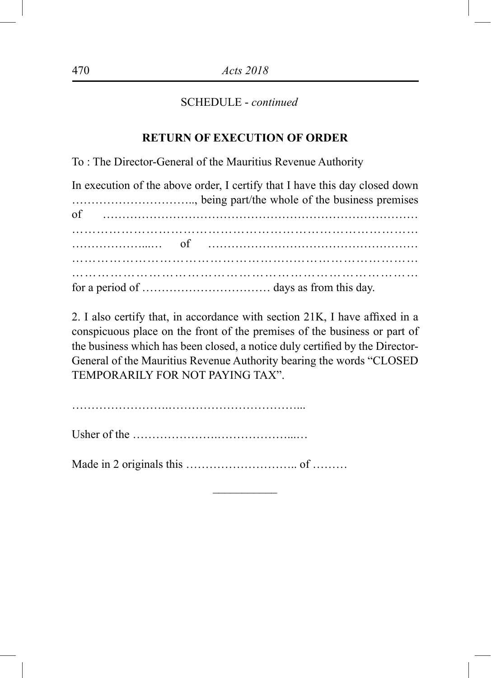#### **RETURN OF EXECUTION OF ORDER**

To : The Director-General of the Mauritius Revenue Authority

In execution of the above order, I certify that I have this day closed down heing part/the whole of the business premises

2. I also certify that, in accordance with section 21K, I have affixed in a conspicuous place on the front of the premises of the business or part of the business which has been closed, a notice duly certified by the Director-General of the Mauritius Revenue Authority bearing the words "CLOSED TEMPORARILY FOR NOT PAYING TAX".

 $\overline{\phantom{a}}$ 

…………………….……………………………...

Usher of the ………………….………………...…

Made in 2 originals this ……………………….. of ………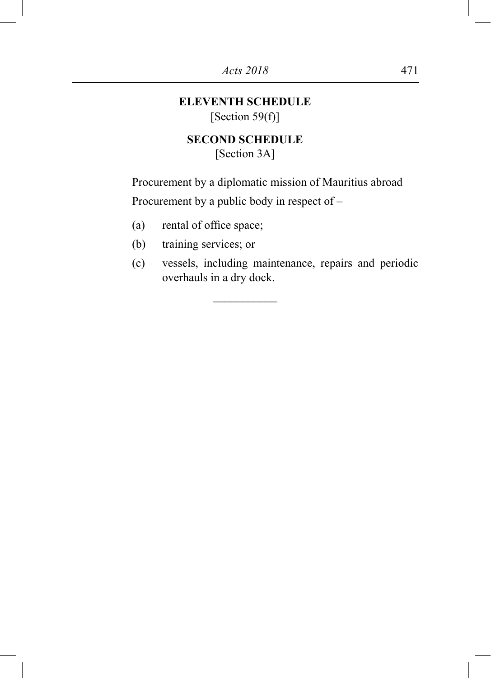# **ELEVENTH SCHEDULE** [Section 59(f)]

# **SECOND SCHEDULE** [Section 3A]

\_\_\_\_\_\_\_\_\_\_\_

Procurement by a diplomatic mission of Mauritius abroad Procurement by a public body in respect of –

- (a) rental of office space;
- (b) training services; or
- (c) vessels, including maintenance, repairs and periodic overhauls in a dry dock.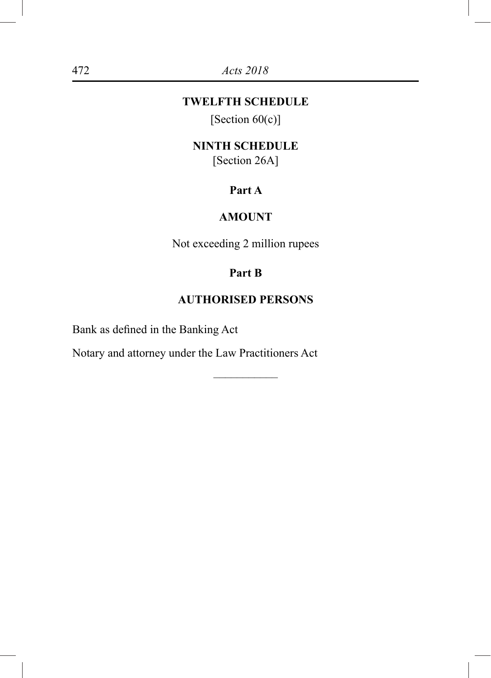# **TWELFTH SCHEDULE**

[Section  $60(c)$ ]

# **NINTH SCHEDULE**

[Section 26A]

# **Part A**

# **AMOUNT**

Not exceeding 2 million rupees

# **Part B**

#### **AUTHORISED PERSONS**

–––––––––––

Bank as defined in the Banking Act

Notary and attorney under the Law Practitioners Act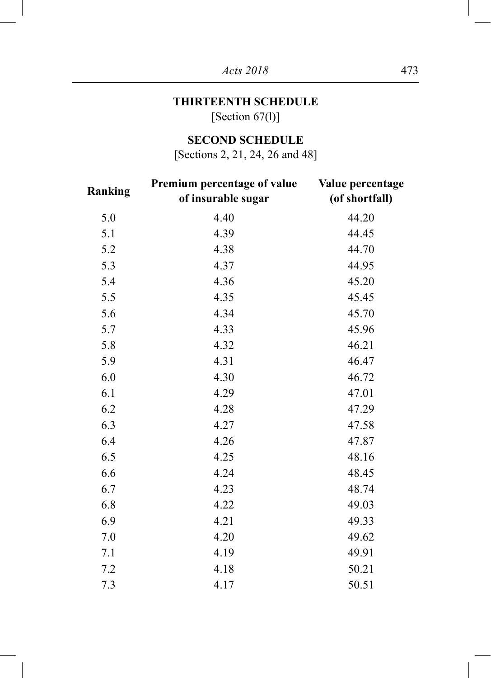# **THIRTEENTH SCHEDULE**

[Section 67(l)]

# **SECOND SCHEDULE**

[Sections 2, 21, 24, 26 and 48]

| Ranking | Premium percentage of value<br>of insurable sugar | Value percentage<br>(of shortfall) |  |  |  |  |  |
|---------|---------------------------------------------------|------------------------------------|--|--|--|--|--|
| 5.0     | 4.40                                              | 44.20                              |  |  |  |  |  |
| 5.1     | 4.39                                              | 44.45                              |  |  |  |  |  |
| 5.2     | 4.38                                              | 44.70                              |  |  |  |  |  |
| 5.3     | 4.37                                              | 44.95                              |  |  |  |  |  |
| 5.4     | 4.36                                              | 45.20                              |  |  |  |  |  |
| 5.5     | 4.35                                              | 45.45                              |  |  |  |  |  |
| 5.6     | 4.34                                              | 45.70                              |  |  |  |  |  |
| 5.7     | 4.33                                              | 45.96                              |  |  |  |  |  |
| 5.8     | 4.32                                              | 46.21                              |  |  |  |  |  |
| 5.9     | 4.31                                              | 46.47                              |  |  |  |  |  |
| 6.0     | 4.30                                              | 46.72                              |  |  |  |  |  |
| 6.1     | 4.29                                              | 47.01                              |  |  |  |  |  |
| 6.2     | 4.28                                              | 47.29                              |  |  |  |  |  |
| 6.3     | 4.27                                              | 47.58                              |  |  |  |  |  |
| 6.4     | 4.26                                              | 47.87                              |  |  |  |  |  |
| 6.5     | 4.25                                              | 48.16                              |  |  |  |  |  |
| 6.6     | 4.24                                              | 48.45                              |  |  |  |  |  |
| 6.7     | 4.23                                              | 48.74                              |  |  |  |  |  |
| 6.8     | 4.22                                              | 49.03                              |  |  |  |  |  |
| 6.9     | 4.21                                              | 49.33                              |  |  |  |  |  |
| 7.0     | 4.20                                              | 49.62                              |  |  |  |  |  |
| 7.1     | 4.19                                              | 49.91                              |  |  |  |  |  |
| 7.2     | 4.18                                              | 50.21                              |  |  |  |  |  |
| 7.3     | 4.17                                              | 50.51                              |  |  |  |  |  |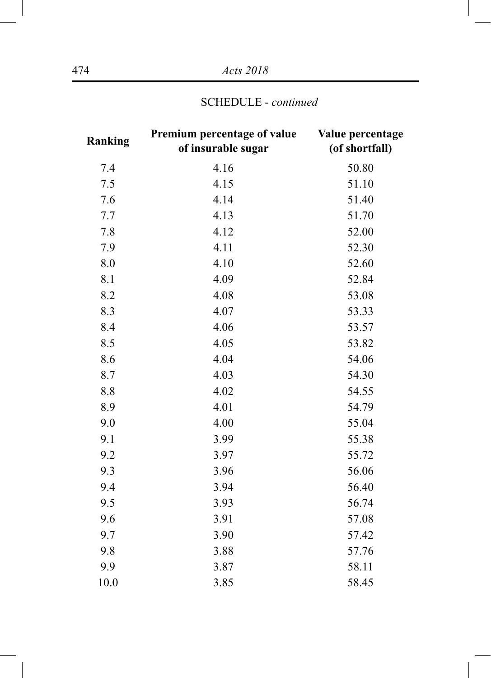| Ranking | Premium percentage of value<br>of insurable sugar | Value percentage<br>(of shortfall) |
|---------|---------------------------------------------------|------------------------------------|
| 7.4     | 4.16                                              | 50.80                              |
| 7.5     | 4.15                                              | 51.10                              |
| 7.6     | 4.14                                              | 51.40                              |
| 7.7     | 4.13                                              | 51.70                              |
| 7.8     | 4.12                                              | 52.00                              |
| 7.9     | 4.11                                              | 52.30                              |
| 8.0     | 4.10                                              | 52.60                              |
| 8.1     | 4.09                                              | 52.84                              |
| 8.2     | 4.08                                              | 53.08                              |
| 8.3     | 4.07                                              | 53.33                              |
| 8.4     | 4.06                                              | 53.57                              |
| 8.5     | 4.05                                              | 53.82                              |
| 8.6     | 4.04                                              | 54.06                              |
| 8.7     | 4.03                                              | 54.30                              |
| 8.8     | 4.02                                              | 54.55                              |
| 8.9     | 4.01                                              | 54.79                              |
| 9.0     | 4.00                                              | 55.04                              |
| 9.1     | 3.99                                              | 55.38                              |
| 9.2     | 3.97                                              | 55.72                              |
| 9.3     | 3.96                                              | 56.06                              |
| 9.4     | 3.94                                              | 56.40                              |
| 9.5     | 3.93                                              | 56.74                              |
| 9.6     | 3.91                                              | 57.08                              |
| 9.7     | 3.90                                              | 57.42                              |
| 9.8     | 3.88                                              | 57.76                              |
| 9.9     | 3.87                                              | 58.11                              |
| 10.0    | 3.85                                              | 58.45                              |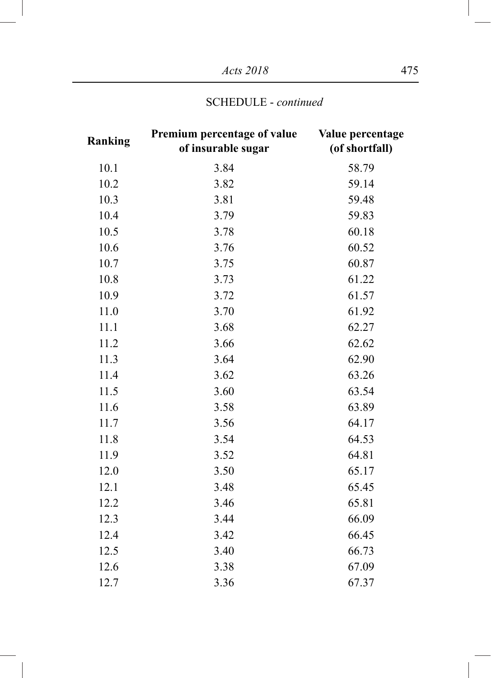*Acts 2018* 475

| Ranking | Premium percentage of value<br>of insurable sugar | Value percentage<br>(of shortfall) |
|---------|---------------------------------------------------|------------------------------------|
| 10.1    | 3.84                                              | 58.79                              |
| 10.2    | 3.82                                              | 59.14                              |
| 10.3    | 3.81                                              | 59.48                              |
| 10.4    | 3.79                                              | 59.83                              |
| 10.5    | 3.78                                              | 60.18                              |
| 10.6    | 3.76                                              | 60.52                              |
| 10.7    | 3.75                                              | 60.87                              |
| 10.8    | 3.73                                              | 61.22                              |
| 10.9    | 3.72                                              | 61.57                              |
| 11.0    | 3.70                                              | 61.92                              |
| 11.1    | 3.68                                              | 62.27                              |
| 11.2    | 3.66                                              | 62.62                              |
| 11.3    | 3.64                                              | 62.90                              |
| 11.4    | 3.62                                              | 63.26                              |
| 11.5    | 3.60                                              | 63.54                              |
| 11.6    | 3.58                                              | 63.89                              |
| 11.7    | 3.56                                              | 64.17                              |
| 11.8    | 3.54                                              | 64.53                              |
| 11.9    | 3.52                                              | 64.81                              |
| 12.0    | 3.50                                              | 65.17                              |
| 12.1    | 3.48                                              | 65.45                              |
| 12.2    | 3.46                                              | 65.81                              |
| 12.3    | 3.44                                              | 66.09                              |
| 12.4    | 3.42                                              | 66.45                              |
| 12.5    | 3.40                                              | 66.73                              |
| 12.6    | 3.38                                              | 67.09                              |
| 12.7    | 3.36                                              | 67.37                              |